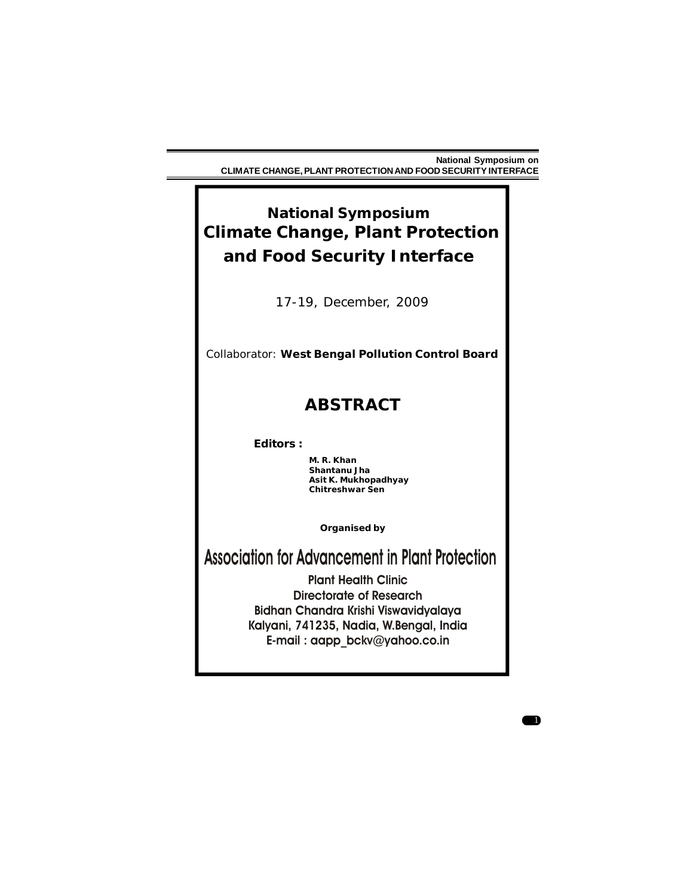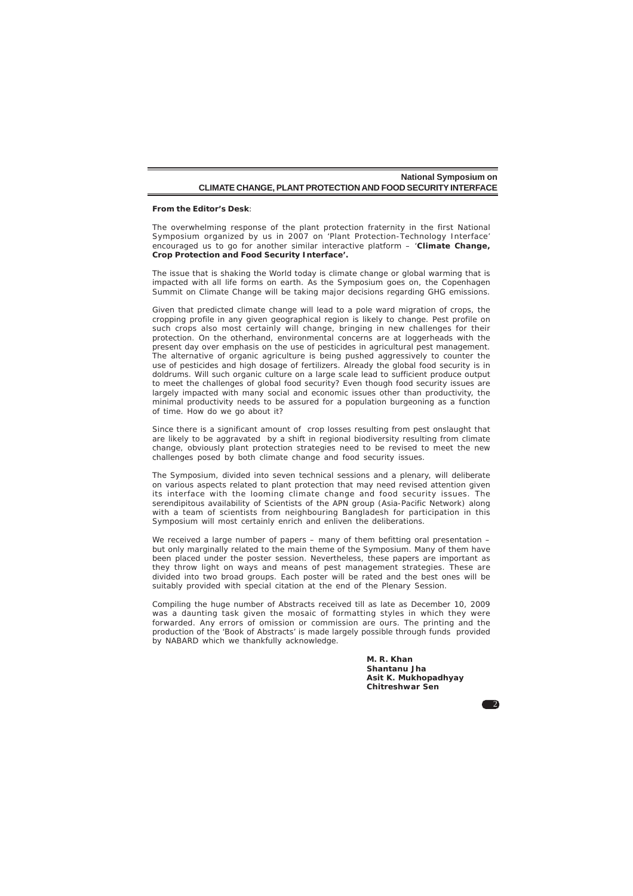#### **From the Editor's Desk**:

The overwhelming response of the plant protection fraternity in the first National Symposium organized by us in 2007 on '*Plant Protection-Technology Interface'* encouraged us to go for another similar interactive platform – '*Climate Change, Crop Protection and Food Security Interface'.*

The issue that is shaking the World today is climate change or global warming that is impacted with all life forms on earth. As the Symposium goes on, the Copenhagen Summit on Climate Change will be taking major decisions regarding GHG emissions.

Given that predicted climate change will lead to a pole ward migration of crops, the cropping profile in any given geographical region is likely to change. Pest profile on such crops also most certainly will change, bringing in new challenges for their protection. On the otherhand, environmental concerns are at loggerheads with the present day over emphasis on the use of pesticides in agricultural pest management. The alternative of organic agriculture is being pushed aggressively to counter the use of pesticides and high dosage of fertilizers. Already the global food security is in doldrums. Will such organic culture on a large scale lead to sufficient produce output to meet the challenges of global food security? Even though food security issues are largely impacted with many social and economic issues other than productivity, the minimal productivity needs to be assured for a population burgeoning as a function of time. How do we go about it?

Since there is a significant amount of crop losses resulting from pest onslaught that are likely to be aggravated by a shift in regional biodiversity resulting from climate change, obviously plant protection strategies need to be revised to meet the new challenges posed by both climate change and food security issues.

The Symposium, divided into seven technical sessions and a plenary, will deliberate on various aspects related to plant protection that may need revised attention given its interface with the looming climate change and food security issues. The serendipitous availability of Scientists of the APN group (Asia-Pacific Network) along with a team of scientists from neighbouring Bangladesh for participation in this Symposium will most certainly enrich and enliven the deliberations.

We received a large number of papers – many of them befitting oral presentation – but only marginally related to the main theme of the Symposium. Many of them have been placed under the poster session. Nevertheless, these papers are important as they throw light on ways and means of pest management strategies. These are divided into two broad groups. Each poster will be rated and the best ones will be suitably provided with special citation at the end of the Plenary Session.

Compiling the huge number of Abstracts received till as late as December 10, 2009 was a daunting task given the mosaic of formatting styles in which they were forwarded. Any errors of omission or commission are ours. The printing and the production of the 'Book of Abstracts' is made largely possible through funds provided by NABARD which we thankfully acknowledge.

> *M. R. Khan Shantanu Jha Asit K. Mukhopadhyay Chitreshwar Sen*

2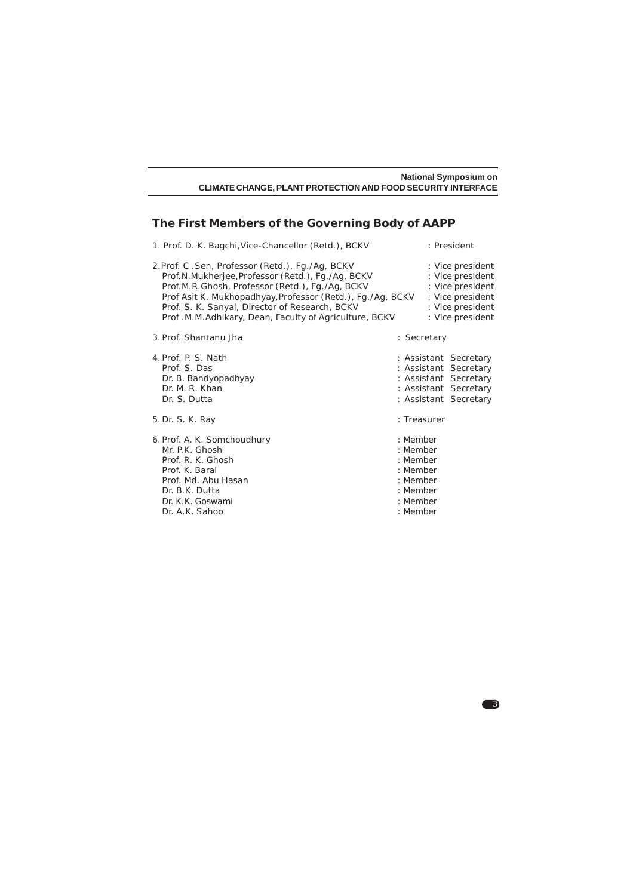| <b>National Symposium on</b>                                 |  |
|--------------------------------------------------------------|--|
| CLIMATE CHANGE. PLANT PROTECTION AND FOOD SECURITY INTERFACE |  |

# **The First Members of the Governing Body of AAPP**

|                                                                                                                                                                     | 1. Prof. D. K. Bagchi, Vice-Chancellor (Retd.), BCKV                                                                                                                                                                                                                                                                             |                                                                                              | : President                                                                                                               |
|---------------------------------------------------------------------------------------------------------------------------------------------------------------------|----------------------------------------------------------------------------------------------------------------------------------------------------------------------------------------------------------------------------------------------------------------------------------------------------------------------------------|----------------------------------------------------------------------------------------------|---------------------------------------------------------------------------------------------------------------------------|
|                                                                                                                                                                     | 2.Prof. C .Sen, Professor (Retd.), Fq./Aq, BCKV<br>Prof.N.Mukherjee, Professor (Retd.), Fg./Ag, BCKV<br>Prof.M.R.Ghosh, Professor (Retd.), Fg./Ag, BCKV<br>Prof Asit K. Mukhopadhyay, Professor (Retd.), Fq./Aq, BCKV<br>Prof. S. K. Sanyal, Director of Research, BCKV<br>Prof.M.M.Adhikary, Dean, Faculty of Agriculture, BCKV |                                                                                              | : Vice president<br>: Vice president<br>: Vice president<br>: Vice president<br>: Vice president<br>: Vice president      |
| 3. Prof. Shantanu Jha                                                                                                                                               |                                                                                                                                                                                                                                                                                                                                  |                                                                                              | : Secretary                                                                                                               |
| 4. Prof. P. S. Nath<br>Prof. S. Das<br>Dr. B. Bandyopadhyay<br>Dr. M. R. Khan<br>Dr. S. Dutta                                                                       |                                                                                                                                                                                                                                                                                                                                  |                                                                                              | : Assistant Secretary<br>: Assistant Secretary<br>: Assistant Secretary<br>: Assistant Secretary<br>: Assistant Secretary |
| 5. Dr. S. K. Ray                                                                                                                                                    |                                                                                                                                                                                                                                                                                                                                  |                                                                                              | : Treasurer                                                                                                               |
| 6. Prof. A. K. Somchoudhury<br>Mr. P.K. Ghosh<br>Prof. R. K. Ghosh<br>Prof. K. Baral<br>Prof. Md. Abu Hasan<br>Dr. B.K. Dutta<br>Dr. K.K. Goswami<br>Dr. A.K. Sahoo |                                                                                                                                                                                                                                                                                                                                  | : Member<br>: Member<br>: Member<br>: Member<br>: Member<br>: Member<br>: Member<br>: Member |                                                                                                                           |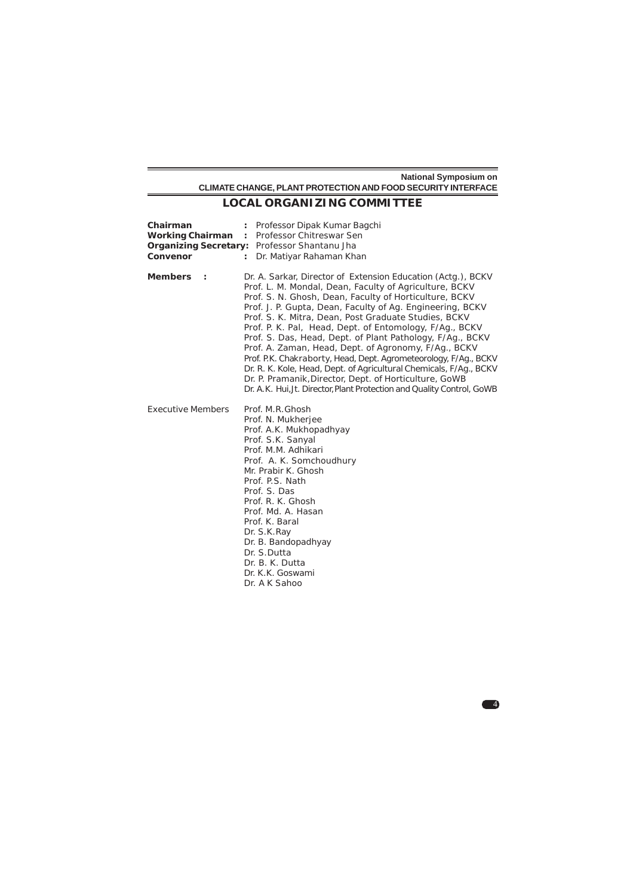# **LOCAL ORGANIZING COMMITTEE**

| Chairman<br><b>Working Chairman</b><br>Convenor | Professor Dipak Kumar Bagchi<br>: Professor Chitreswar Sen<br><b>Organizing Secretary: Professor Shantanu Jha</b><br>Dr. Matiyar Rahaman Khan<br>$\mathbf{r}$                                                                                                                                                                                                                                                                                                                                                                                                                                                                                                                                                                                                       |  |
|-------------------------------------------------|---------------------------------------------------------------------------------------------------------------------------------------------------------------------------------------------------------------------------------------------------------------------------------------------------------------------------------------------------------------------------------------------------------------------------------------------------------------------------------------------------------------------------------------------------------------------------------------------------------------------------------------------------------------------------------------------------------------------------------------------------------------------|--|
| Members :                                       | Dr. A. Sarkar, Director of Extension Education (Actg.), BCKV<br>Prof. L. M. Mondal, Dean, Faculty of Agriculture, BCKV<br>Prof. S. N. Ghosh, Dean, Faculty of Horticulture, BCKV<br>Prof. J. P. Gupta, Dean, Faculty of Ag. Engineering, BCKV<br>Prof. S. K. Mitra, Dean, Post Graduate Studies, BCKV<br>Prof. P. K. Pal, Head, Dept. of Entomology, F/Ag., BCKV<br>Prof. S. Das, Head, Dept. of Plant Pathology, F/Ag., BCKV<br>Prof. A. Zaman, Head, Dept. of Agronomy, F/Ag., BCKV<br>Prof. P.K. Chakraborty, Head, Dept. Agrometeorology, F/Ag., BCKV<br>Dr. R. K. Kole, Head, Dept. of Agricultural Chemicals, F/Ag., BCKV<br>Dr. P. Pramanik, Director, Dept. of Horticulture, GoWB<br>Dr. A.K. Hui, Jt. Director, Plant Protection and Quality Control, GoWB |  |
| <b>Executive Members</b>                        | Prof. M.R.Ghosh<br>Prof. N. Mukherjee<br>Prof. A.K. Mukhopadhyay<br>Prof. S.K. Sanyal<br>Prof. M.M. Adhikari<br>Prof. A. K. Somchoudhury<br>Mr. Prabir K. Ghosh<br>Prof. P.S. Nath<br>Prof. S. Das<br>Prof. R. K. Ghosh<br>Prof. Md. A. Hasan<br>Prof. K. Baral<br>Dr. S.K. Ray<br>Dr. B. Bandopadhyay<br>Dr. S.Dutta<br>Dr. B. K. Dutta<br>Dr. K.K. Goswami<br>Dr. A K Sahoo                                                                                                                                                                                                                                                                                                                                                                                       |  |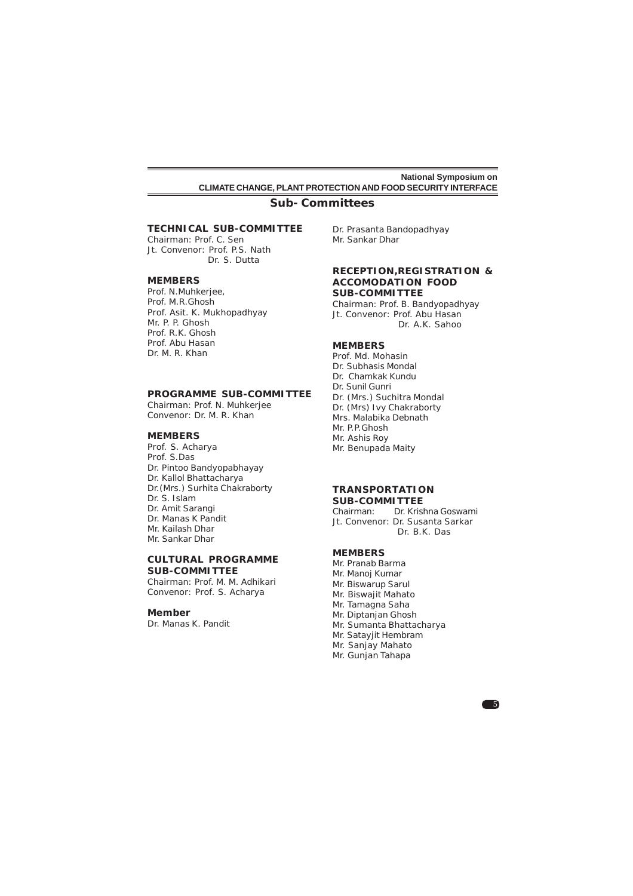# **Sub- Committees**

# **TECHNICAL SUB-COMMITTEE**

Chairman: Prof. C. Sen Jt. Convenor: Prof. P.S. Nath Dr. S. Dutta

#### **MEMBERS**

Prof. N.Muhkerjee, Prof. M.R.Ghosh Prof. Asit. K. Mukhopadhyay Mr. P. P. Ghosh Prof. R.K. Ghosh Prof. Abu Hasan Dr. M. R. Khan

### **PROGRAMME SUB-COMMITTEE**

Chairman: Prof. N. Muhkerjee Convenor: Dr. M. R. Khan

### **MEMBERS**

Prof. S. Acharya Prof. S.Das Dr. Pintoo Bandyopabhayay Dr. Kallol Bhattacharya Dr.(Mrs.) Surhita Chakraborty Dr. S. Islam Dr. Amit Sarangi Dr. Manas K Pandit Mr. Kailash Dhar Mr. Sankar Dhar

#### **CULTURAL PROGRAMME SUB-COMMITTEE**

Chairman: Prof. M. M. Adhikari Convenor: Prof. S. Acharya

### **Member**

Dr. Manas K. Pandit

Dr. Prasanta Bandopadhyay Mr. Sankar Dhar

#### **RECEPTION,REGISTRATION & ACCOMODATION FOOD SUB-COMMITTEE**

Chairman: Prof. B. Bandyopadhyay Jt. Convenor: Prof. Abu Hasan Dr. A.K. Sahoo

# **MEMBERS**

Prof. Md. Mohasin Dr. Subhasis Mondal Dr. Chamkak Kundu Dr. Sunil Gunri Dr. (Mrs.) Suchitra Mondal Dr. (Mrs) Ivy Chakraborty Mrs. Malabika Debnath Mr. P.P.Ghosh Mr. Ashis Roy Mr. Benupada Maity

#### **TRANSPORTATION SUB-COMMITTEE**

Chairman: Dr. Krishna Goswami Jt. Convenor: Dr. Susanta Sarkar Dr. B.K. Das

5

# **MEMBERS**

Mr. Pranab Barma Mr. Manoj Kumar Mr. Biswarup Sarul Mr. Biswajit Mahato Mr. Tamagna Saha Mr. Diptanjan Ghosh Mr. Sumanta Bhattacharya Mr. Satayjit Hembram Mr. Sanjay Mahato Mr. Gunjan Tahapa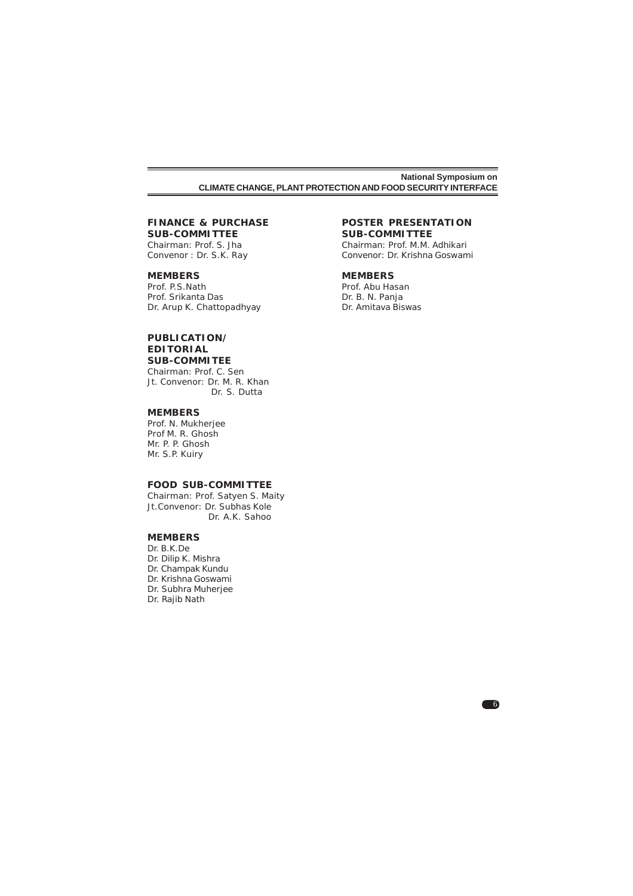# **FINANCE & PURCHASE**

**SUB-COMMITTEE** Chairman: Prof. S. Jha Convenor : Dr. S.K. Ray

### **MEMBERS**

Prof. P.S.Nath Prof. Srikanta Das Dr. Arup K. Chattopadhyay

### **PUBLICATION/ EDITORIAL SUB-COMMITEE**

Chairman: Prof. C. Sen Jt. Convenor: Dr. M. R. Khan Dr. S. Dutta

### **MEMBERS**

Prof. N. Mukherjee Prof M. R. Ghosh Mr. P. P. Ghosh Mr. S.P. Kuiry

## **FOOD SUB-COMMITTEE**

Chairman: Prof. Satyen S. Maity Jt.Convenor: Dr. Subhas Kole Dr. A.K. Sahoo

# **MEMBERS**

Dr. B.K.De Dr. Dilip K. Mishra Dr. Champak Kundu Dr. Krishna Goswami Dr. Subhra Muherjee Dr. Rajib Nath

### **POSTER PRESENTATION SUB-COMMITTEE**

Chairman: Prof. M.M. Adhikari Convenor: Dr. Krishna Goswami

6

### **MEMBERS**

Prof. Abu Hasan Dr. B. N. Panja Dr. Amitava Biswas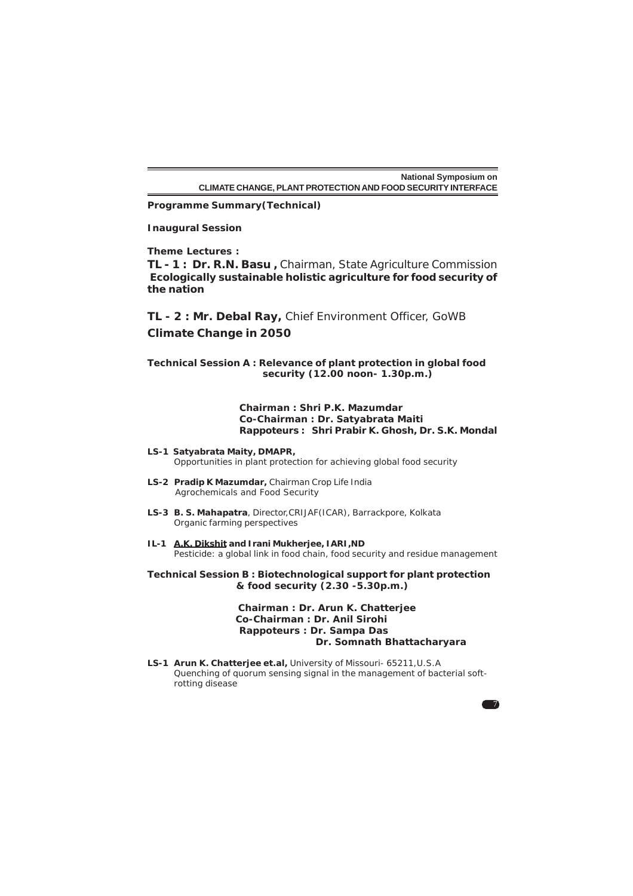**Programme Summary(Technical)**

# **Inaugural Session**

**Theme Lectures :**

**TL - 1 : Dr. R.N. Basu ,** Chairman, State Agriculture Commission *Ecologically sustainable holistic agriculture for food security of the nation*

**TL - 2 : Mr. Debal Ray,** Chief Environment Officer, GoWB *Climate Change in 2050*

**Technical Session A : Relevance of plant protection in global food security (12.00 noon- 1.30p.m.)**

# **Chairman : Shri P.K. Mazumdar Co-Chairman : Dr. Satyabrata Maiti Rappoteurs : Shri Prabir K. Ghosh, Dr. S.K. Mondal**

- **LS-1 Satyabrata Maity, DMAPR,** Opportunities in plant protection for achieving global food security
- **LS-2 Pradip K Mazumdar,** Chairman Crop Life India Agrochemicals and Food Security
- **LS-3 B. S. Mahapatra**, Director,CRIJAF(ICAR), Barrackpore, Kolkata Organic farming perspectives
- **IL-1 A.K. Dikshit and Irani Mukherjee, IARI,ND** Pesticide: a global link in food chain, food security and residue management

**Technical Session B : Biotechnological support for plant protection & food security (2.30 -5.30p.m.)**

> **Chairman : Dr. Arun K. Chatterjee Co-Chairman : Dr. Anil Sirohi Rappoteurs : Dr. Sampa Das Dr. Somnath Bhattacharyara**

> > $\overline{7}$

**LS-1 Arun K. Chatterjee et.al,** University of Missouri- 65211,U.S.A Quenching of quorum sensing signal in the management of bacterial softrotting disease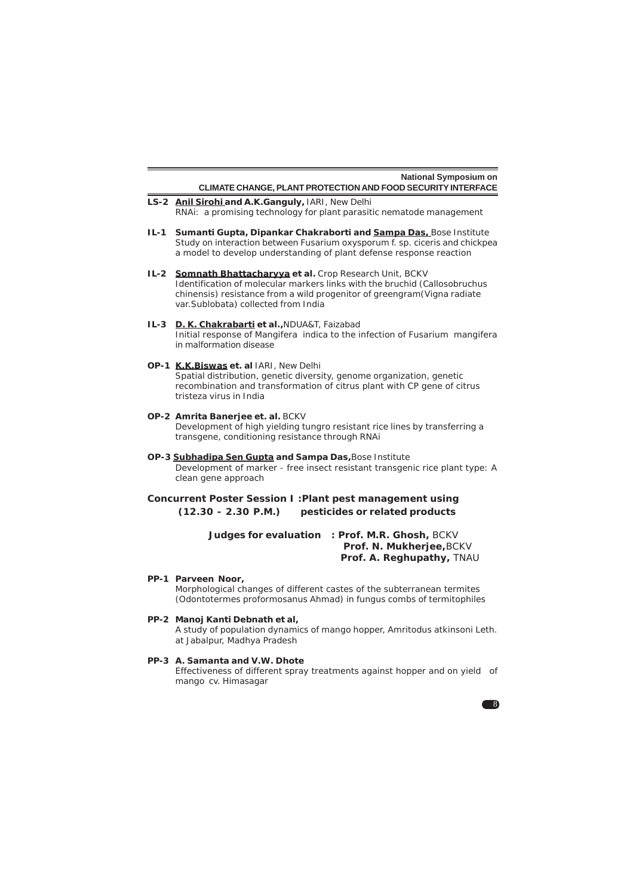|                                                                                                                                                              | <b>National Symposium on</b>                                                                                                                                                                                                                                 |  |  |  |  |  |
|--------------------------------------------------------------------------------------------------------------------------------------------------------------|--------------------------------------------------------------------------------------------------------------------------------------------------------------------------------------------------------------------------------------------------------------|--|--|--|--|--|
|                                                                                                                                                              | CLIMATE CHANGE, PLANT PROTECTION AND FOOD SECURITY INTERFACE                                                                                                                                                                                                 |  |  |  |  |  |
|                                                                                                                                                              | LS-2 Anil Sirohi and A.K. Ganguly, IARI, New Delhi<br>RNAi: a promising technology for plant parasitic nematode management                                                                                                                                   |  |  |  |  |  |
| IL-1                                                                                                                                                         | Sumanti Gupta, Dipankar Chakraborti and Sampa Das, Bose Institute<br>Study on interaction between Fusarium oxysporum f. sp. ciceris and chickpea<br>a model to develop understanding of plant defense response reaction                                      |  |  |  |  |  |
|                                                                                                                                                              | IL-2 Somnath Bhattacharyya et al. Crop Research Unit, BCKV<br>Identification of molecular markers links with the bruchid (Callosobruchus<br>chinensis) resistance from a wild progenitor of greengram (Vigna radiate<br>var. Sublobata) collected from India |  |  |  |  |  |
| $IL-3$                                                                                                                                                       | D. K. Chakrabarti et al., NDUA&T, Faizabad<br>Initial response of Mangifera indica to the infection of Fusarium mangifera<br>in malformation disease                                                                                                         |  |  |  |  |  |
|                                                                                                                                                              | OP-1 K.K.Biswas et. al IARI, New Delhi<br>Spatial distribution, genetic diversity, genome organization, genetic<br>recombination and transformation of citrus plant with CP gene of citrus<br>tristeza virus in India                                        |  |  |  |  |  |
|                                                                                                                                                              | OP-2 Amrita Banerjee et. al. BCKV<br>Development of high yielding tungro resistant rice lines by transferring a<br>transgene, conditioning resistance through RNAi                                                                                           |  |  |  |  |  |
| OP-3 Subhadipa Sen Gupta and Sampa Das, Bose Institute<br>Development of marker - free insect resistant transgenic rice plant type: A<br>clean gene approach |                                                                                                                                                                                                                                                              |  |  |  |  |  |
| Concurrent Poster Session I: Plant pest management using<br>$(12.30 - 2.30 P.M.)$<br>pesticides or related products                                          |                                                                                                                                                                                                                                                              |  |  |  |  |  |
|                                                                                                                                                              | Judges for evaluation<br>: Prof. M.R. Ghosh, BCKV<br>Prof. N. Mukherjee, BCKV<br>Prof. A. Reghupathy, TNAU                                                                                                                                                   |  |  |  |  |  |
|                                                                                                                                                              | PP-1 Parveen Noor,<br>Morphological changes of different castes of the subterranean termites<br>(Odontotermes proformosanus Ahmad) in fungus combs of termitophiles                                                                                          |  |  |  |  |  |
|                                                                                                                                                              | PP-2 Manoj Kanti Debnath et al,<br>A study of population dynamics of mango hopper, Amritodus atkinsoni Leth.<br>at Jabalpur, Madhya Pradesh                                                                                                                  |  |  |  |  |  |
|                                                                                                                                                              | PP-3 A. Samanta and V.W. Dhote<br>Effectiveness of different spray treatments against hopper and on yield of<br>mango cv. Himasagar                                                                                                                          |  |  |  |  |  |
|                                                                                                                                                              |                                                                                                                                                                                                                                                              |  |  |  |  |  |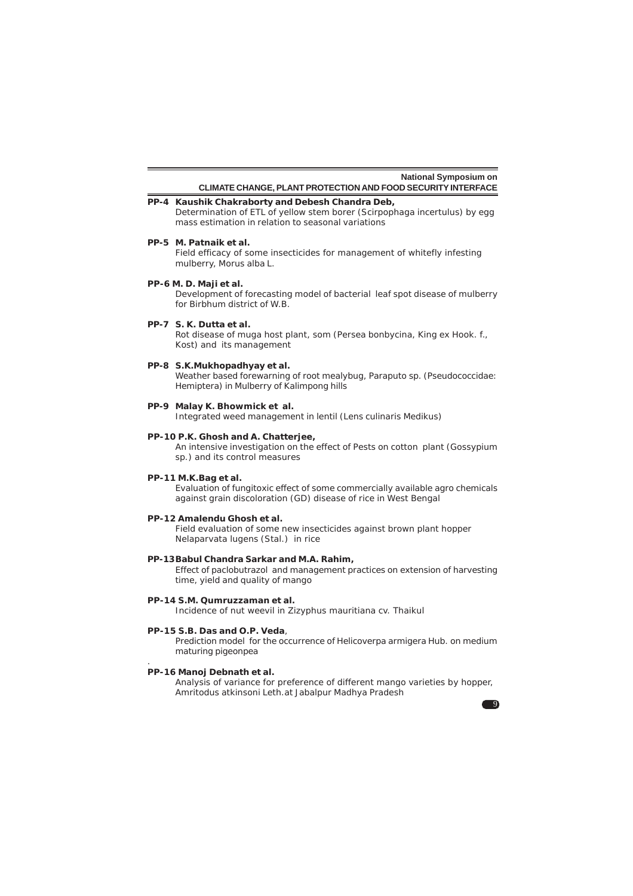#### **PP-4 Kaushik Chakraborty and Debesh Chandra Deb,** Determination of ETL of yellow stem borer (*Scirpophaga incertulus*) by egg mass estimation in relation to seasonal variations

**PP-5 M. Patnaik et al.**

Field efficacy of some insecticides for management of whitefly infesting mulberry, *Morus alba* L.

**PP-6 M. D. Maji et al.**

Development of forecasting model of bacterial leaf spot disease of mulberry for Birbhum district of W.B.

### **PP-7 S. K. Dutta et al.**

Rot disease of muga host plant, som (*Persea bonbycina*, King ex Hook. f., Kost) and its management

### **PP-8 S.K.Mukhopadhyay et al.**

Weather based forewarning of root mealybug, *Paraputo sp.* (Pseudococcidae: Hemiptera) in Mulberry of Kalimpong hills

### **PP-9 Malay K. Bhowmick et al.**

Integrated weed management in lentil (*Lens culinaris* Medikus)

# **PP-10 P.K. Ghosh and A. Chatterjee,**

An intensive investigation on the effect of Pests on cotton plant (*Gossypium* sp.) and its control measures

### **PP-11 M.K.Bag et al.**

Evaluation of fungitoxic effect of some commercially available agro chemicals against grain discoloration (GD) disease of rice in West Bengal

#### **PP-12 Amalendu Ghosh et al.**

Field evaluation of some new insecticides against brown plant hopper *Nelaparvata lugens* (Stal.) in rice

#### **PP-13Babul Chandra Sarkar and M.A. Rahim,**

Effect of paclobutrazol and management practices on extension of harvesting time, yield and quality of mango

### **PP-14 S.M. Qumruzzaman et al.**

Incidence of nut weevil in *Zizyphus mauritiana* cv. Thaikul

#### **PP-15 S.B. Das and O.P. Veda**,

Prediction model for the occurrence of *Helicoverpa armigera* Hub. on medium maturing pigeonpea

### **PP-16 Manoj Debnath et al.**

.

Analysis of variance for preference of different mango varieties by hopper, *Amritodus atkinsoni* Leth.at Jabalpur Madhya Pradesh

 $\overline{9}$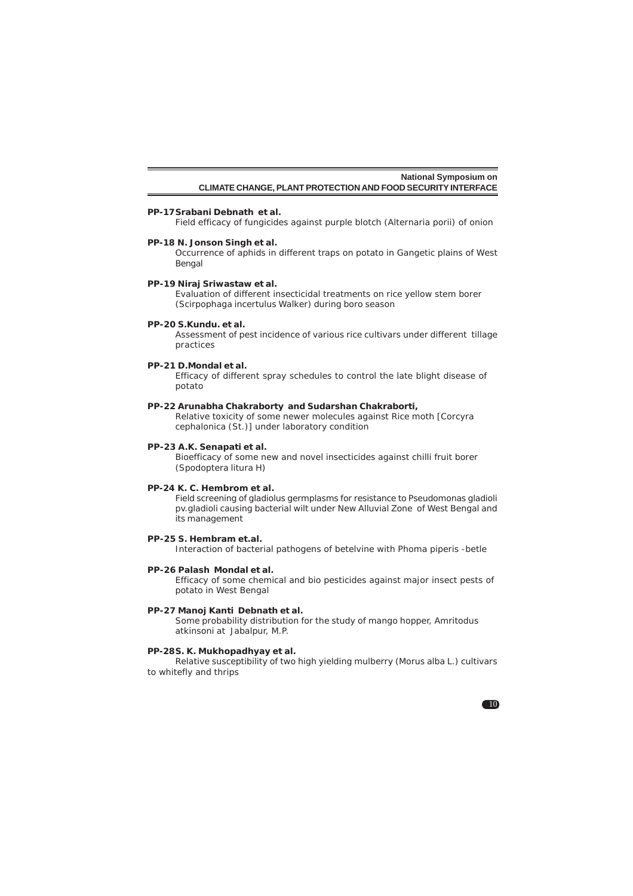#### **PP-17Srabani Debnath et al.**

Field efficacy of fungicides against purple blotch (*Alternaria porii*) of onion

### **PP-18 N. Jonson Singh et al.**

Occurrence of aphids in different traps on potato in Gangetic plains of West Bengal

#### **PP-19 Niraj Sriwastaw et al.**

Evaluation of different insecticidal treatments on rice yellow stem borer (*Scirpophaga incertulus* Walker) during boro season

#### **PP-20 S.Kundu. et al.**

Assessment of pest incidence of various rice cultivars under different tillage practices

### **PP-21 D.Mondal et al.**

Efficacy of different spray schedules to control the late blight disease of potato

### **PP-22 Arunabha Chakraborty and Sudarshan Chakraborti,**

Relative toxicity of some newer molecules against Rice moth [*Corcyra cephalonica* (St.)] under laboratory condition

### **PP-23 A.K. Senapati et al.**

Bioefficacy of some new and novel insecticides against chilli fruit borer (*Spodoptera litura* H)

# **PP-24 K. C. Hembrom et al.**

Field screening of gladiolus germplasms for resistance to *Pseudomonas gladioli* pv.*gladioli* causing bacterial wilt under New Alluvial Zone of West Bengal and its management

### **PP-25 S. Hembram et.al.**

Interaction of bacterial pathogens of betelvine with *Phoma piperis -betle*

#### **PP-26 Palash Mondal et al.**

Efficacy of some chemical and bio pesticides against major insect pests of potato in West Bengal

# **PP-27 Manoj Kanti Debnath et al.**

Some probability distribution for the study of mango hopper, *Amritodus atkinsoni* at Jabalpur, M.P.

#### **PP-28S. K. Mukhopadhyay et al.**

Relative susceptibility of two high yielding mulberry (*Morus alba* L.) cultivars to whitefly and thrips

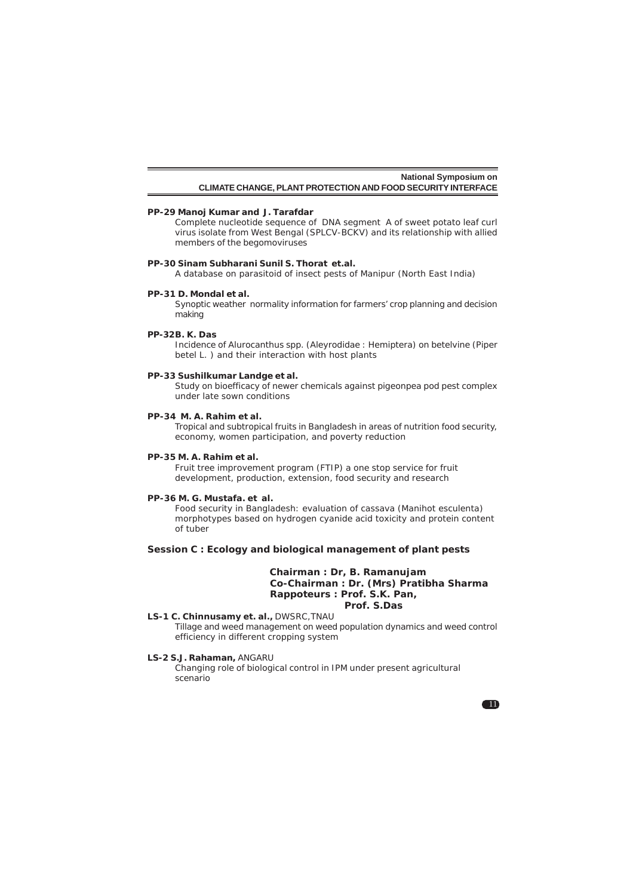#### **PP-29 Manoj Kumar and J. Tarafdar**

Complete nucleotide sequence of DNA segment A of sweet potato leaf curl virus isolate from West Bengal (SPLCV-BCKV) and its relationship with allied members of the begomoviruses

#### **PP-30 Sinam Subharani Sunil S. Thorat et.al.**

A database on parasitoid of insect pests of Manipur (North East India)

#### **PP-31 D. Mondal et al.**

Synoptic weather normality information for farmers' crop planning and decision making

### **PP-32B. K. Das**

Incidence of *Alurocanthus* spp. (Aleyrodidae : Hemiptera) on betelvine (*Piper betel* L. ) and their interaction with host plants

#### **PP-33 Sushilkumar Landge et al.**

Study on bioefficacy of newer chemicals against pigeonpea pod pest complex under late sown conditions

### **PP-34 M. A. Rahim et al.**

Tropical and subtropical fruits in Bangladesh in areas of nutrition food security, economy, women participation, and poverty reduction

#### **PP-35 M. A. Rahim et al.**

Fruit tree improvement program (FTIP) a one stop service for fruit development, production, extension, food security and research

#### **PP-36 M. G. Mustafa. et al.**

Food security in Bangladesh: evaluation of cassava (*Manihot esculenta*) morphotypes based on hydrogen cyanide acid toxicity and protein content of tuber

### **Session C : Ecology and biological management of plant pests**

### **Chairman : Dr, B. Ramanujam Co-Chairman : Dr. (Mrs) Pratibha Sharma Rappoteurs : Prof. S.K. Pan, Prof. S.Das**

# **LS-1 C. Chinnusamy et. al.,** DWSRC,TNAU

Tillage and weed management on weed population dynamics and weed control efficiency in different cropping system

#### **LS-2 S.J. Rahaman,** ANGARU

Changing role of biological control in IPM under present agricultural scenario

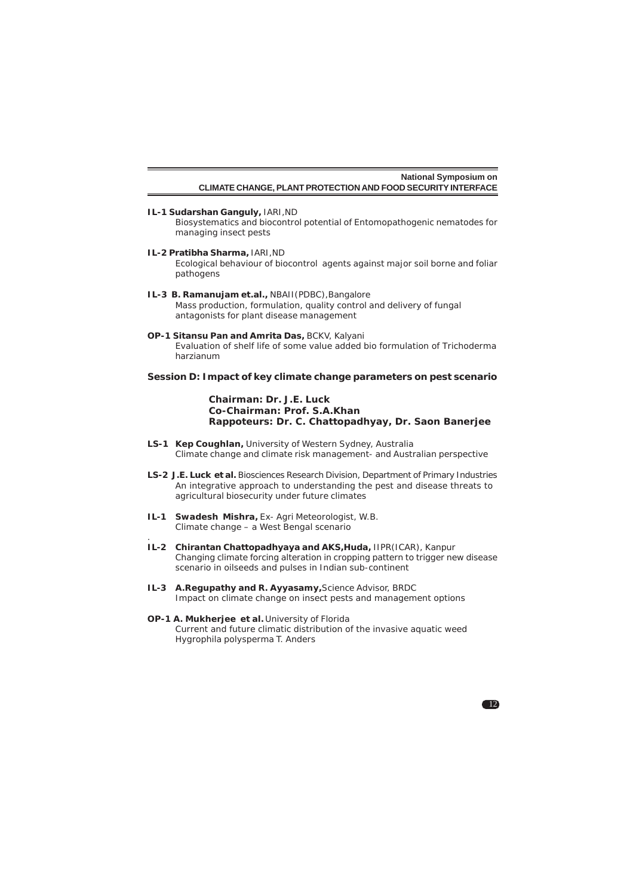**IL-1 Sudarshan Ganguly,** IARI,ND

Biosystematics and biocontrol potential of Entomopathogenic nematodes for managing insect pests

- **IL-2 Pratibha Sharma,** IARI,ND Ecological behaviour of biocontrol agents against major soil borne and foliar pathogens
- **IL-3 B. Ramanujam et.al.,** NBAII(PDBC),Bangalore Mass production, formulation, quality control and delivery of fungal antagonists for plant disease management
- **OP-1 Sitansu Pan and Amrita Das,** BCKV, Kalyani Evaluation of shelf life of some value added bio formulation of *Trichoderma harzianum*

# **Session D: Impact of key climate change parameters on pest scenario**

**Chairman***:* **Dr. J.E. Luck Co-Chairman: Prof. S.A.Khan Rappoteurs: Dr. C. Chattopadhyay, Dr. Saon Banerjee**

- **LS-1 Kep Coughlan,** University of Western Sydney, Australia Climate change and climate risk management- and Australian perspective
- **LS-2 J.E. Luck et al.** Biosciences Research Division, Department of Primary Industries An integrative approach to understanding the pest and disease threats to agricultural biosecurity under future climates
- **IL-1 Swadesh Mishra,** Ex- Agri Meteorologist, W.B. Climate change – a West Bengal scenario

.

- **IL-2 Chirantan Chattopadhyaya and AKS,Huda,** IIPR(ICAR), Kanpur Changing climate forcing alteration in cropping pattern to trigger new disease scenario in oilseeds and pulses in Indian sub-continent
- **IL-3 A.Regupathy and R. Ayyasamy,**Science Advisor, BRDC Impact on climate change on insect pests and management options

#### **OP-1 A. Mukherjee et al.** University of Florida Current and future climatic distribution of the invasive aquatic weed *Hygrophila polysperma* T. Anders

 $\blacksquare$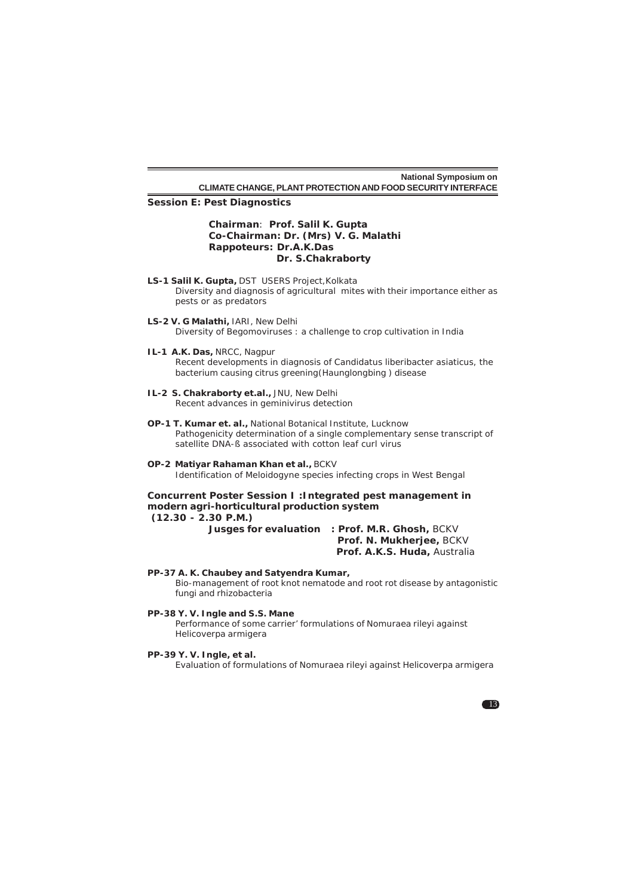**Session E: Pest Diagnostics**

### **Chairman**: **Prof. Salil K. Gupta Co-Chairman: Dr. (Mrs) V. G. Malathi Rappoteurs: Dr.A.K.Das Dr. S.Chakraborty**

- **LS-1 Salil K. Gupta,** DST USERS Project,Kolkata Diversity and diagnosis of agricultural mites with their importance either as pests or as predators
- **LS-2 V. G Malathi,** IARI, New Delhi Diversity of Begomoviruses : a challenge to crop cultivation in India
- **IL-1 A.K. Das,** NRCC, Nagpur Recent developments in diagnosis of *Candidatus liberibacter asiaticus*, the bacterium causing citrus greening(Haunglongbing ) disease
- **IL-2 S. Chakraborty et.al.,** JNU, New Delhi Recent advances in geminivirus detection
- **OP-1 T. Kumar et. al.,** National Botanical Institute, Lucknow Pathogenicity determination of a single complementary sense transcript of satellite DNA-ß associated with cotton leaf curl virus
- **OP-2 Matiyar Rahaman Khan et al.,** BCKV Identification of *Meloidogyne* species infecting crops in West Bengal

### **Concurrent Poster Session I :Integrated pest management in modern agri-horticultural production system (12.30 - 2.30 P.M.)**

**Jusges for evaluation : Prof. M.R. Ghosh,** BCKV

 **Prof. N. Mukherjee,** BCKV  **Prof. A.K.S. Huda,** Australia

### **PP-37 A. K. Chaubey and Satyendra Kumar,**

Bio-management of root knot nematode and root rot disease by antagonistic fungi and rhizobacteria

### **PP-38 Y. V. Ingle and S.S. Mane**

Performance of some carrier' formulations of *Nomuraea rileyi* against *Helicoverpa armigera*

### **PP-39 Y. V. Ingle, et al.**

Evaluation of formulations of Nomuraea rileyi against *Helicoverpa armigera*

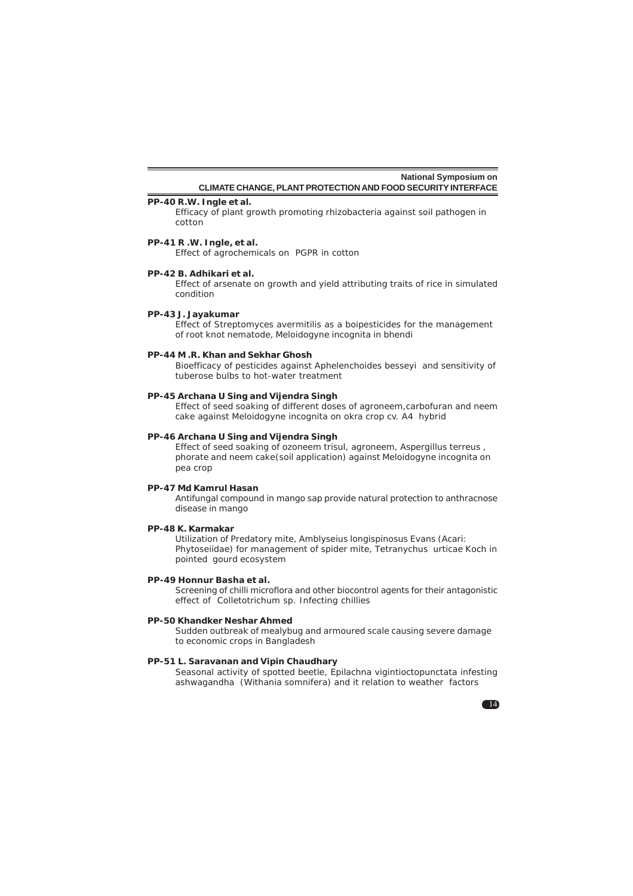# **PP-40 R.W. Ingle et al.**

Efficacy of plant growth promoting rhizobacteria against soil pathogen in cotton

### **PP-41 R .W. Ingle, et al.**

Effect of agrochemicals on PGPR in cotton

#### **PP-42 B. Adhikari et al.**

Effect of arsenate on growth and yield attributing traits of rice in simulated condition

## **PP-43 J. Jayakumar**

Effect of *Streptomyces avermitilis* as a boipesticides for the management of root knot nematode, *Meloidogyne incognita* in bhendi

### **PP-44 M .R. Khan and Sekhar Ghosh**

Bioefficacy of pesticides against *Aphelenchoides besseyi* and sensitivity of tuberose bulbs to hot-water treatment

### **PP-45 Archana U Sing and Vijendra Singh**

Effect of seed soaking of different doses of agroneem,carbofuran and neem cake against *Meloidogyne incognita* on okra crop cv. A4 hybrid

### **PP-46 Archana U Sing and Vijendra Singh**

Effect of seed soaking of ozoneem trisul, agroneem, *Aspergillus terreus* , phorate and neem cake(soil application) against *Meloidogyne incognita* on pea crop

### **PP-47 Md Kamrul Hasan**

Antifungal compound in mango sap provide natural protection to anthracnose disease in mango

### **PP-48 K. Karmakar**

Utilization of Predatory mite, *Amblyseius longispinosus* Evans (Acari: Phytoseiidae) for management of spider mite, *Tetranychus urticae* Koch in pointed gourd ecosystem

### **PP-49 Honnur Basha et al.**

Screening of chilli microflora and other biocontrol agents for their antagonistic effect of *Colletotrichum* sp. Infecting chillies

### **PP-50 Khandker Neshar Ahmed**

Sudden outbreak of mealybug and armoured scale causing severe damage to economic crops in Bangladesh

#### **PP-51 L. Saravanan and Vipin Chaudhary**

Seasonal activity of spotted beetle, *Epilachna vigintioctopunctata* infesting ashwagandha (*Withania somnifera*) and it relation to weather factors

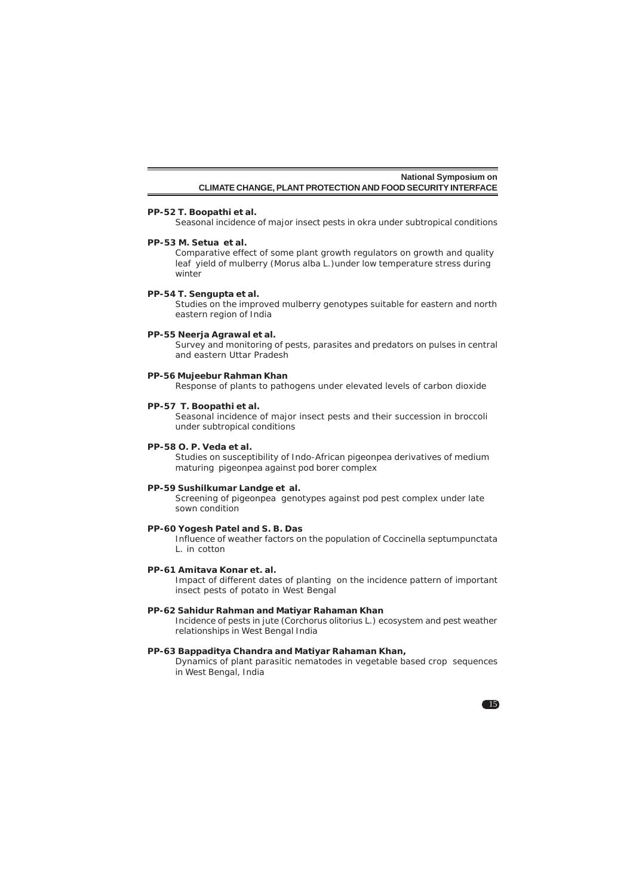#### **PP-52 T. Boopathi et al.**

Seasonal incidence of major insect pests in okra under subtropical conditions

### **PP-53 M. Setua et al.**

Comparative effect of some plant growth regulators on growth and quality leaf yield of mulberry (*Morus alba* L.)under low temperature stress during winter

#### **PP-54 T. Sengupta et al.**

Studies on the improved mulberry genotypes suitable for eastern and north eastern region of India

### **PP-55 Neerja Agrawal et al.**

Survey and monitoring of pests, parasites and predators on pulses in central and eastern Uttar Pradesh

#### **PP-56 Mujeebur Rahman Khan**

Response of plants to pathogens under elevated levels of carbon dioxide

### **PP-57 T. Boopathi et al.**

Seasonal incidence of major insect pests and their succession in broccoli under subtropical conditions

# **PP-58 O. P. Veda et al.**

Studies on susceptibility of Indo-African pigeonpea derivatives of medium maturing pigeonpea against pod borer complex

# **PP-59 Sushilkumar Landge et al.**

Screening of pigeonpea genotypes against pod pest complex under late sown condition

### **PP-60 Yogesh Patel and S. B. Das**

Influence of weather factors on the population of *Coccinella septumpunctata* L. in cotton

#### **PP-61 Amitava Konar et. al.**

Impact of different dates of planting on the incidence pattern of important insect pests of potato in West Bengal

### **PP-62 Sahidur Rahman and Matiyar Rahaman Khan**

Incidence of pests in jute (*Corchorus olitorius* L.) ecosystem and pest weather relationships in West Bengal India

#### **PP-63 Bappaditya Chandra and Matiyar Rahaman Khan,**

Dynamics of plant parasitic nematodes in vegetable based crop sequences in West Bengal, India

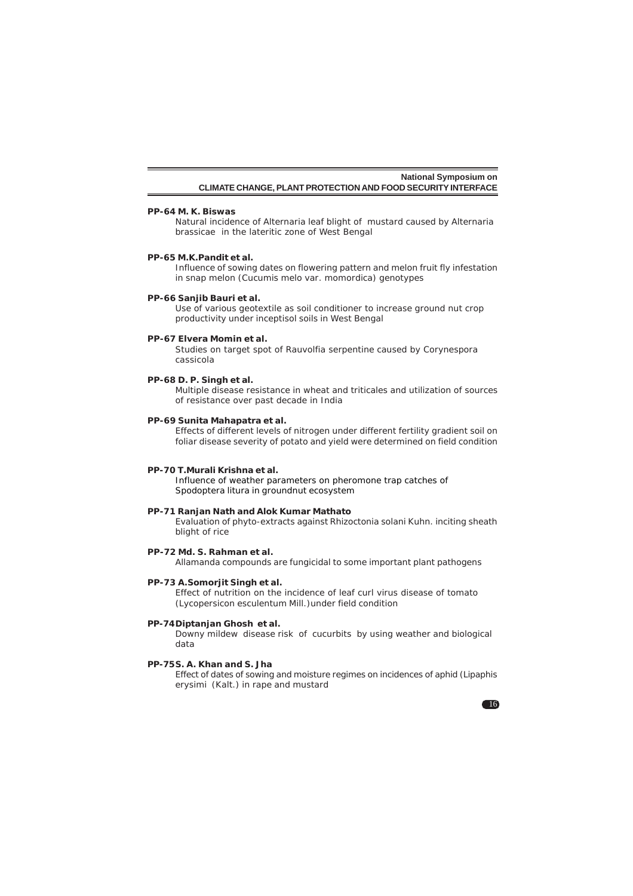#### **PP-64 M. K. Biswas**

Natural incidence of *Alternaria* leaf blight of mustard caused by *Alternaria brassicae* in the lateritic zone of West Bengal

#### **PP-65 M.K.Pandit et al.**

Influence of sowing dates on flowering pattern and melon fruit fly infestation in snap melon (*Cucumis melo* var*. momordica*) genotypes

### **PP-66 Sanjib Bauri et al.**

Use of various geotextile as soil conditioner to increase ground nut crop productivity under inceptisol soils in West Bengal

#### **PP-67 Elvera Momin et al.**

Studies on target spot of *Rauvolfia serpentine* caused by *Corynespora cassicola*

### **PP-68 D. P. Singh et al.**

Multiple disease resistance in wheat and triticales and utilization of sources of resistance over past decade in India

#### **PP-69 Sunita Mahapatra et al.**

Effects of different levels of nitrogen under different fertility gradient soil on foliar disease severity of potato and yield were determined on field condition

#### **PP-70 T.Murali Krishna et al.**

Influence of weather parameters on pheromone trap catches of *Spodoptera litura* in groundnut ecosystem

### **PP-71 Ranjan Nath and Alok Kumar Mathato**

Evaluation of phyto-extracts against *Rhizoctonia solani* Kuhn. inciting sheath blight of rice

### **PP-72 Md. S. Rahman et al.**

Allamanda compounds are fungicidal to some important plant pathogens

### **PP-73 A.Somorjit Singh et al.**

Effect of nutrition on the incidence of leaf curl virus disease of tomato (*Lycopersicon esculentum* Mill.)under field condition

### **PP-74Diptanjan Ghosh et al.**

Downy mildew disease risk of cucurbits by using weather and biological data

### **PP-75S. A. Khan and S. Jha**

Effect of dates of sowing and moisture regimes on incidences of aphid (*Lipaphis erysimi* (Kalt.) in rape and mustard

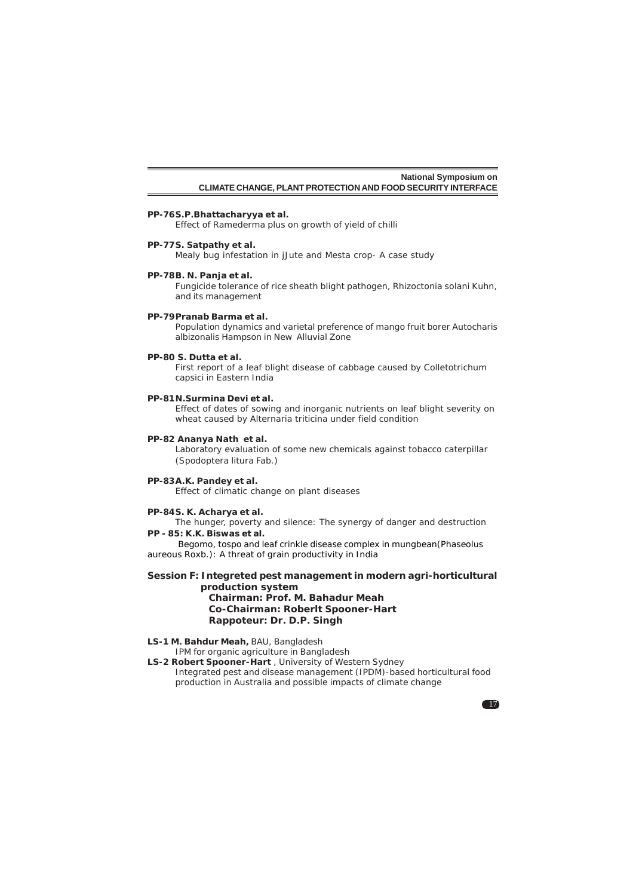#### **PP-76S.P.Bhattacharyya et al.**

Effect of Ramederma plus on growth of yield of chilli

#### **PP-77S. Satpathy et al.**

Mealy bug infestation in jJute and Mesta crop- A case study

### **PP-78B. N. Panja et al.**

Fungicide tolerance of rice sheath blight pathogen, *Rhizoctonia solani* Kuhn, and its management

#### **PP-79Pranab Barma et al.**

Population dynamics and varietal preference of mango fruit borer *Autocharis albizonalis* Hampson in New Alluvial Zone

### **PP-80 S. Dutta et al.**

First report of a leaf blight disease of cabbage caused by *Colletotrichum capsici* in Eastern India

#### **PP-81N.Surmina Devi et al.**

Effect of dates of sowing and inorganic nutrients on leaf blight severity on wheat caused by *Alternaria triticina* under field condition

### **PP-82 Ananya Nath et al.**

Laboratory evaluation of some new chemicals against tobacco caterpillar (*Spodoptera litura* Fab.)

#### **PP-83A.K. Pandey et al.**

Effect of climatic change on plant diseases

### **PP-84S. K. Acharya et al.**

The hunger, poverty and silence: The synergy of danger and destruction **PP - 85: K.K. Biswas et al.**

Begomo, tospo and leaf crinkle disease complex in mungbean(*Phaseolus aureous* Roxb.): A threat of grain productivity in India

### **Session F: Integreted pest management in modern agri-horticultural production system Chairman***:* **Prof. M. Bahadur Meah**

**Co-Chairman: Roberlt Spooner-Hart Rappoteur: Dr. D.P. Singh**

### **LS-1 M. Bahdur Meah,** BAU, Bangladesh

IPM for organic agriculture in Bangladesh

**LS-2 Robert Spooner-Hart** , University of Western Sydney Integrated pest and disease management (IPDM)-based horticultural food production in Australia and possible impacts of climate change

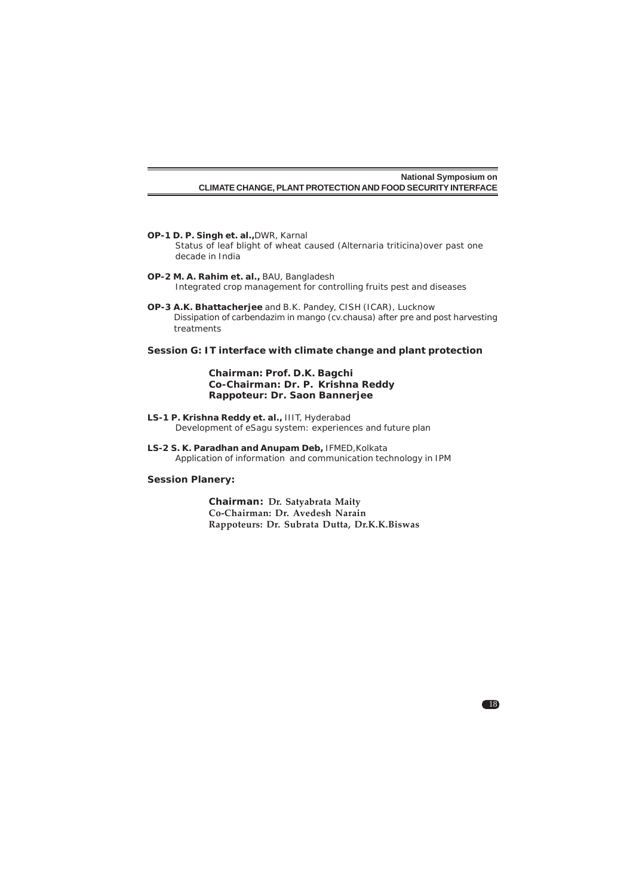- **OP-1 D. P. Singh et. al.,**DWR, Karnal Status of leaf blight of wheat caused (*Alternaria triticina*)over past one decade in India
- **OP-2 M. A. Rahim et. al.,** BAU, Bangladesh Integrated crop management for controlling fruits pest and diseases
- **OP-3 A.K. Bhattacherjee** and B.K. Pandey, CISH (ICAR), Lucknow Dissipation of carbendazim in mango (cv.chausa) after pre and post harvesting treatments

# **Session G: IT interface with climate change and plant protection**

### **Chairman***:* **Prof. D.K. Bagchi Co-Chairman: Dr. P. Krishna Reddy Rappoteur: Dr. Saon Bannerjee**

- **LS-1 P. Krishna Reddy et. al.,** IIIT, Hyderabad Development of eSagu system: experiences and future plan
- **LS-2 S. K. Paradhan and Anupam Deb,** IFMED,Kolkata Application of information and communication technology in IPM

### **Session Planery:**

**Chairman***:* **Dr. Satyabrata Maity Co-Chairman: Dr. Avedesh Narain Rappoteurs: Dr. Subrata Dutta, Dr.K.K.Biswas**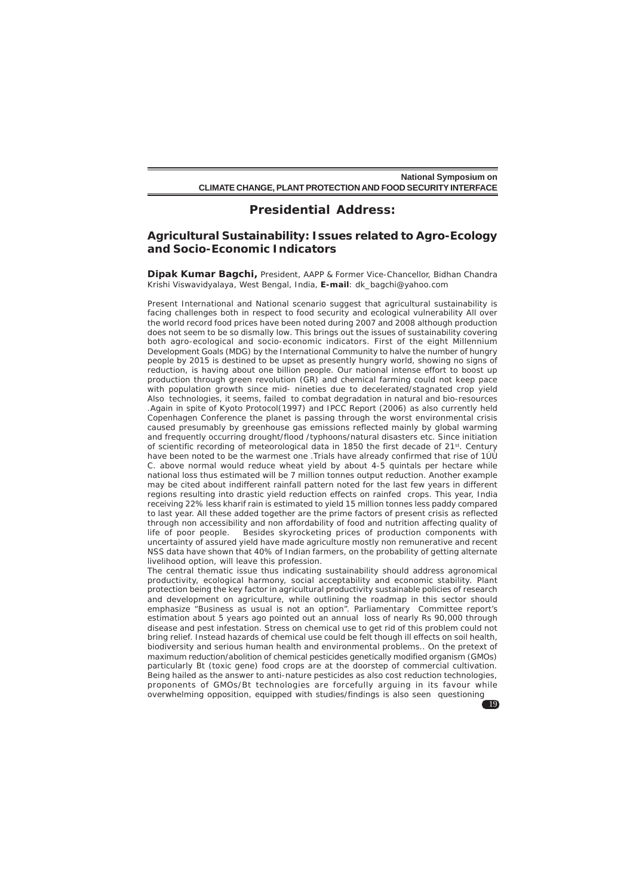## **Presidential Address:**

# **Agricultural Sustainability: Issues related to Agro-Ecology and Socio-Economic Indicators**

**Dipak Kumar Bagchi,** President, AAPP & Former Vice-Chancellor, Bidhan Chandra Krishi Viswavidyalaya, West Bengal, India, **E-mail**: dk\_bagchi@yahoo.com

Present International and National scenario suggest that agricultural sustainability is facing challenges both in respect to food security and ecological vulnerability All over the world record food prices have been noted during 2007 and 2008 although production does not seem to be so dismally low. This brings out the issues of sustainability covering both agro-ecological and socio-economic indicators. First of the eight Millennium Development Goals (MDG) by the International Community to halve the number of hungry people by 2015 is destined to be upset as presently hungry world, showing no signs of reduction, is having about one billion people. Our national intense effort to boost up production through green revolution (GR) and chemical farming could not keep pace with population growth since mid- nineties due to decelerated/stagnated crop yield Also technologies, it seems, failed to combat degradation in natural and bio-resources .Again in spite of Kyoto Protocol(1997) and IPCC Report (2006) as also currently held Copenhagen Conference the planet is passing through the worst environmental crisis caused presumably by greenhouse gas emissions reflected mainly by global warming and frequently occurring drought/flood /typhoons/natural disasters etc. Since initiation of scientific recording of meteorological data in 1850 the first decade of 21st. Century have been noted to be the warmest one .Trials have already confirmed that rise of 1ÚÙ C. above normal would reduce wheat yield by about  $4-5$  quintals per hectare while national loss thus estimated will be 7 million tonnes output reduction. Another example may be cited about indifferent rainfall pattern noted for the last few years in different regions resulting into drastic yield reduction effects on rainfed crops. This year, India receiving 22% less kharif rain is estimated to yield 15 million tonnes less paddy compared to last year. All these added together are the prime factors of present crisis as reflected through non accessibility and non affordability of food and nutrition affecting quality of life of poor people. Besides skyrocketing prices of production components with uncertainty of assured yield have made agriculture mostly non remunerative and recent NSS data have shown that 40% of Indian farmers, on the probability of getting alternate livelihood option, will leave this profession.

The central thematic issue thus indicating sustainability should address agronomical productivity, ecological harmony, social acceptability and economic stability. Plant protection being the key factor in agricultural productivity sustainable policies of research and development on agriculture, while outlining the roadmap in this sector should emphasize "Business as usual is not an option". Parliamentary Committee report's estimation about 5 years ago pointed out an annual loss of nearly Rs 90,000 through disease and pest infestation. Stress on chemical use to get rid of this problem could not bring relief. Instead hazards of chemical use could be felt though ill effects on soil health, biodiversity and serious human health and environmental problems.. On the pretext of maximum reduction/abolition of chemical pesticides genetically modified organism (GMOs) particularly Bt (toxic gene) food crops are at the doorstep of commercial cultivation. Being hailed as the answer to anti-nature pesticides as also cost reduction technologies, proponents of GMOs/Bt technologies are forcefully arguing in its favour while overwhelming opposition, equipped with studies/findings is also seen questioning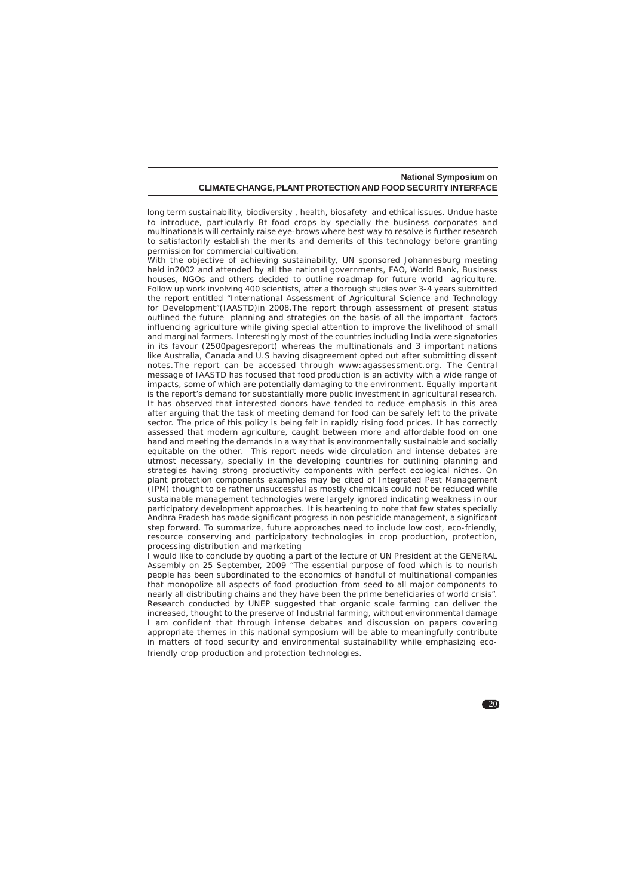long term sustainability, biodiversity , health, biosafety and ethical issues. Undue haste to introduce, particularly Bt food crops by specially the business corporates and multinationals will certainly raise eye-brows where best way to resolve is further research to satisfactorily establish the merits and demerits of this technology before granting permission for commercial cultivation.

.<br>With the objective of achieving sustainability, UN sponsored Johannesburg meeting held in2002 and attended by all the national governments, FAO, World Bank, Business houses, NGOs and others decided to outline roadmap for future world agriculture. Follow up work involving 400 scientists, after a thorough studies over 3-4 years submitted the report entitled "International Assessment of Agricultural Science and Technology for Development"(IAASTD)in 2008. The report through assessment of present status outlined the future planning and strategies on the basis of all the important factors influencing agriculture while giving special attention to improve the livelihood of small and marginal farmers. Interestingly most of the countries including India were signatories in its favour (2500pagesreport) whereas the multinationals and 3 important nations like Australia, Canada and U.S having disagreement opted out after submitting dissent notes.The report can be accessed through www:agassessment.org. The Central message of IAASTD has focused that food production is an activity with a wide range of impacts, some of which are potentially damaging to the environment. Equally important is the report's demand for substantially more public investment in agricultural research. It has observed that interested donors have tended to reduce emphasis in this area after arguing that the task of meeting demand for food can be safely left to the private sector. The price of this policy is being felt in rapidly rising food prices. It has correctly assessed that modern agriculture, caught between more and affordable food on one hand and meeting the demands in a way that is environmentally sustainable and socially equitable on the other. This report needs wide circulation and intense debates are utmost necessary, specially in the developing countries for outlining planning and strategies having strong productivity components with perfect ecological niches. On plant protection components examples may be cited of Integrated Pest Management (IPM) thought to be rather unsuccessful as mostly chemicals could not be reduced while sustainable management technologies were largely ignored indicating weakness in our participatory development approaches. It is heartening to note that few states specially Andhra Pradesh has made significant progress in non pesticide management, a significant step forward. To summarize, future approaches need to include low cost, eco-friendly, resource conserving and participatory technologies in crop production, protection, processing distribution and marketing

I would like to conclude by quoting a part of the lecture of UN President at the GENERAL Assembly on 25 September, 2009 "The essential purpose of food which is to nourish people has been subordinated to the economics of handful of multinational companies that monopolize all aspects of food production from seed to all major components to nearly all distributing chains and they have been the prime beneficiaries of world crisis". Research conducted by UNEP suggested that organic scale farming can deliver the increased, thought to the preserve of Industrial farming, without environmental damage I am confident that through intense debates and discussion on papers covering appropriate themes in this national symposium will be able to meaningfully contribute in matters of food security and environmental sustainability while emphasizing ecofriendly crop production and protection technologies.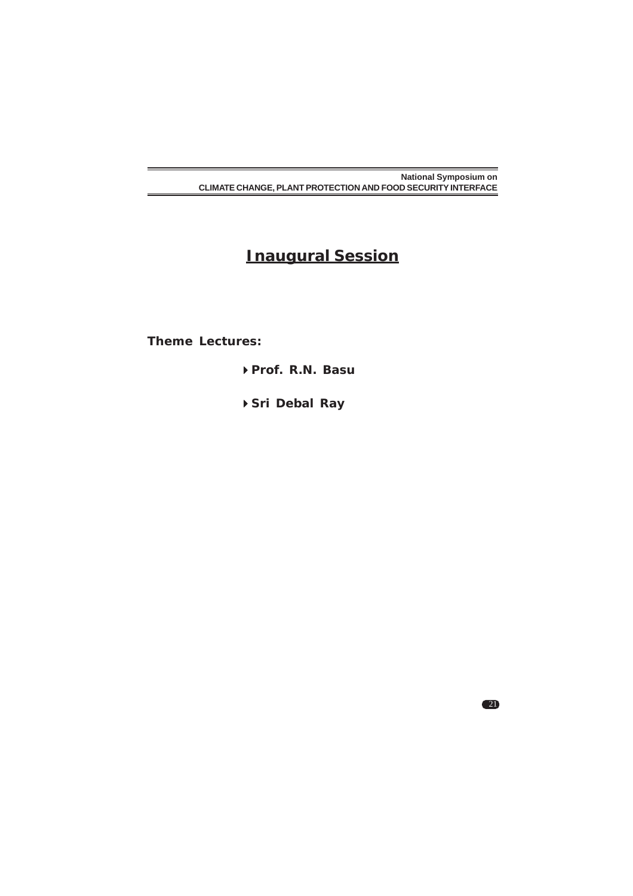# **Inaugural Session**

**Theme Lectures:**

**Prof. R.N. Basu**

**Sri Debal Ray**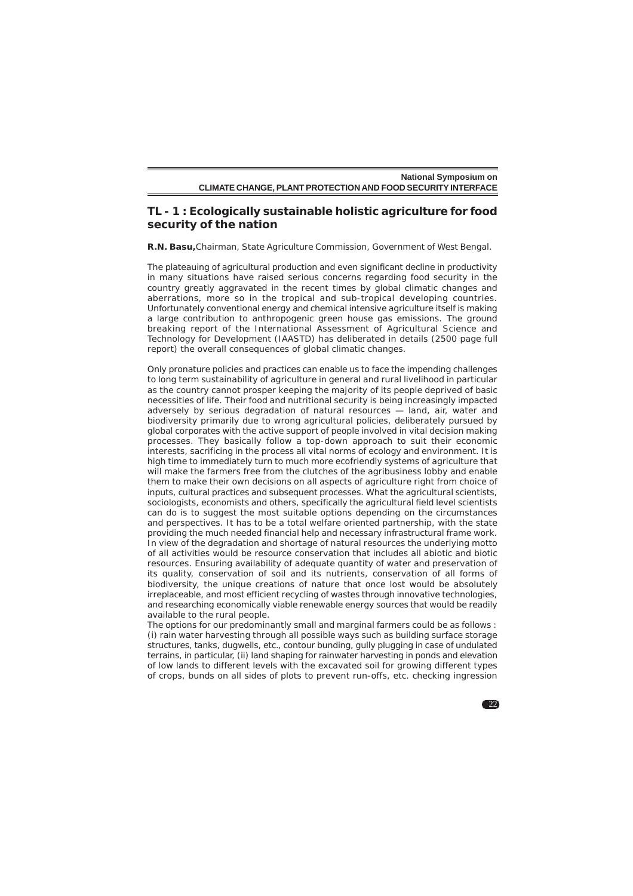# **TL - 1 : Ecologically sustainable holistic agriculture for food security of the nation**

**R.N. Basu,**Chairman, State Agriculture Commission, Government of West Bengal.

The plateauing of agricultural production and even significant decline in productivity in many situations have raised serious concerns regarding food security in the country greatly aggravated in the recent times by global climatic changes and aberrations, more so in the tropical and sub-tropical developing countries. Unfortunately conventional energy and chemical intensive agriculture itself is making a large contribution to anthropogenic green house gas emissions. The ground breaking report of the International Assessment of Agricultural Science and Technology for Development (IAASTD) has deliberated in details (2500 page full report) the overall consequences of global climatic changes.

Only pronature policies and practices can enable us to face the impending challenges to long term sustainability of agriculture in general and rural livelihood in particular as the country cannot prosper keeping the majority of its people deprived of basic necessities of life. Their food and nutritional security is being increasingly impacted adversely by serious degradation of natural resources — land, air, water and biodiversity primarily due to wrong agricultural policies, deliberately pursued by global corporates with the active support of people involved in vital decision making processes. They basically follow a top-down approach to suit their economic interests, sacrificing in the process all vital norms of ecology and environment. It is high time to immediately turn to much more ecofriendly systems of agriculture that will make the farmers free from the clutches of the agribusiness lobby and enable them to make their own decisions on all aspects of agriculture right from choice of inputs, cultural practices and subsequent processes. What the agricultural scientists, sociologists, economists and others, specifically the agricultural field level scientists can do is to suggest the most suitable options depending on the circumstances and perspectives. It has to be a total welfare oriented partnership, with the state providing the much needed financial help and necessary infrastructural frame work. In view of the degradation and shortage of natural resources the underlying motto of all activities would be resource conservation that includes all abiotic and biotic resources. Ensuring availability of adequate quantity of water and preservation of its quality, conservation of soil and its nutrients, conservation of all forms of biodiversity, the unique creations of nature that once lost would be absolutely irreplaceable, and most efficient recycling of wastes through innovative technologies, and researching economically viable renewable energy sources that would be readily available to the rural people.

The options for our predominantly small and marginal farmers could be as follows : (i) rain water harvesting through all possible ways such as building surface storage structures, tanks, dugwells, etc., contour bunding, gully plugging in case of undulated terrains, in particular, (ii) land shaping for rainwater harvesting in ponds and elevation of low lands to different levels with the excavated soil for growing different types of crops, bunds on all sides of plots to prevent run-offs, etc. checking ingression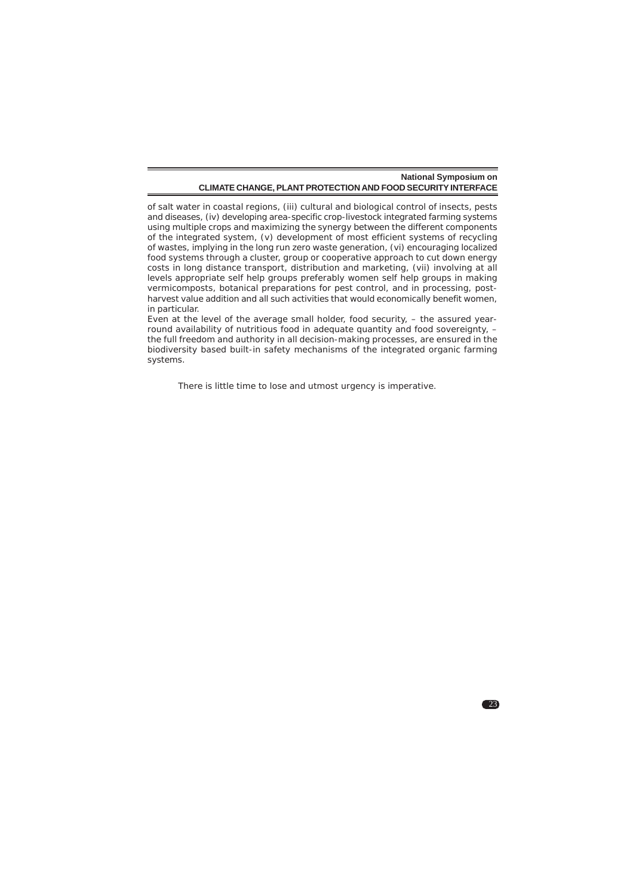of salt water in coastal regions, (iii) cultural and biological control of insects, pests and diseases, (iv) developing area-specific crop-livestock integrated farming systems using multiple crops and maximizing the synergy between the different components of the integrated system, (v) development of most efficient systems of recycling of wastes, implying in the long run zero waste generation, (vi) encouraging localized food systems through a cluster, group or cooperative approach to cut down energy costs in long distance transport, distribution and marketing, (vii) involving at all levels appropriate self help groups preferably women self help groups in making vermicomposts, botanical preparations for pest control, and in processing, postharvest value addition and all such activities that would economically benefit women, in particular.

Even at the level of the average small holder, food security, – the assured yearround availability of nutritious food in adequate quantity and food sovereignty, – the full freedom and authority in all decision-making processes, are ensured in the biodiversity based built-in safety mechanisms of the integrated organic farming systems.

23

There is little time to lose and utmost urgency is imperative.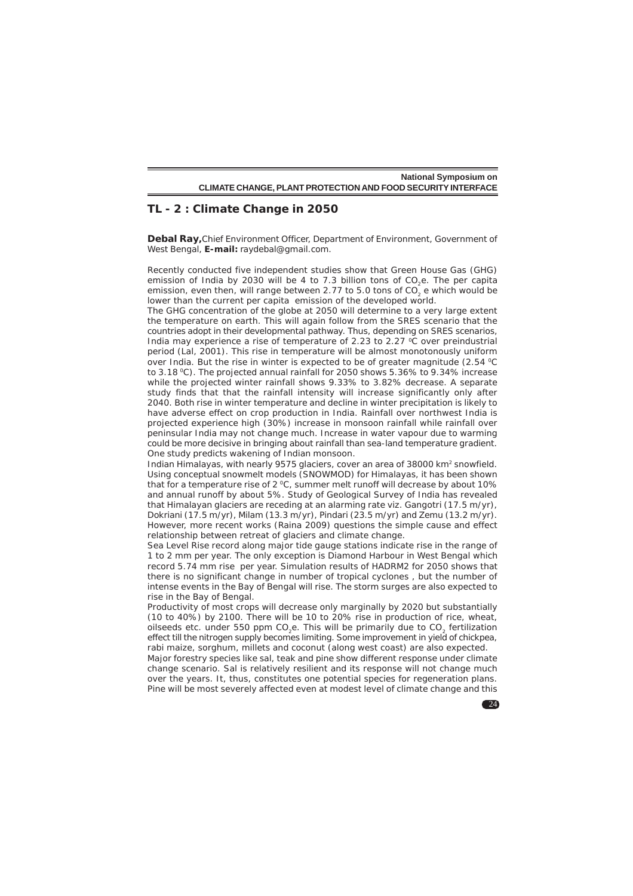| <b>National Symposium on</b>                                 |
|--------------------------------------------------------------|
| CLIMATE CHANGE. PLANT PROTECTION AND FOOD SECURITY INTERFACE |

# **TL - 2 : Climate Change in 2050**

**Debal Ray,**Chief Environment Officer, Department of Environment, Government of West Bengal, **E-mail:** raydebal@gmail.com.

Recently conducted five independent studies show that Green House Gas (GHG) emission of India by 2030 will be 4 to 7.3 billion tons of CO<sub>3</sub>e. The per capita emission, even then, will range between 2.77 to 5.0 tons of  $CO_2^2$  e which would be lower than the current per capita emission of the developed world.

The GHG concentration of the globe at 2050 will determine to a very large extent the temperature on earth. This will again follow from the SRES scenario that the countries adopt in their developmental pathway. Thus, depending on SRES scenarios, India may experience a rise of temperature of 2.23 to 2.27  $\degree$ C over preindustrial period (Lal, 2001). This rise in temperature will be almost monotonously uniform over India. But the rise in winter is expected to be of greater magnitude  $(2.54 \degree C)$ to 3.18 °C). The projected annual rainfall for 2050 shows 5.36% to 9.34% increase while the projected winter rainfall shows 9.33% to 3.82% decrease. A separate study finds that that the rainfall intensity will increase significantly only after 2040. Both rise in winter temperature and decline in winter precipitation is likely to have adverse effect on crop production in India. Rainfall over northwest India is projected experience high (30%) increase in monsoon rainfall while rainfall over peninsular India may not change much. Increase in water vapour due to warming could be more decisive in bringing about rainfall than sea-land temperature gradient. One study predicts wakening of Indian monsoon.

Indian Himalayas, with nearly 9575 glaciers, cover an area of 38000 km2 snowfield. Using conceptual snowmelt models (SNOWMOD) for Himalayas, it has been shown that for a temperature rise of  $2^{\circ}$ C, summer melt runoff will decrease by about 10% and annual runoff by about 5%. Study of Geological Survey of India has revealed that Himalayan glaciers are receding at an alarming rate viz. Gangotri (17.5 m/yr), Dokriani (17.5 m/yr), Milam (13.3 m/yr), Pindari (23.5 m/yr) and Zemu (13.2 m/yr). However, more recent works (Raina 2009) questions the simple cause and effect relationship between retreat of glaciers and climate change.

Sea Level Rise record along major tide gauge stations indicate rise in the range of 1 to 2 mm per year. The only exception is Diamond Harbour in West Bengal which record 5.74 mm rise per year. Simulation results of HADRM2 for 2050 shows that there is no significant change in number of tropical cyclones , but the number of intense events in the Bay of Bengal will rise. The storm surges are also expected to rise in the Bay of Bengal.

Productivity of most crops will decrease only marginally by 2020 but substantially (10 to 40%) by 2100. There will be 10 to 20% rise in production of rice, wheat, oilseeds etc. under 550 ppm CO<sub>2</sub>e. This will be primarily due to CO<sub>2</sub> fertilization effect till the nitrogen supply becomes limiting. Some improvement in yield of chickpea, rabi maize, sorghum, millets and coconut (along west coast) are also expected.

Major forestry species like sal, teak and pine show different response under climate change scenario. Sal is relatively resilient and its response will not change much over the years. It, thus, constitutes one potential species for regeneration plans. Pine will be most severely affected even at modest level of climate change and this

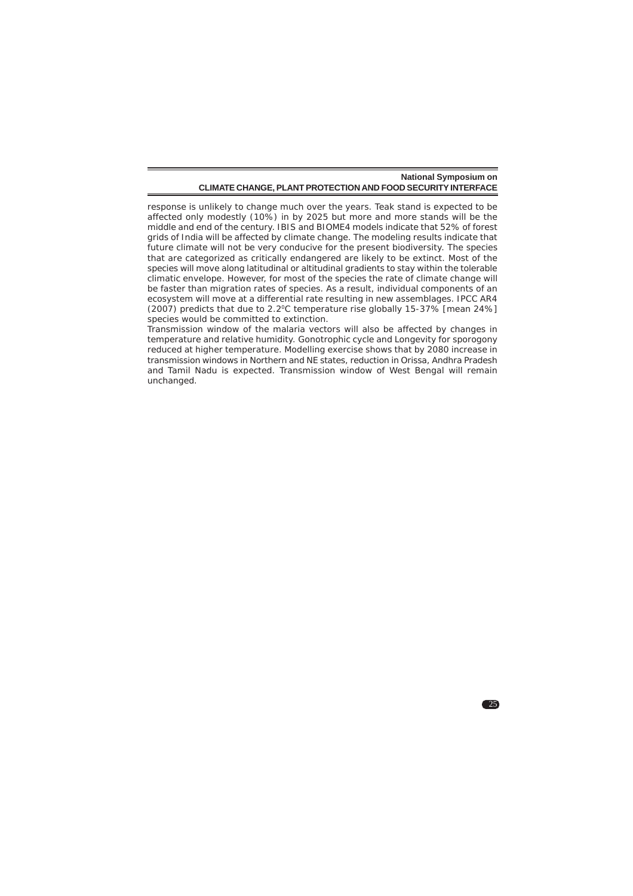response is unlikely to change much over the years. Teak stand is expected to be affected only modestly (10%) in by 2025 but more and more stands will be the middle and end of the century. IBIS and BIOME4 models indicate that 52% of forest grids of India will be affected by climate change. The modeling results indicate that future climate will not be very conducive for the present biodiversity. The species that are categorized as critically endangered are likely to be extinct. Most of the species will move along latitudinal or altitudinal gradients to stay within the tolerable climatic envelope. However, for most of the species the rate of climate change will be faster than migration rates of species. As a result, individual components of an ecosystem will move at a differential rate resulting in new assemblages. IPCC AR4 (2007) predicts that due to 2.20C temperature rise globally 15-37% [mean 24%] species would be committed to extinction.

Transmission window of the malaria vectors will also be affected by changes in temperature and relative humidity. Gonotrophic cycle and Longevity for sporogony reduced at higher temperature. Modelling exercise shows that by 2080 increase in transmission windows in Northern and NE states, reduction in Orissa, Andhra Pradesh and Tamil Nadu is expected. Transmission window of West Bengal will remain unchanged.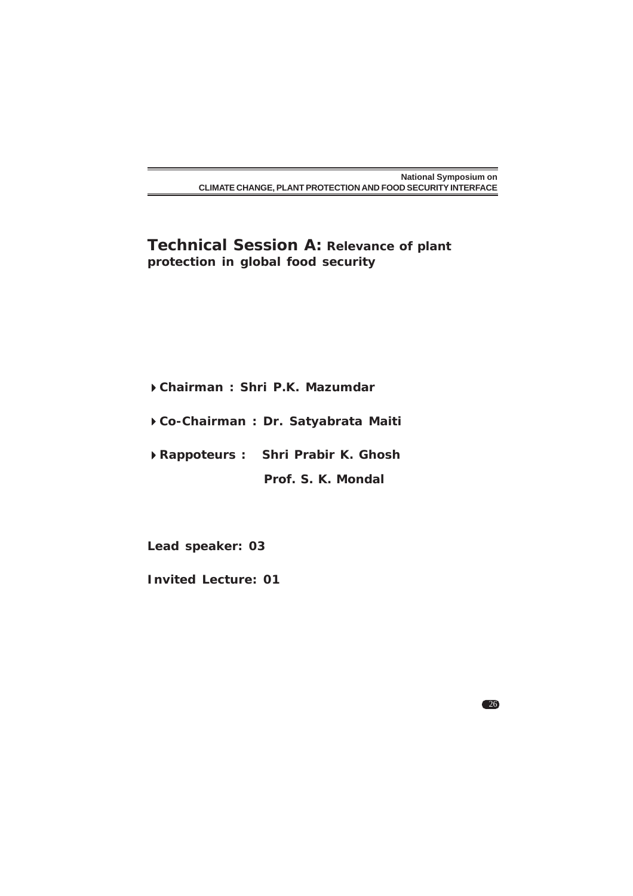**Technical Session A: Relevance of plant protection in global food security**

- **Chairman : Shri P.K. Mazumdar**
- **Co-Chairman : Dr. Satyabrata Maiti**
- **Rappoteurs : Shri Prabir K. Ghosh**
	- **Prof. S. K. Mondal**

**Lead speaker: 03**

**Invited Lecture: 01**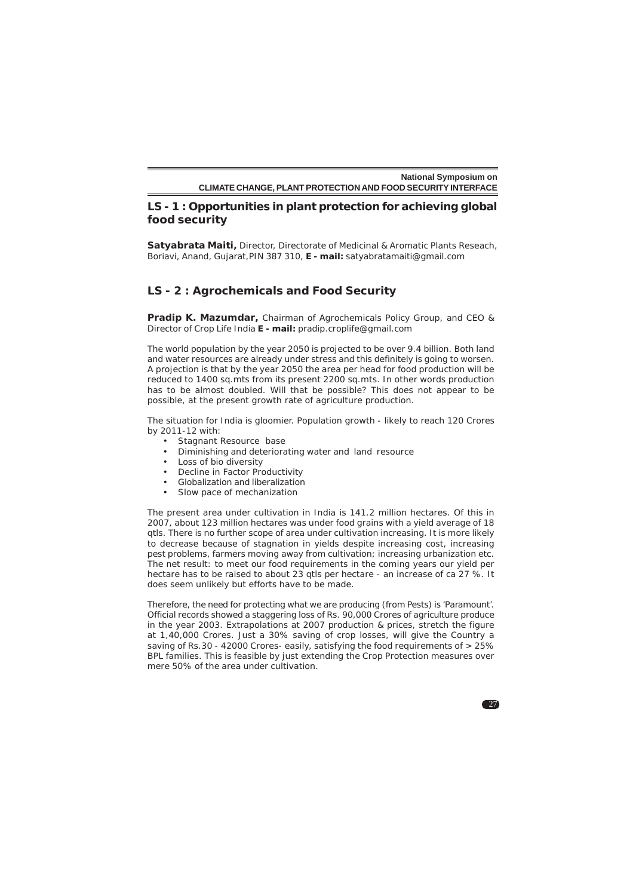# **LS - 1 : Opportunities in plant protection for achieving global food security**

**Satyabrata Maiti,** Director, Directorate of Medicinal & Aromatic Plants Reseach, Boriavi, Anand, Gujarat,PIN 387 310, **E - mail:** satyabratamaiti@gmail.com

# **LS - 2 : Agrochemicals and Food Security**

**Pradip K. Mazumdar,** Chairman of Agrochemicals Policy Group, and CEO & Director of Crop Life India **E - mail:** pradip.croplife@gmail.com

The world population by the year 2050 is projected to be over 9.4 billion. Both land and water resources are already under stress and this definitely is going to worsen. A projection is that by the year 2050 the area per head for food production will be reduced to 1400 sq.mts from its present 2200 sq.mts. In other words production has to be almost doubled. Will that be possible? This does not appear to be possible, at the present growth rate of agriculture production.

The situation for India is gloomier. Population growth - likely to reach 120 Crores by 2011-12 with:

- Stagnant Resource base
- Diminishing and deteriorating water and land resource
- Loss of bio diversity
- Decline in Factor Productivity
- Globalization and liberalization
- Slow pace of mechanization

The present area under cultivation in India is 141.2 million hectares. Of this in 2007, about 123 million hectares was under food grains with a yield average of 18 qtls. There is no further scope of area under cultivation increasing. It is more likely to decrease because of stagnation in yields despite increasing cost, increasing pest problems, farmers moving away from cultivation; increasing urbanization etc. The net result: to meet our food requirements in the coming years our yield per hectare has to be raised to about 23 qtls per hectare - an increase of ca 27 %. It does seem unlikely but efforts have to be made.

Therefore, the need for protecting what we are producing (from Pests) is 'Paramount'. Official records showed a staggering loss of Rs. 90,000 Crores of agriculture produce in the year 2003. *Extrapolations at 2007 production & prices, stretch the figure at 1,40,000 Crores*. Just a 30% saving of crop losses, will give the Country a saving of Rs.30 - 42000 Crores- easily, satisfying the food requirements of > 25% BPL families. This is feasible by just extending the Crop Protection measures over mere 50% of the area under cultivation.

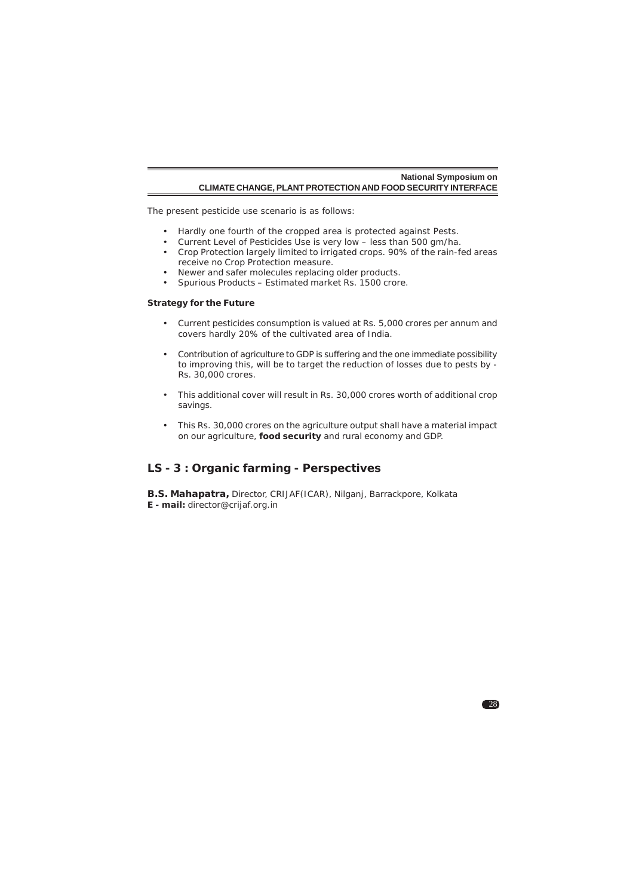The present pesticide use scenario is as follows:

- Hardly one fourth of the cropped area is protected against Pests.
- Current Level of Pesticides Use is very low less than 500 gm/ha.
- Crop Protection largely limited to irrigated crops. 90% of the rain-fed areas receive no Crop Protection measure.
- Newer and safer molecules replacing older products.
- Spurious Products Estimated market Rs. 1500 crore.

#### **Strategy for the Future**

- Current pesticides consumption is valued at Rs. 5,000 crores per annum and covers hardly 20% of the cultivated area of India.
- Contribution of agriculture to GDP is suffering and the one immediate possibility to improving this, will be to target the reduction of losses due to pests by - Rs. 30,000 crores.
- This additional cover will result in Rs. 30,000 crores worth of additional crop savings.
- This Rs. 30,000 crores on the agriculture output shall have a material impact on our agriculture, **food security** and rural economy and GDP.

28

# **LS - 3 : Organic farming - Perspectives**

**B.S. Mahapatra,** Director, CRIJAF(ICAR), Nilganj, Barrackpore, Kolkata **E - mail:** director@crijaf.org.in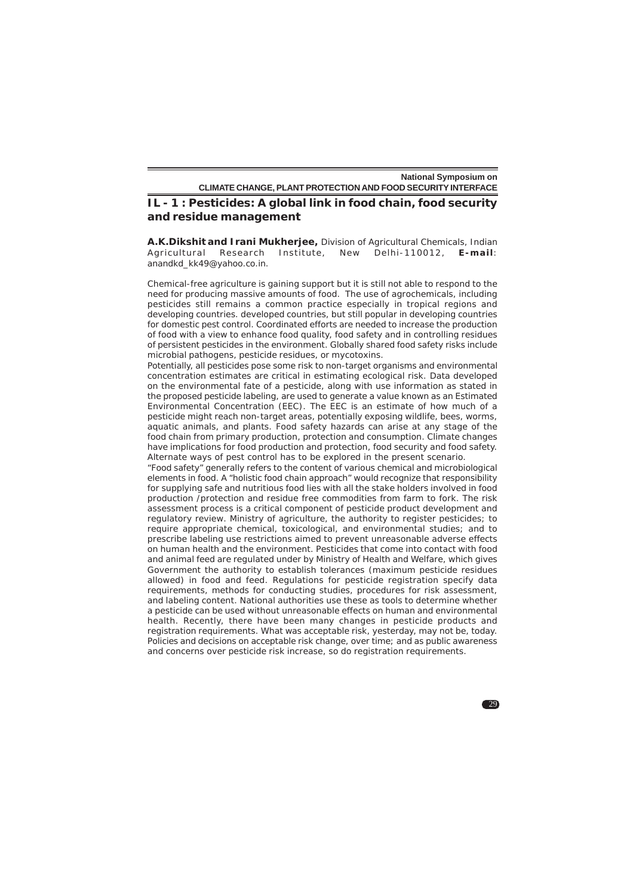# **IL - 1 : Pesticides: A global link in food chain, food security and residue management**

**A.K.Dikshit and Irani Mukherjee,** Division of Agricultural Chemicals, Indian Agricultural Research Institute, New Delhi-110012, **E-mail**: anandkd\_kk49@yahoo.co.in.

Chemical-free agriculture is gaining support but it is still not able to respond to the need for producing massive amounts of food. The use of agrochemicals, including pesticides still remains a common practice especially in tropical regions and developing countries. developed countries, but still popular in developing countries for domestic pest control. Coordinated efforts are needed to increase the production of food with a view to enhance food quality, food safety and in controlling residues of persistent pesticides in the environment. Globally shared food safety risks include microbial pathogens, pesticide residues, or mycotoxins.

Potentially, all pesticides pose some risk to non-target organisms and environmental concentration estimates are critical in estimating ecological risk. Data developed on the environmental fate of a pesticide, along with use information as stated in the proposed pesticide labeling, are used to generate a value known as an Estimated Environmental Concentration (EEC). The EEC is an estimate of how much of a pesticide might reach non-target areas, potentially exposing wildlife, bees, worms, aquatic animals, and plants. Food safety hazards can arise at any stage of the food chain from primary production, protection and consumption. Climate changes have implications for food production and protection, food security and food safety. Alternate ways of pest control has to be explored in the present scenario.

"Food safety" generally refers to the content of various chemical and microbiological elements in food. A "holistic food chain approach" would recognize that responsibility for supplying safe and nutritious food lies with all the stake holders involved in food production /protection and residue free commodities from farm to fork. The risk assessment process is a critical component of pesticide product development and regulatory review. Ministry of agriculture, the authority to register pesticides; to require appropriate chemical, toxicological, and environmental studies; and to prescribe labeling use restrictions aimed to prevent unreasonable adverse effects on human health and the environment. Pesticides that come into contact with food and animal feed are regulated under by Ministry of Health and Welfare, which gives Government the authority to establish tolerances (maximum pesticide residues allowed) in food and feed. Regulations for pesticide registration specify data requirements, methods for conducting studies, procedures for risk assessment, and labeling content. National authorities use these as tools to determine whether a pesticide can be used without unreasonable effects on human and environmental health. Recently, there have been many changes in pesticide products and registration requirements. What was acceptable risk, yesterday, may not be, today. Policies and decisions on acceptable risk change, over time; and as public awareness and concerns over pesticide risk increase, so do registration requirements.

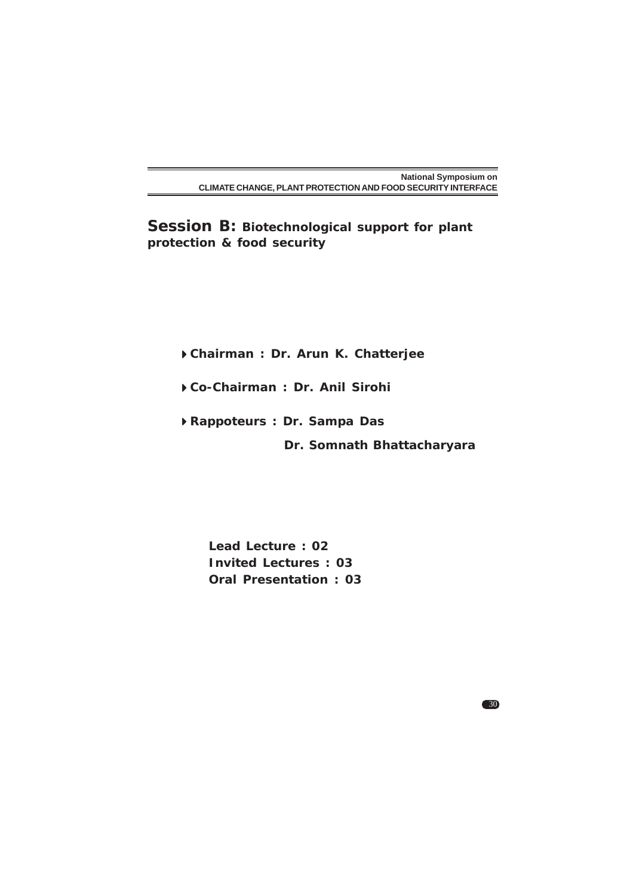**Session B: Biotechnological support for plant protection & food security**

**Chairman : Dr. Arun K. Chatterjee**

**Co-Chairman : Dr. Anil Sirohi**

**Rappoteurs : Dr. Sampa Das**

 **Dr. Somnath Bhattacharyara**

30

**Lead Lecture : 02 Invited Lectures : 03 Oral Presentation : 03**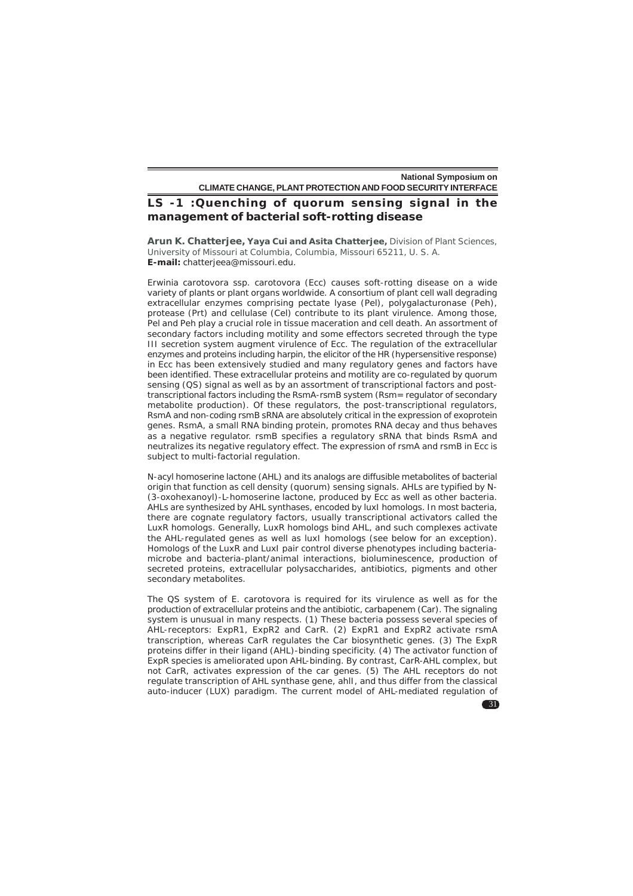# **LS -1 :Quenching of quorum sensing signal in the management of bacterial soft-rotting disease**

**Arun K. Chatterjee, Yaya Cui and Asita Chatterjee,** Division of Plant Sciences, University of Missouri at Columbia, Columbia, Missouri 65211, U. S. A. **E-mail:** chatterjeea@missouri.edu.

*Erwinia carotovora* ssp. *carotovora* (Ecc) causes soft-rotting disease on a wide variety of plants or plant organs worldwide. A consortium of plant cell wall degrading extracellular enzymes comprising pectate lyase (Pel), polygalacturonase (Peh), protease (Prt) and cellulase (Cel) contribute to its plant virulence. Among those, Pel and Peh play a crucial role in tissue maceration and cell death. An assortment of secondary factors including motility and some effectors secreted through the type III secretion system augment virulence of Ecc. The regulation of the extracellular enzymes and proteins including harpin, the elicitor of the HR (hypersensitive response) in Ecc has been extensively studied and many regulatory genes and factors have been identified. These extracellular proteins and motility are co-regulated by quorum sensing (QS) signal as well as by an assortment of transcriptional factors and posttranscriptional factors including the RsmA-rsmB system (Rsm= regulator of secondary metabolite production). Of these regulators, the post-transcriptional regulators, RsmA and non-coding rsmB sRNA are absolutely critical in the expression of exoprotein genes. RsmA, a small RNA binding protein, promotes RNA decay and thus behaves as a negative regulator. rsmB specifies a regulatory sRNA that binds RsmA and neutralizes its negative regulatory effect. The expression of rsmA and rsmB in Ecc is subject to multi-factorial regulation.

N-acyl homoserine lactone (AHL) and its analogs are diffusible metabolites of bacterial origin that function as cell density (quorum) sensing signals. AHLs are typified by N- (3-oxohexanoyl)-L-homoserine lactone, produced by Ecc as well as other bacteria. AHLs are synthesized by AHL synthases, encoded by luxI homologs. In most bacteria, there are cognate regulatory factors, usually transcriptional activators called the LuxR homologs. Generally, LuxR homologs bind AHL, and such complexes activate the AHL-regulated genes as well as luxI homologs (see below for an exception). Homologs of the LuxR and LuxI pair control diverse phenotypes including bacteriamicrobe and bacteria-plant/animal interactions, bioluminescence, production of secreted proteins, extracellular polysaccharides, antibiotics, pigments and other secondary metabolites.

The QS system of *E. carotovora* is required for its virulence as well as for the production of extracellular proteins and the antibiotic, carbapenem (Car). The signaling system is unusual in many respects. (1) These bacteria possess several species of AHL-receptors: ExpR1, ExpR2 and CarR. (2) ExpR1 and ExpR2 activate rsmA transcription, whereas CarR regulates the Car biosynthetic genes. (3) The ExpR proteins differ in their ligand (AHL)-binding specificity. (4) The activator function of ExpR species is ameliorated upon AHL-binding. By contrast, CarR-AHL complex, but not CarR, activates expression of the car genes. (5) The AHL receptors do not regulate transcription of AHL synthase gene, ahlI, and thus differ from the classical auto-inducer (LUX) paradigm. The current model of AHL-mediated regulation of

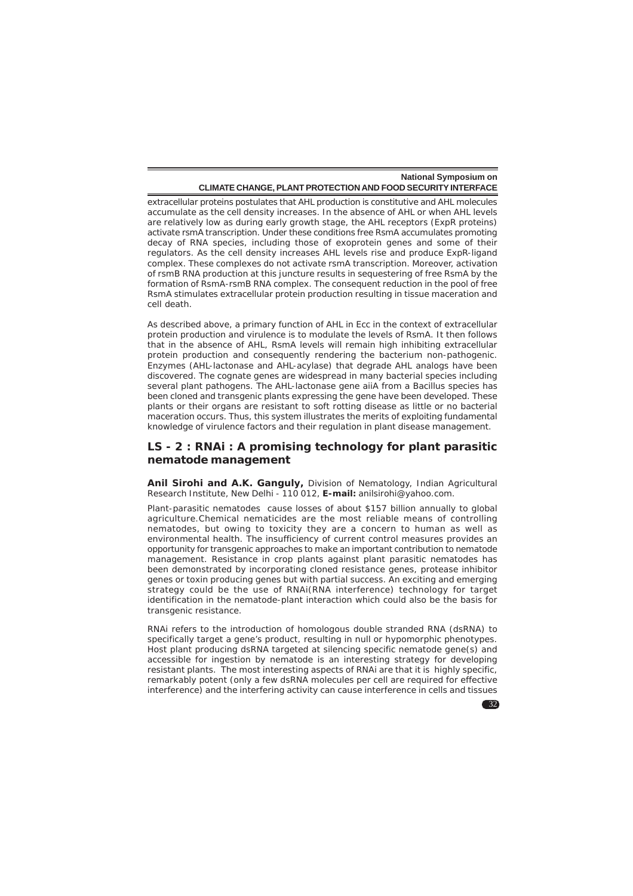extracellular proteins postulates that AHL production is constitutive and AHL molecules accumulate as the cell density increases. In the absence of AHL or when AHL levels are relatively low as during early growth stage, the AHL receptors (ExpR proteins) activate rsmA transcription. Under these conditions free RsmA accumulates promoting decay of RNA species, including those of exoprotein genes and some of their regulators. As the cell density increases AHL levels rise and produce ExpR-ligand complex. These complexes do not activate rsmA transcription. Moreover, activation of rsmB RNA production at this juncture results in sequestering of free RsmA by the formation of RsmA-rsmB RNA complex. The consequent reduction in the pool of free RsmA stimulates extracellular protein production resulting in tissue maceration and cell death.

As described above, a primary function of AHL in Ecc in the context of extracellular protein production and virulence is to modulate the levels of RsmA. It then follows that in the absence of AHL, RsmA levels will remain high inhibiting extracellular protein production and consequently rendering the bacterium non-pathogenic. Enzymes (AHL-lactonase and AHL-acylase) that degrade AHL analogs have been discovered. The cognate genes are widespread in many bacterial species including several plant pathogens. The AHL-lactonase gene aiiA from a *Bacillus* species has been cloned and transgenic plants expressing the gene have been developed. These plants or their organs are resistant to soft rotting disease as little or no bacterial maceration occurs. Thus, this system illustrates the merits of exploiting fundamental knowledge of virulence factors and their regulation in plant disease management.

# **LS - 2 : RNAi : A promising technology for plant parasitic nematode management**

**Anil Sirohi and A.K. Ganguly,** Division of Nematology, Indian Agricultural Research Institute, New Delhi - 110 012, **E-mail:** anilsirohi@yahoo.com.

Plant-parasitic nematodes cause losses of about \$157 billion annually to global agriculture.Chemical nematicides are the most reliable means of controlling nematodes, but owing to toxicity they are a concern to human as well as environmental health. The insufficiency of current control measures provides an opportunity for transgenic approaches to make an important contribution to nematode management. Resistance in crop plants against plant parasitic nematodes has been demonstrated by incorporating cloned resistance genes, protease inhibitor genes or toxin producing genes but with partial success. An exciting and emerging strategy could be the use of RNAi(RNA interference) technology for target identification in the nematode-plant interaction which could also be the basis for transgenic resistance.

RNAi refers to the introduction of homologous double stranded RNA (dsRNA) to specifically target a gene's product, resulting in null or hypomorphic phenotypes. Host plant producing dsRNA targeted at silencing specific nematode gene(s) and accessible for ingestion by nematode is an interesting strategy for developing resistant plants. The most interesting aspects of RNAi are that it is highly specific, remarkably potent (only a few dsRNA molecules per cell are required for effective interference) and the interfering activity can cause interference in cells and tissues

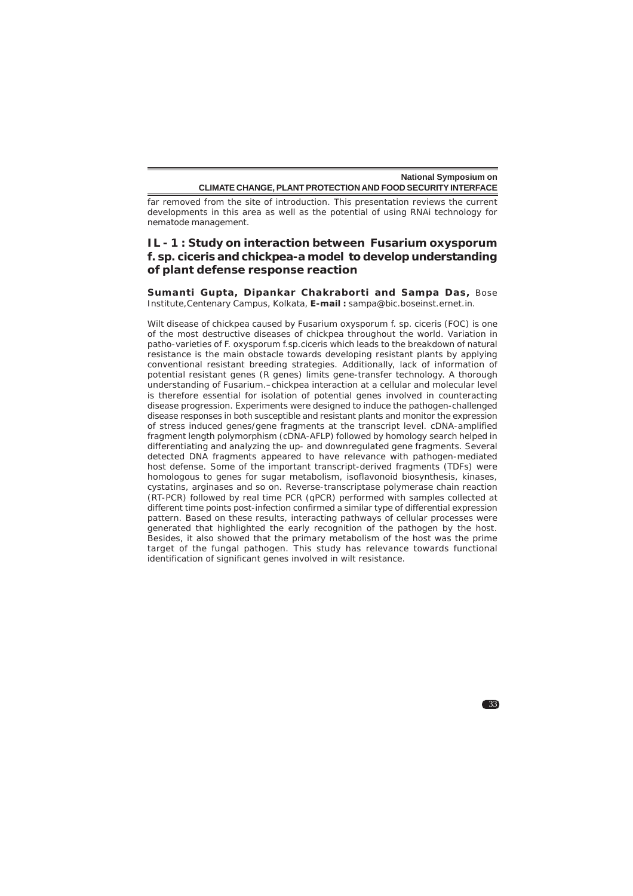far removed from the site of introduction. This presentation reviews the current developments in this area as well as the potential of using RNAi technology for nematode management.

# **IL - 1 : Study on interaction between** *Fusarium oxysporum* **f. sp.** *ciceris* **and chickpea-a model to develop understanding of plant defense response reaction**

**Sumanti Gupta, Dipankar Chakraborti and Sampa Das,** Bose Institute,Centenary Campus, Kolkata, **E-mail :** sampa@bic.boseinst.ernet.in.

Wilt disease of chickpea caused by *Fusarium oxysporum* f. sp. *ciceris* (FOC) is one of the most destructive diseases of chickpea throughout the world. Variation in patho-varieties of F. *oxysporum* f.sp.*ciceris* which leads to the breakdown of natural resistance is the main obstacle towards developing resistant plants by applying conventional resistant breeding strategies. Additionally, lack of information of potential resistant genes (R genes) limits gene-transfer technology. A thorough understanding of *Fusarium*.–chickpea interaction at a cellular and molecular level is therefore essential for isolation of potential genes involved in counteracting disease progression. Experiments were designed to induce the pathogen-challenged disease responses in both susceptible and resistant plants and monitor the expression of stress induced genes/gene fragments at the transcript level. cDNA-amplified fragment length polymorphism (cDNA-AFLP) followed by homology search helped in differentiating and analyzing the up- and downregulated gene fragments. Several detected DNA fragments appeared to have relevance with pathogen-mediated host defense. Some of the important transcript-derived fragments (TDFs) were homologous to genes for sugar metabolism, isoflavonoid biosynthesis, kinases, cystatins, arginases and so on. Reverse-transcriptase polymerase chain reaction (RT-PCR) followed by real time PCR (qPCR) performed with samples collected at different time points post-infection confirmed a similar type of differential expression pattern. Based on these results, interacting pathways of cellular processes were generated that highlighted the early recognition of the pathogen by the host. Besides, it also showed that the primary metabolism of the host was the prime target of the fungal pathogen. This study has relevance towards functional identification of significant genes involved in wilt resistance.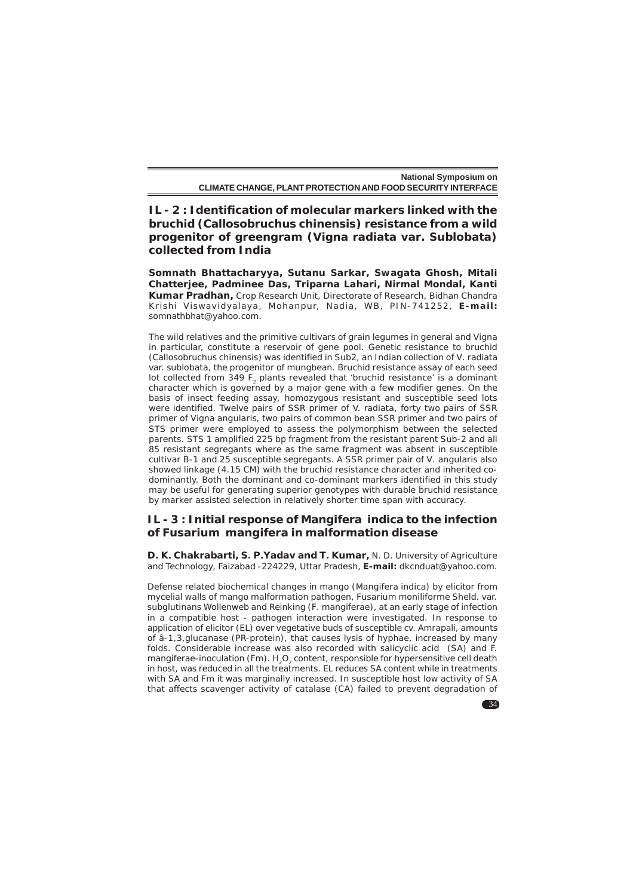**IL - 2 : Identification of molecular markers linked with the bruchid (***Callosobruchus chinensis***) resistance from a wild progenitor of greengram (***Vigna radiata* **var. Sublobata) collected from India**

**Somnath Bhattacharyya, Sutanu Sarkar, Swagata Ghosh, Mitali Chatterjee, Padminee Das, Triparna Lahari, Nirmal Mondal, Kanti Kumar Pradhan,** Crop Research Unit, Directorate of Research, Bidhan Chandra Krishi Viswavidyalaya , Mohanpur, Nadia , WB , PIN-741252 , **E-mail:** somnathbhat@yahoo.com.

The wild relatives and the primitive cultivars of grain legumes in general and Vigna in particular, constitute a reservoir of gene pool. Genetic resistance to bruchid (*Callosobruchus chinensis*) was identified in Sub2, an Indian collection of *V. radiata* var. s*ublobata*, the progenitor of mungbean. Bruchid resistance assay of each seed lot collected from 349  $F_2$  plants revealed that 'bruchid resistance' is a dominant character which is governed by a major gene with a few modifier genes. On the basis of insect feeding assay, homozygous resistant and susceptible seed lots were identified. Twelve pairs of SSR primer of V. radiata, forty two pairs of SSR primer of *Vigna angularis*, two pairs of common bean SSR primer and two pairs of STS primer were employed to assess the polymorphism between the selected parents. STS 1 amplified 225 bp fragment from the resistant parent Sub-2 and all 85 resistant segregants where as the same fragment was absent in susceptible cultivar B-1 and 25 susceptible segregants. A SSR primer pair of *V. angularis* also showed linkage (4.15 CM) with the bruchid resistance character and inherited codominantly. Both the dominant and co-dominant markers identified in this study may be useful for generating superior genotypes with durable bruchid resistance by marker assisted selection in relatively shorter time span with accuracy.

# **IL - 3 : Initial response of** *Mangifera indica* **to the infection of** *Fusarium mangifera* **in malformation disease**

**D. K. Chakrabarti, S. P.Yadav and T. Kumar,** N. D. University of Agriculture and Technology, Faizabad -224229, Uttar Pradesh, **E-mail:** dkcnduat@yahoo.com.

Defense related biochemical changes in mango (*Mangifera indica*) by elicitor from mycelial walls of mango malformation pathogen, *Fusarium moniliforme* Sheld. var. subglutinans Wollenweb and Reinking (*F. mangiferae*), at an early stage of infection in a compatible host - pathogen interaction were investigated. In response to application of elicitor (EL) over vegetative buds of susceptible cv. Amrapali, amounts of â-1,3,glucanase (PR-protein), that causes lysis of hyphae, increased by many folds. Considerable increase was also recorded with salicyclic acid (SA) and F. mangiferae-inoculation (Fm).  $H_2O_2$  content, responsible for hypersensitive cell death in host, was reduced in all the treatments. EL reduces SA content while in treatments with SA and Fm it was marginally increased. In susceptible host low activity of SA that affects scavenger activity of catalase (CA) failed to prevent degradation of

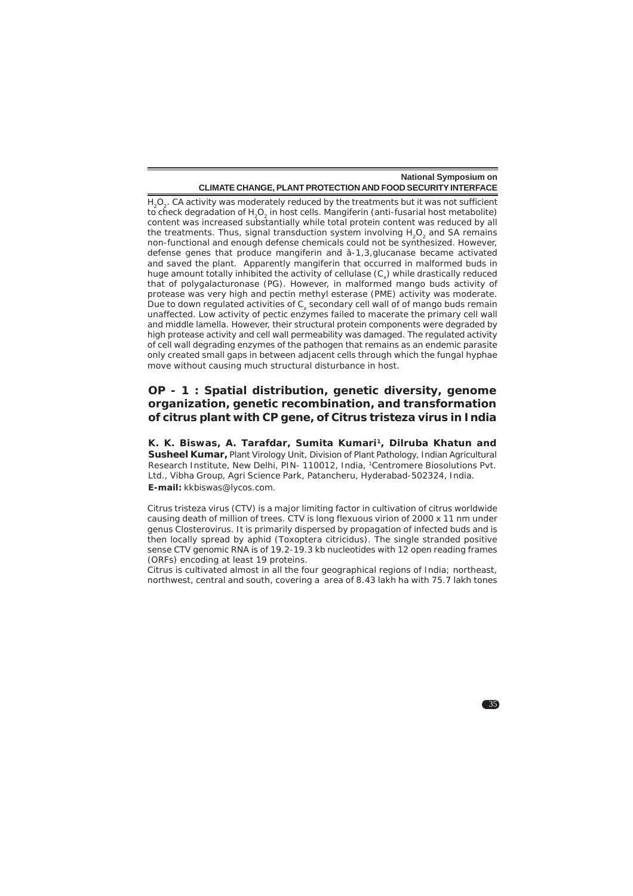$H_2O_2$ . CA activity was moderately reduced by the treatments but it was not sufficient to check degradation of H<sub>2</sub>O<sub>2</sub> in host cells. Mangiferin (anti-fusarial host metabolite) content was increased substantially while total protein content was reduced by all the treatments. Thus, signal transduction system involving  $H_2O_2$  and SA remains non-functional and enough defense chemicals could not be synthesized. However, defense genes that produce mangiferin and â-1,3,glucanase became activated and saved the plant. Apparently mangiferin that occurred in malformed buds in huge amount totally inhibited the activity of cellulase  $(C_{x})$  while drastically reduced that of polygalacturonase (PG). However, in malformed mango buds activity of protease was very high and pectin methyl esterase (PME) activity was moderate. Due to down regulated activities of C<sub>y</sub> secondary cell wall of of mango buds remain unaffected. Low activity of pectic enzymes failed to macerate the primary cell wall and middle lamella. However, their structural protein components were degraded by high protease activity and cell wall permeability was damaged. The regulated activity of cell wall degrading enzymes of the pathogen that remains as an endemic parasite only created small gaps in between adjacent cells through which the fungal hyphae move without causing much structural disturbance in host.

# **OP - 1 : Spatial distribution, genetic diversity, genome organization, genetic recombination, and transformation of citrus plant with CP gene, of Citrus tristeza virus in India**

K. K. Biswas, A. Tarafdar, Sumita Kumari<sup>1</sup>, Dilruba Khatun and **Susheel Kumar,** Plant Virology Unit, Division of Plant Pathology, Indian Agricultural Research Institute, New Delhi, PIN- 110012, India, 1Centromere Biosolutions Pvt. Ltd., Vibha Group, Agri Science Park, Patancheru, Hyderabad-502324, India. **E-mail:** kkbiswas@lycos.com.

Citrus tristeza virus (CTV) is a major limiting factor in cultivation of citrus worldwide causing death of million of trees. CTV is long flexuous virion of 2000 x 11 nm under genus Closterovirus. It is primarily dispersed by propagation of infected buds and is then locally spread by aphid (*Toxoptera citricidus*). The single stranded positive sense CTV genomic RNA is of 19.2-19.3 kb nucleotides with 12 open reading frames (ORFs) encoding at least 19 proteins.

Citrus is cultivated almost in all the four geographical regions of India; northeast, northwest, central and south, covering a area of 8.43 lakh ha with 75.7 lakh tones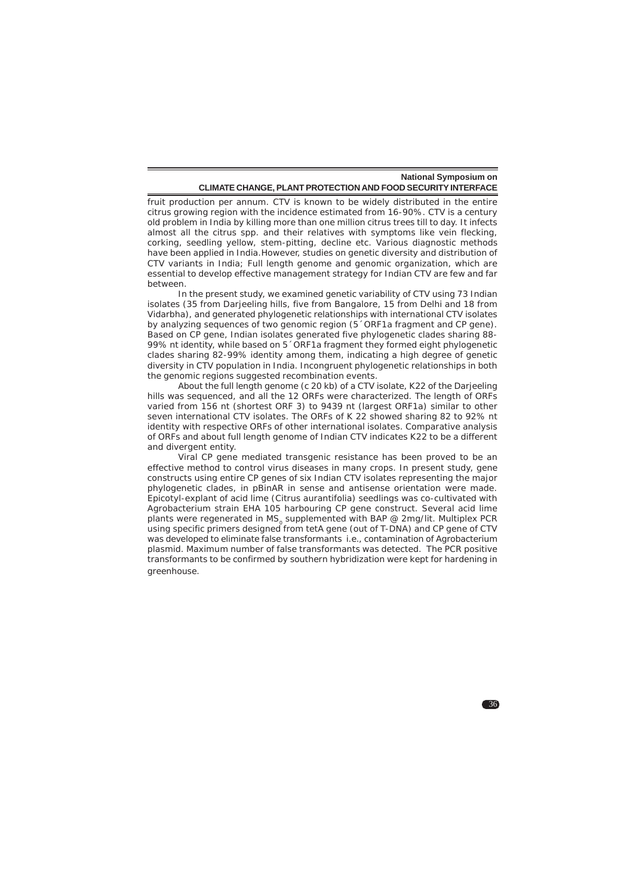fruit production per annum. CTV is known to be widely distributed in the entire citrus growing region with the incidence estimated from 16-90%. CTV is a century old problem in India by killing more than one million citrus trees till to day. It infects almost all the citrus spp. and their relatives with symptoms like vein flecking, corking, seedling yellow, stem-pitting, decline etc. Various diagnostic methods have been applied in India.However, studies on genetic diversity and distribution of CTV variants in India; Full length genome and genomic organization, which are essential to develop effective management strategy for Indian CTV are few and far between.

In the present study, we examined genetic variability of CTV using 73 Indian isolates (35 from Darjeeling hills, five from Bangalore, 15 from Delhi and 18 from Vidarbha), and generated phylogenetic relationships with international CTV isolates by analyzing sequences of two genomic region (5 'ORF1a fragment and CP gene). Based on CP gene, Indian isolates generated five phylogenetic clades sharing 88- 99% nt identity, while based on 5´ORF1a fragment they formed eight phylogenetic clades sharing 82-99% identity among them, indicating a high degree of genetic diversity in CTV population in India. Incongruent phylogenetic relationships in both the genomic regions suggested recombination events.

About the full length genome (c 20 kb) of a CTV isolate, K22 of the Darjeeling hills was sequenced, and all the 12 ORFs were characterized. The length of ORFs varied from 156 nt (shortest ORF 3) to 9439 nt (largest ORF1a) similar to other seven international CTV isolates. The ORFs of K 22 showed sharing 82 to 92% nt identity with respective ORFs of other international isolates. Comparative analysis of ORFs and about full length genome of Indian CTV indicates K22 to be a different and divergent entity.

Viral CP gene mediated transgenic resistance has been proved to be an effective method to control virus diseases in many crops. In present study, gene constructs using entire CP genes of six Indian CTV isolates representing the major phylogenetic clades, in pBinAR in sense and antisense orientation were made. Epicotyl-explant of acid lime (Citrus aurantifolia) seedlings was co-cultivated with Agrobacterium strain EHA 105 harbouring CP gene construct. Several acid lime plants were regenerated in MS<sub>o</sub> supplemented with BAP @ 2mg/lit. Multiplex PCR using specific primers designed from tetA gene (out of T-DNA) and CP gene of CTV was developed to eliminate false transformants i.e., contamination of Agrobacterium plasmid. Maximum number of false transformants was detected. The PCR positive transformants to be confirmed by southern hybridization were kept for hardening in greenhouse.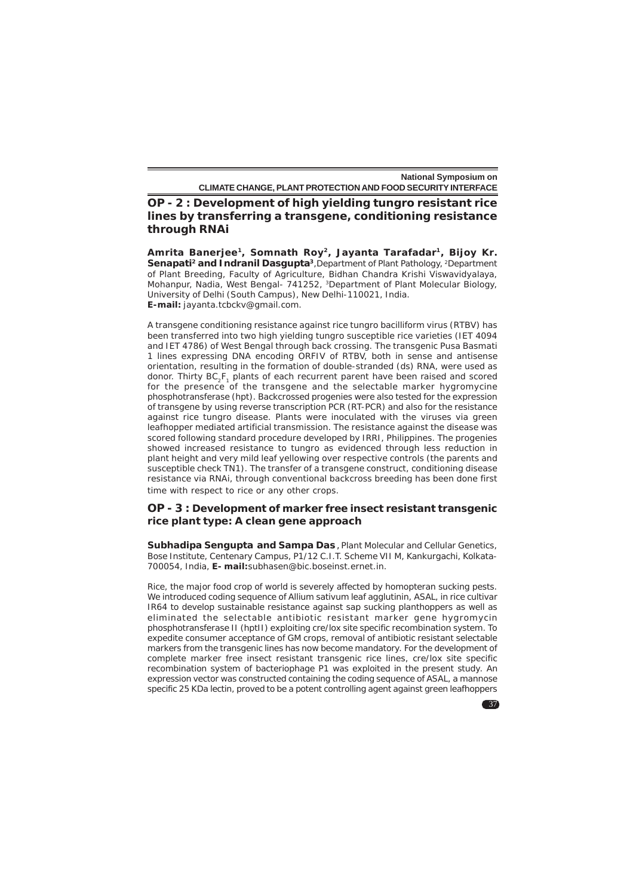**National Symposium on**

**CLIMATE CHANGE, PLANT PROTECTION AND FOOD SECURITY INTERFACE**

**OP - 2 : Development of high yielding tungro resistant rice lines by transferring a transgene, conditioning resistance through RNAi**

**Amrita Banerjee1, Somnath Roy2, Jayanta Tarafadar1, Bijoy Kr.** Senapati<sup>2</sup> and Indranil Dasgupta<sup>3</sup>, Department of Plant Pathology, <sup>2</sup>Department of Plant Breeding, Faculty of Agriculture, Bidhan Chandra Krishi Viswavidyalaya, Mohanpur, Nadia, West Bengal- 741252, 3Department of Plant Molecular Biology, University of Delhi (South Campus), New Delhi-110021, India. **E-mail:** jayanta.tcbckv@gmail.com.

A transgene conditioning resistance against rice tungro bacilliform virus (RTBV) has been transferred into two high yielding tungro susceptible rice varieties (IET 4094 and IET 4786) of West Bengal through back crossing. The transgenic Pusa Basmati 1 lines expressing DNA encoding ORFIV of RTBV, both in sense and antisense orientation, resulting in the formation of double-stranded (ds) RNA, were used as donor. Thirty  $BC_2F_1$  plants of each recurrent parent have been raised and scored for the presence of the transgene and the selectable marker hygromycine phosphotransferase (hpt). Backcrossed progenies were also tested for the expression of transgene by using reverse transcription PCR (RT-PCR) and also for the resistance against rice tungro disease. Plants were inoculated with the viruses via green leafhopper mediated artificial transmission. The resistance against the disease was scored following standard procedure developed by IRRI, Philippines. The progenies showed increased resistance to tungro as evidenced through less reduction in plant height and very mild leaf yellowing over respective controls (the parents and susceptible check TN1). The transfer of a transgene construct, conditioning disease resistance via RNAi, through conventional backcross breeding has been done first time with respect to rice or any other crops.

#### **OP - 3 : Development of marker free insect resistant transgenic rice plant type: A clean gene approach**

**Subhadipa Sengupta and Sampa Das**, Plant Molecular and Cellular Genetics, Bose Institute, Centenary Campus, P1/12 C.I.T. Scheme VII M, Kankurgachi, Kolkata-700054, India, **E- mail:**subhasen@bic.boseinst.ernet.in.

Rice, the major food crop of world is severely affected by homopteran sucking pests. We introduced coding sequence of *Allium sativum* leaf agglutinin, *ASAL*, in rice cultivar IR64 to develop sustainable resistance against sap sucking planthoppers as well as eliminated the selectable antibiotic resistant marker gene *hygromycin phosphotransferase II* (*hptII*) exploiting cre/lox site specific recombination system. To expedite consumer acceptance of GM crops, removal of antibiotic resistant selectable markers from the transgenic lines has now become mandatory. For the development of complete marker free insect resistant transgenic rice lines, cre/lox site specific recombination system of bacteriophage P1 was exploited in the present study. An expression vector was constructed containing the coding sequence of *ASAL*, a mannose specific 25 KDa lectin, proved to be a potent controlling agent against green leafhoppers

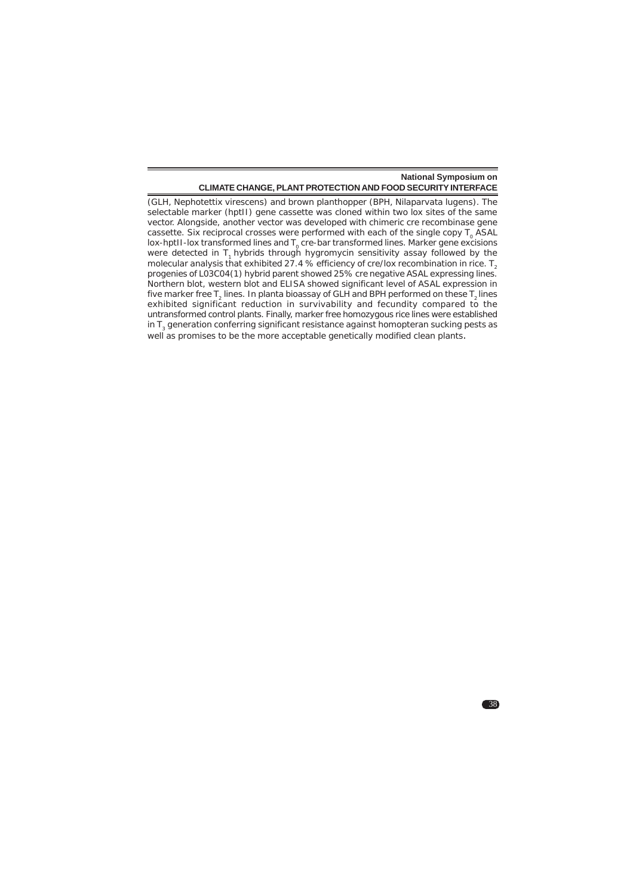38

(GLH, *Nephotettix virescens*) and brown planthopper (BPH, *Nilaparvata lugens*). The selectable marker (*hptII*) gene cassette was cloned within two *lox* sites of the same vector. Alongside, another vector was developed with chimeric *cre* recombinase gene cassette. Six reciprocal crosses were performed with each of the single copy T0 *ASAL* lox-hptII-lox transformed lines and T<sub>0</sub> *cre-bar* transformed lines. Marker gene excisions were detected in T<sub>1</sub> hybrids through hygromycin sensitivity assay followed by the molecular analysis that exhibited 27.4 % efficiency of cre/lox recombination in rice.  $T_2$ progenies of L03C04(1) hybrid parent showed 25% *cre* negative *ASAL* expressing lines. Northern blot, western blot and ELISA showed significant level of ASAL expression in five marker free T<sub>2</sub> lines. *In planta* bioassay of GLH and BPH performed on these T<sub>2</sub> lines exhibited significant reduction in survivability and fecundity compared to the untransformed control plants. Finally, marker free homozygous rice lines were established in  $T<sub>3</sub>$  generation conferring significant resistance against homopteran sucking pests as well as promises to be the more acceptable genetically modified clean plants.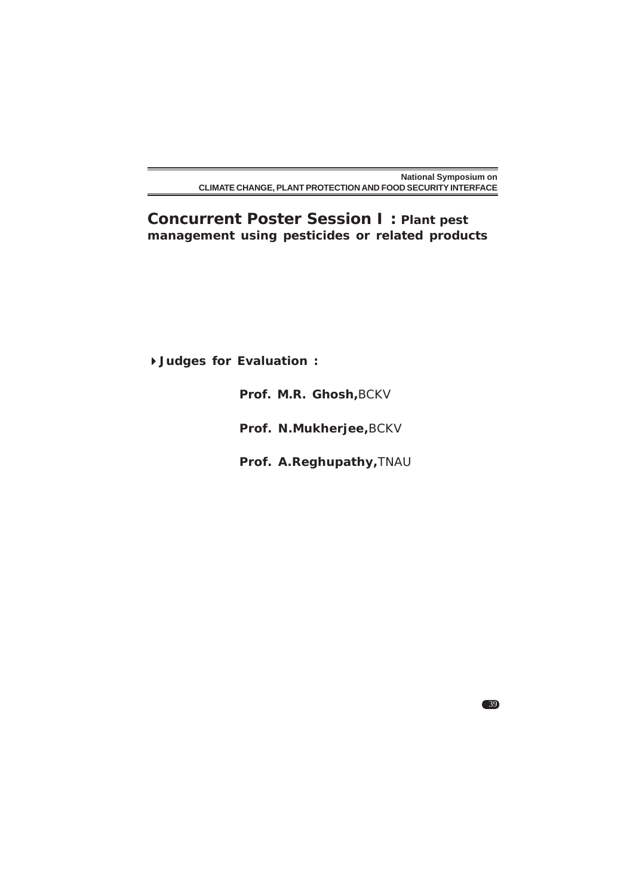**Concurrent Poster Session I : Plant pest management using pesticides or related products**

**Judges for Evaluation :**

**Prof. M.R. Ghosh,**BCKV

**Prof. N.Mukherjee,**BCKV

**Prof. A.Reghupathy,**TNAU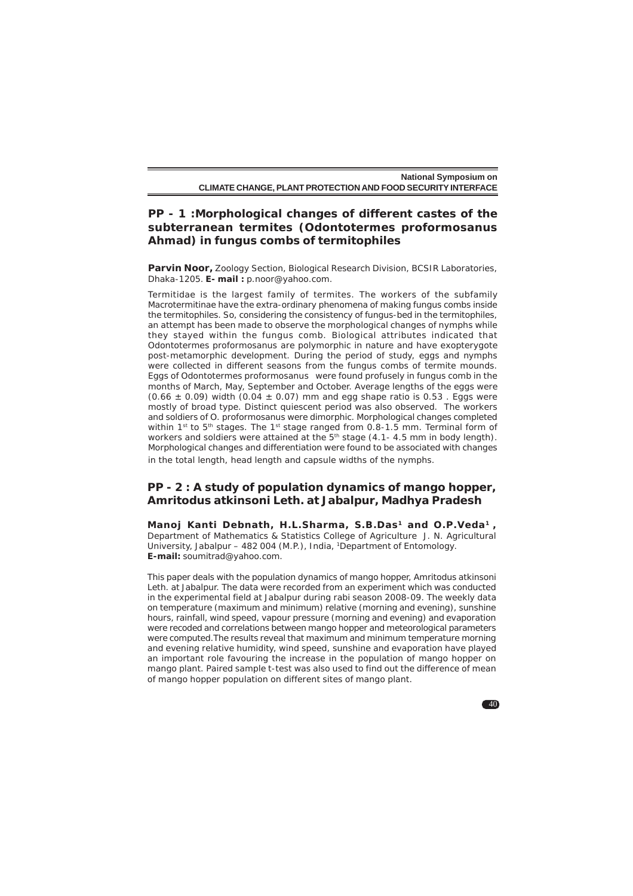# **PP - 1 :Morphological changes of different castes of the subterranean termites (***Odontotermes proformosanus* **Ahmad) in fungus combs of termitophiles**

**Parvin Noor,** Zoology Section, Biological Research Division, BCSIR Laboratories, Dhaka-1205. **E- mail :** p.noor@yahoo.com.

Termitidae is the largest family of termites. The workers of the subfamily Macrotermitinae have the extra-ordinary phenomena of making fungus combs inside the termitophiles. So, considering the consistency of fungus-bed in the termitophiles, an attempt has been made to observe the morphological changes of nymphs while they stayed within the fungus comb. Biological attributes indicated that *Odontotermes proformosanus* are polymorphic in nature and have exopterygote post-metamorphic development. During the period of study, eggs and nymphs were collected in different seasons from the fungus combs of termite mounds. Eggs of Odontotermes proformosanus were found profusely in fungus comb in the months of March, May, September and October. Average lengths of the eggs were  $(0.66 \pm 0.09)$  width  $(0.04 \pm 0.07)$  mm and egg shape ratio is 0.53. Eggs were mostly of broad type. Distinct quiescent period was also observed. The workers and soldiers of O. proformosanus were dimorphic. Morphological changes completed within 1st to  $5<sup>th</sup>$  stages. The 1st stage ranged from 0.8-1.5 mm. Terminal form of workers and soldiers were attained at the  $5<sup>th</sup>$  stage (4.1-4.5 mm in body length). Morphological changes and differentiation were found to be associated with changes in the total length, head length and capsule widths of the nymphs.

#### **PP - 2 : A study of population dynamics of mango hopper,** *Amritodus atkinsoni* **Leth. at Jabalpur, Madhya Pradesh**

Manoj Kanti Debnath, H.L.Sharma, S.B.Das<sup>1</sup> and O.P.Veda<sup>1</sup>, Department of Mathematics & Statistics College of Agriculture J. N. Agricultural University, Jabalpur – 482 004 (M.P.), India, 1Department of Entomology. **E-mail:** soumitrad@yahoo.com.

This paper deals with the population dynamics of mango hopper, Amritodus atkinsoni Leth. at Jabalpur. The data were recorded from an experiment which was conducted in the experimental field at Jabalpur during *rabi* season 2008-09. The weekly data on temperature (maximum and minimum) relative (morning and evening), sunshine hours, rainfall, wind speed, vapour pressure (morning and evening) and evaporation were recoded and correlations between mango hopper and meteorological parameters were computed.The results reveal that maximum and minimum temperature morning and evening relative humidity, wind speed, sunshine and evaporation have played an important role favouring the increase in the population of mango hopper on mango plant. Paired sample t-test was also used to find out the difference of mean of mango hopper population on different sites of mango plant.

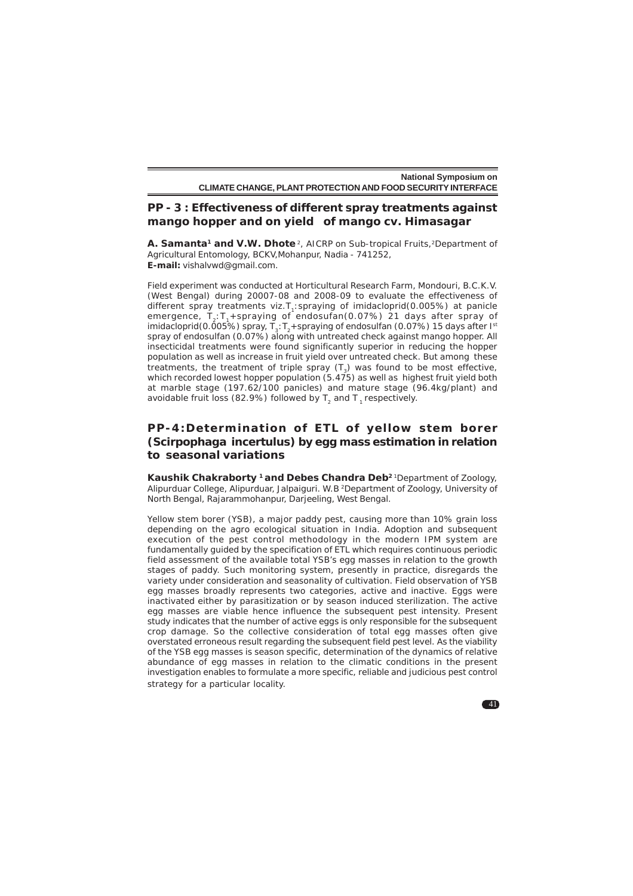# **PP - 3 : Effectiveness of different spray treatments against mango hopper and on yield of mango cv. Himasagar**

**A. Samanta<sup>1</sup> and V.W. Dhote**<sup>2</sup>, AICRP on Sub-tropical Fruits,<sup>2</sup>Department of Agricultural Entomology, BCKV,Mohanpur, Nadia - 741252, **E-mail:** vishalvwd@gmail.com.

Field experiment was conducted at Horticultural Research Farm, Mondouri, B.C.K.V. (West Bengal) during 20007-08 and 2008-09 to evaluate the effectiveness of different spray treatments viz.T<sub>1</sub>:spraying of imidacloprid(0.005%) at panicle emergence,  $\textsf{T}_2\text{:}\textsf{T}_1\text{{+}}\textsf{spraying}$  of endosufan(0.07%) 21 days after spray of imidacloprid(0.005%) spray,  $T_3$ : T<sub>2</sub>+spraying of endosulfan (0.07%) 15 days after I<sup>st</sup> spray of endosulfan (0.07%) along with untreated check against mango hopper. All insecticidal treatments were found significantly superior in reducing the hopper population as well as increase in fruit yield over untreated check. But among these treatments, the treatment of triple spray  $(T<sub>2</sub>)$  was found to be most effective, which recorded lowest hopper population (5.475) as well as highest fruit yield both at marble stage (197.62/100 panicles) and mature stage (96.4kg/plant) and avoidable fruit loss (82.9%) followed by  $T<sub>2</sub>$  and T  $<sub>1</sub>$  respectively.</sub>

# **PP-4:Determination of ETL of yellow stem borer (***Scirpophaga incertulus***) by egg mass estimation in relation to seasonal variations**

**Kaushik Chakraborty 1 and Debes Chandra Deb2** 1Department of Zoology, Alipurduar College, Alipurduar, Jalpaiguri. W.B 2Department of Zoology, University of North Bengal, Rajarammohanpur, Darjeeling, West Bengal.

Yellow stem borer (YSB), a major paddy pest, causing more than 10% grain loss depending on the agro ecological situation in India. Adoption and subsequent execution of the pest control methodology in the modern IPM system are fundamentally guided by the specification of ETL which requires continuous periodic field assessment of the available total YSB's egg masses in relation to the growth stages of paddy. Such monitoring system, presently in practice, disregards the variety under consideration and seasonality of cultivation. Field observation of YSB egg masses broadly represents two categories, active and inactive. Eggs were inactivated either by parasitization or by season induced sterilization. The active egg masses are viable hence influence the subsequent pest intensity. Present study indicates that the number of active eggs is only responsible for the subsequent crop damage. So the collective consideration of total egg masses often give overstated erroneous result regarding the subsequent field pest level. As the viability of the YSB egg masses is season specific, determination of the dynamics of relative abundance of egg masses in relation to the climatic conditions in the present investigation enables to formulate a more specific, reliable and judicious pest control strategy for a particular locality.

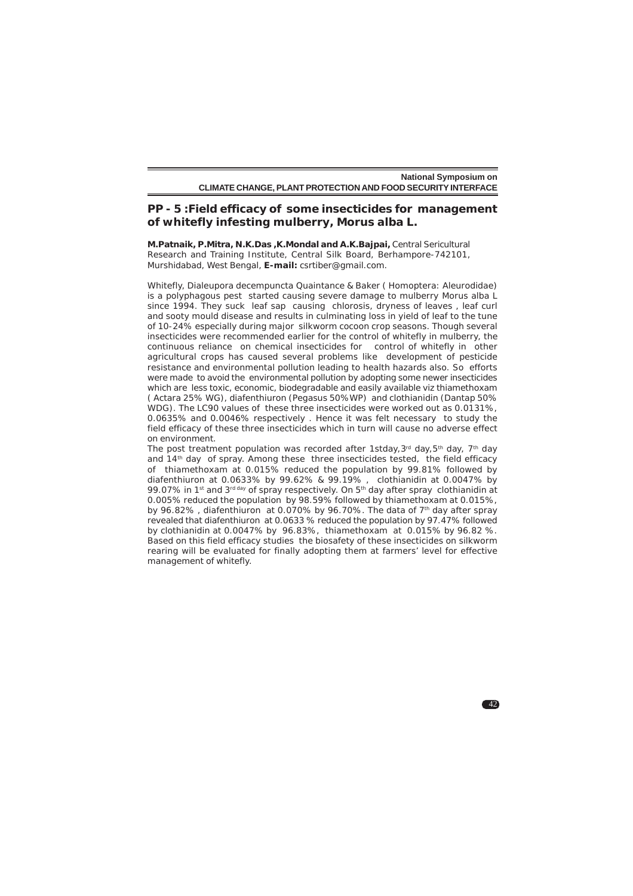# **PP - 5 :Field efficacy of some insecticides for management of whitefly infesting mulberry,** *Morus alba* **L.**

**M.Patnaik, P.Mitra, N.K.Das ,K.Mondal and A.K.Bajpai,** Central Sericultural Research and Training Institute, Central Silk Board, Berhampore-742101, Murshidabad, West Bengal, **E-mail:** csrtiber@gmail.com.

Whitefly, *Dialeupora decempuncta* Quaintance & Baker ( Homoptera: Aleurodidae) is a polyphagous pest started causing severe damage to mulberry *Morus alba* L since 1994. They suck leaf sap causing chlorosis, dryness of leaves, leaf curl and sooty mould disease and results in culminating loss in yield of leaf to the tune of 10-24% especially during major silkworm cocoon crop seasons. Though several insecticides were recommended earlier for the control of whitefly in mulberry, the continuous reliance on chemical insecticides for control of whitefly in other agricultural crops has caused several problems like development of pesticide resistance and environmental pollution leading to health hazards also. So efforts were made to avoid the environmental pollution by adopting some newer insecticides which are less toxic, economic, biodegradable and easily available viz thiamethoxam ( Actara 25% WG), diafenthiuron (Pegasus 50%WP) and clothianidin (Dantap 50% WDG). The LC90 values of these three insecticides were worked out as 0.0131%, 0.0635% and 0.0046% respectively . Hence it was felt necessary to study the field efficacy of these three insecticides which in turn will cause no adverse effect on environment.

The post treatment population was recorded after 1stday, 3rd day, 5<sup>th</sup> day, 7<sup>th</sup> day and 14<sup>th</sup> day of spray. Among these three insecticides tested, the field efficacy of thiamethoxam at 0.015% reduced the population by 99.81% followed by diafenthiuron at 0.0633% by 99.62% & 99.19% , clothianidin at 0.0047% by 99.07% in 1<sup>st</sup> and 3<sup>rd day</sup> of spray respectively. On 5<sup>th</sup> day after spray clothianidin at 0.005% reduced the population by 98.59% followed by thiamethoxam at 0.015%, by 96.82%, diafenthiuron at 0.070% by 96.70%. The data of 7<sup>th</sup> day after spray revealed that diafenthiuron at 0.0633 % reduced the population by 97.47% followed by clothianidin at 0.0047% by 96.83%, thiamethoxam at 0.015% by 96.82 %. Based on this field efficacy studies the biosafety of these insecticides on silkworm rearing will be evaluated for finally adopting them at farmers' level for effective management of whitefly.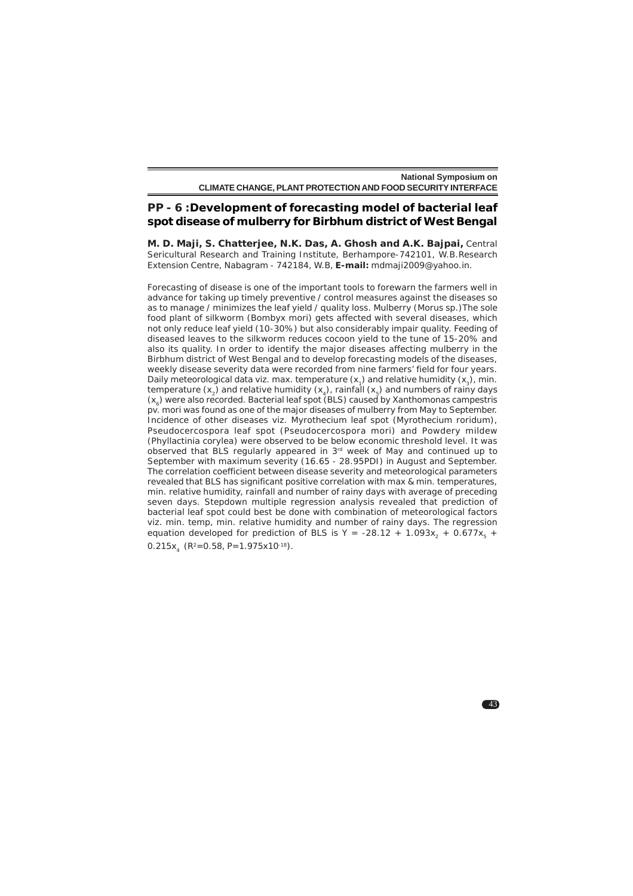# **PP - 6 :Development of forecasting model of bacterial leaf spot disease of mulberry for Birbhum district of West Bengal**

**M. D. Maji, S. Chatterjee, N.K. Das, A. Ghosh and A.K. Bajpai,** Central Sericultural Research and Training Institute, Berhampore-742101, W.B.Research Extension Centre, Nabagram - 742184, W.B, **E-mail:** mdmaji2009@yahoo.in.

Forecasting of disease is one of the important tools to forewarn the farmers well in advance for taking up timely preventive / control measures against the diseases so as to manage / minimizes the leaf yield / quality loss. Mulberry (*Morus* sp.)The sole food plant of silkworm (*Bombyx mori*) gets affected with several diseases, which not only reduce leaf yield (10-30%) but also considerably impair quality. Feeding of diseased leaves to the silkworm reduces cocoon yield to the tune of 15-20% and also its quality. In order to identify the major diseases affecting mulberry in the Birbhum district of West Bengal and to develop forecasting models of the diseases, weekly disease severity data were recorded from nine farmers' field for four years. Daily meteorological data viz. max. temperature  $(x_1)$  and relative humidity  $(x_2)$ , min. temperature  $(x_2)$  and relative humidity  $(x_4)$ , rainfall  $(x_5)$  and numbers of rainy days (x6) were also recorded. Bacterial leaf spot (BLS) caused by *Xanthomonas campestris* pv. *mori* was found as one of the major diseases of mulberry from May to September. Incidence of other diseases viz. Myrothecium leaf spot (*Myrothecium roridum*), Pseudocercospora leaf spot (Pseudocercospora mori) and Powdery mildew (*Phyllactinia corylea*) were observed to be below economic threshold level. It was observed that BLS regularly appeared in 3rd week of May and continued up to September with maximum severity (16.65 - 28.95PDI) in August and September. The correlation coefficient between disease severity and meteorological parameters revealed that BLS has significant positive correlation with max & min. temperatures, min. relative humidity, rainfall and number of rainy days with average of preceding seven days. Stepdown multiple regression analysis revealed that prediction of bacterial leaf spot could best be done with combination of meteorological factors viz. min. temp, min. relative humidity and number of rainy days. The regression equation developed for prediction of BLS is Y = -28.12 + 1.093 $x_2 + 0.677x_5 +$  $0.215x$ ,  $(R^2=0.58, P=1.975x10^{-18})$ .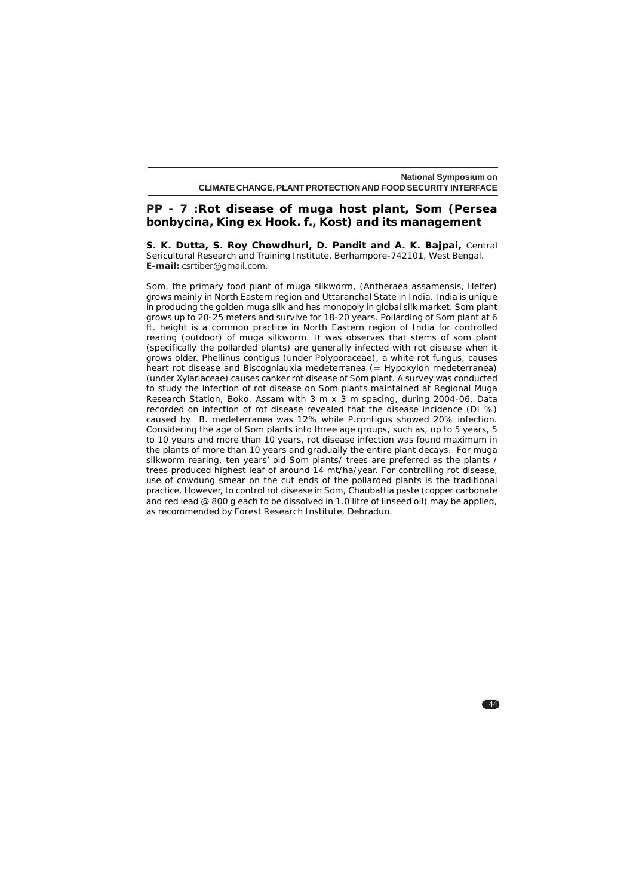# **PP - 7 :Rot disease of muga host plant, Som (***Persea bonbycina***, King ex Hook. f., Kost) and its management**

**S. K. Dutta, S. Roy Chowdhuri, D. Pandit and A. K. Bajpai***,* Central Sericultural Research and Training Institute, Berhampore-742101, West Bengal. **E-mail:** csrtiber@gmail.com.

Som, the primary food plant of muga silkworm, (*Antheraea assamensis,* Helfer) grows mainly in North Eastern region and Uttaranchal State in India. India is unique in producing the golden muga silk and has monopoly in global silk market. Som plant grows up to 20-25 meters and survive for 18-20 years. Pollarding of Som plant at 6 ft. height is a common practice in North Eastern region of India for controlled rearing (outdoor) of muga silkworm. It was observes that stems of som plant (specifically the pollarded plants) are generally infected with rot disease when it grows older. *Phellinus contigus* (under Polyporaceae), a white rot fungus, causes heart rot disease and Biscogniauxia medeterranea (= *Hypoxylon medeterran*ea) (under Xylariaceae) causes canker rot disease of Som plant. A survey was conducted to study the infection of rot disease on Som plants maintained at Regional Muga Research Station, Boko, Assam with 3 m x 3 m spacing, during 2004-06. Data recorded on infection of rot disease revealed that the disease incidence (DI %) caused by *B. medeterranea* was 12% while *P.contigus* showed 20% infection. Considering the age of Som plants into three age groups, such as, up to 5 years, 5 to 10 years and more than 10 years, rot disease infection was found maximum in the plants of more than 10 years and gradually the entire plant decays. For muga silkworm rearing, ten years' old Som plants/ trees are preferred as the plants / trees produced highest leaf of around 14 mt/ha/year. For controlling rot disease, use of cowdung smear on the cut ends of the pollarded plants is the traditional practice. However, to control rot disease in Som, Chaubattia paste (copper carbonate and red lead @ 800 g each to be dissolved in 1.0 litre of linseed oil) may be applied, as recommended by Forest Research Institute, Dehradun.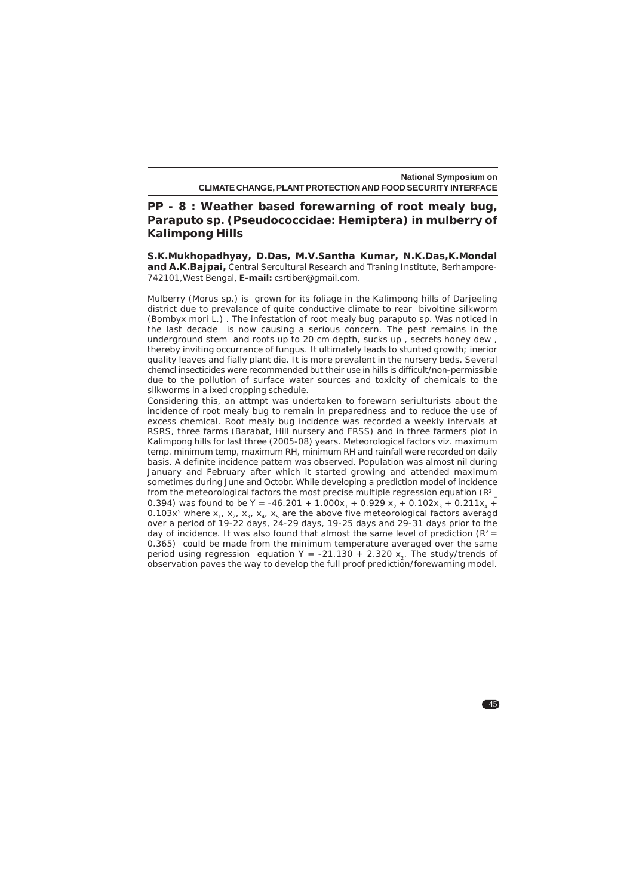# **PP - 8 : Weather based forewarning of root mealy bug,** *Paraputo* **sp. (Pseudococcidae: Hemiptera) in mulberry of Kalimpong Hills**

**S.K.Mukhopadhyay, D.Das, M.V.Santha Kumar, N.K.Das,K.Mondal and A.K.Bajpai***,* Central Sercultural Research and Traning Institute, Berhampore-742101,West Bengal, **E-mail:** csrtiber@gmail.com.

Mulberry (*Morus* sp.) is grown for its foliage in the Kalimpong hills of Darjeeling district due to prevalance of quite conductive climate to rear bivoltine silkworm (*Bombyx mori* L.) . The infestation of root mealy bug paraputo sp. Was noticed in the last decade is now causing a serious concern. The pest remains in the underground stem and roots up to 20 cm depth, sucks up , secrets honey dew , thereby inviting occurrance of fungus. It ultimately leads to stunted growth; inerior quality leaves and fially plant die. It is more prevalent in the nursery beds. Several chemcl insecticides were recommended but their use in hills is difficult/non-permissible due to the pollution of surface water sources and toxicity of chemicals to the silkworms in a ixed cropping schedule.

Considering this, an attmpt was undertaken to forewarn seriulturists about the incidence of root mealy bug to remain in preparedness and to reduce the use of excess chemical. Root mealy bug incidence was recorded a weekly intervals at RSRS, three farms (Barabat, Hill nursery and FRSS) and in three farmers plot in Kalimpong hills for last three (2005-08) years. Meteorological factors viz. maximum temp. minimum temp, maximum RH, minimum RH and rainfall were recorded on daily basis. A definite incidence pattern was observed. Population was almost nil during January and February after which it started growing and attended maximum sometimes during June and Octobr. While developing a prediction model of incidence from the meteorological factors the most precise multiple regression equation (R2 0.394) was found to be Y = -46.201 + 1.000 $x_1 + 0.929 x_2 + 0.102x_3 + 0.211x_4 + 0.029x_5 + 0.002x_6$ 0.103x<sup>5</sup> where x<sub>1</sub>, x<sub>2</sub>, x<sub>2</sub>, x<sub>4</sub>, x<sub>5</sub> are the above five meteorological factors averagd over a period of 19-22 days, 24-29 days, 19-25 days and 29-31 days prior to the day of incidence. It was also found that almost the same level of prediction ( $R^2$  = 0.365) could be made from the minimum temperature averaged over the same period using regression equation Y = -21.130 + 2.320 x<sub>2</sub>. The study/trends of observation paves the way to develop the full proof prediction/forewarning model.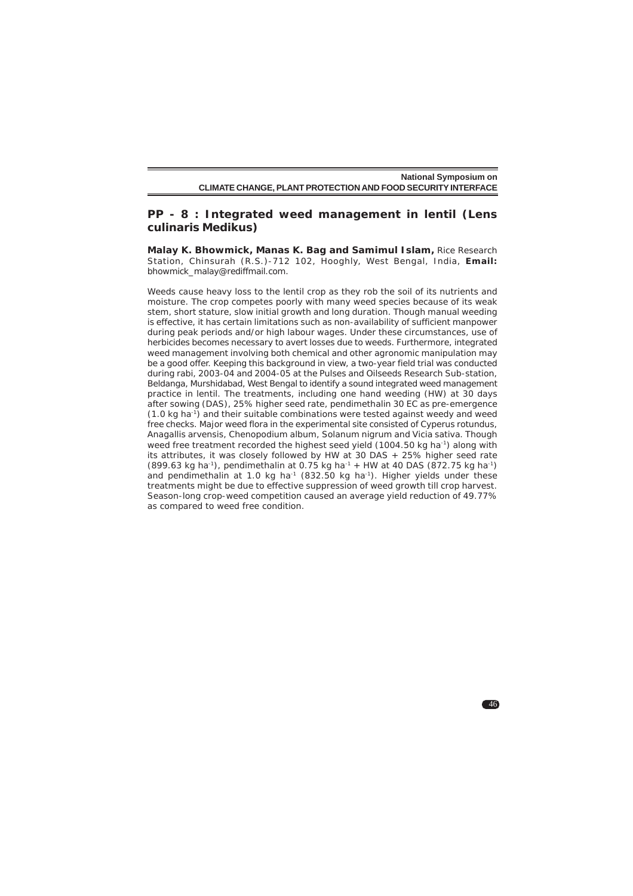# **PP - 8 : Integrated weed management in lentil (***Lens culinaris* **Medikus)**

**Malay K. Bhowmick, Manas K. Bag and Samimul Islam,** Rice Research Station, Chinsurah (R.S.)-712 102, Hooghly, West Bengal, India, **Email:** bhowmick\_malay@rediffmail.com.

Weeds cause heavy loss to the lentil crop as they rob the soil of its nutrients and moisture. The crop competes poorly with many weed species because of its weak stem, short stature, slow initial growth and long duration. Though manual weeding is effective, it has certain limitations such as non-availability of sufficient manpower during peak periods and/or high labour wages. Under these circumstances, use of herbicides becomes necessary to avert losses due to weeds. Furthermore, integrated weed management involving both chemical and other agronomic manipulation may be a good offer. Keeping this background in view, a two-year field trial was conducted during rabi, 2003-04 and 2004-05 at the Pulses and Oilseeds Research Sub-station, Beldanga, Murshidabad, West Bengal to identify a sound integrated weed management practice in lentil. The treatments, including one hand weeding (HW) at 30 days after sowing (DAS), 25% higher seed rate, pendimethalin 30 EC as pre-emergence  $(1.0 \text{ kg ha}^{-1})$  and their suitable combinations were tested against weedy and weed free checks. Major weed flora in the experimental site consisted of *Cyperus rotundus, Anagallis arvensis, Chenopodium album, Solanum nigrum* and *Vicia sativa*. Though weed free treatment recorded the highest seed yield (1004.50 kg ha<sup>-1</sup>) along with its attributes, it was closely followed by HW at 30 DAS + 25% higher seed rate  $(899.63 \text{ kg ha}^{-1})$ , pendimethalin at 0.75 kg ha<sup>-1</sup> + HW at 40 DAS  $(872.75 \text{ kg ha}^{-1})$ and pendimethalin at 1.0 kg ha<sup>-1</sup> (832.50 kg ha<sup>-1</sup>). Higher yields under these treatments might be due to effective suppression of weed growth till crop harvest. Season-long crop-weed competition caused an average yield reduction of 49.77% as compared to weed free condition.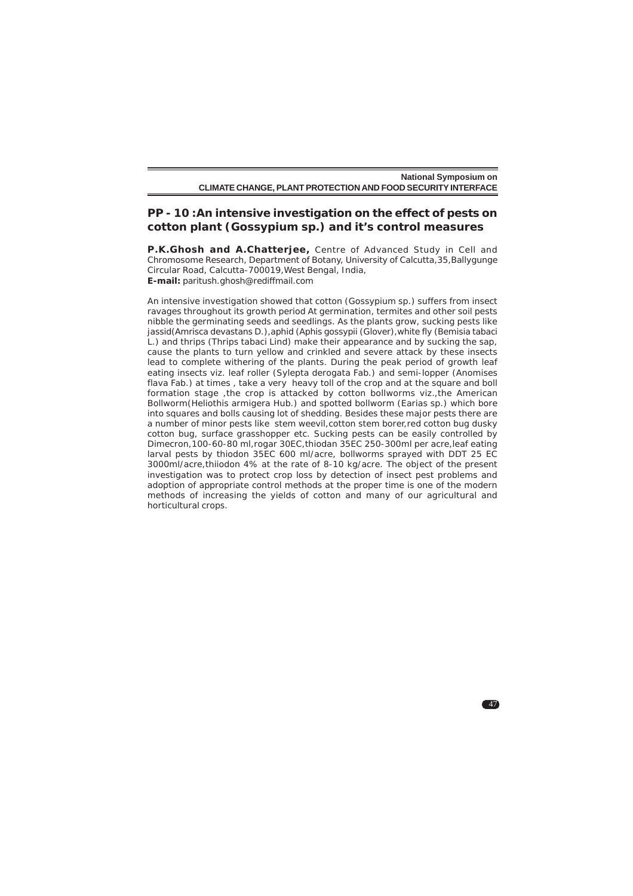# **PP - 10 :An intensive investigation on the effect of pests on cotton plant (***Gossypium* **sp.) and it's control measures**

**P.K.Ghosh and A.Chatterjee,** Centre of Advanced Study in Cell and Chromosome Research, Department of Botany, University of Calcutta,35,Ballygunge Circular Road, Calcutta-700019,West Bengal, India, **E-mail:** paritush.ghosh@rediffmail.com

An intensive investigation showed that cotton (*Gossypium* sp.) suffers from insect ravages throughout its growth period At germination, termites and other soil pests nibble the germinating seeds and seedlings. As the plants grow, sucking pests like jassid(*Amrisca devastans* D.),aphid (*Aphis gossypii* (Glover),white fly (*Bemisia tabaci* L.) and thrips (*Thrips tabaci* Lind) make their appearance and by sucking the sap, cause the plants to turn yellow and crinkled and severe attack by these insects lead to complete withering of the plants. During the peak period of growth leaf eating insects viz. leaf roller (*Sylepta derogata* Fab.) and semi-lopper (*Anomises flava* Fab.) at times , take a very heavy toll of the crop and at the square and boll formation stage , the crop is attacked by cotton bollworms viz., the American Bollworm(Heliothis armigera Hub.) and spotted bollworm (*Earias* sp.) which bore into squares and bolls causing lot of shedding. Besides these major pests there are a number of minor pests like stem weevil, cotton stem borer, red cotton bug dusky cotton bug, surface grasshopper etc. Sucking pests can be easily controlled by Dimecron,100-60-80 ml,rogar 30EC,thiodan 35EC 250-300ml per acre,leaf eating larval pests by thiodon 35EC 600 ml/acre, bollworms sprayed with DDT 25 EC 3000ml/acre,thiiodon 4% at the rate of 8-10 kg/acre. The object of the present investigation was to protect crop loss by detection of insect pest problems and adoption of appropriate control methods at the proper time is one of the modern methods of increasing the yields of cotton and many of our agricultural and horticultural crops.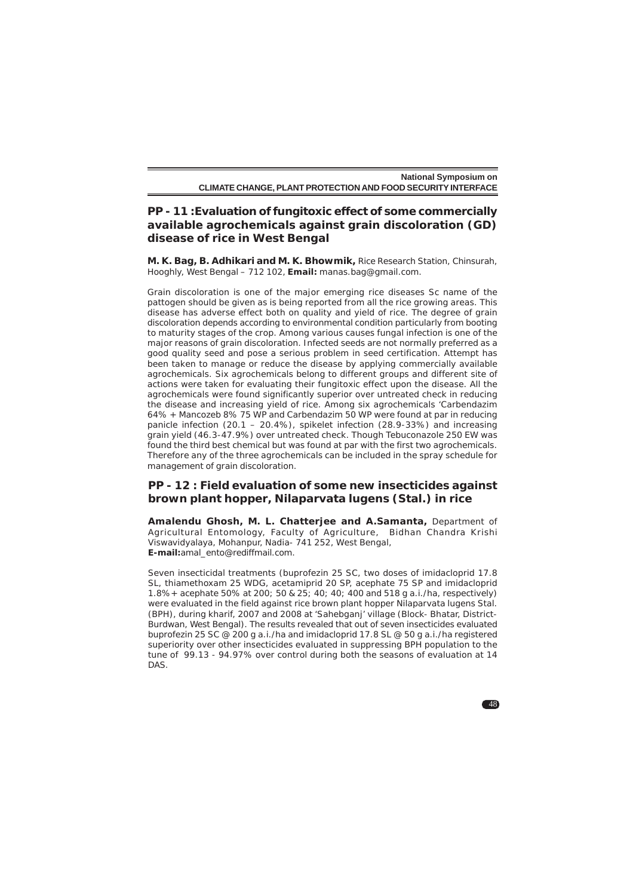# **PP - 11 :Evaluation of fungitoxic effect of some commercially available agrochemicals against grain discoloration (GD) disease of rice in West Bengal**

**M. K. Bag, B. Adhikari and M. K. Bhowmik,** Rice Research Station, Chinsurah, Hooghly, West Bengal – 712 102, **Email:** manas.bag@gmail.com.

Grain discoloration is one of the major emerging rice diseases Sc name of the pattogen should be given as is being reported from all the rice growing areas. This disease has adverse effect both on quality and yield of rice. The degree of grain discoloration depends according to environmental condition particularly from booting to maturity stages of the crop. Among various causes fungal infection is one of the major reasons of grain discoloration. Infected seeds are not normally preferred as a good quality seed and pose a serious problem in seed certification. Attempt has been taken to manage or reduce the disease by applying commercially available agrochemicals. Six agrochemicals belong to different groups and different site of actions were taken for evaluating their fungitoxic effect upon the disease. All the agrochemicals were found significantly superior over untreated check in reducing the disease and increasing yield of rice. Among six agrochemicals 'Carbendazim 64% + Mancozeb 8% 75 WP and Carbendazim 50 WP were found at par in reducing panicle infection (20.1 – 20.4%), spikelet infection (28.9-33%) and increasing grain yield (46.3-47.9%) over untreated check. Though Tebuconazole 250 EW was found the third best chemical but was found at par with the first two agrochemicals. Therefore any of the three agrochemicals can be included in the spray schedule for management of grain discoloration.

# **PP - 12 : Field evaluation of some new insecticides against brown plant hopper,** *Nilaparvata lugens* **(Stal.) in rice**

**Amalendu Ghosh, M. L. Chatterjee and A.Samanta***,* Department of Agricultural Entomology, Faculty of Agriculture, Bidhan Chandra Krishi Viswavidyalaya, Mohanpur, Nadia- 741 252, West Bengal, **E-mail:**amal\_ento@rediffmail.com.

Seven insecticidal treatments (buprofezin 25 SC, two doses of imidacloprid 17.8 SL, thiamethoxam 25 WDG, acetamiprid 20 SP, acephate 75 SP and imidacloprid 1.8%+ acephate 50% at 200; 50 & 25; 40; 40; 400 and 518 g a.i./ha, respectively) were evaluated in the field against rice brown plant hopper Nilaparvata lugens Stal. (BPH), during kharif, 2007 and 2008 at 'Sahebganj' village (Block- Bhatar, District-Burdwan, West Bengal). The results revealed that out of seven insecticides evaluated buprofezin 25 SC @ 200 g a.i./ha and imidacloprid 17.8 SL @ 50 g a.i./ha registered superiority over other insecticides evaluated in suppressing BPH population to the tune of 99.13 - 94.97% over control during both the seasons of evaluation at 14 DAS.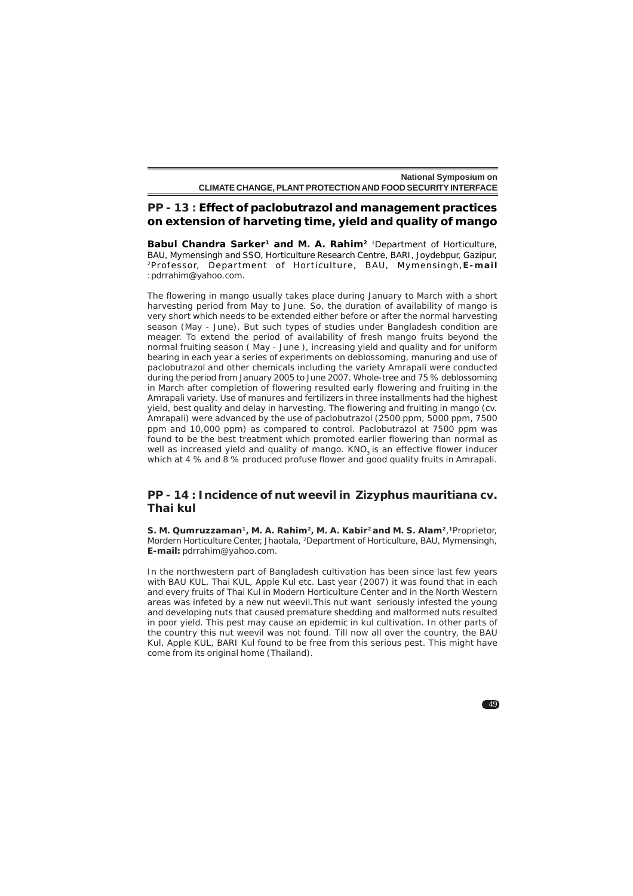# **PP - 13 : Effect of paclobutrazol and management practices on extension of harveting time, yield and quality of mango**

Babul Chandra Sarker<sup>1</sup> and M. A. Rahim<sup>2</sup> <sup>1</sup>Department of Horticulture, BAU, Mymensingh and SSO, Horticulture Research Centre, BARI, Joydebpur, Gazipur, <sup>2</sup>Professor, Department of Horticulture, BAU, Mymensingh, **E-mail** :pdrrahim@yahoo.com.

The flowering in mango usually takes place during January to March with a short harvesting period from May to June. So, the duration of availability of mango is very short which needs to be extended either before or after the normal harvesting season (May - June). But such types of studies under Bangladesh condition are meager. To extend the period of availability of fresh mango fruits beyond the normal fruiting season ( May - June ), increasing yield and quality and for uniform bearing in each year a series of experiments on deblossoming, manuring and use of paclobutrazol and other chemicals including the variety Amrapali were conducted during the period from January 2005 to June 2007. Whole-tree and 75 % deblossoming in March after completion of flowering resulted early flowering and fruiting in the Amrapali variety. Use of manures and fertilizers in three installments had the highest yield, best quality and delay in harvesting. The flowering and fruiting in mango (cv. Amrapali) were advanced by the use of paclobutrazol (2500 ppm, 5000 ppm, 7500 ppm and 10,000 ppm) as compared to control. Paclobutrazol at 7500 ppm was found to be the best treatment which promoted earlier flowering than normal as well as increased yield and quality of mango.  $KNO<sub>3</sub>$  is an effective flower inducer which at 4 % and 8 % produced profuse flower and good quality fruits in Amrapali.

#### **PP - 14 : Incidence of nut weevil in** *Zizyphus mauritiana* **cv. Thai kul**

**S. M. Qumruzzaman1, M. A. Rahim2, M. A. Kabir2 and M. S. Alam2**,**1**Proprietor, Mordern Horticulture Center, Jhaotala, 2Department of Horticulture, BAU, Mymensingh, **E-mail:** pdrrahim@yahoo.com.

In the northwestern part of Bangladesh cultivation has been since last few years with BAU KUL, Thai KUL, Apple Kul etc. Last year (2007) it was found that in each and every fruits of Thai Kul in Modern Horticulture Center and in the North Western areas was infeted by a new nut weevil.This nut want seriously infested the young and developing nuts that caused premature shedding and malformed nuts resulted in poor yield. This pest may cause an epidemic in kul cultivation. In other parts of the country this nut weevil was not found. Till now all over the country, the BAU Kul, Apple KUL, BARI Kul found to be free from this serious pest. This might have come from its original home (Thailand).

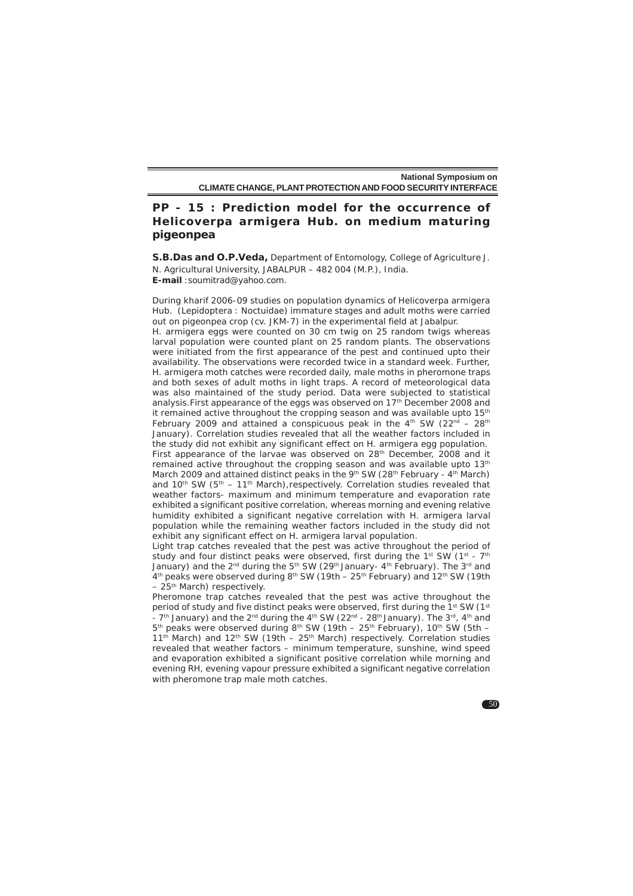# **PP - 15 : Prediction model for the occurrence of** *Helicoverpa armigera* **Hub. on medium maturing pigeonpea**

**S.B.Das and O.P.Veda,** Department of Entomology, College of Agriculture J. N. Agricultural University, JABALPUR – 482 004 (M.P.), India. **E-mail** :soumitrad@yahoo.com.

During kharif 2006-09 studies on population dynamics of *Helicoverpa armigera* Hub. (Lepidoptera : Noctuidae) immature stages and adult moths were carried out on pigeonpea crop (cv. JKM-7) in the experimental field at Jabalpur. *H. armigera* eggs were counted on 30 cm twig on 25 random twigs whereas larval population were counted plant on 25 random plants. The observations were initiated from the first appearance of the pest and continued upto their availability. The observations were recorded twice in a standard week. Further, *H. armigera* moth catches were recorded daily, male moths in pheromone traps and both sexes of adult moths in light traps. A record of meteorological data was also maintained of the study period. Data were subjected to statistical analysis. First appearance of the eggs was observed on 17<sup>th</sup> December 2008 and it remained active throughout the cropping season and was available upto 15<sup>th</sup> February 2009 and attained a conspicuous peak in the  $4<sup>th</sup>$  SW (22<sup>nd</sup> – 28<sup>th</sup> January). Correlation studies revealed that all the weather factors included in the study did not exhibit any significant effect on *H. armigera* egg population. First appearance of the larvae was observed on 28<sup>th</sup> December, 2008 and it remained active throughout the cropping season and was available upto 13<sup>th</sup> March 2009 and attained distinct peaks in the 9th SW (28th February -  $4<sup>th</sup>$  March) and 10<sup>th</sup> SW ( $5<sup>th</sup> - 11<sup>th</sup>$  March), respectively. Correlation studies revealed that weather factors- maximum and minimum temperature and evaporation rate exhibited a significant positive correlation, whereas morning and evening relative humidity exhibited a significant negative correlation with *H. armigera* larval population while the remaining weather factors included in the study did not exhibit any significant effect on *H. armigera* larval population.

Light trap catches revealed that the pest was active throughout the period of study and four distinct peaks were observed, first during the 1st SW (1st -  $7<sup>th</sup>$ January) and the 2<sup>nd</sup> during the 5<sup>th</sup> SW (29<sup>th</sup> January- 4<sup>th</sup> February). The 3<sup>rd</sup> and 4<sup>th</sup> peaks were observed during 8<sup>th</sup> SW (19th – 25<sup>th</sup> February) and 12<sup>th</sup> SW (19th – 25th March) respectively.

Pheromone trap catches revealed that the pest was active throughout the period of study and five distinct peaks were observed, first during the 1st SW (1st - 7<sup>th</sup> January) and the 2<sup>nd</sup> during the 4<sup>th</sup> SW (22<sup>nd</sup> - 28<sup>th</sup> January). The 3<sup>rd</sup>, 4<sup>th</sup> and  $5<sup>th</sup>$  peaks were observed during 8<sup>th</sup> SW (19th – 25<sup>th</sup> February), 10<sup>th</sup> SW (5th – 11<sup>th</sup> March) and 12<sup>th</sup> SW (19th – 25<sup>th</sup> March) respectively. Correlation studies revealed that weather factors – minimum temperature, sunshine, wind speed and evaporation exhibited a significant positive correlation while morning and evening RH, evening vapour pressure exhibited a significant negative correlation with pheromone trap male moth catches.

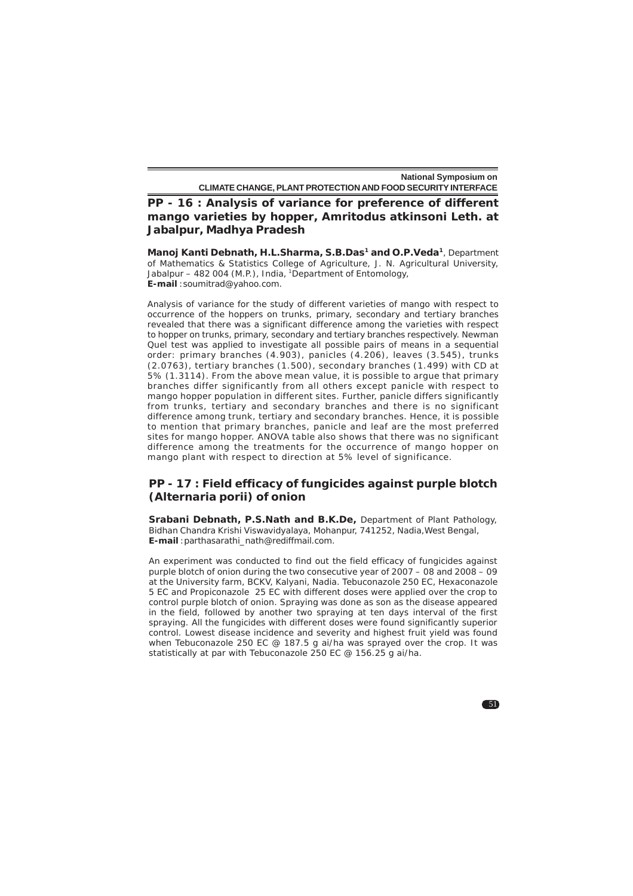**PP - 16 : Analysis of variance for preference of different mango varieties by hopper,** *Amritodus atkinsoni* **Leth. at Jabalpur, Madhya Pradesh**

**Manoj Kanti Debnath, H.L.Sharma, S.B.Das1 and O.P.Veda1**, Department of Mathematics & Statistics College of Agriculture, J. N. Agricultural University, Jabalpur – 482 004 (M.P.), India, 1Department of Entomology, **E-mail** :soumitrad@yahoo.com.

Analysis of variance for the study of different varieties of mango with respect to occurrence of the hoppers on trunks, primary, secondary and tertiary branches revealed that there was a significant difference among the varieties with respect to hopper on trunks, primary, secondary and tertiary branches respectively. Newman Quel test was applied to investigate all possible pairs of means in a sequential order: primary branches (4.903), panicles (4.206), leaves (3.545), trunks (2.0763), tertiary branches (1.500), secondary branches (1.499) with CD at 5% (1.3114). From the above mean value, it is possible to argue that primary branches differ significantly from all others except panicle with respect to mango hopper population in different sites. Further, panicle differs significantly from trunks, tertiary and secondary branches and there is no significant difference among trunk, tertiary and secondary branches. Hence, it is possible to mention that primary branches, panicle and leaf are the most preferred sites for mango hopper. ANOVA table also shows that there was no significant difference among the treatments for the occurrence of mango hopper on mango plant with respect to direction at 5% level of significance.

# **PP - 17 : Field efficacy of fungicides against purple blotch (***Alternaria porii***) of onion**

**Srabani Debnath, P.S.Nath and B.K.De,** Department of Plant Pathology, Bidhan Chandra Krishi Viswavidyalaya, Mohanpur, 741252, Nadia,West Bengal, **E-mail** :parthasarathi\_nath@rediffmail.com.

An experiment was conducted to find out the field efficacy of fungicides against purple blotch of onion during the two consecutive year of 2007 – 08 and 2008 – 09 at the University farm, BCKV, Kalyani, Nadia. Tebuconazole 250 EC, Hexaconazole 5 EC and Propiconazole 25 EC with different doses were applied over the crop to control purple blotch of onion. Spraying was done as son as the disease appeared in the field, followed by another two spraying at ten days interval of the first spraying. All the fungicides with different doses were found significantly superior control. Lowest disease incidence and severity and highest fruit yield was found when Tebuconazole 250 EC @ 187.5 g ai/ha was sprayed over the crop. It was statistically at par with Tebuconazole 250 EC @ 156.25 g ai/ha.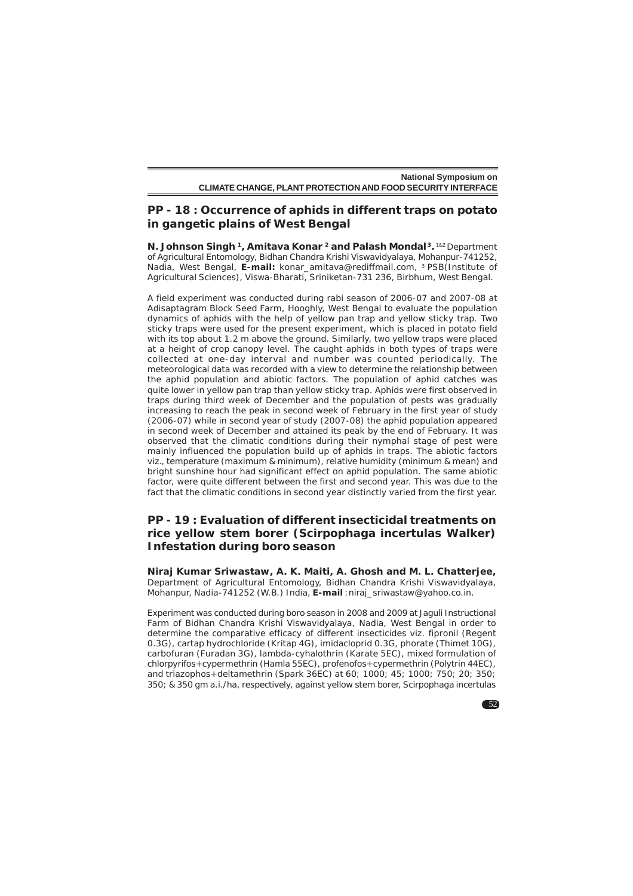## **PP - 18 : Occurrence of aphids in different traps on potato in gangetic plains of West Bengal**

**N. Johnson Singh <sup>1</sup>, Amitava Konar <sup>2</sup> and Palash Mondal<sup>3</sup>. <sup>1&2</sup> Department** of Agricultural Entomology, Bidhan Chandra Krishi Viswavidyalaya, Mohanpur-741252, Nadia, West Bengal, E-mail: konar\_amitava@rediffmail.com, <sup>3</sup> PSB(Institute of Agricultural Sciences), Viswa-Bharati, Sriniketan-731 236, Birbhum, West Bengal.

A field experiment was conducted during rabi season of 2006-07 and 2007-08 at Adisaptagram Block Seed Farm, Hooghly, West Bengal to evaluate the population dynamics of aphids with the help of yellow pan trap and yellow sticky trap. Two sticky traps were used for the present experiment, which is placed in potato field with its top about 1.2 m above the ground. Similarly, two yellow traps were placed at a height of crop canopy level. The caught aphids in both types of traps were collected at one-day interval and number was counted periodically. The meteorological data was recorded with a view to determine the relationship between the aphid population and abiotic factors. The population of aphid catches was quite lower in yellow pan trap than yellow sticky trap. Aphids were first observed in traps during third week of December and the population of pests was gradually increasing to reach the peak in second week of February in the first year of study (2006-07) while in second year of study (2007-08) the aphid population appeared in second week of December and attained its peak by the end of February. It was observed that the climatic conditions during their nymphal stage of pest were mainly influenced the population build up of aphids in traps. The abiotic factors viz., temperature (maximum & minimum), relative humidity (minimum & mean) and bright sunshine hour had significant effect on aphid population. The same abiotic factor, were quite different between the first and second year. This was due to the fact that the climatic conditions in second year distinctly varied from the first year.

# **PP - 19 : Evaluation of different insecticidal treatments on rice yellow stem borer (***Scirpophaga incertulas* **Walker) Infestation during** *boro* **season**

**Niraj Kumar Sriwastaw, A. K. Maiti, A. Ghosh and M. L. Chatterjee,** Department of Agricultural Entomology, Bidhan Chandra Krishi Viswavidyalaya, Mohanpur, Nadia-741252 (W.B.) India, **E-mail** :niraj\_sriwastaw@yahoo.co.in.

Experiment was conducted during boro season in 2008 and 2009 at Jaguli Instructional Farm of Bidhan Chandra Krishi Viswavidyalaya, Nadia, West Bengal in order to determine the comparative efficacy of different insecticides viz. fipronil (Regent 0.3G), cartap hydrochloride (Kritap 4G), imidacloprid 0.3G, phorate (Thimet 10G), carbofuran (Furadan 3G), lambda-cyhalothrin (Karate 5EC), mixed formulation of chlorpyrifos+cypermethrin (Hamla 55EC), profenofos+cypermethrin (Polytrin 44EC), and triazophos+deltamethrin (Spark 36EC) at 60; 1000; 45; 1000; 750; 20; 350; 350; & 350 gm a.i./ha, respectively, against yellow stem borer, *Scirpophaga incertulas*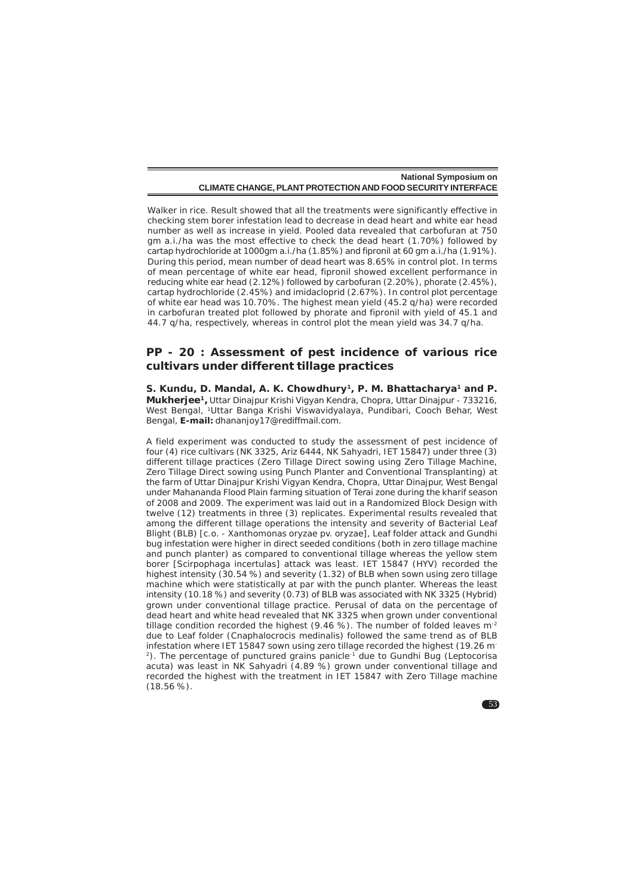Walker in rice. Result showed that all the treatments were significantly effective in checking stem borer infestation lead to decrease in dead heart and white ear head number as well as increase in yield. Pooled data revealed that carbofuran at 750 gm a.i./ha was the most effective to check the dead heart (1.70%) followed by cartap hydrochloride at 1000gm a.i./ha (1.85%) and fipronil at 60 gm a.i./ha (1.91%). During this period, mean number of dead heart was 8.65% in control plot. In terms of mean percentage of white ear head, fipronil showed excellent performance in reducing white ear head (2.12%) followed by carbofuran (2.20%), phorate (2.45%), cartap hydrochloride (2.45%) and imidacloprid (2.67%). In control plot percentage of white ear head was 10.70%. The highest mean yield (45.2 q/ha) were recorded in carbofuran treated plot followed by phorate and fipronil with yield of 45.1 and 44.7 q/ha, respectively, whereas in control plot the mean yield was 34.7 q/ha.

#### **PP - 20 : Assessment of pest incidence of various rice cultivars under different tillage practices**

S. Kundu, D. Mandal, A. K. Chowdhury<sup>1</sup>, P. M. Bhattacharya<sup>1</sup> and P. **Mukherjee1,** Uttar Dinajpur Krishi Vigyan Kendra, Chopra, Uttar Dinajpur - 733216, West Bengal, 1Uttar Banga Krishi Viswavidyalaya, Pundibari, Cooch Behar, West Bengal, **E-mail:** dhananjoy17@rediffmail.com.

A field experiment was conducted to study the assessment of pest incidence of four (4) rice cultivars (NK 3325, Ariz 6444, NK Sahyadri, IET 15847) under three (3) different tillage practices (Zero Tillage Direct sowing using Zero Tillage Machine, Zero Tillage Direct sowing using Punch Planter and Conventional Transplanting) at the farm of Uttar Dinajpur Krishi Vigyan Kendra, Chopra, Uttar Dinajpur, West Bengal under Mahananda Flood Plain farming situation of Terai zone during the kharif season of 2008 and 2009. The experiment was laid out in a Randomized Block Design with twelve (12) treatments in three (3) replicates. Experimental results revealed that among the different tillage operations the intensity and severity of Bacterial Leaf Blight (BLB) [c.o. - *Xanthomonas oryzae* pv. *oryzae*], Leaf folder attack and Gundhi bug infestation were higher in direct seeded conditions (both in zero tillage machine and punch planter) as compared to conventional tillage whereas the yellow stem borer [*Scirpophaga incertulas*] attack was least. IET 15847 (HYV) recorded the highest intensity (30.54 %) and severity (1.32) of BLB when sown using zero tillage machine which were statistically at par with the punch planter. Whereas the least intensity (10.18 %) and severity (0.73) of BLB was associated with NK 3325 (Hybrid) grown under conventional tillage practice. Perusal of data on the percentage of dead heart and white head revealed that NK 3325 when grown under conventional tillage condition recorded the highest (9.46 %). The number of folded leaves  $m<sup>2</sup>$ due to Leaf folder (*Cnaphalocrocis medinalis*) followed the same trend as of BLB infestation where IET 15847 sown using zero tillage recorded the highest (19.26 m<sup>-</sup> 2). The percentage of punctured grains panicle-1 due to Gundhi Bug (*Leptocorisa acuta)* was least in NK Sahyadri (4.89 %) grown under conventional tillage and recorded the highest with the treatment in IET 15847 with Zero Tillage machine  $(18.56\%)$ .

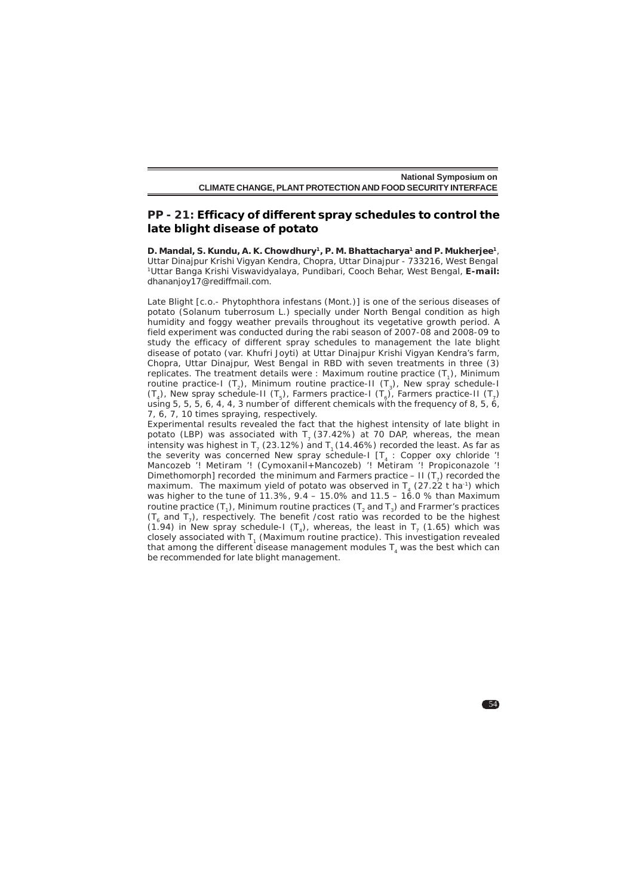#### **PP - 21: Efficacy of different spray schedules to control the late blight disease of potato**

**D. Mandal, S. Kundu, A. K. Chowdhury1, P. M. Bhattacharya1 and P. Mukherjee1**, Uttar Dinajpur Krishi Vigyan Kendra, Chopra, Uttar Dinajpur - 733216, West Bengal 1Uttar Banga Krishi Viswavidyalaya, Pundibari, Cooch Behar, West Bengal, **E-mail:** dhananjoy17@rediffmail.com.

Late Blight [c.o.- *Phytophthora infestans* (Mont.)] is one of the serious diseases of potato (Solanum tuberrosum L.) specially under North Bengal condition as high humidity and foggy weather prevails throughout its vegetative growth period. A field experiment was conducted during the rabi season of 2007-08 and 2008-09 to study the efficacy of different spray schedules to management the late blight disease of potato (var. Khufri Joyti) at Uttar Dinajpur Krishi Vigyan Kendra's farm, Chopra, Uttar Dinajpur, West Bengal in RBD with seven treatments in three (3) replicates. The treatment details were : Maximum routine practice  $(T<sub>1</sub>)$ , Minimum routine practice-I (T<sub>2</sub>), Minimum routine practice-II (T<sub>3</sub>), New spray schedule-I  $(T_4)$ , New spray schedule-II  $(T_5)$ , Farmers practice-I  $(T_6)$ , Farmers practice-II  $(T_7)$ using 5, 5, 5, 6, 4, 4, 3 number of different chemicals with the frequency of 8, 5, 6, 7, 6, 7, 10 times spraying, respectively.

Experimental results revealed the fact that the highest intensity of late blight in potato (LBP) was associated with  $T<sub>7</sub>$  (37.42%) at 70 DAP, whereas, the mean intensity was highest in  $T<sub>2</sub>$  (23.12%) and  $T<sub>1</sub>$  (14.46%) recorded the least. As far as the severity was concerned New spray schedule-I  $[T_4 :$  Copper oxy chloride '! Mancozeb '! Metiram '! (Cymoxanil+Mancozeb) '! Metiram '! Propiconazole '! Dimethomorph] recorded the minimum and Farmers practice – II  $(T<sub>7</sub>)$  recorded the maximum. The maximum yield of potato was observed in  $T<sub>4</sub>$  (27.22 t ha<sup>-1</sup>) which was higher to the tune of 11.3%,  $9.4 - 15.0\%$  and  $11.5 - 16.0\%$  than Maximum routine practice  $(T_1)$ , Minimum routine practices  $(T_2$  and  $T_3)$  and Frarmer's practices (T<sub>c</sub> and T<sub>7</sub>), respectively. The benefit /cost ratio was recorded to be the highest (1.94) in New spray schedule-I (T<sub>a</sub>), whereas, the least in T<sub>7</sub> (1.65) which was closely associated with T<sub>1</sub> (Maximum routine practice). This investigation revealed that among the different disease management modules  $T<sub>4</sub>$  was the best which can be recommended for late blight management.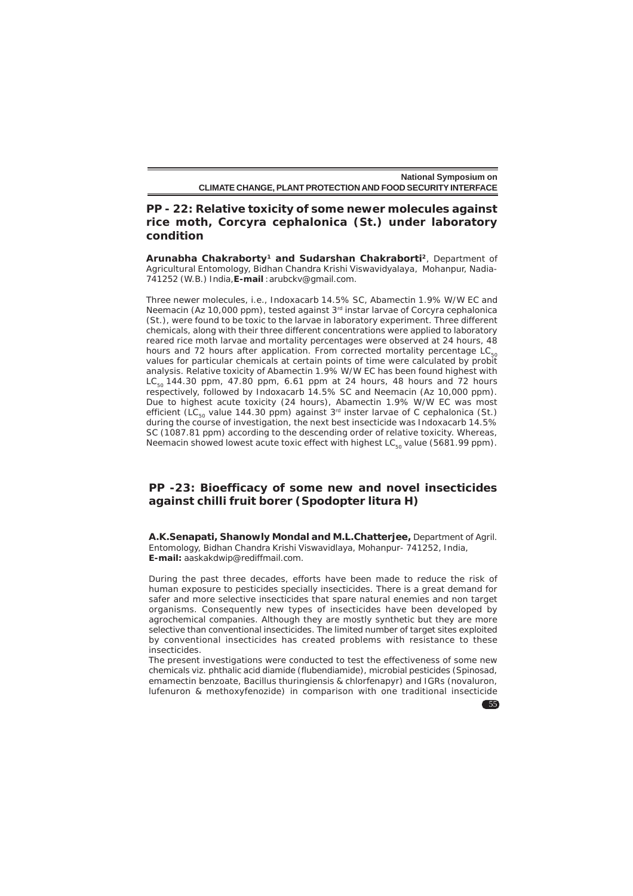# **PP - 22: Relative toxicity of some newer molecules against rice moth,** *Corcyra cephalonica* **(St.) under laboratory condition**

**Arunabha Chakraborty1 and Sudarshan Chakraborti2**, Department of Agricultural Entomology, Bidhan Chandra Krishi Viswavidyalaya, Mohanpur, Nadia-741252 (W.B.) India,**E-mail** :arubckv@gmail.com.

Three newer molecules, i.e., Indoxacarb 14.5% SC, Abamectin 1.9% W/W EC and Neemacin (Az 10,000 ppm), tested against 3rd instar larvae of *Corcyra cephalonica* (St.), were found to be toxic to the larvae in laboratory experiment. Three different chemicals, along with their three different concentrations were applied to laboratory reared rice moth larvae and mortality percentages were observed at 24 hours, 48 hours and 72 hours after application. From corrected mortality percentage  $LC_{50}$ values for particular chemicals at certain points of time were calculated by probit analysis. Relative toxicity of Abamectin 1.9% W/W EC has been found highest with  $LC_{\rm so}$  144.30 ppm, 47.80 ppm, 6.61 ppm at 24 hours, 48 hours and 72 hours respectively, followed by Indoxacarb 14.5% SC and Neemacin (Az 10,000 ppm). Due to highest acute toxicity (24 hours), Abamectin 1.9% W/W EC was most efficient (LC<sub>50</sub> value 144.30 ppm) against  $3<sup>rd</sup>$  inster larvae of *C cephalonica* (St.) during the course of investigation, the next best insecticide was Indoxacarb 14.5% SC (1087.81 ppm) according to the descending order of relative toxicity. Whereas, Neemacin showed lowest acute toxic effect with highest  $LC_{\kappa_0}$  value (5681.99 ppm).

# **PP -23: Bioefficacy of some new and novel insecticides against chilli fruit borer (***Spodopter litura* **H)**

**A.K.Senapati, Shanowly Mondal and M.L.Chatterjee,** Department of Agril. Entomology, Bidhan Chandra Krishi Viswavidlaya, Mohanpur- 741252, India, **E-mail:** aaskakdwip@rediffmail.com.

During the past three decades, efforts have been made to reduce the risk of human exposure to pesticides specially insecticides. There is a great demand for safer and more selective insecticides that spare natural enemies and non target organisms. Consequently new types of insecticides have been developed by agrochemical companies. Although they are mostly synthetic but they are more selective than conventional insecticides. The limited number of target sites exploited by conventional insecticides has created problems with resistance to these insecticides.

The present investigations were conducted to test the effectiveness of some new chemicals viz. phthalic acid diamide (flubendiamide), microbial pesticides (Spinosad, emamectin benzoate, Bacillus thuringiensis & chlorfenapyr) and IGRs (novaluron, lufenuron & methoxyfenozide) in comparison with one traditional insecticide

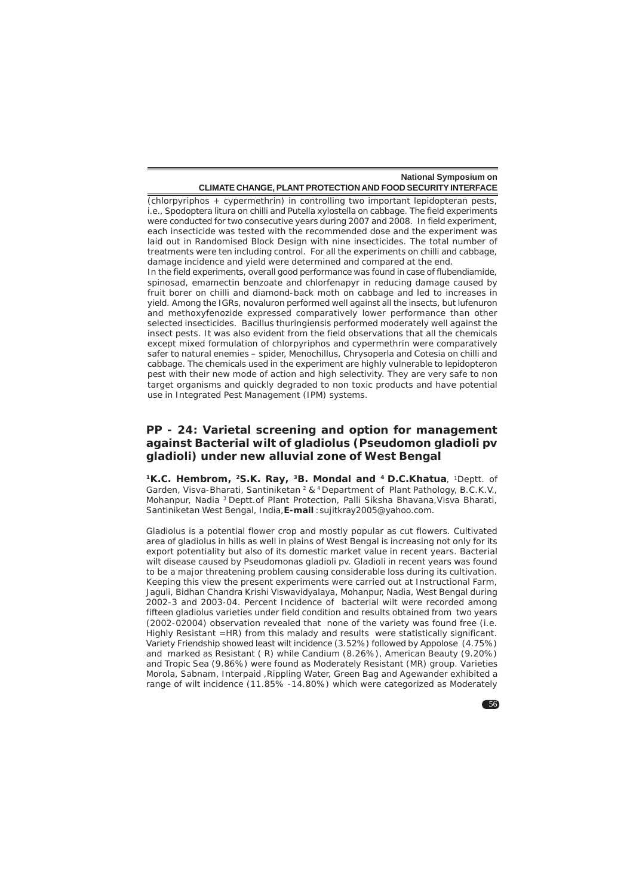(chlorpyriphos + cypermethrin) in controlling two important lepidopteran pests, i.e., *Spodoptera litura* on chilli and *Putella xylostella* on cabbage. The field experiments were conducted for two consecutive years during 2007 and 2008. In field experiment, each insecticide was tested with the recommended dose and the experiment was laid out in Randomised Block Design with nine insecticides. The total number of treatments were ten including control. For all the experiments on chilli and cabbage, damage incidence and yield were determined and compared at the end.

In the field experiments, overall good performance was found in case of flubendiamide, spinosad, emamectin benzoate and chlorfenapyr in reducing damage caused by fruit borer on chilli and diamond-back moth on cabbage and led to increases in yield. Among the IGRs, novaluron performed well against all the insects, but lufenuron and methoxyfenozide expressed comparatively lower performance than other selected insecticides. Bacillus thuringiensis performed moderately well against the insect pests. It was also evident from the field observations that all the chemicals except mixed formulation of chlorpyriphos and cypermethrin were comparatively safer to natural enemies – spider, Menochillus, Chrysoperla and Cotesia on chilli and cabbage. The chemicals used in the experiment are highly vulnerable to lepidopteron pest with their new mode of action and high selectivity. They are very safe to non target organisms and quickly degraded to non toxic products and have potential use in Integrated Pest Management (IPM) systems.

# **PP - 24: Varietal screening and option for management against Bacterial wilt of gladiolus (***Pseudomon gladioli* **pv** *gladioli***) under new alluvial zone of West Bengal**

**1K.C. Hembrom, 2S.K. Ray, 3B. Mondal and 4 D.C.Khatua**, 1Deptt. of Garden, Visva-Bharati, Santiniketan 2 & 4 Department of Plant Pathology, B.C.K.V., Mohanpur, Nadia 3 Deptt.of Plant Protection, Palli Siksha Bhavana,Visva Bharati, Santiniketan West Bengal, India,**E-mail** :sujitkray2005@yahoo.com.

Gladiolus is a potential flower crop and mostly popular as cut flowers. Cultivated area of gladiolus in hills as well in plains of West Bengal is increasing not only for its export potentiality but also of its domestic market value in recent years. Bacterial wilt disease caused by Pseudomonas gladioli pv. Gladioli in recent years was found to be a major threatening problem causing considerable loss during its cultivation. Keeping this view the present experiments were carried out at Instructional Farm, Jaguli, Bidhan Chandra Krishi Viswavidyalaya, Mohanpur, Nadia, West Bengal during 2002-3 and 2003-04. Percent Incidence of bacterial wilt were recorded among fifteen gladiolus varieties under field condition and results obtained from two years (2002-02004) observation revealed that none of the variety was found free (i.e. Highly Resistant =HR) from this malady and results were statistically significant. Variety Friendship showed least wilt incidence (3.52%) followed by Appolose (4.75%) and marked as Resistant ( R) while Candium (8.26%), American Beauty (9.20%) and Tropic Sea (9.86%) were found as Moderately Resistant (MR) group. Varieties Morola, Sabnam, Interpaid ,Rippling Water, Green Bag and Agewander exhibited a range of wilt incidence (11.85% -14.80%) which were categorized as Moderately

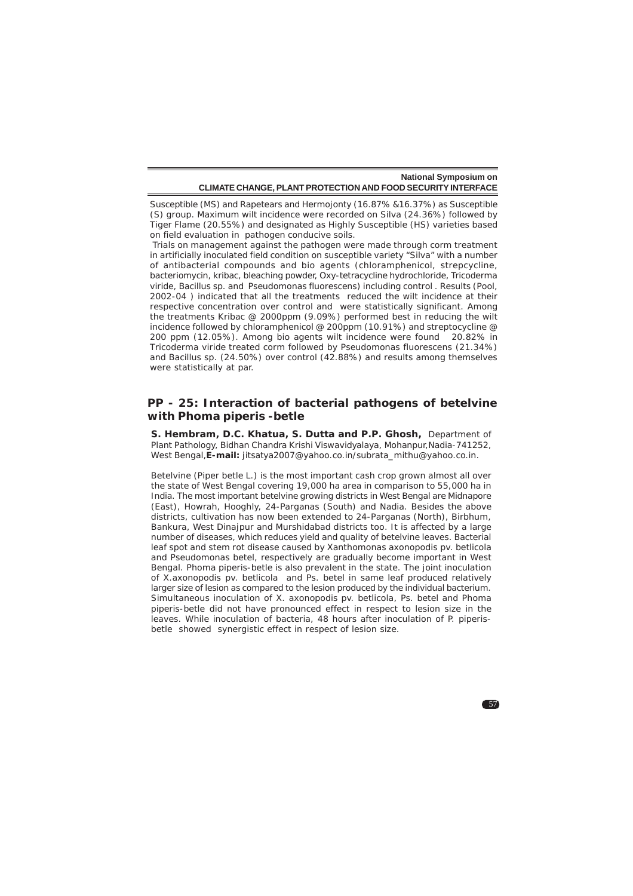Susceptible (MS) and Rapetears and Hermojonty (16.87% &16.37%) as Susceptible (S) group. Maximum wilt incidence were recorded on Silva (24.36%) followed by Tiger Flame (20.55%) and designated as Highly Susceptible (HS) varieties based on field evaluation in pathogen conducive soils.

 Trials on management against the pathogen were made through corm treatment in artificially inoculated field condition on susceptible variety "Silva" with a number of antibacterial compounds and bio agents (chloramphenicol, strepcycline, bacteriomycin, kribac, bleaching powder, Oxy-tetracycline hydrochloride, Tricoderma viride, Bacillus sp. and Pseudomonas fluorescens) including control . Results (Pool, 2002-04 ) indicated that all the treatments reduced the wilt incidence at their respective concentration over control and were statistically significant. Among the treatments Kribac @ 2000ppm (9.09%) performed best in reducing the wilt incidence followed by chloramphenicol @ 200ppm (10.91%) and streptocycline @ 200 ppm (12.05%). Among bio agents wilt incidence were found 20.82% in *Tricoderma viride* treated corm followed by *Pseudomonas fluorescens* (21.34%) and *Bacillus* sp. (24.50%) over control (42.88%) and results among themselves were statistically at par.

#### **PP - 25: Interaction of bacterial pathogens of betelvine with** *Phoma piperis -betle*

**S. Hembram, D.C. Khatua, S. Dutta and P.P. Ghosh,** Department of Plant Pathology, Bidhan Chandra Krishi Viswavidyalaya, Mohanpur, Nadia-741252, West Bengal,**E-mail:** jitsatya2007@yahoo.co.in/subrata\_mithu@yahoo.co.in.

Betelvine (*Piper betle* L.) is the most important cash crop grown almost all over the state of West Bengal covering 19,000 ha area in comparison to 55,000 ha in India. The most important betelvine growing districts in West Bengal are Midnapore (East), Howrah, Hooghly, 24-Parganas (South) and Nadia. Besides the above districts, cultivation has now been extended to 24-Parganas (North), Birbhum, Bankura, West Dinajpur and Murshidabad districts too. It is affected by a large number of diseases, which reduces yield and quality of betelvine leaves. Bacterial leaf spot and stem rot disease caused by *Xanthomonas axonopodis* pv. *betlicola* and *Pseudomonas betel*, respectively are gradually become important in West Bengal. *Phoma piperis-betle* is also prevalent in the state. The joint inoculation of *X.axonopodis* pv. *betlicola* and *Ps. betel* in same leaf produced relatively larger size of lesion as compared to the lesion produced by the individual bacterium. Simultaneous inoculation of *X. axonopodis* pv. *betlicola*, *Ps. betel* and *Phoma piperis-betle* did not have pronounced effect in respect to lesion size in the leaves. While inoculation of bacteria, 48 hours after inoculation of P. piperisbetle showed synergistic effect in respect of lesion size.

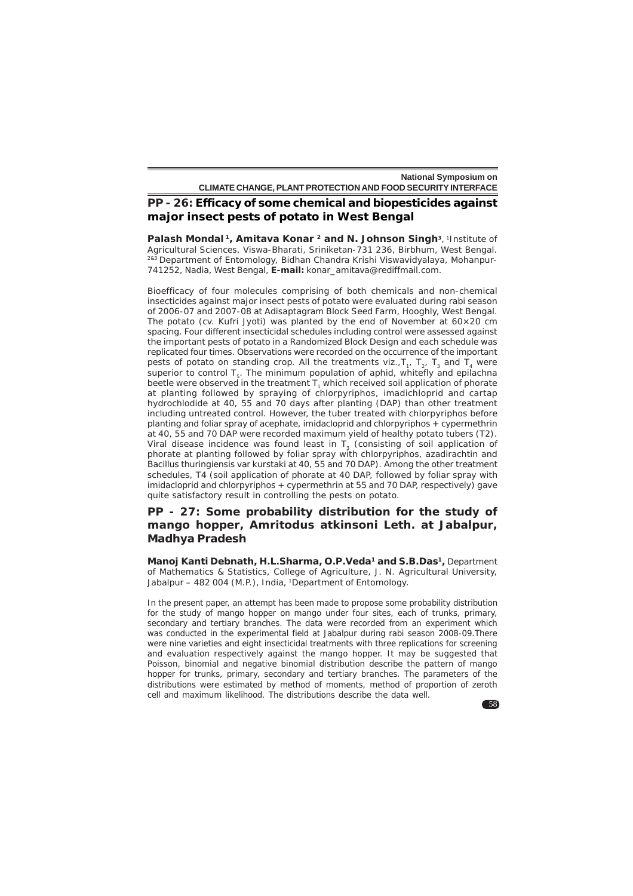# **PP - 26: Efficacy of some chemical and biopesticides against major insect pests of potato in West Bengal**

Palash Mondal<sup>1</sup>, Amitava Konar<sup>2</sup> and N. Johnson Singh<sup>3</sup>, 1Institute of Agricultural Sciences, Viswa-Bharati, Sriniketan-731 236, Birbhum, West Bengal. <sup>2&3</sup> Department of Entomology, Bidhan Chandra Krishi Viswavidyalaya, Mohanpur-741252, Nadia, West Bengal, **E-mail:** konar\_amitava@rediffmail.com.

Bioefficacy of four molecules comprising of both chemicals and non-chemical insecticides against major insect pests of potato were evaluated during rabi season of 2006-07 and 2007-08 at Adisaptagram Block Seed Farm, Hooghly, West Bengal. The potato (cv. Kufri Jyoti) was planted by the end of November at  $60\times20$  cm spacing. Four different insecticidal schedules including control were assessed against the important pests of potato in a Randomized Block Design and each schedule was replicated four times. Observations were recorded on the occurrence of the important pests of potato on standing crop. All the treatments viz.,  $T_1$ ,  $T_2$ ,  $T_3$  and  $T_4$  were superior to control  $T_{\rm g}$ . The minimum population of aphid, whitefly and epilachna beetle were observed in the treatment  $T_1$  which received soil application of phorate at planting followed by spraying of chlorpyriphos, imadichloprid and cartap hydrochlodide at 40, 55 and 70 days after planting (DAP) than other treatment including untreated control. However, the tuber treated with chlorpyriphos before planting and foliar spray of acephate, imidacloprid and chlorpyriphos + cypermethrin at 40, 55 and 70 DAP were recorded maximum yield of healthy potato tubers (T2). Viral disease incidence was found least in  $T<sub>3</sub>$  (consisting of soil application of phorate at planting followed by foliar spray with chlorpyriphos, azadirachtin and *Bacillus thuringiensis* var *kurstaki* at 40, 55 and 70 DAP). Among the other treatment schedules, T4 (soil application of phorate at 40 DAP, followed by foliar spray with imidacloprid and chlorpyriphos + cypermethrin at 55 and 70 DAP, respectively) gave quite satisfactory result in controlling the pests on potato.

### **PP - 27: Some probability distribution for the study of mango hopper,** *Amritodus atkinsoni* **Leth. at Jabalpur, Madhya Pradesh**

**Manoj Kanti Debnath, H.L.Sharma, O.P.Veda1 and S.B.Das1,** Department of Mathematics & Statistics, College of Agriculture, J. N. Agricultural University, Jabalpur – 482 004 (M.P.), India, 1Department of Entomology.

In the present paper, an attempt has been made to propose some probability distribution for the study of mango hopper on mango under four sites, each of trunks, primary, secondary and tertiary branches. The data were recorded from an experiment which was conducted in the experimental field at Jabalpur during *rabi* season 2008-09.There were nine varieties and eight insecticidal treatments with three replications for screening and evaluation respectively against the mango hopper. It may be suggested that Poisson, binomial and negative binomial distribution describe the pattern of mango hopper for trunks, primary, secondary and tertiary branches. The parameters of the distributions were estimated by method of moments, method of proportion of zeroth cell and maximum likelihood. The distributions describe the data well.

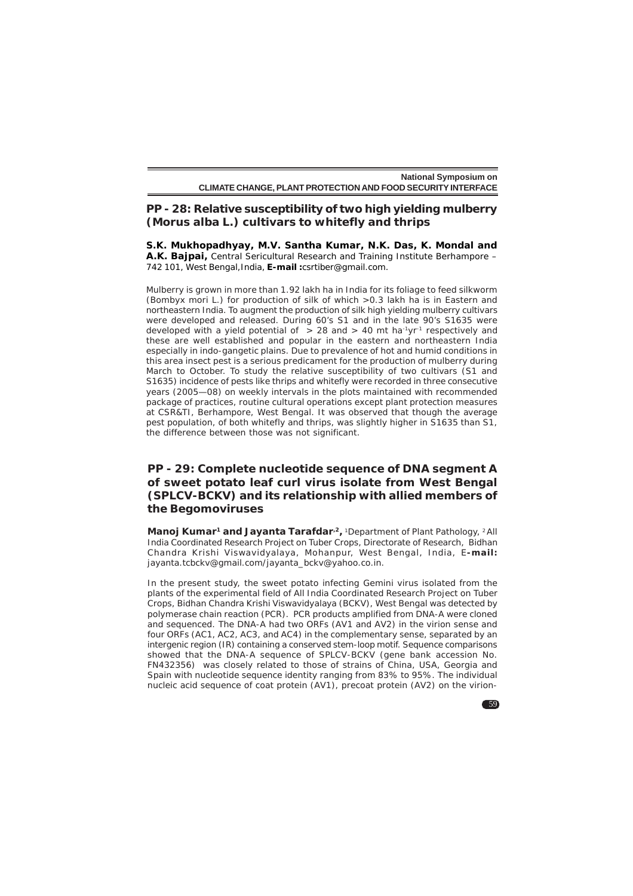# **PP - 28: Relative susceptibility of two high yielding mulberry (***Morus alba* **L.) cultivars to whitefly and thrips**

**S.K. Mukhopadhyay, M.V. Santha Kumar, N.K. Das, K. Mondal and A.K. Bajpai,** Central Sericultural Research and Training Institute Berhampore – 742 101, West Bengal,India, **E-mail :**csrtiber@gmail.com.

Mulberry is grown in more than 1.92 lakh ha in India for its foliage to feed silkworm (*Bombyx mori* L.) for production of silk of which >0.3 lakh ha is in Eastern and northeastern India. To augment the production of silk high yielding mulberry cultivars were developed and released. During 60's S1 and in the late 90's S1635 were developed with a yield potential of  $\geq$  28 and  $>$  40 mt ha<sup>-1</sup>yr<sup>-1</sup> respectively and these are well established and popular in the eastern and northeastern India especially in indo-gangetic plains. Due to prevalence of hot and humid conditions in this area insect pest is a serious predicament for the production of mulberry during March to October. To study the relative susceptibility of two cultivars (S1 and S1635) incidence of pests like thrips and whitefly were recorded in three consecutive years (2005—08) on weekly intervals in the plots maintained with recommended package of practices, routine cultural operations except plant protection measures at CSR&TI, Berhampore, West Bengal. It was observed that though the average pest population, of both whitefly and thrips, was slightly higher in S1635 than S1, the difference between those was not significant.

# **PP - 29: Complete nucleotide sequence of DNA segment A of sweet potato leaf curl virus isolate from West Bengal (SPLCV-BCKV) and its relationship with allied members of the Begomoviruses**

Manoj Kumar<sup>1</sup> and Jayanta Tarafdar<sup>,2</sup>, <sup>1</sup>Department of Plant Pathology, <sup>2</sup> All India Coordinated Research Project on Tuber Crops, Directorate of Research, Bidhan Chandra Krishi Viswavidyalaya, Mohanpur, West Bengal, India, E**-mail:** jayanta.tcbckv@gmail.com/jayanta\_bckv@yahoo.co.in.

In the present study, the sweet potato infecting Gemini virus isolated from the plants of the experimental field of All India Coordinated Research Project on Tuber Crops, Bidhan Chandra Krishi Viswavidyalaya (BCKV), West Bengal was detected by polymerase chain reaction (PCR). PCR products amplified from DNA-A were cloned and sequenced. The DNA-A had two ORFs (AV1 and AV2) in the virion sense and four ORFs (AC1, AC2, AC3, and AC4) in the complementary sense, separated by an intergenic region (IR) containing a conserved stem-loop motif. Sequence comparisons showed that the DNA-A sequence of SPLCV-BCKV (gene bank accession No. FN432356) was closely related to those of strains of China, USA, Georgia and Spain with nucleotide sequence identity ranging from 83% to 95%. The individual nucleic acid sequence of coat protein (AV1), precoat protein (AV2) on the virion-

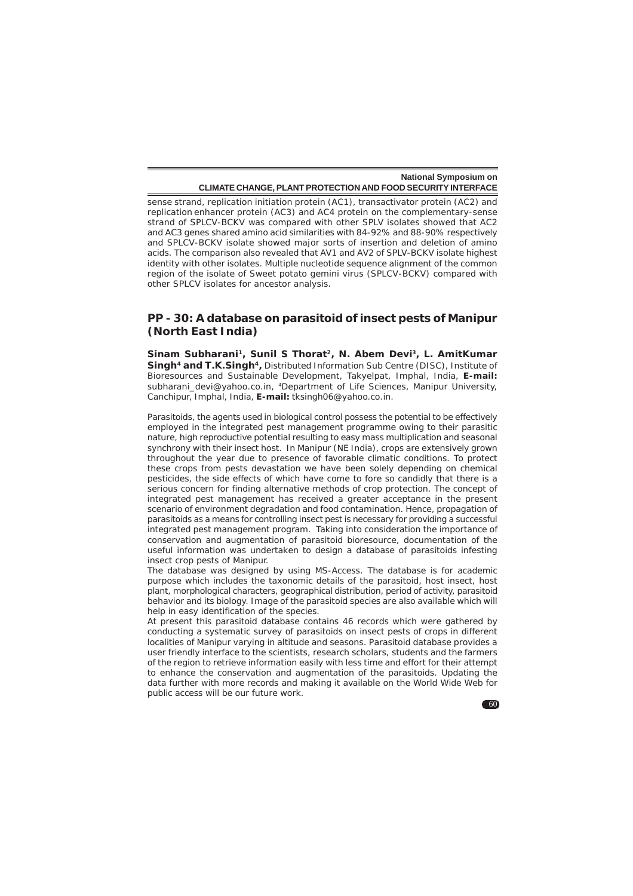sense strand, replication initiation protein (AC1), transactivator protein (AC2) and replication enhancer protein (AC3) and AC4 protein on the complementary-sense strand of SPLCV-BCKV was compared with other SPLV isolates showed that AC2 and AC3 genes shared amino acid similarities with 84-92% and 88-90% respectively and SPLCV-BCKV isolate showed major sorts of insertion and deletion of amino acids. The comparison also revealed that AV1 and AV2 of SPLV-BCKV isolate highest identity with other isolates. Multiple nucleotide sequence alignment of the common region of the isolate of Sweet potato gemini virus (SPLCV-BCKV) compared with other SPLCV isolates for ancestor analysis.

#### **PP - 30: A database on parasitoid of insect pests of Manipur (North East India)**

Sinam Subharani<sup>1</sup>, Sunil S Thorat<sup>2</sup>, N. Abem Devi<sup>3</sup>, L. AmitKumar **Singh4 and T.K.Singh4,** Distributed Information Sub Centre (DISC), Institute of Bioresources and Sustainable Development, Takyelpat, Imphal, India, **E-mail:** subharani devi@yahoo.co.in, <sup>4</sup>Department of Life Sciences, Manipur University, Canchipur, Imphal, India, **E-mail:** tksingh06@yahoo.co.in.

Parasitoids, the agents used in biological control possess the potential to be effectively employed in the integrated pest management programme owing to their parasitic nature, high reproductive potential resulting to easy mass multiplication and seasonal synchrony with their insect host. In Manipur (NE India), crops are extensively grown throughout the year due to presence of favorable climatic conditions. To protect these crops from pests devastation we have been solely depending on chemical pesticides, the side effects of which have come to fore so candidly that there is a serious concern for finding alternative methods of crop protection. The concept of integrated pest management has received a greater acceptance in the present scenario of environment degradation and food contamination. Hence, propagation of parasitoids as a means for controlling insect pest is necessary for providing a successful integrated pest management program. Taking into consideration the importance of conservation and augmentation of parasitoid bioresource, documentation of the useful information was undertaken to design a database of parasitoids infesting insect crop pests of Manipur.

The database was designed by using MS-Access. The database is for academic purpose which includes the taxonomic details of the parasitoid, host insect, host plant, morphological characters, geographical distribution, period of activity, parasitoid behavior and its biology. Image of the parasitoid species are also available which will help in easy identification of the species.

At present this parasitoid database contains 46 records which were gathered by conducting a systematic survey of parasitoids on insect pests of crops in different localities of Manipur varying in altitude and seasons. Parasitoid database provides a user friendly interface to the scientists, research scholars, students and the farmers of the region to retrieve information easily with less time and effort for their attempt to enhance the conservation and augmentation of the parasitoids. Updating the data further with more records and making it available on the World Wide Web for public access will be our future work.

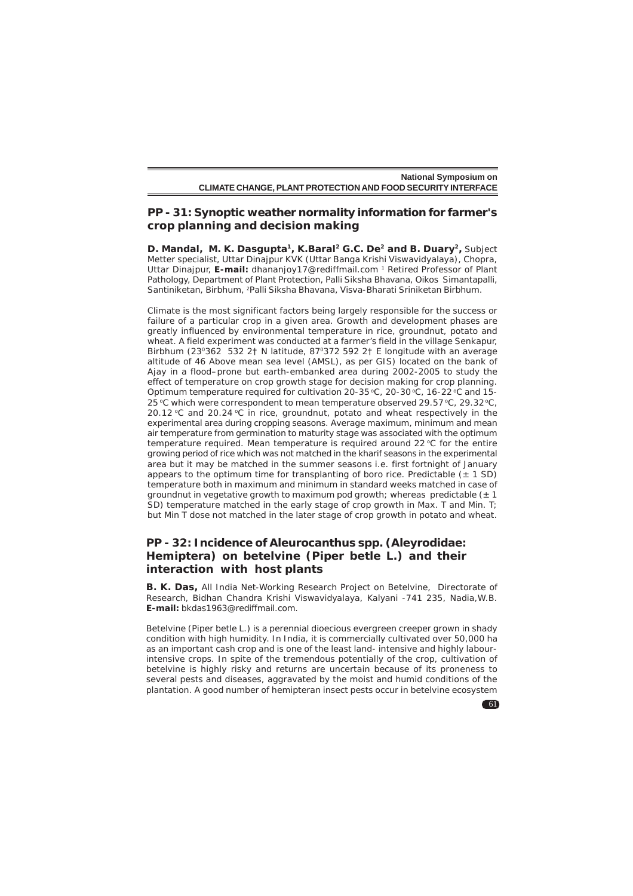## **PP - 31: Synoptic weather normality information for farmer's crop planning and decision making**

**D. Mandal, M. K. Dasgupta<sup>1</sup>, K.Baral<sup>2</sup> G.C. De<sup>2</sup> and B. Duary<sup>2</sup>, Subject** Metter specialist, Uttar Dinajpur KVK (Uttar Banga Krishi Viswavidyalaya), Chopra, Uttar Dinajpur, **E-mail:** dhananjoy17@rediffmail.com 1 Retired Professor of Plant Pathology, Department of Plant Protection, Palli Siksha Bhavana, Oikos Simantapalli, Santiniketan, Birbhum, 2Palli Siksha Bhavana, Visva-Bharati Sriniketan Birbhum.

Climate is the most significant factors being largely responsible for the success or failure of a particular crop in a given area. Growth and development phases are greatly influenced by environmental temperature in rice, groundnut, potato and wheat. A field experiment was conducted at a farmer's field in the village Senkapur, Birbhum (230362 532 2† N latitude, 870372 592 2† E longitude with an average altitude of 46 Above mean sea level (AMSL), as per GIS) located on the bank of Ajay in a flood–prone but earth-embanked area during 2002-2005 to study the effect of temperature on crop growth stage for decision making for crop planning. Optimum temperature required for cultivation 20-35 °C, 20-30 °C, 16-22 °C and 15-25 °C which were correspondent to mean temperature observed 29.57 °C, 29.32 °C, 20.12  $°C$  and 20.24  $°C$  in rice, groundnut, potato and wheat respectively in the experimental area during cropping seasons. Average maximum, minimum and mean air temperature from germination to maturity stage was associated with the optimum temperature required. Mean temperature is required around 22  $\degree$ C for the entire growing period of rice which was not matched in the kharif seasons in the experimental area but it may be matched in the summer seasons i.e. first fortnight of January appears to the optimum time for transplanting of boro rice. Predictable  $(± 1 SD)$ temperature both in maximum and minimum in standard weeks matched in case of groundnut in vegetative growth to maximum pod growth; whereas predictable  $(\pm 1)$ SD) temperature matched in the early stage of crop growth in Max. T and Min. T; but Min T dose not matched in the later stage of crop growth in potato and wheat.

# **PP - 32: Incidence of** *Aleurocanthus* **spp. (Aleyrodidae: Hemiptera) on betelvine (***Piper betle* **L.) and their interaction with host plants**

**B. K. Das,** All India Net-Working Research Project on Betelvine, Directorate of Research, Bidhan Chandra Krishi Viswavidyalaya, Kalyani -741 235, Nadia,W.B. **E-mail:** bkdas1963@rediffmail.com.

Betelvine (*Piper betle* L.) is a perennial dioecious evergreen creeper grown in shady condition with high humidity. In India, it is commercially cultivated over 50,000 ha as an important cash crop and is one of the least land- intensive and highly labourintensive crops. In spite of the tremendous potentially of the crop, cultivation of betelvine is highly risky and returns are uncertain because of its proneness to several pests and diseases, aggravated by the moist and humid conditions of the plantation. A good number of hemipteran insect pests occur in betelvine ecosystem

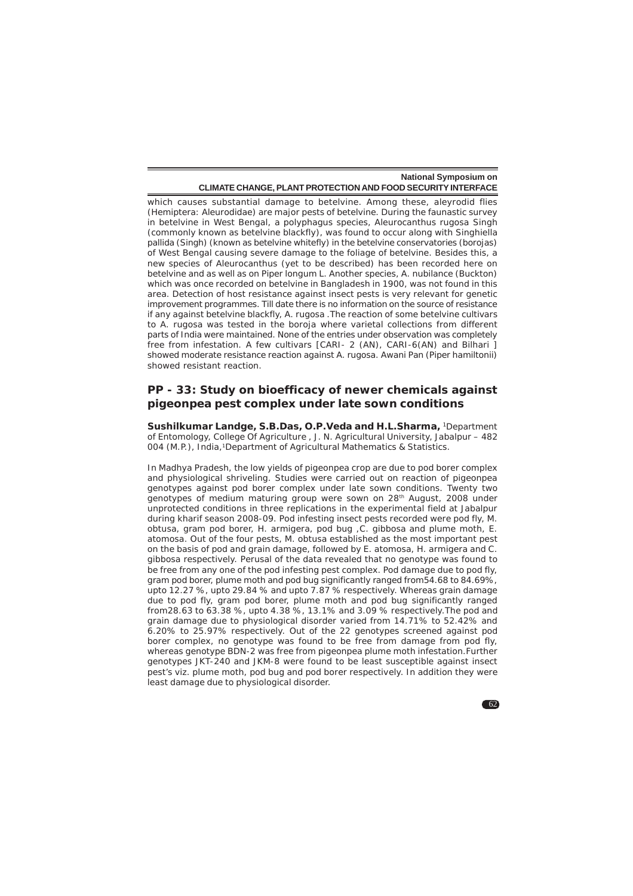which causes substantial damage to betelvine. Among these, aleyrodid flies (Hemiptera: Aleurodidae) are major pests of betelvine. During the faunastic survey in betelvine in West Bengal, a polyphagus species, *Aleurocanthus rugosa* Singh (commonly known as betelvine blackfly), was found to occur along with *Singhiella pallida* (Singh) (known as betelvine whitefly) in the betelvine conservatories (borojas) of West Bengal causing severe damage to the foliage of betelvine. Besides this, a new species of Aleurocanthus (yet to be described) has been recorded here on betelvine and as well as on Piper longum L. Another species, A. nubilance (Buckton) which was once recorded on betelvine in Bangladesh in 1900, was not found in this area. Detection of host resistance against insect pests is very relevant for genetic improvement programmes. Till date there is no information on the source of resistance if any against betelvine blackfly, *A. rugosa* .The reaction of some betelvine cultivars to *A. rugosa* was tested in the boroja where varietal collections from different parts of India were maintained. None of the entries under observation was completely free from infestation. A few cultivars [CARI- 2 (AN), CARI-6(AN) and Bilhari ] showed moderate resistance reaction against *A. rugosa*. Awani Pan (*Piper hamiltonii*) showed resistant reaction.

# **PP - 33: Study on bioefficacy of newer chemicals against pigeonpea pest complex under late sown conditions**

**Sushilkumar Landge, S.B.Das, O.P.Veda and H.L.Sharma,** 1Department of Entomology, College Of Agriculture , J. N. Agricultural University, Jabalpur – 482 004 (M.P.), India,<sup>1</sup>Department of Agricultural Mathematics & Statistics.

In Madhya Pradesh, the low yields of pigeonpea crop are due to pod borer complex and physiological shriveling. Studies were carried out on reaction of pigeonpea genotypes against pod borer complex under late sown conditions. Twenty two genotypes of medium maturing group were sown on 28<sup>th</sup> August, 2008 under unprotected conditions in three replications in the experimental field at Jabalpur during kharif season 2008-09. Pod infesting insect pests recorded were pod fly, *M. obtusa*, gram pod borer, *H. armigera*, pod bug ,*C. gibbosa* and plume moth, *E. atomosa*. Out of the four pests, *M. obtusa* established as the most important pest on the basis of pod and grain damage, followed by *E. atomosa*, *H. armigera* and *C. gibbosa* respectively. Perusal of the data revealed that no genotype was found to be free from any one of the pod infesting pest complex. Pod damage due to pod fly, gram pod borer, plume moth and pod bug significantly ranged from54.68 to 84.69%, upto 12.27 %, upto 29.84 % and upto 7.87 % respectively. Whereas grain damage due to pod fly, gram pod borer, plume moth and pod bug significantly ranged from28.63 to 63.38 %, upto 4.38 %, 13.1% and 3.09 % respectively.The pod and grain damage due to physiological disorder varied from 14.71% to 52.42% and 6.20% to 25.97% respectively. Out of the 22 genotypes screened against pod borer complex, no genotype was found to be free from damage from pod fly, whereas genotype BDN-2 was free from pigeonpea plume moth infestation.Further genotypes JKT-240 and JKM-8 were found to be least susceptible against insect pest's viz. plume moth, pod bug and pod borer respectively. In addition they were least damage due to physiological disorder.

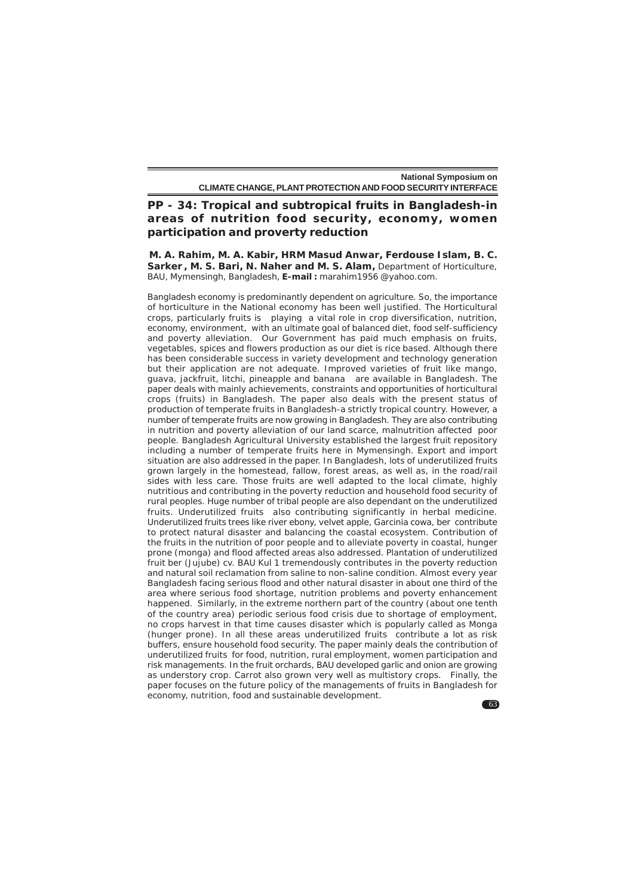# **PP - 34: Tropical and subtropical fruits in Bangladesh-in areas of nutrition food security, economy, women participation and proverty reduction**

**M. A. Rahim, M. A. Kabir, HRM Masud Anwar, Ferdouse Islam, B. C. Sarker , M. S. Bari, N. Naher and M. S. Alam,** Department of Horticulture, BAU, Mymensingh, Bangladesh, **E-mail :** marahim1956 @yahoo.com.

Bangladesh economy is predominantly dependent on agriculture. So, the importance of horticulture in the National economy has been well justified. The Horticultural crops, particularly fruits is playing a vital role in crop diversification, nutrition, economy, environment, with an ultimate goal of balanced diet, food self-sufficiency and poverty alleviation. Our Government has paid much emphasis on fruits, vegetables, spices and flowers production as our diet is rice based. Although there has been considerable success in variety development and technology generation but their application are not adequate. Improved varieties of fruit like mango, guava, jackfruit, litchi, pineapple and banana are available in Bangladesh. The paper deals with mainly achievements, constraints and opportunities of horticultural crops (fruits) in Bangladesh. The paper also deals with the present status of production of temperate fruits in Bangladesh-a strictly tropical country. However, a number of temperate fruits are now growing in Bangladesh. They are also contributing in nutrition and poverty alleviation of our land scarce, malnutrition affected poor people. Bangladesh Agricultural University established the largest fruit repository including a number of temperate fruits here in Mymensingh. Export and import situation are also addressed in the paper. In Bangladesh, lots of underutilized fruits grown largely in the homestead, fallow, forest areas, as well as, in the road/rail sides with less care. Those fruits are well adapted to the local climate, highly nutritious and contributing in the poverty reduction and household food security of rural peoples. Huge number of tribal people are also dependant on the underutilized fruits. Underutilized fruits also contributing significantly in herbal medicine. Underutilized fruits trees like river ebony, velvet apple, Garcinia cowa, ber contribute to protect natural disaster and balancing the coastal ecosystem. Contribution of the fruits in the nutrition of poor people and to alleviate poverty in coastal, hunger prone (monga) and flood affected areas also addressed. Plantation of underutilized fruit ber (Jujube) cv. BAU Kul 1 tremendously contributes in the poverty reduction and natural soil reclamation from saline to non-saline condition. Almost every year Bangladesh facing serious flood and other natural disaster in about one third of the area where serious food shortage, nutrition problems and poverty enhancement happened. Similarly, in the extreme northern part of the country (about one tenth of the country area) periodic serious food crisis due to shortage of employment, no crops harvest in that time causes disaster which is popularly called as Monga (hunger prone). In all these areas underutilized fruits contribute a lot as risk buffers, ensure household food security. The paper mainly deals the contribution of underutilized fruits for food, nutrition, rural employment, women participation and risk managements. In the fruit orchards, BAU developed garlic and onion are growing as understory crop. Carrot also grown very well as multistory crops. Finally, the paper focuses on the future policy of the managements of fruits in Bangladesh for economy, nutrition, food and sustainable development.

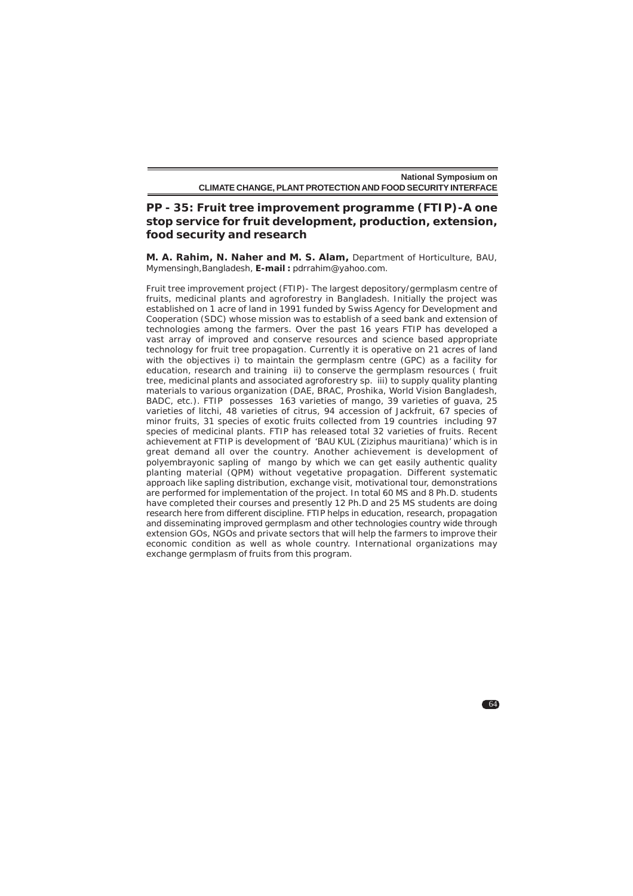# **PP - 35: Fruit tree improvement programme (FTIP)-A one stop service for fruit development, production, extension, food security and research**

**M. A. Rahim, N. Naher and M. S. Alam,** Department of Horticulture, BAU, Mymensingh,Bangladesh, **E-mail :** pdrrahim@yahoo.com.

Fruit tree improvement project (FTIP)- The largest depository/germplasm centre of fruits, medicinal plants and agroforestry in Bangladesh. Initially the project was established on 1 acre of land in 1991 funded by Swiss Agency for Development and Cooperation (SDC) whose mission was to establish of a seed bank and extension of technologies among the farmers. Over the past 16 years FTIP has developed a vast array of improved and conserve resources and science based appropriate technology for fruit tree propagation. Currently it is operative on 21 acres of land with the objectives i) to maintain the germplasm centre (GPC) as a facility for education, research and training ii) to conserve the germplasm resources ( fruit tree, medicinal plants and associated agroforestry sp. iii) to supply quality planting materials to various organization (DAE, BRAC, Proshika, World Vision Bangladesh, BADC, etc.). FTIP possesses 163 varieties of mango, 39 varieties of guava, 25 varieties of litchi, 48 varieties of citrus, 94 accession of Jackfruit, 67 species of minor fruits, 31 species of exotic fruits collected from 19 countries including 97 species of medicinal plants. FTIP has released total 32 varieties of fruits. Recent achievement at FTIP is development of 'BAU KUL (*Ziziphus mauritiana*)' which is in great demand all over the country. Another achievement is development of polyembrayonic sapling of mango by which we can get easily authentic quality planting material (QPM) without vegetative propagation. Different systematic approach like sapling distribution, exchange visit, motivational tour, demonstrations are performed for implementation of the project. In total 60 MS and 8 Ph.D. students have completed their courses and presently 12 Ph.D and 25 MS students are doing research here from different discipline. FTIP helps in education, research, propagation and disseminating improved germplasm and other technologies country wide through extension GOs, NGOs and private sectors that will help the farmers to improve their economic condition as well as whole country. International organizations may exchange germplasm of fruits from this program.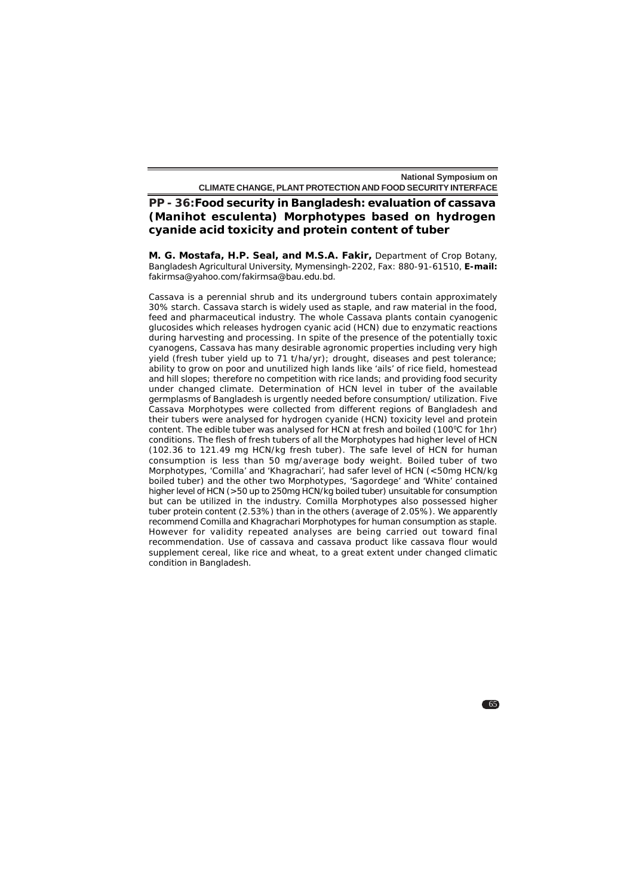# **PP - 36:Food security in Bangladesh: evaluation of cassava (***Manihot esculenta***) Morphotypes based on hydrogen cyanide acid toxicity and protein content of tuber**

**M. G. Mostafa, H.P. Seal, and M.S.A***.* **Fakir,** Department of Crop Botany, Bangladesh Agricultural University, Mymensingh-2202, Fax: 880-91-61510, **E-mail:** fakirmsa@yahoo.com/fakirmsa@bau.edu.bd.

Cassava is a perennial shrub and its underground tubers contain approximately 30% starch. Cassava starch is widely used as staple, and raw material in the food, feed and pharmaceutical industry. The whole Cassava plants contain cyanogenic glucosides which releases hydrogen cyanic acid (HCN) due to enzymatic reactions during harvesting and processing. In spite of the presence of the potentially toxic cyanogens, Cassava has many desirable agronomic properties including very high yield (fresh tuber yield up to 71 t/ha/yr); drought, diseases and pest tolerance; ability to grow on poor and unutilized high lands like 'ails' of rice field, homestead and hill slopes; therefore no competition with rice lands; and providing food security under changed climate. Determination of HCN level in tuber of the available germplasms of Bangladesh is urgently needed before consumption/ utilization. Five Cassava Morphotypes were collected from different regions of Bangladesh and their tubers were analysed for hydrogen cyanide (HCN) toxicity level and protein content. The edible tuber was analysed for HCN at fresh and boiled (100°C for 1hr) conditions. The flesh of fresh tubers of all the Morphotypes had higher level of HCN (102.36 to 121.49 mg HCN/kg fresh tuber). The safe level of HCN for human consumption is less than 50 mg/average body weight. Boiled tuber of two Morphotypes, 'Comilla' and 'Khagrachari', had safer level of HCN (<50mg HCN/kg boiled tuber) and the other two Morphotypes, 'Sagordege' and 'White' contained higher level of HCN (>50 up to 250mg HCN/kg boiled tuber) unsuitable for consumption but can be utilized in the industry. Comilla Morphotypes also possessed higher tuber protein content (2.53%) than in the others (average of 2.05%). We apparently recommend Comilla and Khagrachari Morphotypes for human consumption as staple. However for validity repeated analyses are being carried out toward final recommendation. Use of cassava and cassava product like cassava flour would supplement cereal, like rice and wheat, to a great extent under changed climatic condition in Bangladesh.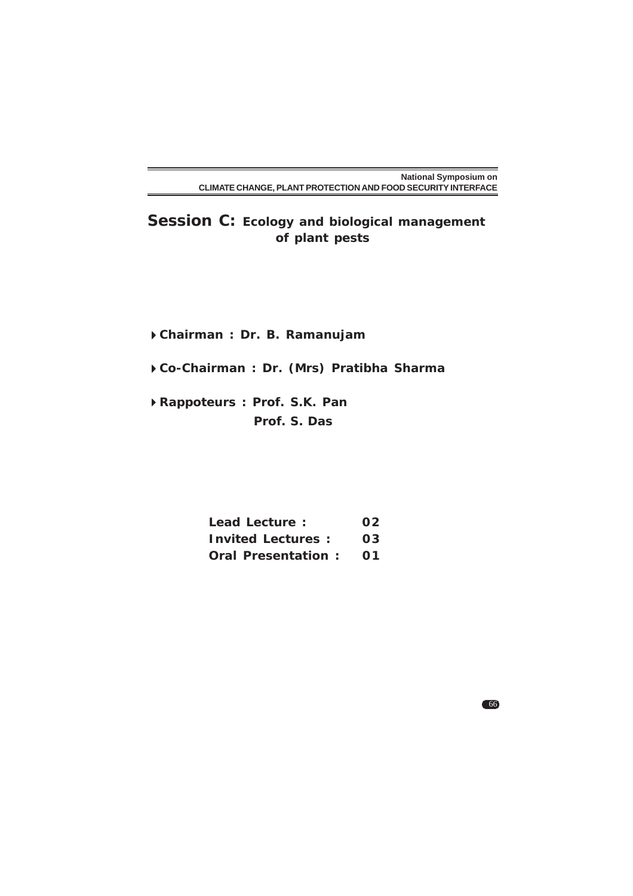**Session C: Ecology and biological management of plant pests**

**Chairman : Dr. B. Ramanujam**

**Co-Chairman : Dr. (Mrs) Pratibha Sharma**

**Rappoteurs : Prof. S.K. Pan Prof. S. Das**

| <b>Lead Lecture:</b><br><b>Invited Lectures:</b> | 02<br>03 |
|--------------------------------------------------|----------|
|                                                  |          |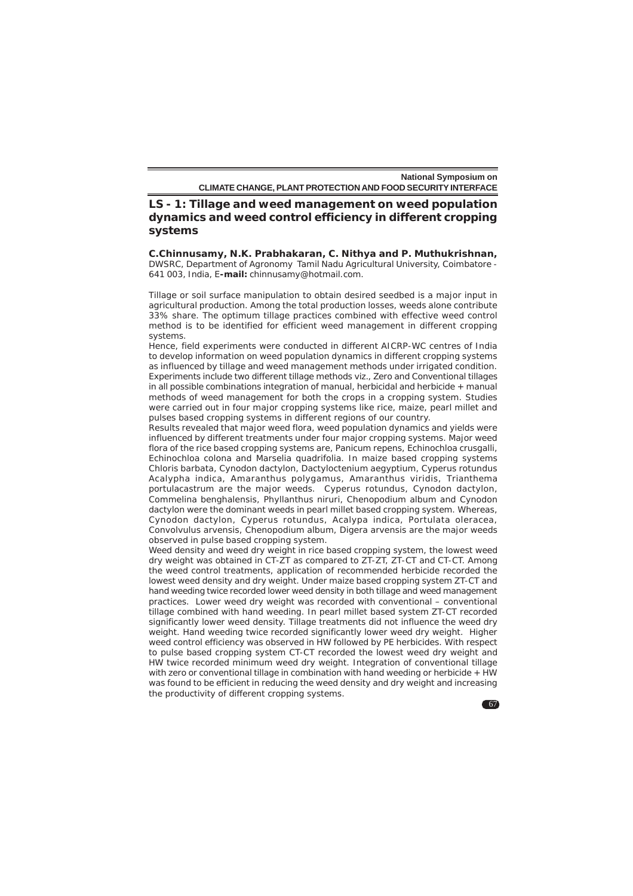**LS - 1: Tillage and weed management on weed population dynamics and weed control efficiency in different cropping systems**

**C.Chinnusamy, N.K. Prabhakaran, C. Nithya and P. Muthukrishnan,** DWSRC, Department of Agronomy Tamil Nadu Agricultural University, Coimbatore - 641 003, India, E**-mail:** chinnusamy@hotmail.com.

Tillage or soil surface manipulation to obtain desired seedbed is a major input in agricultural production. Among the total production losses, weeds alone contribute 33% share. The optimum tillage practices combined with effective weed control method is to be identified for efficient weed management in different cropping systems.

Hence, field experiments were conducted in different AICRP-WC centres of India to develop information on weed population dynamics in different cropping systems as influenced by tillage and weed management methods under irrigated condition. Experiments include two different tillage methods viz., Zero and Conventional tillages in all possible combinations integration of manual, herbicidal and herbicide + manual methods of weed management for both the crops in a cropping system. Studies were carried out in four major cropping systems like rice, maize, pearl millet and pulses based cropping systems in different regions of our country.

Results revealed that major weed flora, weed population dynamics and yields were influenced by different treatments under four major cropping systems. Major weed flora of the rice based cropping systems are, *Panicum repens, Echinochloa crusgalli, Echinochloa colona* and *Marselia quadrifolia*. In maize based cropping systems *Chloris barbata, Cynodon dactylon, Dactyloctenium aegyptium, Cyperus rotundus Acalypha indica, Amaranthus polygamus, Amaranthus viridis, Trianthema portulacastrum are the major weeds. Cyperus rotundus, Cynodon dactylon, Commelina benghalensis, Phyllanthus niruri, Chenopodium album* and *Cynodon dactylon* were the dominant weeds in pearl millet based cropping system. Whereas, *Cynodon dactylon, Cyperus rotundus, Acalypa indica, Portulata oleracea, Convolvulus arvensis, Chenopodium album, Digera arvensis* are the major weeds observed in pulse based cropping system.

Weed density and weed dry weight in rice based cropping system, the lowest weed dry weight was obtained in CT-ZT as compared to ZT-ZT, ZT-CT and CT-CT. Among the weed control treatments, application of recommended herbicide recorded the lowest weed density and dry weight. Under maize based cropping system ZT-CT and hand weeding twice recorded lower weed density in both tillage and weed management practices. Lower weed dry weight was recorded with conventional – conventional tillage combined with hand weeding. In pearl millet based system ZT-CT recorded significantly lower weed density. Tillage treatments did not influence the weed dry weight. Hand weeding twice recorded significantly lower weed dry weight. Higher weed control efficiency was observed in HW followed by PE herbicides. With respect to pulse based cropping system CT-CT recorded the lowest weed dry weight and HW twice recorded minimum weed dry weight. Integration of conventional tillage with zero or conventional tillage in combination with hand weeding or herbicide + HW was found to be efficient in reducing the weed density and dry weight and increasing the productivity of different cropping systems.

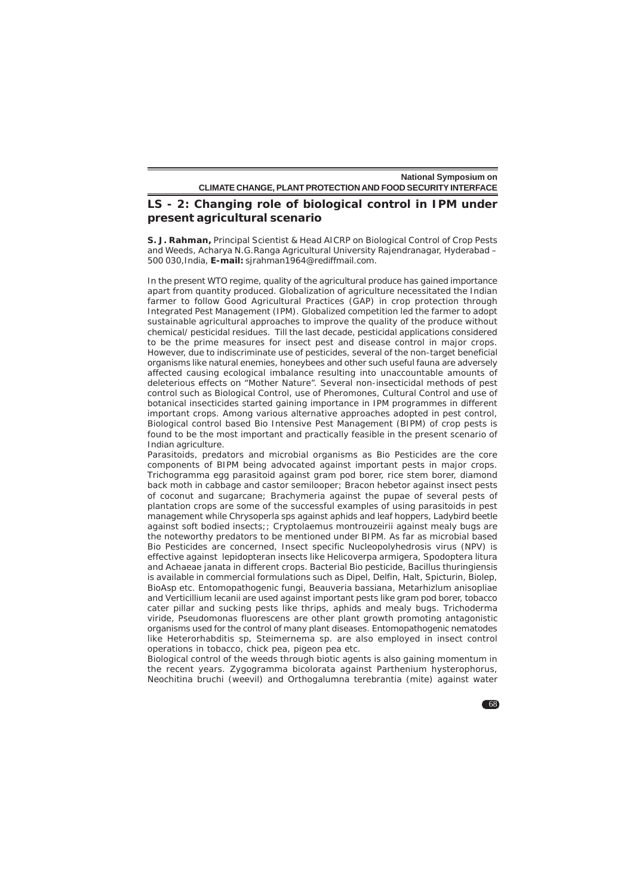# **LS - 2: Changing role of biological control in IPM under present agricultural scenario**

**S. J. Rahman,** Principal Scientist & Head AICRP on Biological Control of Crop Pests and Weeds, Acharya N.G.Ranga Agricultural University Rajendranagar, Hyderabad – 500 030,India, **E-mail:** sjrahman1964@rediffmail.com.

In the present WTO regime, quality of the agricultural produce has gained importance apart from quantity produced. Globalization of agriculture necessitated the Indian farmer to follow Good Agricultural Practices (GAP) in crop protection through Integrated Pest Management (IPM). Globalized competition led the farmer to adopt sustainable agricultural approaches to improve the quality of the produce without chemical/ pesticidal residues. Till the last decade, pesticidal applications considered to be the prime measures for insect pest and disease control in major crops. However, due to indiscriminate use of pesticides, several of the non-target beneficial organisms like natural enemies, honeybees and other such useful fauna are adversely affected causing ecological imbalance resulting into unaccountable amounts of deleterious effects on "Mother Nature". Several non-insecticidal methods of pest control such as Biological Control, use of Pheromones, Cultural Control and use of botanical insecticides started gaining importance in IPM programmes in different important crops. Among various alternative approaches adopted in pest control, Biological control based Bio Intensive Pest Management (BIPM) of crop pests is found to be the most important and practically feasible in the present scenario of Indian agriculture.

Parasitoids, predators and microbial organisms as Bio Pesticides are the core components of BIPM being advocated against important pests in major crops. *Trichogramma* egg parasitoid against gram pod borer, rice stem borer, diamond back moth in cabbage and castor semilooper; *Bracon hebetor* against insect pests of coconut and sugarcane; *Brachymeria* against the pupae of several pests of plantation crops are some of the successful examples of using parasitoids in pest management while *Chrysoperla* sps against aphids and leaf hoppers, Ladybird beetle against soft bodied insects;; *Cryptolaemus montrouzeirii* against mealy bugs are the noteworthy predators to be mentioned under BIPM. As far as microbial based Bio Pesticides are concerned, Insect specific Nucleopolyhedrosis virus (NPV) is effective against lepidopteran insects like *Helicoverpa armigera, Spodoptera litura* and *Achaeae janata* in different crops. Bacterial Bio pesticide, *Bacillus thuringiensis* is available in commercial formulations such as Dipel, Delfin, Halt, Spicturin, Biolep, BioAsp etc. Entomopathogenic fungi, *Beauveria bassiana*, *Metarhizlum anisopliae* and *Verticillium lecanii* are used against important pests like gram pod borer, tobacco cater pillar and sucking pests like thrips, aphids and mealy bugs. *Trichoderma viride, Pseudomonas fluorescens* are other plant growth promoting antagonistic organisms used for the control of many plant diseases. Entomopathogenic nematodes like *Heterorhabditis* sp, *Steimernema* sp. are also employed in insect control operations in tobacco, chick pea, pigeon pea etc.

Biological control of the weeds through biotic agents is also gaining momentum in the recent years. *Zygogramma bicolorata* against *Parthenium hysterophorus, Neochitina bruchi* (weevil) and *Orthogalumna terebrantia* (mite) against water

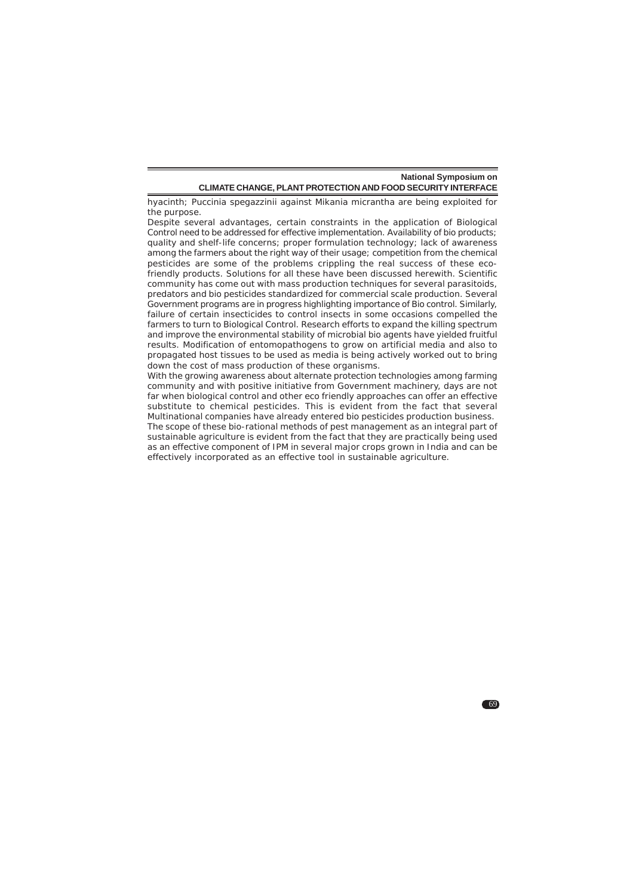hyacinth; *Puccinia spegazzinii* against *Mikania micrantha* are being exploited for the purpose.

Despite several advantages, certain constraints in the application of Biological Control need to be addressed for effective implementation. Availability of bio products; quality and shelf-life concerns; proper formulation technology; lack of awareness among the farmers about the right way of their usage; competition from the chemical pesticides are some of the problems crippling the real success of these ecofriendly products. Solutions for all these have been discussed herewith. Scientific community has come out with mass production techniques for several parasitoids, predators and bio pesticides standardized for commercial scale production. Several Government programs are in progress highlighting importance of Bio control. Similarly, failure of certain insecticides to control insects in some occasions compelled the farmers to turn to Biological Control. Research efforts to expand the killing spectrum and improve the environmental stability of microbial bio agents have yielded fruitful results. Modification of entomopathogens to grow on artificial media and also to propagated host tissues to be used as media is being actively worked out to bring down the cost of mass production of these organisms.

With the growing awareness about alternate protection technologies among farming community and with positive initiative from Government machinery, days are not far when biological control and other eco friendly approaches can offer an effective substitute to chemical pesticides. This is evident from the fact that several Multinational companies have already entered bio pesticides production business.

The scope of these bio-rational methods of pest management as an integral part of sustainable agriculture is evident from the fact that they are practically being used as an effective component of IPM in several major crops grown in India and can be effectively incorporated as an effective tool in sustainable agriculture.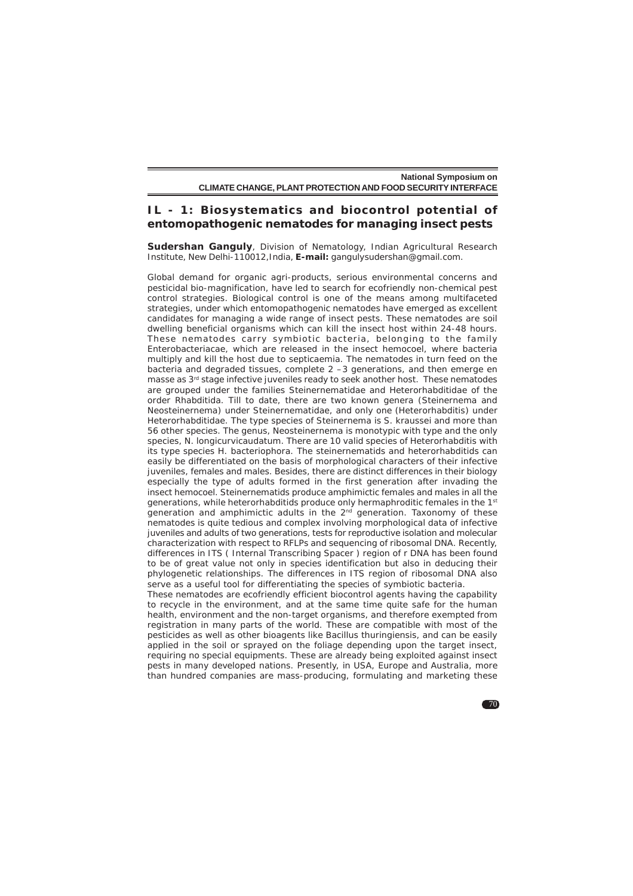#### **IL - 1: Biosystematics and biocontrol potential of entomopathogenic nematodes for managing insect pests**

**Sudershan Ganguly**, Division of Nematology, Indian Agricultural Research Institute, New Delhi-110012,India, **E-mail:** gangulysudershan@gmail.com.

Global demand for organic agri-products, serious environmental concerns and pesticidal bio-magnification, have led to search for ecofriendly non-chemical pest control strategies. Biological control is one of the means among multifaceted strategies, under which entomopathogenic nematodes have emerged as excellent candidates for managing a wide range of insect pests. These nematodes are soil dwelling beneficial organisms which can kill the insect host within 24-48 hours. These nematodes carry symbiotic bacteria, belonging to the family Enterobacteriacae, which are released in the insect hemocoel, where bacteria multiply and kill the host due to septicaemia. The nematodes in turn feed on the bacteria and degraded tissues, complete 2 –3 generations, and then emerge en masse as 3rd stage infective juveniles ready to seek another host. These nematodes are grouped under the families Steinernematidae and Heterorhabditidae of the order Rhabditida. Till to date, there are two known genera (*Steinernema* and *Neosteinernema*) under Steinernematidae, and only one (*Heterorhabditis*) under Heterorhabditidae. The type species of *Steinernema* is *S. kraussei* and more than 56 other species. The genus, *Neosteinernema* is monotypic with type and the only species, *N. longicurvicaudatum*. There are 10 valid species of *Heterorhabditis* with its type species *H. bacteriophora*. The steinernematids and heterorhabditids can easily be differentiated on the basis of morphological characters of their infective juveniles, females and males. Besides, there are distinct differences in their biology especially the type of adults formed in the first generation after invading the insect hemocoel. Steinernematids produce amphimictic females and males in all the generations, while heterorhabditids produce only hermaphroditic females in the 1st generation and amphimictic adults in the  $2<sup>nd</sup>$  generation. Taxonomy of these nematodes is quite tedious and complex involving morphological data of infective juveniles and adults of two generations, tests for reproductive isolation and molecular characterization with respect to RFLPs and sequencing of ribosomal DNA. Recently, differences in ITS ( Internal Transcribing Spacer ) region of r DNA has been found to be of great value not only in species identification but also in deducing their phylogenetic relationships. The differences in ITS region of ribosomal DNA also serve as a useful tool for differentiating the species of symbiotic bacteria. These nematodes are ecofriendly efficient biocontrol agents having the capability

to recycle in the environment, and at the same time quite safe for the human health, environment and the non-target organisms, and therefore exempted from registration in many parts of the world. These are compatible with most of the pesticides as well as other bioagents like Bacillus thuringiensis, and can be easily applied in the soil or sprayed on the foliage depending upon the target insect, requiring no special equipments. These are already being exploited against insect pests in many developed nations. Presently, in USA, Europe and Australia, more than hundred companies are mass-producing, formulating and marketing these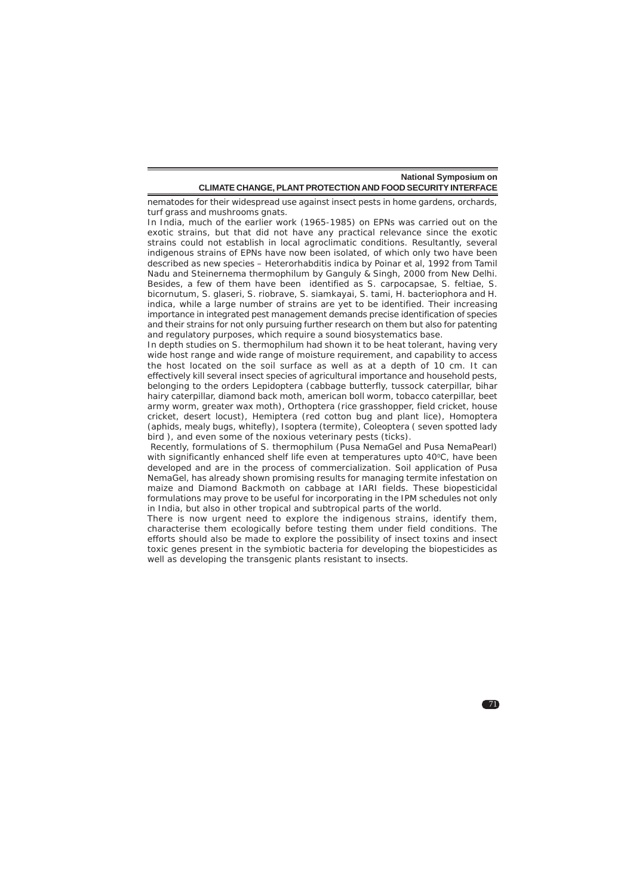nematodes for their widespread use against insect pests in home gardens, orchards, turf grass and mushrooms gnats.

In India, much of the earlier work (1965-1985) on EPNs was carried out on the exotic strains, but that did not have any practical relevance since the exotic strains could not establish in local agroclimatic conditions. Resultantly, several indigenous strains of EPNs have now been isolated, of which only two have been described as new species – Heterorhabditis indica by Poinar et al, 1992 from Tamil Nadu and *Steinernema thermophilum* by Ganguly & Singh, 2000 from New Delhi. Besides, a few of them have been identified as *S. carpocapsae, S. feltiae, S. bicornutum, S. glaseri, S. riobrave, S. siamkayai, S. tami, H. bacteriophora* and *H. indica*, while a large number of strains are yet to be identified. Their increasing importance in integrated pest management demands precise identification of species and their strains for not only pursuing further research on them but also for patenting and regulatory purposes, which require a sound biosystematics base.

In depth studies on *S. thermophilum* had shown it to be heat tolerant, having very wide host range and wide range of moisture requirement, and capability to access the host located on the soil surface as well as at a depth of 10 cm. It can effectively kill several insect species of agricultural importance and household pests, belonging to the orders Lepidoptera (cabbage butterfly, tussock caterpillar, bihar hairy caterpillar, diamond back moth, american boll worm, tobacco caterpillar, beet army worm, greater wax moth), Orthoptera (rice grasshopper, field cricket, house cricket, desert locust), Hemiptera (red cotton bug and plant lice), Homoptera (aphids, mealy bugs, whitefly), Isoptera (termite), Coleoptera ( seven spotted lady bird ), and even some of the noxious veterinary pests (ticks).

 Recently, formulations of *S. thermophilum* (Pusa NemaGel and Pusa NemaPearl) with significantly enhanced shelf life even at temperatures upto 40°C, have been developed and are in the process of commercialization. Soil application of Pusa NemaGel, has already shown promising results for managing termite infestation on maize and Diamond Backmoth on cabbage at IARI fields. These biopesticidal formulations may prove to be useful for incorporating in the IPM schedules not only in India, but also in other tropical and subtropical parts of the world.

There is now urgent need to explore the indigenous strains, identify them, characterise them ecologically before testing them under field conditions. The efforts should also be made to explore the possibility of insect toxins and insect toxic genes present in the symbiotic bacteria for developing the biopesticides as well as developing the transgenic plants resistant to insects.

 $\blacksquare$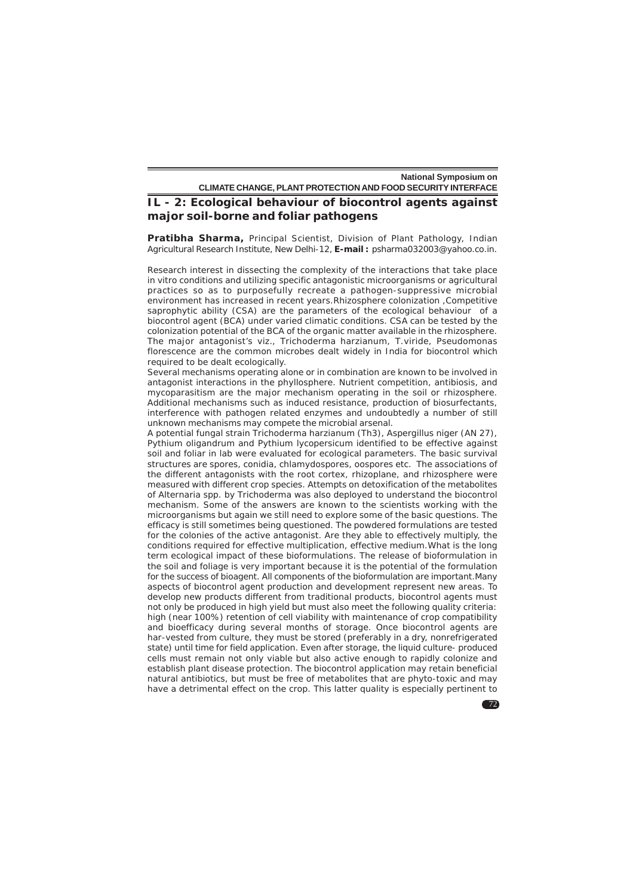### **IL - 2: Ecological behaviour of biocontrol agents against major soil-borne and foliar pathogens**

**Pratibha Sharma,** Principal Scientist, Division of Plant Pathology, Indian Agricultural Research Institute, New Delhi-12, **E-mail :** psharma032003@yahoo.co.in.

Research interest in dissecting the complexity of the interactions that take place in vitro conditions and utilizing specific antagonistic microorganisms or agricultural practices so as to purposefully recreate a pathogen-suppressive microbial environment has increased in recent years.Rhizosphere colonization ,Competitive saprophytic ability (CSA) are the parameters of the ecological behaviour of a biocontrol agent (BCA) under varied climatic conditions. CSA can be tested by the colonization potential of the BCA of the organic matter available in the rhizosphere. The major antagonist's viz., *Trichoderma harzianum, T.viride, Pseudomonas florescence* are the common microbes dealt widely in India for biocontrol which required to be dealt ecologically.

Several mechanisms operating alone or in combination are known to be involved in antagonist interactions in the phyllosphere. Nutrient competition, antibiosis, and mycoparasitism are the major mechanism operating in the soil or rhizosphere. Additional mechanisms such as induced resistance, production of biosurfectants, interference with pathogen related enzymes and undoubtedly a number of still unknown mechanisms may compete the microbial arsenal.

A potential fungal strain *Trichoderma harzianum* (Th3), *Aspergillus niger* (AN 27), *Pythium oligandrum* and *Pythium lycopersicum* identified to be effective against soil and foliar in lab were evaluated for ecological parameters. The basic survival structures are spores, conidia, chlamydospores, oospores etc. The associations of the different antagonists with the root cortex, rhizoplane, and rhizosphere were measured with different crop species. Attempts on detoxification of the metabolites of *Alternaria* spp*.* by *Trichoderma* was also deployed to understand the biocontrol mechanism. Some of the answers are known to the scientists working with the microorganisms but again we still need to explore some of the basic questions. The efficacy is still sometimes being questioned. The powdered formulations are tested for the colonies of the active antagonist. Are they able to effectively multiply, the conditions required for effective multiplication, effective medium.What is the long term ecological impact of these bioformulations. The release of bioformulation in the soil and foliage is very important because it is the potential of the formulation for the success of bioagent. All components of the bioformulation are important.Many aspects of biocontrol agent production and development represent new areas. To develop new products different from traditional products, biocontrol agents must not only be produced in high yield but must also meet the following quality criteria: high (near 100%) retention of cell viability with maintenance of crop compatibility and bioefficacy during several months of storage. Once biocontrol agents are har-vested from culture, they must be stored (preferably in a dry, nonrefrigerated state) until time for field application. Even after storage, the liquid culture- produced cells must remain not only viable but also active enough to rapidly colonize and establish plant disease protection. The biocontrol application may retain beneficial natural antibiotics, but must be free of metabolites that are phyto-toxic and may have a detrimental effect on the crop. This latter quality is especially pertinent to

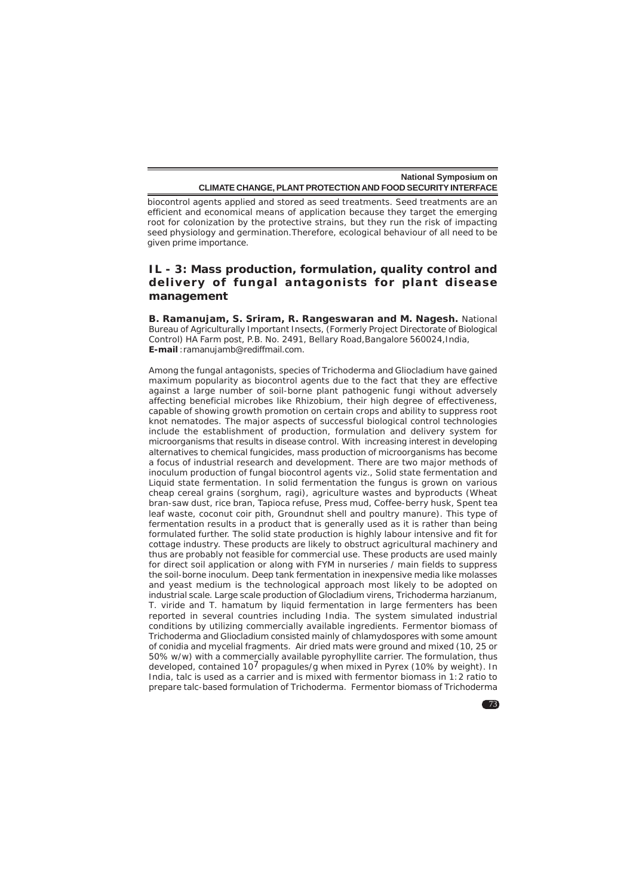biocontrol agents applied and stored as seed treatments. Seed treatments are an efficient and economical means of application because they target the emerging root for colonization by the protective strains, but they run the risk of impacting seed physiology and germination.Therefore, ecological behaviour of all need to be given prime importance.

### **IL - 3: Mass production, formulation, quality control and delivery of fungal antagonists for plant disease management**

**B. Ramanujam, S. Sriram, R. Rangeswaran and M. Nagesh.** National Bureau of Agriculturally Important Insects, (Formerly Project Directorate of Biological Control) HA Farm post, P.B. No. 2491, Bellary Road, Bangalore 560024, India, **E-mail** :ramanujamb@rediffmail.com.

Among the fungal antagonists, species of *Trichoderma* and *Gliocladium* have gained maximum popularity as biocontrol agents due to the fact that they are effective against a large number of soil-borne plant pathogenic fungi without adversely affecting beneficial microbes like *Rhizobium*, their high degree of effectiveness, capable of showing growth promotion on certain crops and ability to suppress root knot nematodes. The major aspects of successful biological control technologies include the establishment of production, formulation and delivery system for microorganisms that results in disease control. With increasing interest in developing alternatives to chemical fungicides, mass production of microorganisms has become a focus of industrial research and development. There are two major methods of inoculum production of fungal biocontrol agents viz., Solid state fermentation and Liquid state fermentation. In solid fermentation the fungus is grown on various cheap cereal grains (sorghum, ragi), agriculture wastes and byproducts (Wheat bran-saw dust, rice bran, Tapioca refuse, Press mud, Coffee-berry husk, Spent tea leaf waste, coconut coir pith, Groundnut shell and poultry manure). This type of fermentation results in a product that is generally used as it is rather than being formulated further. The solid state production is highly labour intensive and fit for cottage industry. These products are likely to obstruct agricultural machinery and thus are probably not feasible for commercial use. These products are used mainly for direct soil application or along with FYM in nurseries / main fields to suppress the soil-borne inoculum. Deep tank fermentation in inexpensive media like molasses and yeast medium is the technological approach most likely to be adopted on industrial scale. Large scale production of *Glocladium virens, Trichoderma harzianum, T. viride* and *T. hamatum* by liquid fermentation in large fermenters has been reported in several countries including India. The system simulated industrial conditions by utilizing commercially available ingredients. Fermentor biomass of *Trichoderma* and *Gliocladium* consisted mainly of chlamydospores with some amount of conidia and mycelial fragments. Air dried mats were ground and mixed (10, 25 or 50% w/w) with a commercially available pyrophyllite carrier. The formulation, thus developed, contained 107 propagules/g when mixed in Pyrex (10% by weight). In India, talc is used as a carrier and is mixed with fermentor biomass in 1:2 ratio to prepare talc-based formulation of *Trichoderma*. Fermentor biomass of *Trichoderma*

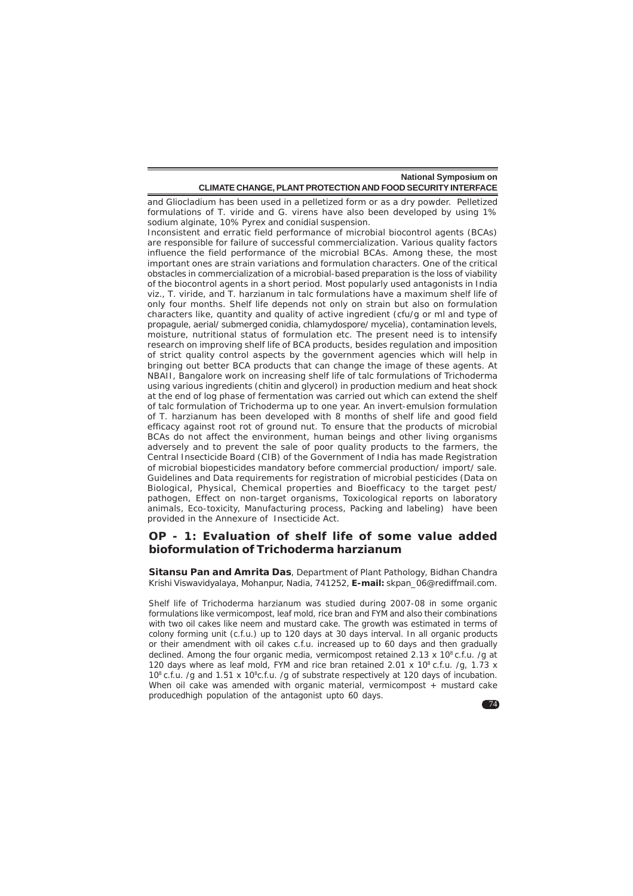and *Gliocladium* has been used in a pelletized form or as a dry powder. Pelletized formulations of *T. viride* and *G. virens* have also been developed by using 1% sodium alginate, 10% Pyrex and conidial suspension.

Inconsistent and erratic field performance of microbial biocontrol agents (BCAs) are responsible for failure of successful commercialization. Various quality factors influence the field performance of the microbial BCAs. Among these, the most important ones are strain variations and formulation characters. One of the critical obstacles in commercialization of a microbial-based preparation is the loss of viability of the biocontrol agents in a short period. Most popularly used antagonists in India viz., *T. viride,* and *T. harzianum* in talc formulations have a maximum shelf life of only four months. Shelf life depends not only on strain but also on formulation characters like, quantity and quality of active ingredient (cfu/g or ml and type of propagule, aerial/ submerged conidia, chlamydospore/ mycelia), contamination levels, moisture, nutritional status of formulation etc. The present need is to intensify research on improving shelf life of BCA products, besides regulation and imposition of strict quality control aspects by the government agencies which will help in bringing out better BCA products that can change the image of these agents. At NBAII, Bangalore work on increasing shelf life of talc formulations of Trichoderma using various ingredients (chitin and glycerol) in production medium and heat shock at the end of log phase of fermentation was carried out which can extend the shelf of talc formulation of *Trichoderma* up to one year. An invert-emulsion formulation of *T. harzianum* has been developed with 8 months of shelf life and good field efficacy against root rot of ground nut. To ensure that the products of microbial BCAs do not affect the environment, human beings and other living organisms adversely and to prevent the sale of poor quality products to the farmers, the Central Insecticide Board (CIB) of the Government of India has made Registration of microbial biopesticides mandatory before commercial production/ import/ sale. Guidelines and Data requirements for registration of microbial pesticides (Data on Biological, Physical, Chemical properties and Bioefficacy to the target pest/ pathogen, Effect on non-target organisms, Toxicological reports on laboratory animals, Eco-toxicity, Manufacturing process, Packing and labeling) have been provided in the Annexure of Insecticide Act.

## **OP - 1: Evaluation of shelf life of some value added bioformulation of** *Trichoderma harzianum*

**Sitansu Pan and Amrita Das**, Department of Plant Pathology, Bidhan Chandra Krishi Viswavidyalaya, Mohanpur, Nadia, 741252, **E-mail:** skpan\_06@rediffmail.com.

Shelf life of *Trichoderma harzianum* was studied during 2007-08 in some organic formulations like vermicompost, leaf mold, rice bran and FYM and also their combinations with two oil cakes like neem and mustard cake. The growth was estimated in terms of colony forming unit (c.f.u.) up to 120 days at 30 days interval. In all organic products or their amendment with oil cakes c.f.u. increased up to 60 days and then gradually declined. Among the four organic media, vermicompost retained  $2.13 \times 10^8$  c.f.u. /g at 120 days where as leaf mold, FYM and rice bran retained 2.01 x 10 $^{\circ}$  c.f.u. /g, 1.73 x 108 c.f.u. /g and 1.51 x 108c.f.u. /g of substrate respectively at 120 days of incubation. When oil cake was amended with organic material, vermicompost + mustard cake producedhigh population of the antagonist upto 60 days.

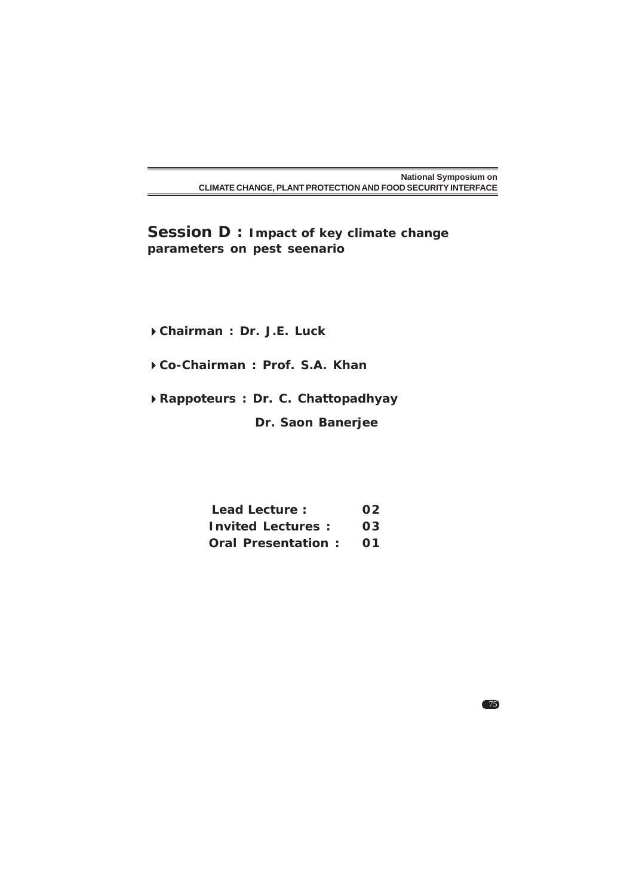**Session D : Impact of key climate change parameters on pest seenario**

**Chairman : Dr. J.E. Luck**

**Co-Chairman : Prof. S.A. Khan**

**Rappoteurs : Dr. C. Chattopadhyay**

 **Dr. Saon Banerjee**

| Lead Lecture:            | 02 |
|--------------------------|----|
| <b>Invited Lectures:</b> | 03 |
| Oral Presentation: 01    |    |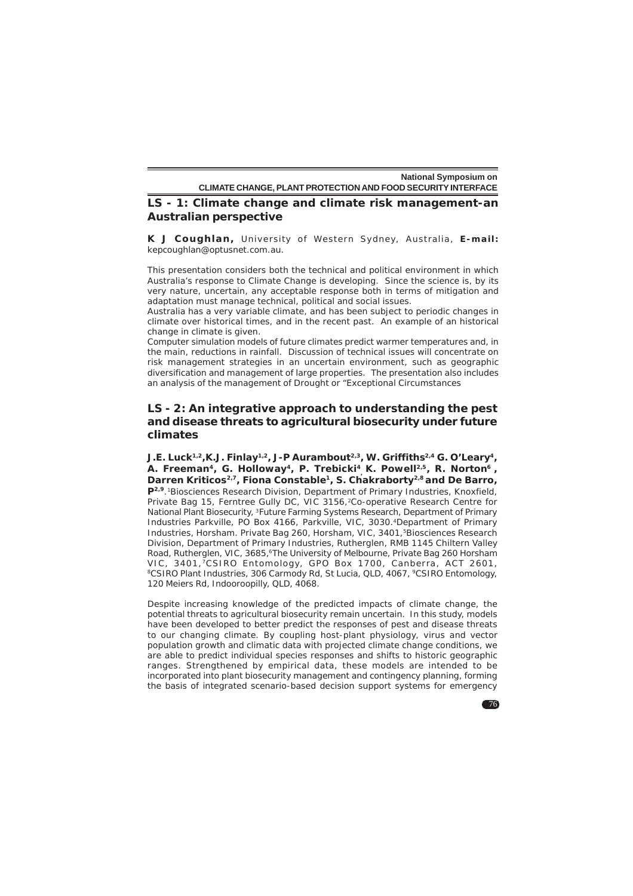### **LS - 1: Climate change and climate risk management-an Australian perspective**

K J Coughlan, University of Western Sydney, Australia, E-mail: kepcoughlan@optusnet.com.au.

This presentation considers both the technical and political environment in which Australia's response to Climate Change is developing. Since the science is, by its very nature, uncertain, any acceptable response both in terms of mitigation and adaptation must manage technical, political and social issues.

Australia has a very variable climate, and has been subject to periodic changes in climate over historical times, and in the recent past. An example of an historical change in climate is given.

Computer simulation models of future climates predict warmer temperatures and, in the main, reductions in rainfall. Discussion of technical issues will concentrate on risk management strategies in an uncertain environment, such as geographic diversification and management of large properties. The presentation also includes an analysis of the management of Drought or "Exceptional Circumstances

## **LS - 2: An integrative approach to understanding the pest and disease threats to agricultural biosecurity under future climates**

**J.E. Luck1,2,K.J. Finlay1,2, J-P Aurambout2,3, W. Griffiths2,4 G. O'Leary4, A. Freeman4, G. Holloway4, P. Trebicki4 , K. Powell2,5, R. Norton6 ,** Darren Kriticos<sup>2,7</sup>, Fiona Constable<sup>1</sup>, S. Chakraborty<sup>2,8</sup> and De Barro, **P2,9**.1Biosciences Research Division, Department of Primary Industries, Knoxfield, Private Bag 15, Ferntree Gully DC, VIC 3156,2Co-operative Research Centre for National Plant Biosecurity, 3Future Farming Systems Research, Department of Primary Industries Parkville, PO Box 4166, Parkville, VIC, 3030.4Department of Primary Industries, Horsham. Private Bag 260, Horsham, VIC, 3401, <sup>5</sup>Biosciences Research Division, Department of Primary Industries, Rutherglen, RMB 1145 Chiltern Valley Road, Rutherglen, VIC, 3685, <sup>6</sup>The University of Melbourne, Private Bag 260 Horsham VIC, 3401,<sup>7</sup>CSIRO Entomology, GPO Box 1700, Canberra, ACT 2601, <sup>8</sup>CSIRO Plant Industries, 306 Carmody Rd, St Lucia, QLD, 4067, <sup>9</sup>CSIRO Entomology, 120 Meiers Rd, Indooroopilly, QLD, 4068.

Despite increasing knowledge of the predicted impacts of climate change, the potential threats to agricultural biosecurity remain uncertain. In this study, models have been developed to better predict the responses of pest and disease threats to our changing climate. By coupling host-plant physiology, virus and vector population growth and climatic data with projected climate change conditions, we are able to predict individual species responses and shifts to historic geographic ranges. Strengthened by empirical data, these models are intended to be incorporated into plant biosecurity management and contingency planning, forming the basis of integrated scenario-based decision support systems for emergency

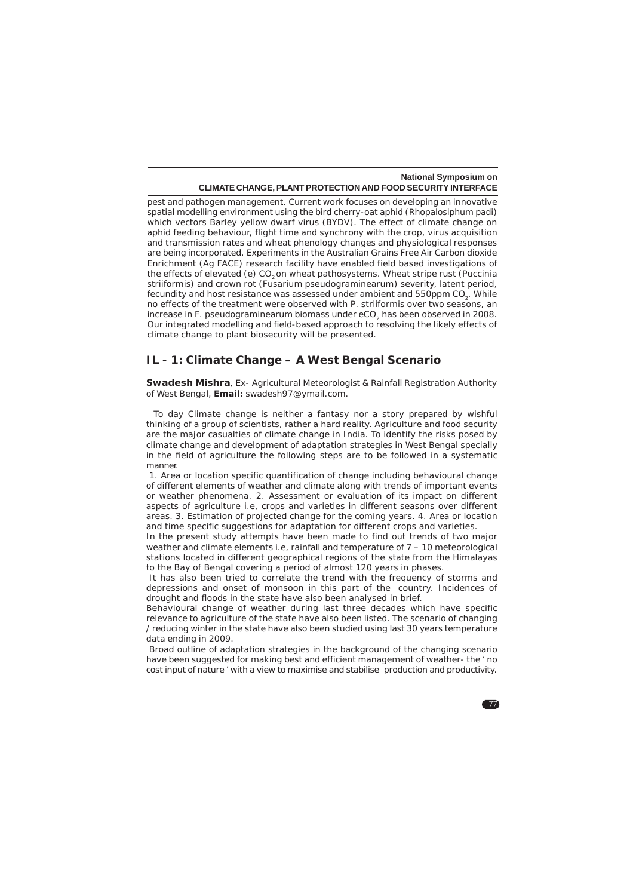pest and pathogen management. Current work focuses on developing an innovative spatial modelling environment using the bird cherry-oat aphid (*Rhopalosiphum padi*) which vectors Barley yellow dwarf virus (BYDV). The effect of climate change on aphid feeding behaviour, flight time and synchrony with the crop, virus acquisition and transmission rates and wheat phenology changes and physiological responses are being incorporated. Experiments in the Australian Grains Free Air Carbon dioxide Enrichment (Ag FACE) research facility have enabled field based investigations of the effects of elevated (e) CO<sub>2</sub> on wheat pathosystems. Wheat stripe rust (*Puccinia striiformis*) and crown rot (*Fusarium pseudograminearum*) severity, latent period, fecundity and host resistance was assessed under ambient and 550ppm CO<sub>3</sub>. While no effects of the treatment were observed with *P. striiformis* over two seasons, an increase in *F. pseudograminearum* biomass under eCO<sub>2</sub> has been observed in 2008. Our integrated modelling and field-based approach to resolving the likely effects of climate change to plant biosecurity will be presented.

### **IL - 1: Climate Change – A West Bengal Scenario**

**Swadesh Mishra**, Ex- Agricultural Meteorologist & Rainfall Registration Authority of West Bengal, **Email:** swadesh97@ymail.com.

 To day Climate change is neither a fantasy nor a story prepared by wishful thinking of a group of scientists, rather a hard reality. Agriculture and food security are the major casualties of climate change in India. To identify the risks posed by climate change and development of adaptation strategies in West Bengal specially in the field of agriculture the following steps are to be followed in a systematic manner.

 1. Area or location specific quantification of change including behavioural change of different elements of weather and climate along with trends of important events or weather phenomena. 2. Assessment or evaluation of its impact on different aspects of agriculture i.e, crops and varieties in different seasons over different areas. 3. Estimation of projected change for the coming years. 4. Area or location and time specific suggestions for adaptation for different crops and varieties.

In the present study attempts have been made to find out trends of two major weather and climate elements i.e, rainfall and temperature of 7 – 10 meteorological stations located in different geographical regions of the state from the Himalayas to the Bay of Bengal covering a period of almost 120 years in phases.

 It has also been tried to correlate the trend with the frequency of storms and depressions and onset of monsoon in this part of the country. Incidences of drought and floods in the state have also been analysed in brief.

Behavioural change of weather during last three decades which have specific relevance to agriculture of the state have also been listed. The scenario of changing / reducing winter in the state have also been studied using last 30 years temperature data ending in 2009.

 Broad outline of adaptation strategies in the background of the changing scenario have been suggested for making best and efficient management of weather- the ' no cost input of nature ' with a view to maximise and stabilise production and productivity.

 $\blacksquare$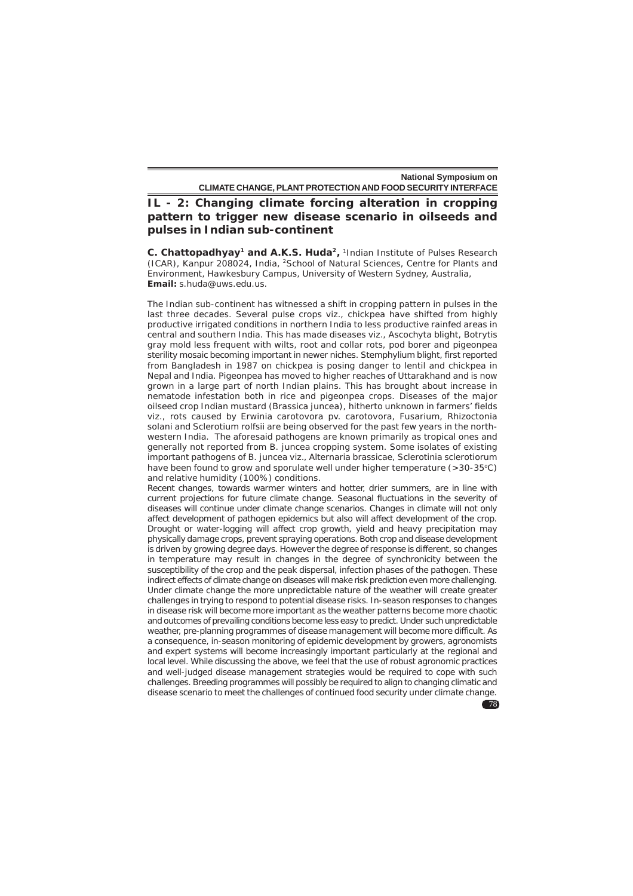**IL - 2: Changing climate forcing alteration in cropping pattern to trigger new disease scenario in oilseeds and pulses in Indian sub-continent**

**C. Chattopadhyay<sup>1</sup> and A.K.S. Huda<sup>2</sup>, <sup>1</sup>Indian Institute of Pulses Research** (ICAR), Kanpur 208024, India, 2School of Natural Sciences, Centre for Plants and Environment, Hawkesbury Campus, University of Western Sydney, Australia, **Email:** s.huda@uws.edu.us.

The Indian sub-continent has witnessed a shift in cropping pattern in pulses in the last three decades. Several pulse crops viz., chickpea have shifted from highly productive irrigated conditions in northern India to less productive rainfed areas in central and southern India. This has made diseases viz., Ascochyta blight, Botrytis gray mold less frequent with wilts, root and collar rots, pod borer and pigeonpea sterility mosaic becoming important in newer niches. Stemphylium blight, first reported from Bangladesh in 1987 on chickpea is posing danger to lentil and chickpea in Nepal and India. Pigeonpea has moved to higher reaches of Uttarakhand and is now grown in a large part of north Indian plains. This has brought about increase in nematode infestation both in rice and pigeonpea crops. Diseases of the major oilseed crop Indian mustard (*Brassica juncea*), hitherto unknown in farmers' fields viz., rots caused by *Erwinia carotovora* pv. *carotovora*, *Fusarium*, *Rhizoctonia solani* and *Sclerotium rolfsii* are being observed for the past few years in the northwestern India. The aforesaid pathogens are known primarily as tropical ones and generally not reported from *B. juncea* cropping system. Some isolates of existing important pathogens of B. juncea viz., *Alternaria brassicae*, *Sclerotinia sclerotiorum* have been found to grow and sporulate well under higher temperature  $(>30-35°C)$ and relative humidity (100%) conditions.

Recent changes, towards warmer winters and hotter, drier summers, are in line with current projections for future climate change. Seasonal fluctuations in the severity of diseases will continue under climate change scenarios. Changes in climate will not only affect development of pathogen epidemics but also will affect development of the crop. Drought or water-logging will affect crop growth, yield and heavy precipitation may physically damage crops, prevent spraying operations. Both crop and disease development is driven by growing degree days. However the degree of response is different, so changes in temperature may result in changes in the degree of synchronicity between the susceptibility of the crop and the peak dispersal, infection phases of the pathogen. These indirect effects of climate change on diseases will make risk prediction even more challenging. Under climate change the more unpredictable nature of the weather will create greater challenges in trying to respond to potential disease risks. In-season responses to changes in disease risk will become more important as the weather patterns become more chaotic and outcomes of prevailing conditions become less easy to predict. Under such unpredictable weather, pre-planning programmes of disease management will become more difficult. As a consequence, in-season monitoring of epidemic development by growers, agronomists and expert systems will become increasingly important particularly at the regional and local level. While discussing the above, we feel that the use of robust agronomic practices and well-judged disease management strategies would be required to cope with such challenges. Breeding programmes will possibly be required to align to changing climatic and disease scenario to meet the challenges of continued food security under climate change.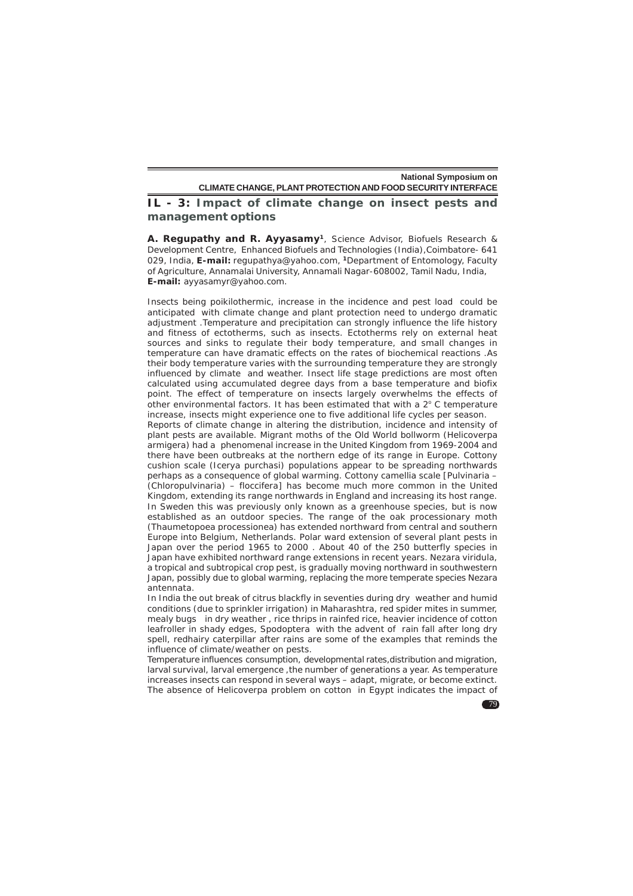### **IL - 3: Impact of climate change on insect pests and management options**

**A. Regupathy and R. Ayyasamy1**, Science Advisor, Biofuels Research & Development Centre, Enhanced Biofuels and Technologies (India),Coimbatore- 641 029, India, **E-mail:** regupathya@yahoo.com, **<sup>1</sup>**Department of Entomology, Faculty of Agriculture, Annamalai University, Annamali Nagar-608002, Tamil Nadu, India, **E-mail:** ayyasamyr@yahoo.com.

Insects being poikilothermic, increase in the incidence and pest load could be anticipated with climate change and plant protection need to undergo dramatic adjustment .Temperature and precipitation can strongly influence the life history and fitness of ectotherms, such as insects. Ectotherms rely on external heat sources and sinks to regulate their body temperature, and small changes in temperature can have dramatic effects on the rates of biochemical reactions .As their body temperature varies with the surrounding temperature they are strongly influenced by climate and weather. Insect life stage predictions are most often calculated using accumulated degree days from a base temperature and biofix point. The effect of temperature on insects largely overwhelms the effects of other environmental factors. It has been estimated that with a 2° C temperature increase, insects might experience one to five additional life cycles per season.

Reports of climate change in altering the distribution, incidence and intensity of plant pests are available. Migrant moths of the Old World bollworm (*Helicoverpa armigera*) had a phenomenal increase in the United Kingdom from 1969-2004 and there have been outbreaks at the northern edge of its range in Europe. Cottony cushion scale (*Icerya purchasi*) populations appear to be spreading northwards perhaps as a consequence of global warming. Cottony camellia scale [*Pulvinaria –* (*Chloropulvinaria*) – *floccifera*] has become much more common in the United Kingdom, extending its range northwards in England and increasing its host range. In Sweden this was previously only known as a greenhouse species, but is now established as an outdoor species. The range of the oak processionary moth (*Thaumetopoea processionea*) has extended northward from central and southern Europe into Belgium, Netherlands. Polar ward extension of several plant pests in Japan over the period 1965 to 2000 . About 40 of the 250 butterfly species in Japan have exhibited northward range extensions in recent years. *Nezara viridula*, a tropical and subtropical crop pest, is gradually moving northward in southwestern Japan, possibly due to global warming, replacing the more temperate species Nezara antennata.

In India the out break of citrus blackfly in seventies during dry weather and humid conditions (due to sprinkler irrigation) in Maharashtra, red spider mites in summer, mealy bugs in dry weather , rice thrips in rainfed rice, heavier incidence of cotton leafroller in shady edges, *Spodoptera* with the advent of rain fall after long dry spell, redhairy caterpillar after rains are some of the examples that reminds the influence of climate/weather on pests.

Temperature influences consumption, developmental rates,distribution and migration, larval survival, larval emergence ,the number of generations a year. As temperature increases insects can respond in several ways – adapt, migrate, or become extinct. The absence of Helicoverpa problem on cotton in Egypt indicates the impact of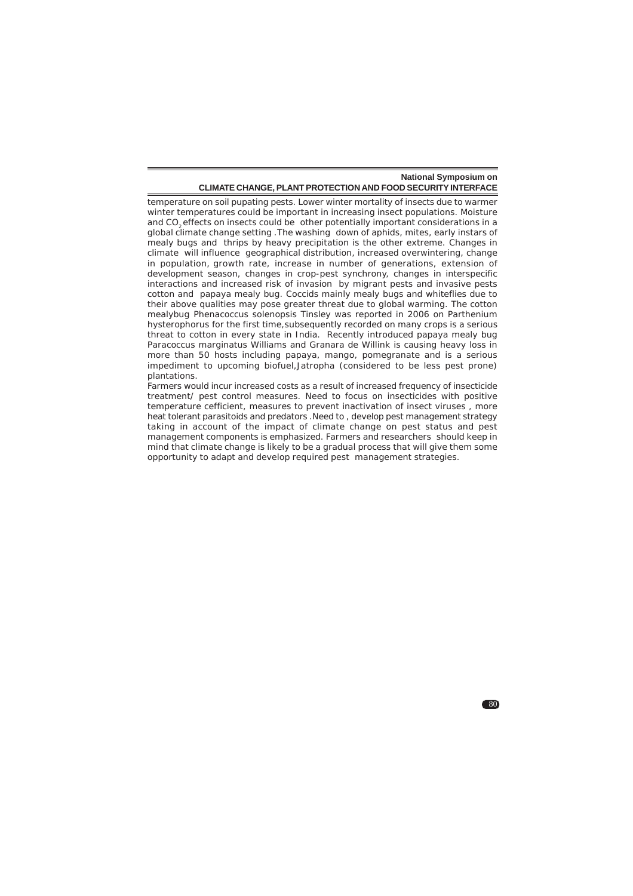temperature on soil pupating pests. Lower winter mortality of insects due to warmer winter temperatures could be important in increasing insect populations. Moisture and CO<sub>2</sub> effects on insects could be other potentially important considerations in a global climate change setting .The washing down of aphids, mites, early instars of mealy bugs and thrips by heavy precipitation is the other extreme. Changes in climate will influence geographical distribution, increased overwintering, change in population, growth rate, increase in number of generations, extension of development season, changes in crop-pest synchrony, changes in interspecific interactions and increased risk of invasion by migrant pests and invasive pests cotton and papaya mealy bug. Coccids mainly mealy bugs and whiteflies due to their above qualities may pose greater threat due to global warming. The cotton mealybug *Phenacoccus solenopsis* Tinsley was reported in 2006 on *Parthenium hysterophorus* for the first time,subsequently recorded on many crops is a serious threat to cotton in every state in India. Recently introduced papaya mealy bug *Paracoccus marginatus* Williams and Granara de Willink is causing heavy loss in more than 50 hosts including papaya, mango, pomegranate and is a serious impediment to upcoming biofuel,Jatropha (considered to be less pest prone) plantations.

Farmers would incur increased costs as a result of increased frequency of insecticide treatment/ pest control measures. Need to focus on insecticides with positive temperature cefficient, measures to prevent inactivation of insect viruses , more heat tolerant parasitoids and predators .Need to , develop pest management strategy taking in account of the impact of climate change on pest status and pest management components is emphasized. Farmers and researchers should keep in mind that climate change is likely to be a gradual process that will give them some opportunity to adapt and develop required pest management strategies.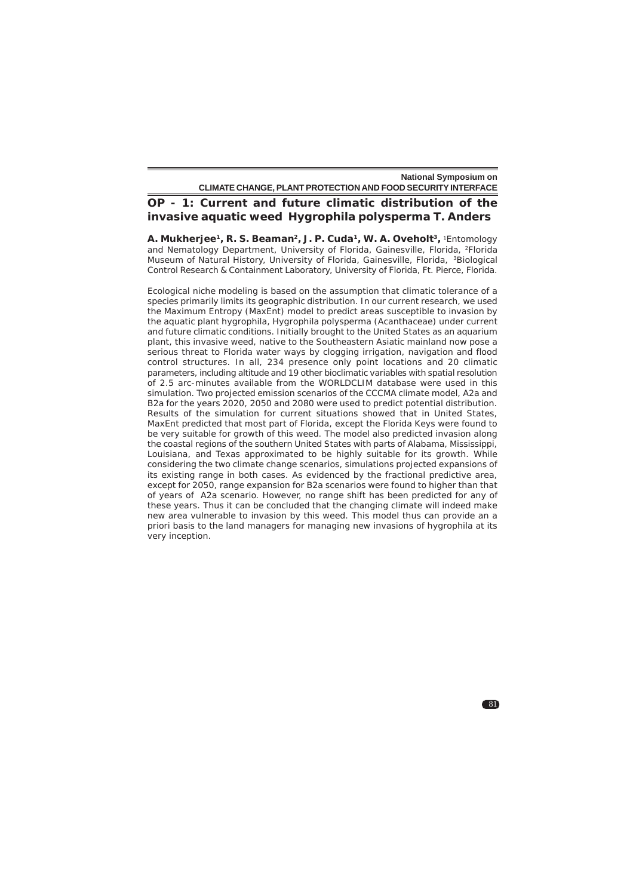# **OP - 1: Current and future climatic distribution of the invasive aquatic weed** *Hygrophila polysperma* **T. Anders**

**A. Mukherjee1, R. S. Beaman2, J. P. Cuda1, W. A. Oveholt3,** 1Entomology and Nematology Department, University of Florida, Gainesville, Florida, <sup>2</sup>Florida Museum of Natural History, University of Florida, Gainesville, Florida, 3Biological Control Research & Containment Laboratory, University of Florida, Ft. Pierce, Florida.

Ecological niche modeling is based on the assumption that climatic tolerance of a species primarily limits its geographic distribution. In our current research, we used the Maximum Entropy (MaxEnt) model to predict areas susceptible to invasion by the aquatic plant hygrophila, *Hygrophila polysperma* (Acanthaceae) under current and future climatic conditions. Initially brought to the United States as an aquarium plant, this invasive weed, native to the Southeastern Asiatic mainland now pose a serious threat to Florida water ways by clogging irrigation, navigation and flood control structures. In all, 234 presence only point locations and 20 climatic parameters, including altitude and 19 other bioclimatic variables with spatial resolution of 2.5 arc-minutes available from the WORLDCLIM database were used in this simulation. Two projected emission scenarios of the CCCMA climate model, A2a and B2a for the years 2020, 2050 and 2080 were used to predict potential distribution. Results of the simulation for current situations showed that in United States, MaxEnt predicted that most part of Florida, except the Florida Keys were found to be very suitable for growth of this weed. The model also predicted invasion along the coastal regions of the southern United States with parts of Alabama, Mississippi, Louisiana, and Texas approximated to be highly suitable for its growth. While considering the two climate change scenarios, simulations projected expansions of its existing range in both cases. As evidenced by the fractional predictive area, except for 2050, range expansion for B2a scenarios were found to higher than that of years of A2a scenario. However, no range shift has been predicted for any of these years. Thus it can be concluded that the changing climate will indeed make new area vulnerable to invasion by this weed. This model thus can provide an a priori basis to the land managers for managing new invasions of hygrophila at its very inception.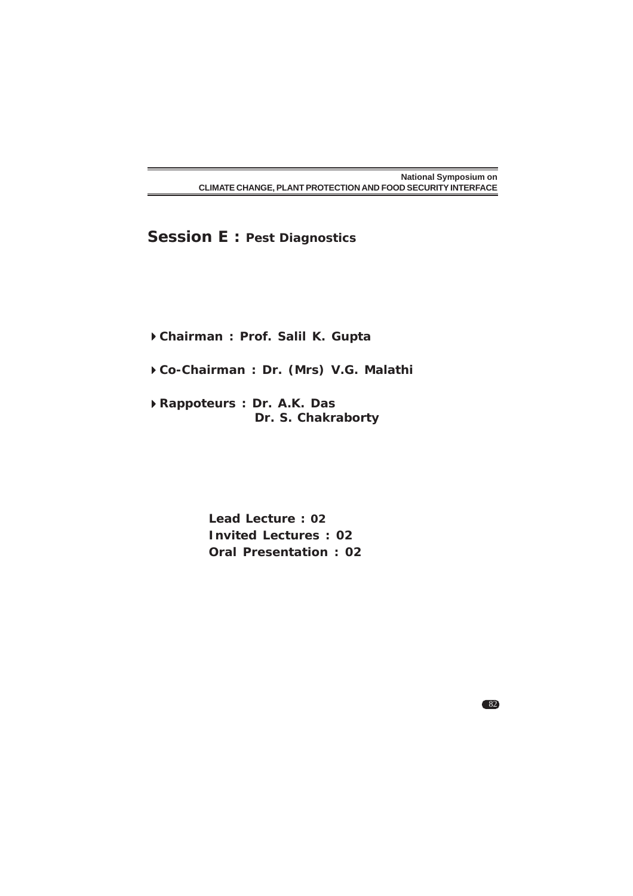**Session E : Pest Diagnostics**

**Chairman : Prof. Salil K. Gupta**

**Co-Chairman : Dr. (Mrs) V.G. Malathi**

**Rappoteurs : Dr. A.K. Das Dr. S. Chakraborty**

> **Lead Lecture : 02 Invited Lectures : 02 Oral Presentation : 02**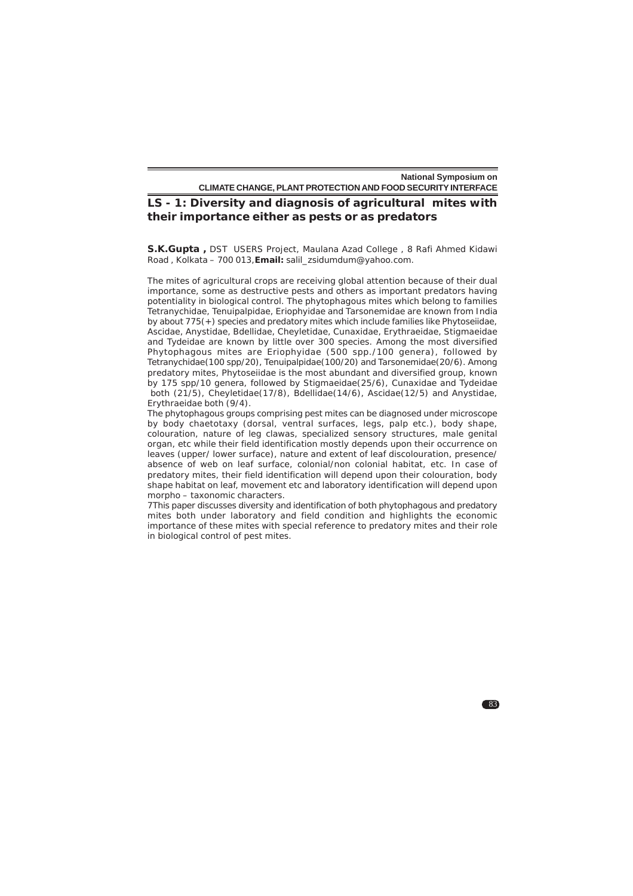### **LS - 1: Diversity and diagnosis of agricultural mites with their importance either as pests or as predators**

**S.K.Gupta ,** DST USERS Project, Maulana Azad College , 8 Rafi Ahmed Kidawi Road , Kolkata – 700 013,**Email:** salil\_zsidumdum@yahoo.com.

The mites of agricultural crops are receiving global attention because of their dual importance, some as destructive pests and others as important predators having potentiality in biological control. The phytophagous mites which belong to families Tetranychidae, Tenuipalpidae, Eriophyidae and Tarsonemidae are known from India by about 775(+) species and predatory mites which include families like Phytoseiidae, Ascidae, Anystidae, Bdellidae, Cheyletidae, Cunaxidae, Erythraeidae, Stigmaeidae and Tydeidae are known by little over 300 species. Among the most diversified Phytophagous mites are Eriophyidae (500 spp./100 genera), followed by Tetranychidae(100 spp/20), Tenuipalpidae(100/20) and Tarsonemidae(20/6). Among predatory mites, Phytoseiidae is the most abundant and diversified group, known by 175 spp/10 genera, followed by Stigmaeidae(25/6), Cunaxidae and Tydeidae both (21/5), Cheyletidae(17/8), Bdellidae(14/6), Ascidae(12/5) and Anystidae, Erythraeidae both (9/4).

The phytophagous groups comprising pest mites can be diagnosed under microscope by body chaetotaxy (dorsal, ventral surfaces, legs, palp etc.), body shape, colouration, nature of leg clawas, specialized sensory structures, male genital organ, etc while their field identification mostly depends upon their occurrence on leaves (upper/ lower surface), nature and extent of leaf discolouration, presence/ absence of web on leaf surface, colonial/non colonial habitat, etc. In case of predatory mites, their field identification will depend upon their colouration, body shape habitat on leaf, movement etc and laboratory identification will depend upon morpho – taxonomic characters.

7This paper discusses diversity and identification of both phytophagous and predatory mites both under laboratory and field condition and highlights the economic importance of these mites with special reference to predatory mites and their role in biological control of pest mites.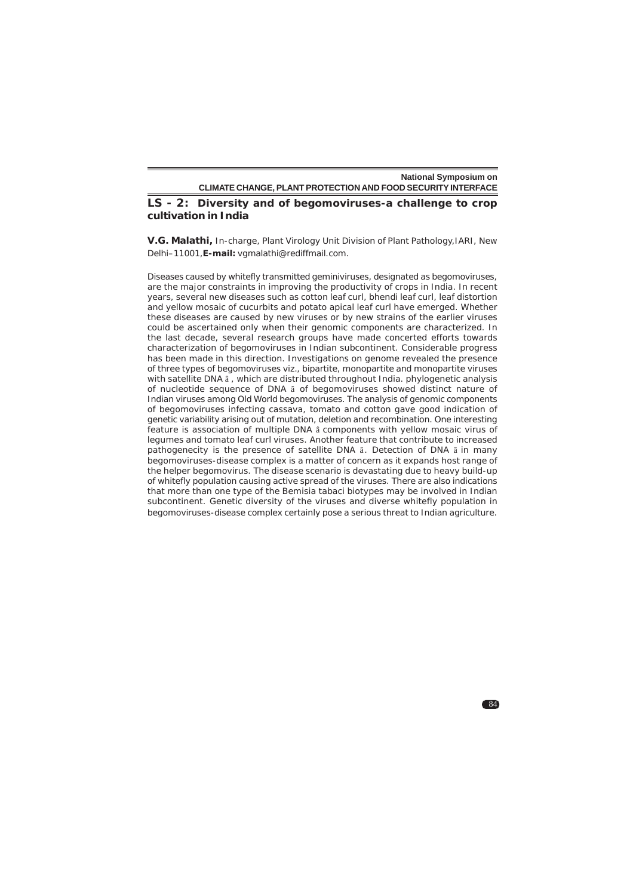### **LS - 2: Diversity and of begomoviruses-a challenge to crop cultivation in India**

**V.G. Malathi,** In-charge, Plant Virology Unit Division of Plant Pathology,IARI, New Delhi–11001,**E-mail:** vgmalathi@rediffmail.com.

Diseases caused by whitefly transmitted geminiviruses, designated as begomoviruses, are the major constraints in improving the productivity of crops in India. In recent years, several new diseases such as cotton leaf curl, bhendi leaf curl, leaf distortion and yellow mosaic of cucurbits and potato apical leaf curl have emerged. Whether these diseases are caused by new viruses or by new strains of the earlier viruses could be ascertained only when their genomic components are characterized. In the last decade, several research groups have made concerted efforts towards characterization of begomoviruses in Indian subcontinent. Considerable progress has been made in this direction. Investigations on genome revealed the presence of three types of begomoviruses viz., bipartite, monopartite and monopartite viruses with satellite DNA â , which are distributed throughout India. phylogenetic analysis of nucleotide sequence of DNA â of begomoviruses showed distinct nature of Indian viruses among Old World begomoviruses. The analysis of genomic components of begomoviruses infecting cassava, tomato and cotton gave good indication of genetic variability arising out of mutation, deletion and recombination. One interesting feature is association of multiple DNA â components with yellow mosaic virus of legumes and tomato leaf curl viruses. Another feature that contribute to increased pathogenecity is the presence of satellite DNA â. Detection of DNA â in many begomoviruses-disease complex is a matter of concern as it expands host range of the helper begomovirus. The disease scenario is devastating due to heavy build-up of whitefly population causing active spread of the viruses. There are also indications that more than one type of the *Bemisia tabaci* biotypes may be involved in Indian subcontinent. Genetic diversity of the viruses and diverse whitefly population in begomoviruses-disease complex certainly pose a serious threat to Indian agriculture.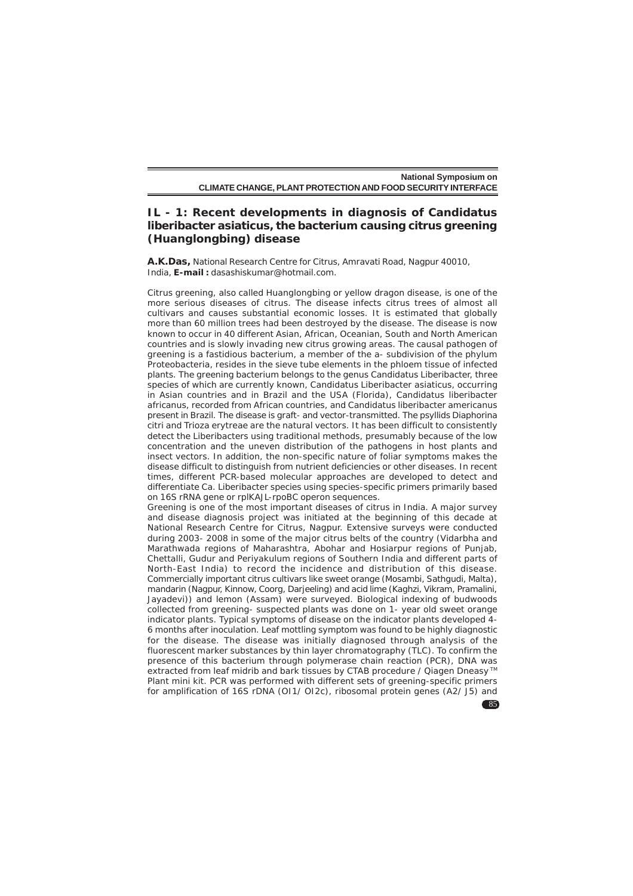# **IL - 1: Recent developments in diagnosis of** *Candidatus liberibacter asiaticus***, the bacterium causing citrus greening (Huanglongbing) disease**

**A.K.Das,** National Research Centre for Citrus, Amravati Road, Nagpur 40010, India, **E-mail :** dasashiskumar@hotmail.com.

Citrus greening, also called Huanglongbing or yellow dragon disease, is one of the more serious diseases of citrus. The disease infects citrus trees of almost all cultivars and causes substantial economic losses. It is estimated that globally more than 60 million trees had been destroyed by the disease. The disease is now known to occur in 40 different Asian, African, Oceanian, South and North American countries and is slowly invading new citrus growing areas. The causal pathogen of greening is a fastidious bacterium, a member of the a- subdivision of the phylum Proteobacteria, resides in the sieve tube elements in the phloem tissue of infected plants. The greening bacterium belongs to the genus Candidatus Liberibacter, three species of which are currently known, *Candidatus Liberibacter asiaticus*, occurring in Asian countries and in Brazil and the USA (Florida), *Candidatus liberibacter africanus*, recorded from African countries, and *Candidatus liberibacter americanus* present in Brazil. The disease is graft- and vector-transmitted. The psyllids Diaphorina citri and Trioza erytreae are the natural vectors. It has been difficult to consistently detect the Liberibacters using traditional methods, presumably because of the low concentration and the uneven distribution of the pathogens in host plants and insect vectors. In addition, the non-specific nature of foliar symptoms makes the disease difficult to distinguish from nutrient deficiencies or other diseases. In recent times, different PCR-based molecular approaches are developed to detect and differentiate Ca. Liberibacter species using species-specific primers primarily based on 16S rRNA gene or rplKAJL-rpoBC operon sequences.

Greening is one of the most important diseases of citrus in India. A major survey and disease diagnosis project was initiated at the beginning of this decade at National Research Centre for Citrus, Nagpur. Extensive surveys were conducted during 2003- 2008 in some of the major citrus belts of the country (Vidarbha and Marathwada regions of Maharashtra, Abohar and Hosiarpur regions of Punjab, Chettalli, Gudur and Periyakulum regions of Southern India and different parts of North-East India) to record the incidence and distribution of this disease. Commercially important citrus cultivars like sweet orange (Mosambi, Sathgudi, Malta), mandarin (Nagpur, Kinnow, Coorg, Darjeeling) and acid lime (Kaghzi, Vikram, Pramalini, Jayadevi)) and lemon (Assam) were surveyed. Biological indexing of budwoods collected from greening- suspected plants was done on 1- year old sweet orange indicator plants. Typical symptoms of disease on the indicator plants developed 4- 6 months after inoculation. Leaf mottling symptom was found to be highly diagnostic for the disease. The disease was initially diagnosed through analysis of the fluorescent marker substances by thin layer chromatography (TLC). To confirm the presence of this bacterium through polymerase chain reaction (PCR), DNA was extracted from leaf midrib and bark tissues by CTAB procedure / Qiagen Dneasy<sup>™</sup> Plant mini kit. PCR was performed with different sets of greening-specific primers for amplification of 16S rDNA (OI1/ OI2c), ribosomal protein genes (A2/ J5) and

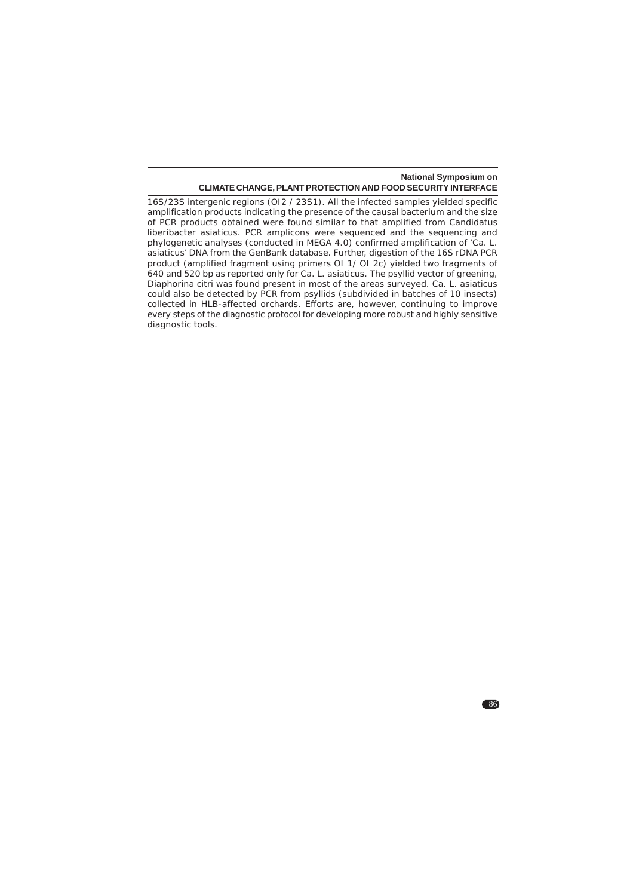86

16S/23S intergenic regions (OI2 / 23S1). All the infected samples yielded specific amplification products indicating the presence of the causal bacterium and the size of PCR products obtained were found similar to that amplified from *Candidatus liberibacter asiaticus*. PCR amplicons were sequenced and the sequencing and phylogenetic analyses (conducted in MEGA 4.0) confirmed amplification of '*Ca. L. asiaticus*' DNA from the GenBank database. Further, digestion of the 16S rDNA PCR product (amplified fragment using primers OI 1/ OI 2c) yielded two fragments of 640 and 520 bp as reported only for *Ca. L. asiaticus*. The psyllid vector of greening, Diaphorina citri was found present in most of the areas surveyed. Ca. L. asiaticus could also be detected by PCR from psyllids (subdivided in batches of 10 insects) collected in HLB-affected orchards. Efforts are, however, continuing to improve every steps of the diagnostic protocol for developing more robust and highly sensitive diagnostic tools.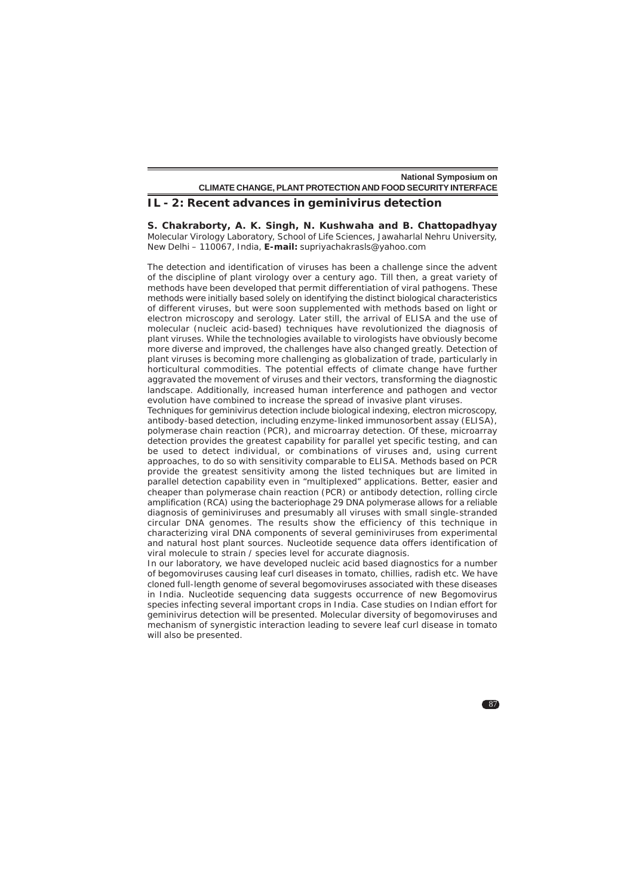### **IL - 2: Recent advances in geminivirus detection**

**S. Chakraborty, A. K. Singh, N. Kushwaha and B. Chattopadhyay** Molecular Virology Laboratory, School of Life Sciences, Jawaharlal Nehru University, New Delhi – 110067, India, **E-mail:** supriyachakrasls@yahoo.com

The detection and identification of viruses has been a challenge since the advent of the discipline of plant virology over a century ago. Till then, a great variety of methods have been developed that permit differentiation of viral pathogens. These methods were initially based solely on identifying the distinct biological characteristics of different viruses, but were soon supplemented with methods based on light or electron microscopy and serology. Later still, the arrival of ELISA and the use of molecular (nucleic acid-based) techniques have revolutionized the diagnosis of plant viruses. While the technologies available to virologists have obviously become more diverse and improved, the challenges have also changed greatly. Detection of plant viruses is becoming more challenging as globalization of trade, particularly in horticultural commodities. The potential effects of climate change have further aggravated the movement of viruses and their vectors, transforming the diagnostic landscape. Additionally, increased human interference and pathogen and vector evolution have combined to increase the spread of invasive plant viruses.

Techniques for geminivirus detection include biological indexing, electron microscopy, antibody-based detection, including enzyme-linked immunosorbent assay (ELISA), polymerase chain reaction (PCR), and microarray detection. Of these, microarray detection provides the greatest capability for parallel yet specific testing, and can be used to detect individual, or combinations of viruses and, using current approaches, to do so with sensitivity comparable to ELISA. Methods based on PCR provide the greatest sensitivity among the listed techniques but are limited in parallel detection capability even in "multiplexed" applications. Better, easier and cheaper than polymerase chain reaction (PCR) or antibody detection, rolling circle amplification (RCA) using the bacteriophage 29 DNA polymerase allows for a reliable diagnosis of geminiviruses and presumably all viruses with small single-stranded circular DNA genomes. The results show the efficiency of this technique in characterizing viral DNA components of several geminiviruses from experimental and natural host plant sources. Nucleotide sequence data offers identification of viral molecule to strain / species level for accurate diagnosis.

In our laboratory, we have developed nucleic acid based diagnostics for a number of begomoviruses causing leaf curl diseases in tomato, chillies, radish etc. We have cloned full-length genome of several begomoviruses associated with these diseases in India. Nucleotide sequencing data suggests occurrence of new Begomovirus species infecting several important crops in India. Case studies on Indian effort for geminivirus detection will be presented. Molecular diversity of begomoviruses and mechanism of synergistic interaction leading to severe leaf curl disease in tomato will also be presented.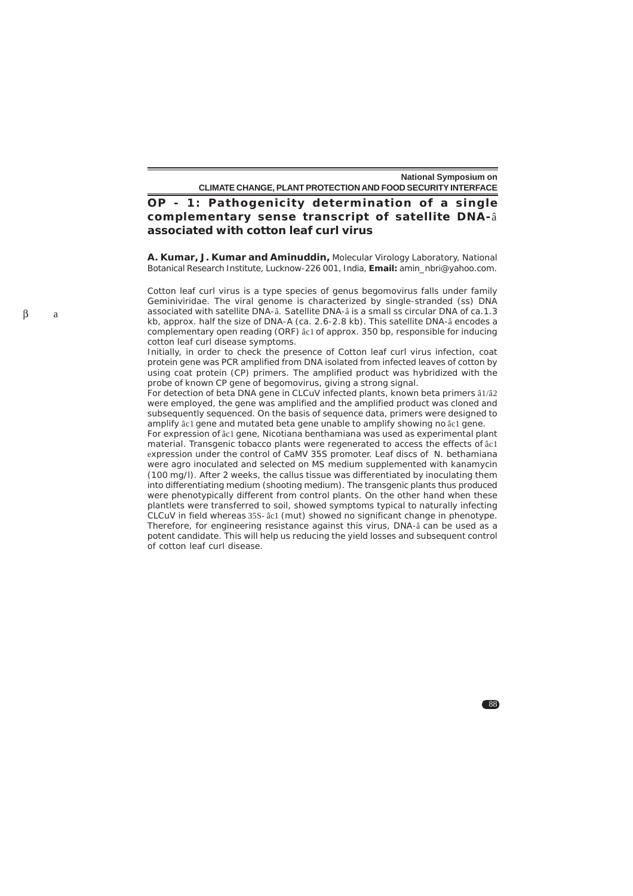88

# **OP - 1: Pathogenicity determination of a single complementary sense transcript of satellite DNA-**â **associated with cotton leaf curl virus**

**A. Kumar, J. Kumar and Aminuddin,** Molecular Virology Laboratory, National Botanical Research Institute, Lucknow-226 001, India, **Email:** amin\_nbri@yahoo.com.

Cotton leaf curl virus is a type species of genus begomovirus falls under family Geminiviridae. The viral genome is characterized by single-stranded (ss) DNA associated with satellite DNA-â. Satellite DNA-â is a small ss circular DNA of ca.1.3 kb, approx. half the size of DNA-A (ca. 2.6-2.8 kb). This satellite DNA-â encodes a complementary open reading (ORF) âc1 of approx. 350 bp, responsible for inducing cotton leaf curl disease symptoms.

Initially, in order to check the presence of Cotton leaf curl virus infection, coat protein gene was PCR amplified from DNA isolated from infected leaves of cotton by using coat protein (CP) primers. The amplified product was hybridized with the probe of known CP gene of begomovirus, giving a strong signal.

For detection of beta DNA gene in CLCuV infected plants, known beta primers â1/â2 were employed, the gene was amplified and the amplified product was cloned and subsequently sequenced. On the basis of sequence data, primers were designed to amplify âc1 gene and mutated beta gene unable to amplify showing no âc1 gene.

For expression of âc1 gene, Nicotiana benthamiana was used as experimental plant material. Transgenic tobacco plants were regenerated to access the effects of âc1 expression under the control of CaMV 35S promoter. Leaf discs of N. bethamiana were agro inoculated and selected on MS medium supplemented with kanamycin (100 mg/l). After 2 weeks, the callus tissue was differentiated by inoculating them into differentiating medium (shooting medium). The transgenic plants thus produced were phenotypically different from control plants. On the other hand when these plantlets were transferred to soil, showed symptoms typical to naturally infecting CLCuV in field whereas 35S- âc1 (mut) showed no significant change in phenotype. Therefore, for engineering resistance against this virus, DNA-â can be used as a potent candidate. This will help us reducing the yield losses and subsequent control of cotton leaf curl disease.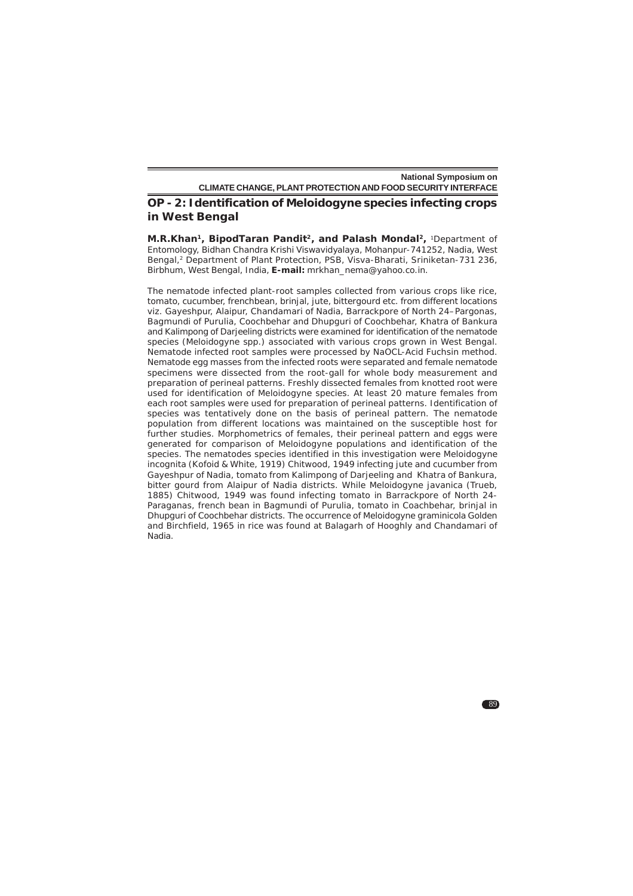### **OP - 2: Identification of** *Meloidogyne* **species infecting crops in West Bengal**

**M.R.Khan1, BipodTaran Pandit2, and Palash Mondal2,** 1Department of Entomology, Bidhan Chandra Krishi Viswavidyalaya, Mohanpur-741252, Nadia, West Bengal,<sup>2</sup> Department of Plant Protection, PSB, Visva-Bharati, Sriniketan-731 236, Birbhum, West Bengal, India, **E-mail:** mrkhan\_nema@yahoo.co.in.

The nematode infected plant-root samples collected from various crops like rice, tomato, cucumber, frenchbean, brinjal, jute, bittergourd etc. from different locations viz. Gayeshpur, Alaipur, Chandamari of Nadia, Barrackpore of North 24–Pargonas, Bagmundi of Purulia, Coochbehar and Dhupguri of Coochbehar, Khatra of Bankura and Kalimpong of Darjeeling districts were examined for identification of the nematode species (*Meloidogyne* spp*.*) associated with various crops grown in West Bengal. Nematode infected root samples were processed by NaOCL-Acid Fuchsin method. Nematode egg masses from the infected roots were separated and female nematode specimens were dissected from the root-gall for whole body measurement and preparation of perineal patterns. Freshly dissected females from knotted root were used for identification of *Meloidogyne* species. At least 20 mature females from each root samples were used for preparation of perineal patterns. Identification of species was tentatively done on the basis of perineal pattern. The nematode population from different locations was maintained on the susceptible host for further studies. Morphometrics of females, their perineal pattern and eggs were generated for comparison of *Meloidogyne* populations and identification of the species. The nematodes species identified in this investigation were *Meloidogyne incognita* (Kofoid & White, 1919) Chitwood, 1949 infecting jute and cucumber from Gayeshpur of Nadia, tomato from Kalimpong of Darjeeling and Khatra of Bankura, bitter gourd from Alaipur of Nadia districts. While *Meloidogyne javanica* (Trueb, 1885) Chitwood, 1949 was found infecting tomato in Barrackpore of North 24- Paraganas, french bean in Bagmundi of Purulia, tomato in Coachbehar, brinjal in Dhupguri of Coochbehar districts. The occurrence of *Meloidogyne graminicola* Golden and Birchfield, 1965 in rice was found at Balagarh of Hooghly and Chandamari of Nadia.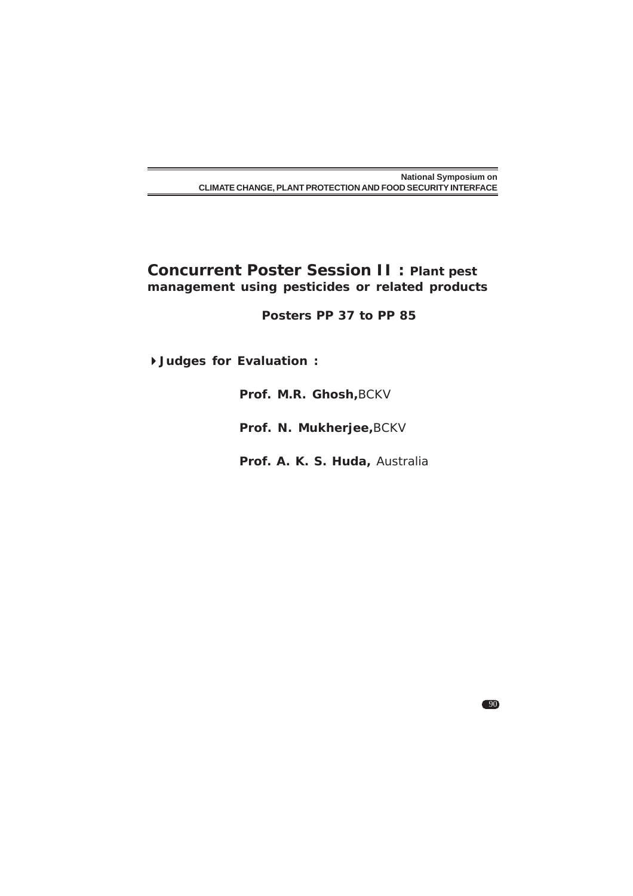# **Concurrent Poster Session II : Plant pest management using pesticides or related products**

 **Posters PP 37 to PP 85**

**Judges for Evaluation :**

**Prof. M.R. Ghosh,**BCKV

**Prof. N. Mukherjee,**BCKV

**Prof. A. K. S. Huda,** Australia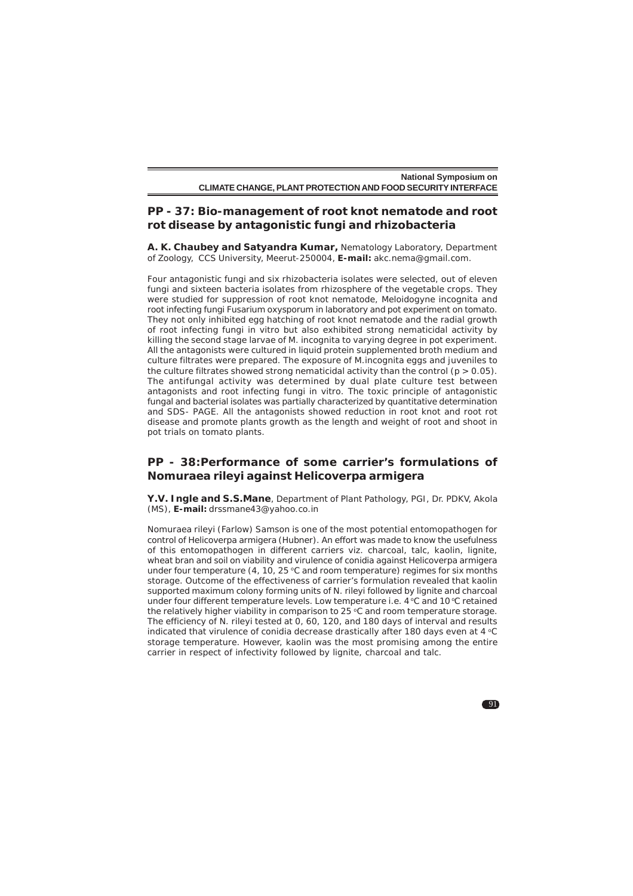### **PP - 37: Bio-management of root knot nematode and root rot disease by antagonistic fungi and rhizobacteria**

**A. K. Chaubey and Satyandra Kumar,** Nematology Laboratory, Department of Zoology, CCS University, Meerut-250004, **E-mail:** akc.nema@gmail.com.

Four antagonistic fungi and six rhizobacteria isolates were selected, out of eleven fungi and sixteen bacteria isolates from rhizosphere of the vegetable crops. They were studied for suppression of root knot nematode, *Meloidogyne incognita* and root infecting fungi *Fusarium oxysporum* in laboratory and pot experiment on tomato. They not only inhibited egg hatching of root knot nematode and the radial growth of root infecting fungi in vitro but also exhibited strong nematicidal activity by killing the second stage larvae of *M. incognita* to varying degree in pot experiment. All the antagonists were cultured in liquid protein supplemented broth medium and culture filtrates were prepared. The exposure of *M.incognita* eggs and juveniles to the culture filtrates showed strong nematicidal activity than the control ( $p > 0.05$ ). The antifungal activity was determined by dual plate culture test between antagonists and root infecting fungi in vitro. The toxic principle of antagonistic fungal and bacterial isolates was partially characterized by quantitative determination and SDS- PAGE. All the antagonists showed reduction in root knot and root rot disease and promote plants growth as the length and weight of root and shoot in pot trials on tomato plants.

### **PP - 38:Performance of some carrier's formulations of** *Nomuraea rileyi* **against** *Helicoverpa armigera*

**Y.V. Ingle and S.S.Mane**, Department of Plant Pathology, PGI, Dr. PDKV, Akola (MS), **E-mail:** drssmane43@yahoo.co.in

*Nomuraea rileyi* (Farlow) Samson is one of the most potential entomopathogen for control of *Helicoverpa armigera* (Hubner). An effort was made to know the usefulness of this entomopathogen in different carriers viz. charcoal, talc, kaolin, lignite, wheat bran and soil on viability and virulence of conidia against *Helicoverpa armigera* under four temperature (4, 10, 25  $\degree$ C and room temperature) regimes for six months storage. Outcome of the effectiveness of carrier's formulation revealed that kaolin supported maximum colony forming units of *N. rileyi* followed by lignite and charcoal under four different temperature levels. Low temperature i.e. 4 °C and 10 °C retained the relatively higher viability in comparison to  $25^{\circ}$ C and room temperature storage. The efficiency of *N. rileyi* tested at 0, 60, 120, and 180 days of interval and results indicated that virulence of conidia decrease drastically after 180 days even at 4 °C storage temperature. However, kaolin was the most promising among the entire carrier in respect of infectivity followed by lignite, charcoal and talc.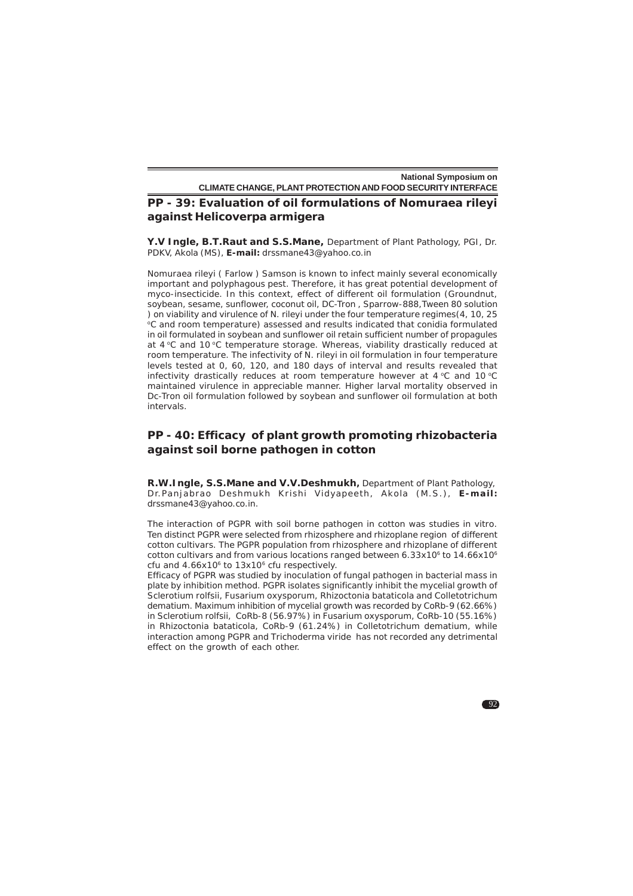# **PP - 39: Evaluation of oil formulations of** *Nomuraea rileyi* **against** *Helicoverpa armigera*

**Y.V Ingle, B.T.Raut and S.S.Mane,** Department of Plant Pathology, PGI, Dr. PDKV, Akola (MS), **E-mail:** drssmane43@yahoo.co.in

*Nomuraea rileyi* ( Farlow ) Samson is known to infect mainly several economically important and polyphagous pest. Therefore, it has great potential development of myco-insecticide. In this context, effect of different oil formulation (Groundnut, soybean, sesame, sunflower, coconut oil, DC-Tron , Sparrow-888,Tween 80 solution ) on viability and virulence of *N. rileyi* under the four temperature regimes(4, 10, 25 <sup>o</sup>C and room temperature) assessed and results indicated that conidia formulated in oil formulated in soybean and sunflower oil retain sufficient number of propagules at 4 °C and 10 °C temperature storage. Whereas, viability drastically reduced at room temperature. The infectivity of *N. rileyi* in oil formulation in four temperature levels tested at 0, 60, 120, and 180 days of interval and results revealed that infectivity drastically reduces at room temperature however at 4  $\degree$ C and 10  $\degree$ C maintained virulence in appreciable manner. Higher larval mortality observed in Dc-Tron oil formulation followed by soybean and sunflower oil formulation at both intervals.

# **PP - 40: Efficacy of plant growth promoting rhizobacteria against soil borne pathogen in cotton**

**R.W.Ingle, S.S.Mane and V.V.Deshmukh,** Department of Plant Pathology, Dr.Panjabrao Deshmukh Krishi Vidyapeeth, Akola (M.S.), E-mail: drssmane43@yahoo.co.in.

The interaction of PGPR with soil borne pathogen in cotton was studies *in vitro*. Ten distinct PGPR were selected from rhizosphere and rhizoplane region of different cotton cultivars. The PGPR population from rhizosphere and rhizoplane of different cotton cultivars and from various locations ranged between  $6.33x10<sup>6</sup>$  to  $14.66x10<sup>6</sup>$ cfu and  $4.66x10^6$  to  $13x10^6$  cfu respectively.

Efficacy of PGPR was studied by inoculation of fungal pathogen in bacterial mass in plate by inhibition method. PGPR isolates significantly inhibit the mycelial growth of *Sclerotium rolfsii, Fusarium oxysporum, Rhizoctonia bataticola* and *Colletotrichum dematium.* Maximum inhibition of mycelial growth was recorded by CoRb-9 (62.66%) in *Sclerotium rolfsii,* CoRb-8 (56.97%) in *Fusarium oxysporum,* CoRb-10 (55.16%) in *Rhizoctonia bataticola,* CoRb-9 (61.24%) in *Colletotrichum dematium,* while interaction among PGPR and *Trichoderma viride* has not recorded any detrimental effect on the growth of each other.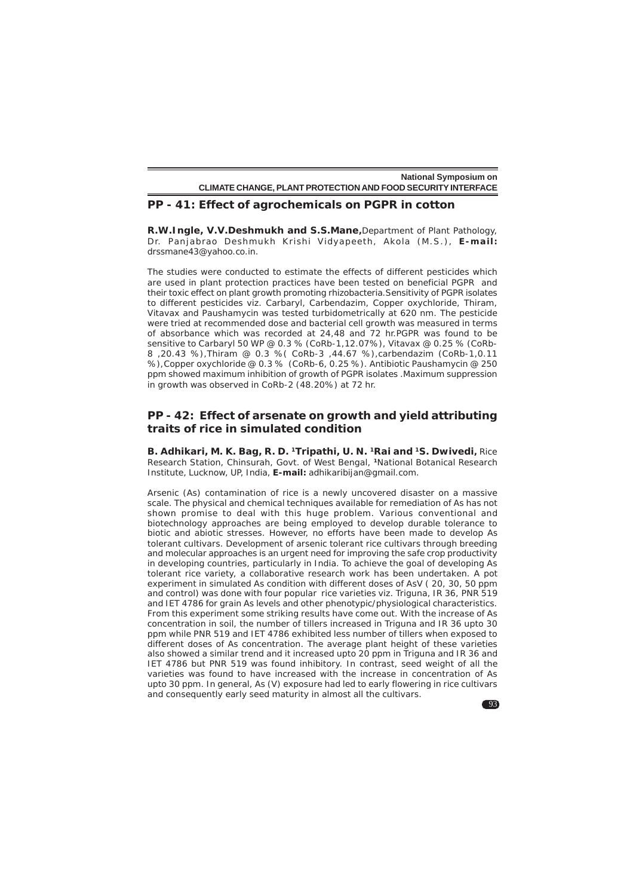### **PP - 41: Effect of agrochemicals on PGPR in cotton**

**R.W.Ingle, V.V.Deshmukh and S.S.Mane***,*Department of Plant Pathology, Dr. Pan jabrao Deshmukh Krishi Vidyapeeth , Akola (M .S .) , **E-mail:** drssmane43@yahoo.co.in.

The studies were conducted to estimate the effects of different pesticides which are used in plant protection practices have been tested on beneficial PGPR and their toxic effect on plant growth promoting rhizobacteria.Sensitivity of PGPR isolates to different pesticides viz. Carbaryl, Carbendazim, Copper oxychloride, Thiram, Vitavax and Paushamycin was tested turbidometrically at 620 nm. The pesticide were tried at recommended dose and bacterial cell growth was measured in terms of absorbance which was recorded at 24,48 and 72 hr.PGPR was found to be sensitive to Carbaryl 50 WP @ 0.3 % (CoRb-1,12.07%), Vitavax @ 0.25 % (CoRb-8 ,20.43 %),Thiram @ 0.3 %( CoRb-3 ,44.67 %),carbendazim (CoRb-1,0.11 %),*Copper oxychloride* @ 0.3 % (CoRb-6, 0.25 %). Antibiotic Paushamycin @ 250 ppm showed maximum inhibition of growth of PGPR isolates .Maximum suppression in growth was observed in CoRb-2 (48.20%) at 72 hr.

# **PP - 42: Effect of arsenate on growth and yield attributing traits of rice in simulated condition**

**B. Adhikari, M. K. Bag, R. D. 1Tripathi, U. N. 1Rai and 1S. Dwivedi,** Rice Research Station, Chinsurah, Govt. of West Bengal, **1**National Botanical Research Institute, Lucknow, UP, India, **E-mail:** adhikaribijan@gmail.com.

Arsenic (As) contamination of rice is a newly uncovered disaster on a massive scale. The physical and chemical techniques available for remediation of As has not shown promise to deal with this huge problem. Various conventional and biotechnology approaches are being employed to develop durable tolerance to biotic and abiotic stresses. However, no efforts have been made to develop As tolerant cultivars. Development of arsenic tolerant rice cultivars through breeding and molecular approaches is an urgent need for improving the safe crop productivity in developing countries, particularly in India. To achieve the goal of developing As tolerant rice variety, a collaborative research work has been undertaken. A pot experiment in simulated As condition with different doses of AsV ( 20, 30, 50 ppm and control) was done with four popular rice varieties viz. Triguna, IR 36, PNR 519 and IET 4786 for grain As levels and other phenotypic/physiological characteristics. From this experiment some striking results have come out. With the increase of As concentration in soil, the number of tillers increased in Triguna and IR 36 upto 30 ppm while PNR 519 and IET 4786 exhibited less number of tillers when exposed to different doses of As concentration. The average plant height of these varieties also showed a similar trend and it increased upto 20 ppm in Triguna and IR 36 and IET 4786 but PNR 519 was found inhibitory. In contrast, seed weight of all the varieties was found to have increased with the increase in concentration of As upto 30 ppm. In general, As (V) exposure had led to early flowering in rice cultivars and consequently early seed maturity in almost all the cultivars.

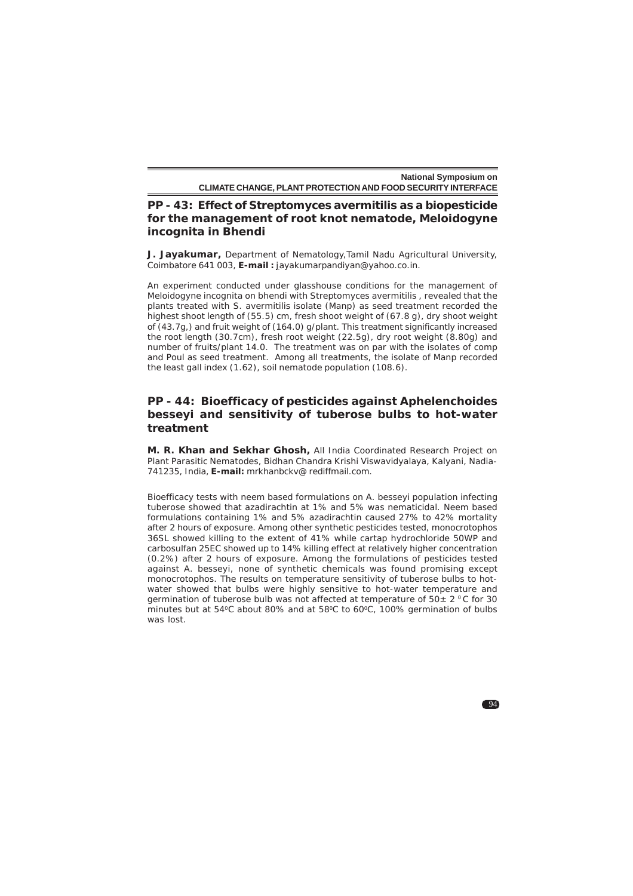# **PP - 43: Effect of** *Streptomyces avermitilis* **as a biopesticide for the management of root knot nematode,** *Meloidogyne incognita* **in Bhendi**

**J. Jayakumar,** Department of Nematology,Tamil Nadu Agricultural University, Coimbatore 641 003, **E-mail :** jayakumarpandiyan@yahoo.co.in.

An experiment conducted under glasshouse conditions for the management of *Meloidogyne incognita* on bhendi with *Streptomyces avermitilis* , revealed that the plants treated with *S. avermitilis* isolate (Manp) as seed treatment recorded the highest shoot length of (55.5) cm, fresh shoot weight of (67.8 g), dry shoot weight of (43.7g,) and fruit weight of (164.0) g/plant. This treatment significantly increased the root length (30.7cm), fresh root weight (22.5g), dry root weight (8.80g) and number of fruits/plant 14.0. The treatment was on par with the isolates of comp and Poul as seed treatment. Among all treatments, the isolate of Manp recorded the least gall index (1.62), soil nematode population (108.6).

# **PP - 44: Bioefficacy of pesticides against** *Aphelenchoides besseyi* **and sensitivity of tuberose bulbs to hot-water treatment**

**M. R. Khan and Sekhar Ghosh,** All India Coordinated Research Project on Plant Parasitic Nematodes, Bidhan Chandra Krishi Viswavidyalaya, Kalyani, Nadia-741235, India, **E-mail:** mrkhanbckv@ rediffmail.com.

Bioefficacy tests with neem based formulations on *A. besseyi* population infecting tuberose showed that azadirachtin at 1% and 5% was nematicidal. Neem based formulations containing 1% and 5% azadirachtin caused 27% to 42% mortality after 2 hours of exposure. Among other synthetic pesticides tested, monocrotophos 36SL showed killing to the extent of 41% while cartap hydrochloride 50WP and carbosulfan 25EC showed up to 14% killing effect at relatively higher concentration (0.2%) after 2 hours of exposure. Among the formulations of pesticides tested against *A. besseyi*, none of synthetic chemicals was found promising except monocrotophos. The results on temperature sensitivity of tuberose bulbs to hotwater showed that bulbs were highly sensitive to hot-water temperature and germination of tuberose bulb was not affected at temperature of  $50 \pm 2^{\circ}$ C for 30 minutes but at 54°C about 80% and at 58°C to 60°C, 100% germination of bulbs was lost.

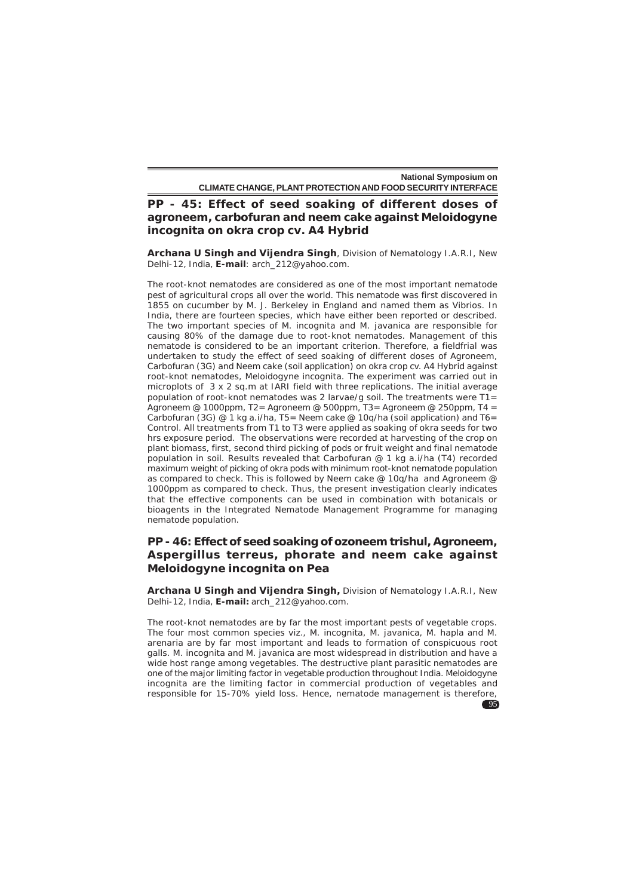**PP - 45: Effect of seed soaking of different doses of agroneem, carbofuran and neem cake against** *Meloidogyne incognita* **on okra crop cv. A4 Hybrid**

**Archana U Singh and Vijendra Singh**, Division of Nematology I.A.R.I, New Delhi-12, India, **E-mail**: arch\_212@yahoo.com.

The root-knot nematodes are considered as one of the most important nematode pest of agricultural crops all over the world. This nematode was first discovered in 1855 on cucumber by M. J. Berkeley in England and named them as Vibrios. In India, there are fourteen species, which have either been reported or described. The two important species of *M. incognita* and *M. javanica* are responsible for causing 80% of the damage due to root-knot nematodes. Management of this nematode is considered to be an important criterion. Therefore, a fieldfrial was undertaken to study the effect of seed soaking of different doses of Agroneem, Carbofuran (3G) and Neem cake (soil application) on okra crop cv. A4 Hybrid against root-knot nematodes, *Meloidogyne incognita*. The experiment was carried out in microplots of 3 x 2 sq.m at IARI field with three replications. The initial average population of root-knot nematodes was 2 larvae/g soil. The treatments were  $T1=$ Agroneem @ 1000ppm, T2= Agroneem @ 500ppm, T3= Agroneem @ 250ppm, T4 = Carbofuran (3G)  $@1$  kg a.i/ha, T5= Neem cake  $@10q/ha$  (soil application) and T6= Control. All treatments from T1 to T3 were applied as soaking of okra seeds for two hrs exposure period. The observations were recorded at harvesting of the crop on plant biomass, first, second third picking of pods or fruit weight and final nematode population in soil. Results revealed that Carbofuran @ 1 kg a.i/ha (T4) recorded maximum weight of picking of okra pods with minimum root-knot nematode population as compared to check. This is followed by Neem cake @ 10q/ha and Agroneem @ 1000ppm as compared to check. Thus, the present investigation clearly indicates that the effective components can be used in combination with botanicals or bioagents in the Integrated Nematode Management Programme for managing nematode population.

# **PP - 46: Effect of seed soaking of ozoneem trishul, Agroneem,** *Aspergillus terreus***, phorate and neem cake against** *Meloidogyne incognita* **on Pea**

**Archana U Singh and Vijendra Singh,** Division of Nematology I.A.R.I, New Delhi-12, India, **E-mail:** arch\_212@yahoo.com.

The root-knot nematodes are by far the most important pests of vegetable crops. The four most common species viz., *M. incognita*, *M. javanica*, *M. hapla* and *M. arenaria* are by far most important and leads to formation of conspicuous root galls. *M. incognita* and *M. javanica* are most widespread in distribution and have a wide host range among vegetables. The destructive plant parasitic nematodes are one of the major limiting factor in vegetable production throughout India. *Meloidogyne incognita* are the limiting factor in commercial production of vegetables and responsible for 15-70% yield loss. Hence, nematode management is therefore,

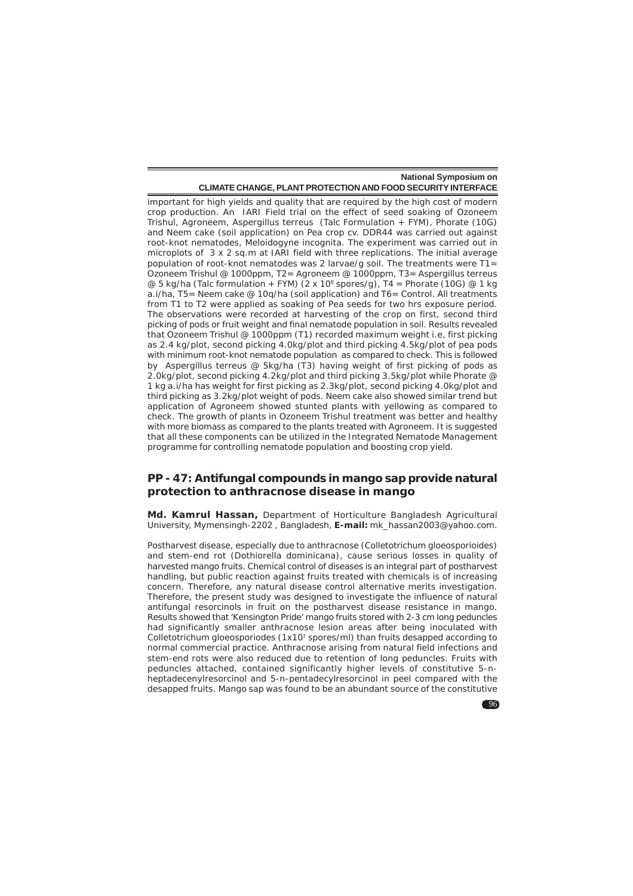important for high yields and quality that are required by the high cost of modern crop production. An IARI Field trial on the effect of seed soaking of Ozoneem Trishul, Agroneem, *Aspergillus terreus* (Talc Formulation + FYM), Phorate (10G) and Neem cake (soil application) on Pea crop cv. DDR44 was carried out against root-knot nematodes, *Meloidogyne incognita*. The experiment was carried out in microplots of 3 x 2 sq.m at IARI field with three replications. The initial average population of root-knot nematodes was 2 larvae/g soil. The treatments were T1= Ozoneem Trishul @ 1000ppm, T2= Agroneem @ 1000ppm, T3= *Aspergillus terreus* @ 5 kg/ha (Talc formulation + FYM) (2 x 10<sup>8</sup> spores/g), T4 = Phorate (10G) @ 1 kg a.i/ha, T5= Neem cake @ 10q/ha (soil application) and T6= Control. All treatments from T1 to T2 were applied as soaking of Pea seeds for two hrs exposure period. The observations were recorded at harvesting of the crop on first, second third picking of pods or fruit weight and final nematode population in soil. Results revealed that Ozoneem Trishul @ 1000ppm (T1) recorded maximum weight i.e, first picking as 2.4 kg/plot, second picking 4.0kg/plot and third picking 4.5kg/plot of pea pods with minimum root-knot nematode population as compared to check. This is followed by *Aspergillus terreus* @ 5kg/ha (T3) having weight of first picking of pods as 2.0kg/plot, second picking 4.2kg/plot and third picking 3.5kg/plot while Phorate @ 1 kg a.i/ha has weight for first picking as 2.3kg/plot, second picking 4.0kg/plot and third picking as 3.2kg/plot weight of pods. Neem cake also showed similar trend but application of Agroneem showed stunted plants with yellowing as compared to check. The growth of plants in Ozoneem Trishul treatment was better and healthy with more biomass as compared to the plants treated with Agroneem. It is suggested that all these components can be utilized in the Integrated Nematode Management programme for controlling nematode population and boosting crop yield.

### **PP - 47: Antifungal compounds in mango sap provide natural protection to anthracnose disease in mango**

**Md. Kamrul Hassan,** Department of Horticulture Bangladesh Agricultural University, Mymensingh-2202 , Bangladesh, **E-mail:** mk\_hassan2003@yahoo.com.

Postharvest disease, especially due to anthracnose (*Colletotrichum gloeosporioides*) and stem-end rot (*Dothiorella dominicana*), cause serious losses in quality of harvested mango fruits. Chemical control of diseases is an integral part of postharvest handling, but public reaction against fruits treated with chemicals is of increasing concern. Therefore, any natural disease control alternative merits investigation. Therefore, the present study was designed to investigate the influence of natural antifungal resorcinols in fruit on the postharvest disease resistance in mango. Results showed that 'Kensington Pride' mango fruits stored with 2-3 cm long peduncles had significantly smaller anthracnose lesion areas after being inoculated with *Colletotrichum gloeosporiodes* (1x107 spores/ml) than fruits desapped according to normal commercial practice. Anthracnose arising from natural field infections and stem-end rots were also reduced due to retention of long peduncles. Fruits with peduncles attached, contained significantly higher levels of constitutive 5-nheptadecenylresorcinol and 5-n-pentadecylresorcinol in peel compared with the desapped fruits. Mango sap was found to be an abundant source of the constitutive

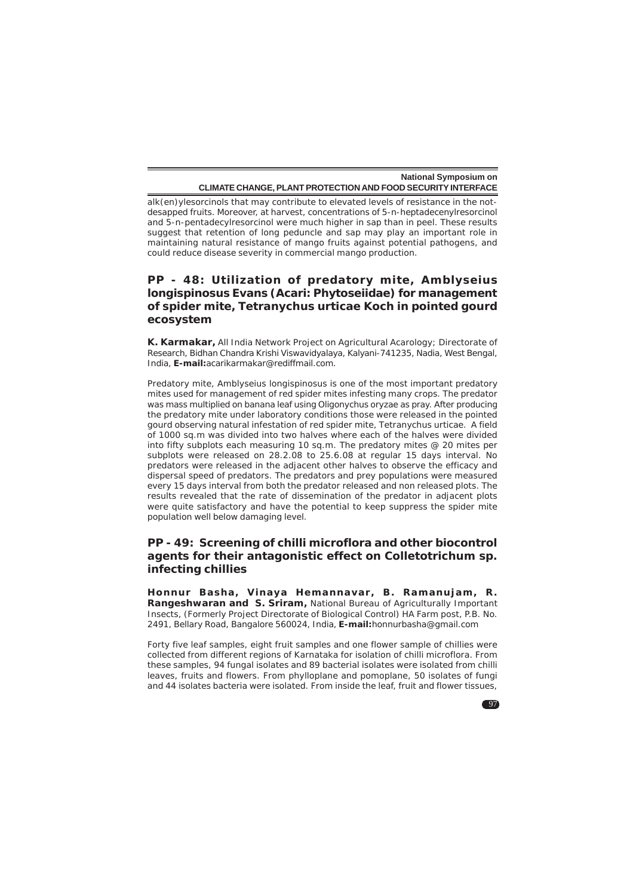alk(en)ylesorcinols that may contribute to elevated levels of resistance in the notdesapped fruits. Moreover, at harvest, concentrations of 5-n-heptadecenylresorcinol and 5-n-pentadecylresorcinol were much higher in sap than in peel. These results suggest that retention of long peduncle and sap may play an important role in maintaining natural resistance of mango fruits against potential pathogens, and could reduce disease severity in commercial mango production.

# **PP - 48: Utilization of predatory mite,** *Amblyseius longispinosus* **Evans (Acari: Phytoseiidae) for management of spider mite,** *Tetranychus urticae* **Koch in pointed gourd ecosystem**

**K. Karmakar,** All India Network Project on Agricultural Acarology; Directorate of Research, Bidhan Chandra Krishi Viswavidyalaya, Kalyani-741235, Nadia, West Bengal, India, **E-mail:**acarikarmakar@rediffmail.com.

Predatory mite, *Amblyseius longispinosus* is one of the most important predatory mites used for management of red spider mites infesting many crops. The predator was mass multiplied on banana leaf using *Oligonychus oryzae* as pray. After producing the predatory mite under laboratory conditions those were released in the pointed gourd observing natural infestation of red spider mite, *Tetranychus urticae.* A field of 1000 sq.m was divided into two halves where each of the halves were divided into fifty subplots each measuring 10 sq.m. The predatory mites @ 20 mites per subplots were released on 28.2.08 to 25.6.08 at regular 15 days interval. No predators were released in the adjacent other halves to observe the efficacy and dispersal speed of predators. The predators and prey populations were measured every 15 days interval from both the predator released and non released plots. The results revealed that the rate of dissemination of the predator in adjacent plots were quite satisfactory and have the potential to keep suppress the spider mite population well below damaging level.

# **PP - 49: Screening of chilli microflora and other biocontrol agents for their antagonistic effect on** *Colletotrichum* **sp. infecting chillies**

**Honnur Basha, Vinaya Hemannavar, B. Ramanujam, R. Rangeshwaran and S. Sriram,** National Bureau of Agriculturally Important Insects, (Formerly Project Directorate of Biological Control) HA Farm post, P.B. No. 2491, Bellary Road, Bangalore 560024, India, **E-mail:**honnurbasha@gmail.com

Forty five leaf samples, eight fruit samples and one flower sample of chillies were collected from different regions of Karnataka for isolation of chilli microflora. From these samples, 94 fungal isolates and 89 bacterial isolates were isolated from chilli leaves, fruits and flowers. From phylloplane and pomoplane, 50 isolates of fungi and 44 isolates bacteria were isolated. From inside the leaf, fruit and flower tissues,

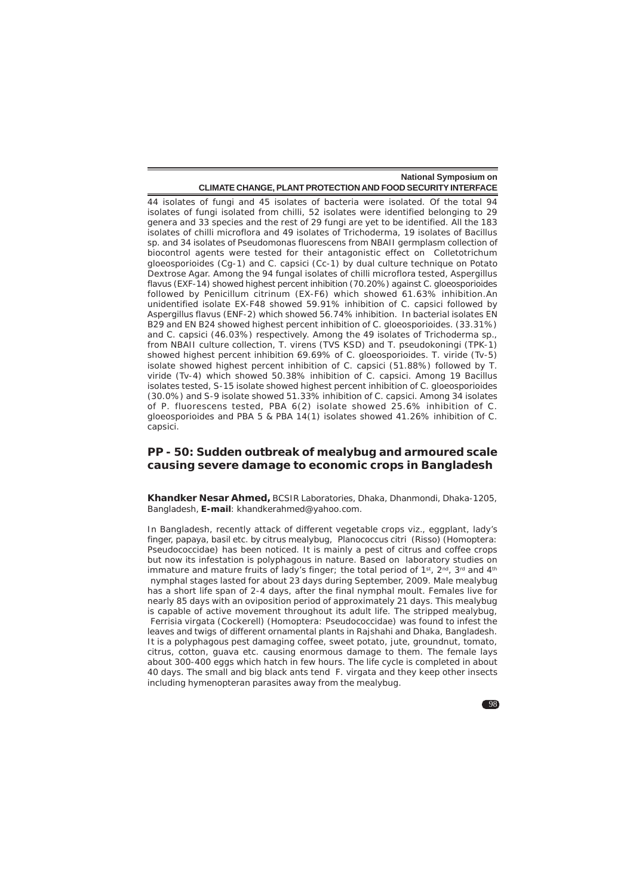44 isolates of fungi and 45 isolates of bacteria were isolated. Of the total 94 isolates of fungi isolated from chilli, 52 isolates were identified belonging to 29 genera and 33 species and the rest of 29 fungi are yet to be identified. All the 183 isolates of chilli microflora and 49 isolates of *Trichoderma*, 19 isolates of *Bacillus* sp. and 34 isolates of *Pseudomonas fluorescens* from NBAII germplasm collection of biocontrol agents were tested for their antagonistic effect on *Colletotrichum gloeosporioides* (Cg-1) and *C. capsici* (Cc-1) by dual culture technique on Potato Dextrose Agar. Among the 94 fungal isolates of chilli microflora tested, *Aspergillus flavus* (EXF-14) showed highest percent inhibition (70.20%) against *C. gloeosporioides* followed by *Penicillum citrinum* (EX-F6) which showed 61.63% inhibition.An unidentified isolate EX-F48 showed 59.91% inhibition of *C. capsici* followed by *Aspergillus flavus* (ENF-2) which showed 56.74% inhibition. In bacterial isolates EN B29 and EN B24 showed highest percent inhibition of *C. gloeosporioides.* (33.31%) and *C. capsici* (46.03%) respectively. Among the 49 isolates of *Trichoderma* sp., from NBAII culture collection, *T. virens* (TVS KSD) and *T. pseudokoningi* (TPK-1) showed highest percent inhibition 69.69% of *C. gloeosporioides. T. viride* (Tv-5) isolate showed highest percent inhibition of *C. capsici* (51.88%) followed by *T. viride* (Tv-4) which showed 50.38% inhibition of *C. capsici.* Among 19 *Bacillus* isolates tested, S-15 isolate showed highest percent inhibition of *C. gloeosporioides* (30.0%) and S-9 isolate showed 51.33% inhibition of *C. capsici*. Among 34 isolates of *P. fluorescens* tested, PBA 6(2) isolate showed 25.6% inhibition of *C. gloeosporioides* and PBA 5 & PBA 14(1) isolates showed 41.26% inhibition of *C. capsici*.

# **PP - 50: Sudden outbreak of mealybug and armoured scale causing severe damage to economic crops in Bangladesh**

**Khandker Nesar Ahmed,** BCSIR Laboratories, Dhaka, Dhanmondi, Dhaka-1205, Bangladesh, **E-mail**: khandkerahmed@yahoo.com.

In Bangladesh, recently attack of different vegetable crops viz., eggplant, lady's finger, papaya, basil etc. by citrus mealybug, *Planococcus citri* (Risso) (Homoptera: Pseudococcidae) has been noticed. It is mainly a pest of citrus and coffee crops but now its infestation is polyphagous in nature. Based on laboratory studies on immature and mature fruits of lady's finger; the total period of  $1<sup>st</sup>$ ,  $2<sup>nd</sup>$ ,  $3<sup>rd</sup>$  and  $4<sup>th</sup>$  nymphal stages lasted for about 23 days during September, 2009. Male mealybug has a short life span of 2-4 days, after the final nymphal moult. Females live for nearly 85 days with an oviposition period of approximately 21 days. This mealybug is capable of active movement throughout its adult life. The stripped mealybug,  *Ferrisia virgata* (Cockerell) (Homoptera: Pseudococcidae) was found to infest the leaves and twigs of different ornamental plants in Rajshahi and Dhaka, Bangladesh. It is a polyphagous pest damaging coffee, sweet potato, jute, groundnut, tomato, citrus, cotton, guava etc. causing enormous damage to them. The female lays about 300-400 eggs which hatch in few hours. The life cycle is completed in about 40 days. The small and big black ants tend *F. virgata* and they keep other insects including hymenopteran parasites away from the mealybug.

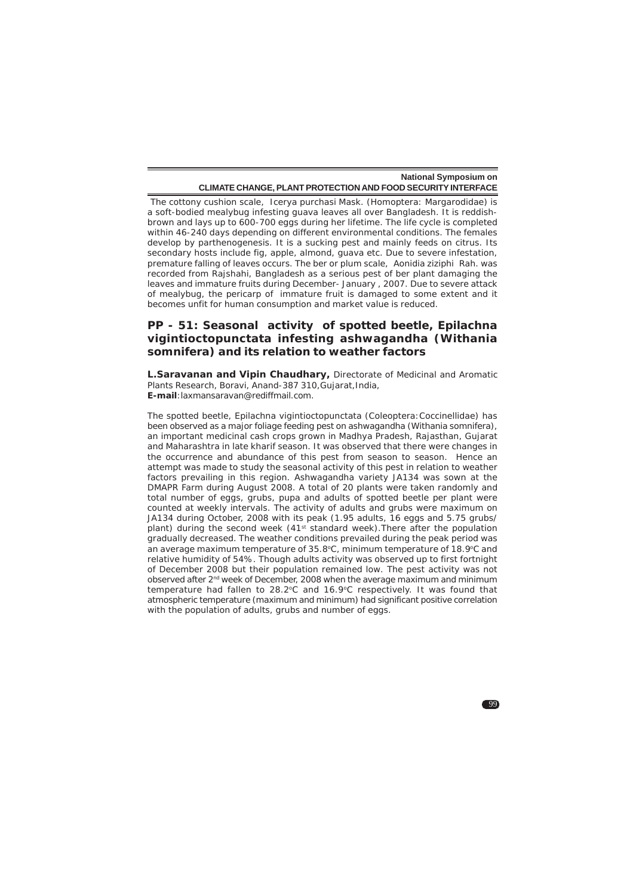The cottony cushion scale, *Icerya purchasi* Mask. (Homoptera: Margarodidae) is a soft-bodied mealybug infesting guava leaves all over Bangladesh. It is reddishbrown and lays up to 600-700 eggs during her lifetime. The life cycle is completed within 46-240 days depending on different environmental conditions. The females develop by parthenogenesis. It is a sucking pest and mainly feeds on citrus. Its secondary hosts include fig, apple, almond, guava etc. Due to severe infestation, premature falling of leaves occurs. The ber or plum scale, *Aonidia ziziphi* Rah. was recorded from Rajshahi, Bangladesh as a serious pest of ber plant damaging the leaves and immature fruits during December- January , 2007. Due to severe attack of mealybug, the pericarp of immature fruit is damaged to some extent and it becomes unfit for human consumption and market value is reduced.

# **PP - 51: Seasonal activity of spotted beetle,** *Epilachna vigintioctopunctata* **infesting ashwagandha (***Withania somnifera***) and its relation to weather factors**

**L.Saravanan and Vipin Chaudhary,** Directorate of Medicinal and Aromatic Plants Research, Boravi, Anand-387 310, Gujarat, India, **E-mail**:laxmansaravan@rediffmail.com.

The spotted beetle, *Epilachna vigintioctopunctata* (Coleoptera:Coccinellidae) has been observed as a major foliage feeding pest on ashwagandha (*Withania somnifera*), an important medicinal cash crops grown in Madhya Pradesh, Rajasthan, Gujarat and Maharashtra in late kharif season. It was observed that there were changes in the occurrence and abundance of this pest from season to season. Hence an attempt was made to study the seasonal activity of this pest in relation to weather factors prevailing in this region. Ashwagandha variety JA134 was sown at the DMAPR Farm during August 2008. A total of 20 plants were taken randomly and total number of eggs, grubs, pupa and adults of spotted beetle per plant were counted at weekly intervals. The activity of adults and grubs were maximum on JA134 during October, 2008 with its peak (1.95 adults, 16 eggs and 5.75 grubs/ plant) during the second week (41<sup>st</sup> standard week). There after the population gradually decreased. The weather conditions prevailed during the peak period was an average maximum temperature of 35.8°C, minimum temperature of 18.9°C and relative humidity of 54%. Though adults activity was observed up to first fortnight of December 2008 but their population remained low. The pest activity was not observed after 2nd week of December, 2008 when the average maximum and minimum temperature had fallen to  $28.2^{\circ}$ C and  $16.9^{\circ}$ C respectively. It was found that atmospheric temperature (maximum and minimum) had significant positive correlation with the population of adults, grubs and number of eggs.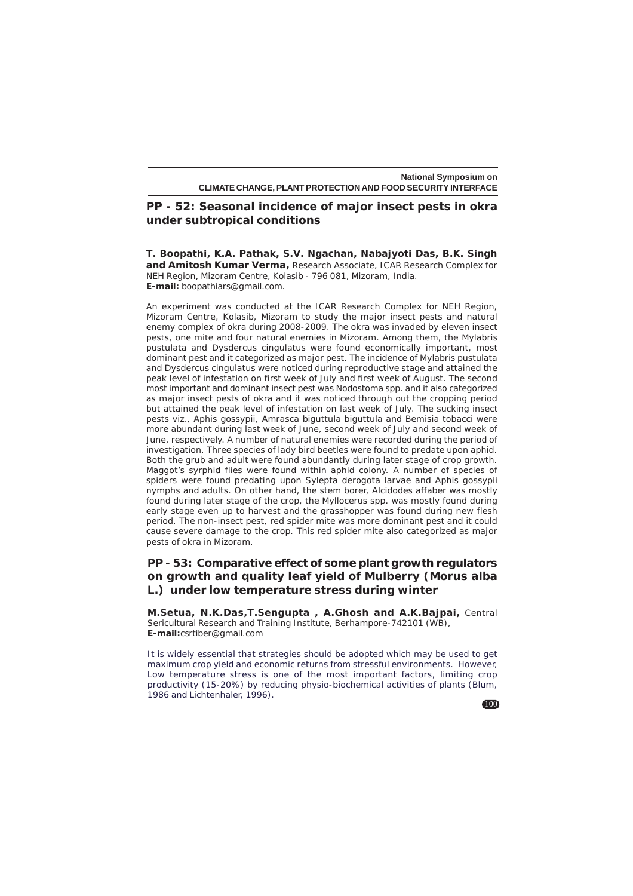### **PP - 52: Seasonal incidence of major insect pests in okra under subtropical conditions**

**T. Boopathi, K.A. Pathak, S.V. Ngachan, Nabajyoti Das, B.K. Singh and Amitosh Kumar Verma,** Research Associate, ICAR Research Complex for NEH Region, Mizoram Centre, Kolasib - 796 081, Mizoram, India. **E-mail:** boopathiars@gmail.com.

An experiment was conducted at the ICAR Research Complex for NEH Region, Mizoram Centre, Kolasib, Mizoram to study the major insect pests and natural enemy complex of okra during 2008-2009. The okra was invaded by eleven insect pests, one mite and four natural enemies in Mizoram. Among them, the *Mylabris pustulata* and *Dysdercus cingulatus* were found economically important, most dominant pest and it categorized as major pest. The incidence of *Mylabris pustulata* and *Dysdercus cingulatus* were noticed during reproductive stage and attained the peak level of infestation on first week of July and first week of August. The second most important and dominant insect pest was Nodostoma spp. and it also categorized as major insect pests of okra and it was noticed through out the cropping period but attained the peak level of infestation on last week of July. The sucking insect pests viz., *Aphis gossypii, Amrasca biguttula biguttula* and *Bemisia tobacci* were more abundant during last week of June, second week of July and second week of June, respectively. A number of natural enemies were recorded during the period of investigation. Three species of lady bird beetles were found to predate upon aphid. Both the grub and adult were found abundantly during later stage of crop growth. Maggot's syrphid flies were found within aphid colony. A number of species of spiders were found predating upon Sylepta derogota larvae and Aphis gossypii nymphs and adults. On other hand, the stem borer, Alcidodes affaber was mostly found during later stage of the crop, the Myllocerus spp. was mostly found during early stage even up to harvest and the grasshopper was found during new flesh period. The non-insect pest, red spider mite was more dominant pest and it could cause severe damage to the crop. This red spider mite also categorized as major pests of okra in Mizoram.

# **PP - 53: Comparative effect of some plant growth regulators on growth and quality leaf yield of Mulberry (***Morus alba* **L.) under low temperature stress during winter**

**M.Setua, N.K.Das,T.Sengupta , A.Ghosh and A.K.Bajpai,** Central Sericultural Research and Training Institute, Berhampore-742101 (WB), **E-mail:**csrtiber@gmail.com

It is widely essential that strategies should be adopted which may be used to get maximum crop yield and economic returns from stressful environments. However, Low temperature stress is one of the most important factors, limiting crop productivity (15-20%) by reducing physio-biochemical activities of plants (Blum, 1986 and Lichtenhaler, 1996).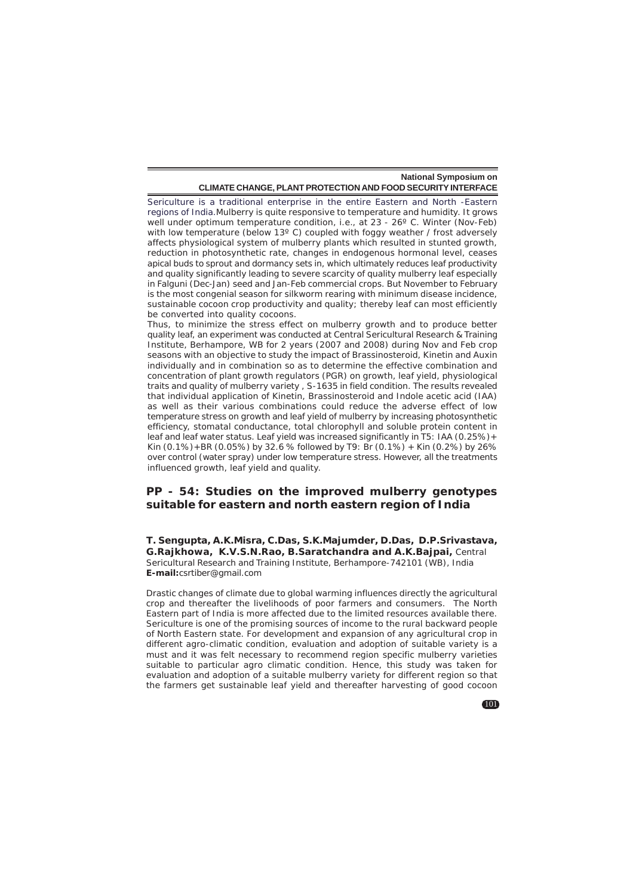Sericulture is a traditional enterprise in the entire Eastern and North -Eastern regions of India.Mulberry is quite responsive to temperature and humidity. It grows well under optimum temperature condition, i.e., at 23 - 26° C. Winter (Nov-Feb) with low temperature (below 13°C) coupled with foggy weather / frost adversely affects physiological system of mulberry plants which resulted in stunted growth, reduction in photosynthetic rate, changes in endogenous hormonal level, ceases apical buds to sprout and dormancy sets in, which ultimately reduces leaf productivity and quality significantly leading to severe scarcity of quality mulberry leaf especially in Falguni (Dec-Jan) seed and Jan-Feb commercial crops. But November to February is the most congenial season for silkworm rearing with minimum disease incidence, sustainable cocoon crop productivity and quality; thereby leaf can most efficiently be converted into quality cocoons.

Thus, to minimize the stress effect on mulberry growth and to produce better quality leaf, an experiment was conducted at Central Sericultural Research & Training Institute, Berhampore, WB for 2 years (2007 and 2008) during Nov and Feb crop seasons with an objective to study the impact of Brassinosteroid, Kinetin and Auxin individually and in combination so as to determine the effective combination and concentration of plant growth regulators (PGR) on growth, leaf yield, physiological traits and quality of mulberry variety , S-1635 in field condition. The results revealed that individual application of Kinetin, Brassinosteroid and Indole acetic acid (IAA) as well as their various combinations could reduce the adverse effect of low temperature stress on growth and leaf yield of mulberry by increasing photosynthetic efficiency, stomatal conductance, total chlorophyll and soluble protein content in leaf and leaf water status. Leaf yield was increased significantly in T5: IAA (0.25%)+ Kin (0.1%)+BR (0.05%) by 32.6 % followed by T9: Br (0.1%) + Kin (0.2%) by 26% over control (water spray) under low temperature stress. However, all the treatments influenced growth, leaf yield and quality.

### **PP - 54: Studies on the improved mulberry genotypes suitable for eastern and north eastern region of India**

**T. Sengupta, A.K.Misra, C.Das, S.K.Majumder, D.Das, D.P.Srivastava, G.Rajkhowa, K.V.S.N.Rao, B.Saratchandra and A.K.Bajpai,** Central Sericultural Research and Training Institute, Berhampore-742101 (WB), India **E-mail:**csrtiber@gmail.com

Drastic changes of climate due to global warming influences directly the agricultural crop and thereafter the livelihoods of poor farmers and consumers. The North Eastern part of India is more affected due to the limited resources available there. Sericulture is one of the promising sources of income to the rural backward people of North Eastern state. For development and expansion of any agricultural crop in different agro-climatic condition, evaluation and adoption of suitable variety is a must and it was felt necessary to recommend region specific mulberry varieties suitable to particular agro climatic condition. Hence, this study was taken for evaluation and adoption of a suitable mulberry variety for different region so that the farmers get sustainable leaf yield and thereafter harvesting of good cocoon

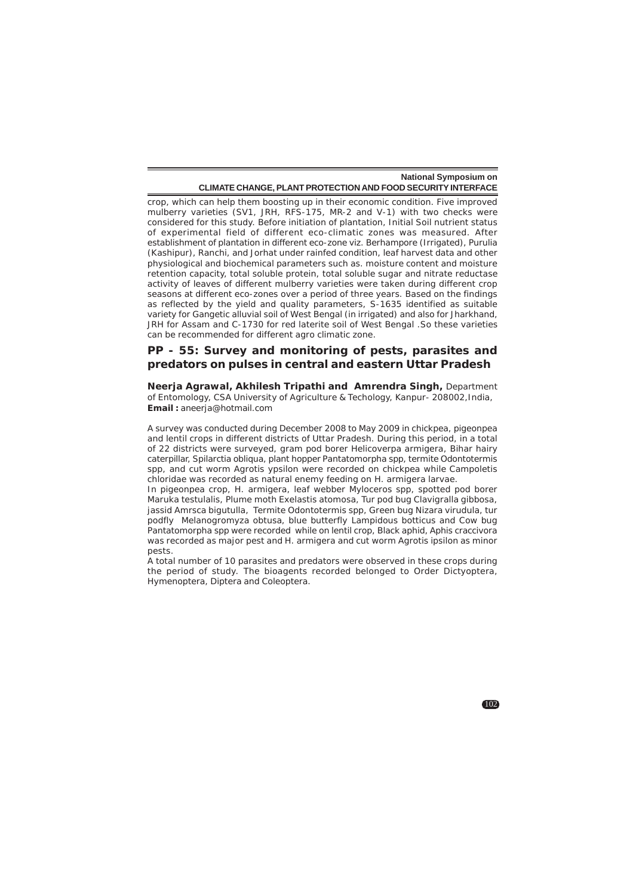crop, which can help them boosting up in their economic condition. Five improved mulberry varieties (SV1, JRH, RFS-175, MR-2 and V-1) with two checks were considered for this study. Before initiation of plantation, Initial Soil nutrient status of experimental field of different eco-climatic zones was measured. After establishment of plantation in different eco-zone viz. Berhampore (Irrigated), Purulia (Kashipur), Ranchi, and Jorhat under rainfed condition, leaf harvest data and other physiological and biochemical parameters such as. moisture content and moisture retention capacity, total soluble protein, total soluble sugar and nitrate reductase activity of leaves of different mulberry varieties were taken during different crop seasons at different eco-zones over a period of three years. Based on the findings as reflected by the yield and quality parameters, S-1635 identified as suitable variety for Gangetic alluvial soil of West Bengal (in irrigated) and also for Jharkhand, JRH for Assam and C-1730 for red laterite soil of West Bengal .So these varieties can be recommended for different agro climatic zone.

### **PP - 55: Survey and monitoring of pests, parasites and predators on pulses in central and eastern Uttar Pradesh**

**Neerja Agrawal, Akhilesh Tripathi and Amrendra Singh,** Department of Entomology, CSA University of Agriculture & Techology, Kanpur- 208002,India, **Email :** aneerja@hotmail.com

A survey was conducted during December 2008 to May 2009 in chickpea, pigeonpea and lentil crops in different districts of Uttar Pradesh. During this period, in a total of 22 districts were surveyed, gram pod borer *Helicoverpa armigera*, Bihar hairy caterpillar, Spilarctia obliqua, plant hopper *Pantatomorpha* spp, termite *Odontotermis* spp, and cut worm *Agrotis ypsilon* were recorded on chickpea while *Campoletis chloridae* was recorded as natural enemy feeding on *H. armigera* larvae.

In pigeonpea crop, H. armigera, leaf webber Myloceros spp, spotted pod borer *Maruka testulalis,* Plume moth *Exelastis atomosa,* Tur pod bug *Clavigralla* gibbosa, jassid Amrsca bigutulla, Termite Odontotermis spp, Green bug Nizara *virudula,* tur podfly *Melanogromyza obtusa*, blue butterfly *Lampidous botticus* and Cow bug *Pantatomorpha* spp were recorded while on lentil crop, Black aphid, *Aphis craccivora* was recorded as major pest and *H. armigera* and cut worm *Agrotis ipsilon* as minor pests.

A total number of 10 parasites and predators were observed in these crops during the period of study. The bioagents recorded belonged to Order Dictyoptera, Hymenoptera, Diptera and Coleoptera.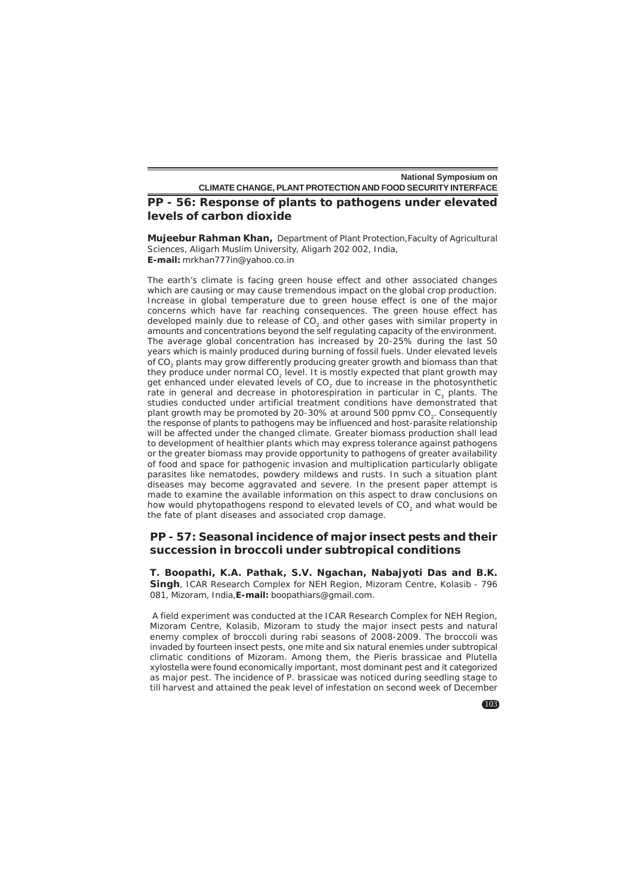# **PP - 56: Response of plants to pathogens under elevated levels of carbon dioxide**

**Mujeebur Rahman Khan,** Department of Plant Protection,Faculty of Agricultural Sciences, Aligarh Muslim University, Aligarh 202 002, India, **E-mail:** mrkhan777in@yahoo.co.in

The earth's climate is facing green house effect and other associated changes which are causing or may cause tremendous impact on the global crop production. Increase in global temperature due to green house effect is one of the major concerns which have far reaching consequences. The green house effect has developed mainly due to release of CO<sub>2</sub> and other gases with similar property in amounts and concentrations beyond the self regulating capacity of the environment. The average global concentration has increased by 20-25% during the last 50 years which is mainly produced during burning of fossil fuels. Under elevated levels of CO2 plants may grow differently producing greater growth and biomass than that they produce under normal CO<sub>2</sub> level. It is mostly expected that plant growth may get enhanced under elevated levels of CO<sub>2</sub> due to increase in the photosynthetic rate in general and decrease in photorespiration in particular in C<sub>2</sub> plants. The studies conducted under artificial treatment conditions have demonstrated that plant growth may be promoted by 20-30% at around 500 ppmv CO<sub>2</sub>. Consequently the response of plants to pathogens may be influenced and host-parasite relationship will be affected under the changed climate. Greater biomass production shall lead to development of healthier plants which may express tolerance against pathogens or the greater biomass may provide opportunity to pathogens of greater availability of food and space for pathogenic invasion and multiplication particularly obligate parasites like nematodes, powdery mildews and rusts. In such a situation plant diseases may become aggravated and severe. In the present paper attempt is made to examine the available information on this aspect to draw conclusions on how would phytopathogens respond to elevated levels of CO<sub>2</sub> and what would be the fate of plant diseases and associated crop damage.

### **PP - 57: Seasonal incidence of major insect pests and their succession in broccoli under subtropical conditions**

**T. Boopathi, K.A. Pathak, S.V. Ngachan, Nabajyoti Das and B.K. Singh**, ICAR Research Complex for NEH Region, Mizoram Centre, Kolasib - 796 081, Mizoram, India,**E-mail:** boopathiars@gmail.com.

 A field experiment was conducted at the ICAR Research Complex for NEH Region, Mizoram Centre, Kolasib, Mizoram to study the major insect pests and natural enemy complex of broccoli during rabi seasons of 2008-2009. The broccoli was invaded by fourteen insect pests, one mite and six natural enemies under subtropical climatic conditions of Mizoram. Among them, the *Pieris brassicae* and *Plutella xylostella* were found economically important, most dominant pest and it categorized as major pest. The incidence of *P. brassicae* was noticed during seedling stage to till harvest and attained the peak level of infestation on second week of December

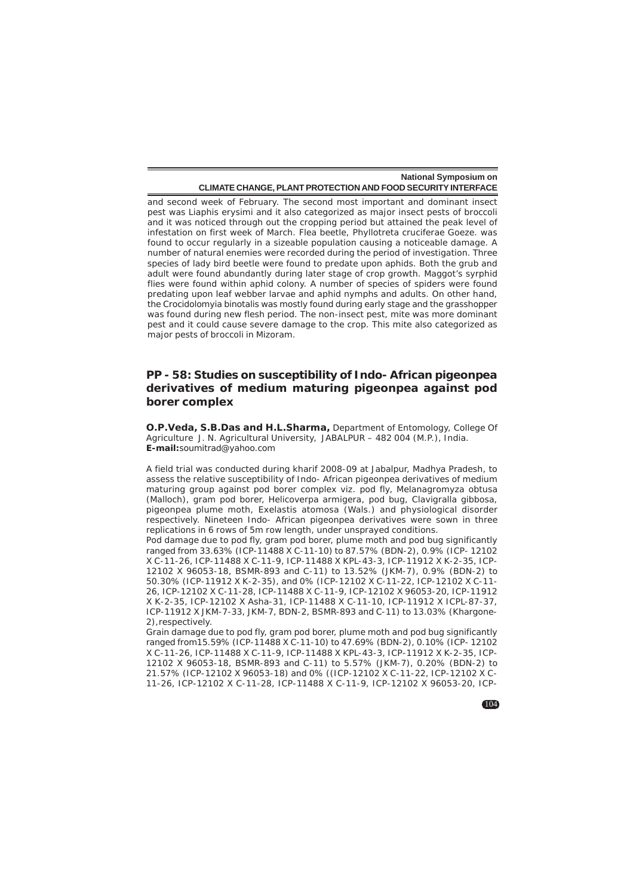and second week of February. The second most important and dominant insect pest was Liaphis erysimi and it also categorized as major insect pests of broccoli and it was noticed through out the cropping period but attained the peak level of infestation on first week of March. Flea beetle, *Phyllotreta cruciferae* Goeze. was found to occur regularly in a sizeable population causing a noticeable damage. A number of natural enemies were recorded during the period of investigation. Three species of lady bird beetle were found to predate upon aphids. Both the grub and adult were found abundantly during later stage of crop growth. Maggot's syrphid flies were found within aphid colony. A number of species of spiders were found predating upon leaf webber larvae and aphid nymphs and adults. On other hand, the Crocidolomyia binotalis was mostly found during early stage and the grasshopper was found during new flesh period. The non-insect pest, mite was more dominant pest and it could cause severe damage to the crop. This mite also categorized as major pests of broccoli in Mizoram.

## **PP - 58: Studies on susceptibility of Indo- African pigeonpea derivatives of medium maturing pigeonpea against pod borer complex**

**O.P.Veda, S.B.Das and H.L.Sharma,** Department of Entomology, College Of Agriculture J. N. Agricultural University, JABALPUR – 482 004 (M.P.), India. **E-mail:**soumitrad@yahoo.com

A field trial was conducted during kharif 2008-09 at Jabalpur, Madhya Pradesh, to assess the relative susceptibility of Indo- African pigeonpea derivatives of medium maturing group against pod borer complex viz. pod fly, *Melanagromyza obtusa* (Malloch), gram pod borer, *Helicoverpa armigera*, pod bug, *Clavigralla gibbosa*, pigeonpea plume moth, E*xelastis atomosa* (Wals.) and physiological disorder respectively. Nineteen Indo- African pigeonpea derivatives were sown in three replications in 6 rows of 5m row length, under unsprayed conditions.

Pod damage due to pod fly, gram pod borer, plume moth and pod bug significantly ranged from 33.63% (ICP-11488 X C-11-10) to 87.57% (BDN-2), 0.9% (ICP- 12102 X C-11-26, ICP-11488 X C-11-9, ICP-11488 X KPL-43-3, ICP-11912 X K-2-35, ICP-12102 X 96053-18, BSMR-893 and C-11) to 13.52% (JKM-7), 0.9% (BDN-2) to 50.30% (ICP-11912 X K-2-35), and 0% (ICP-12102 X C-11-22, ICP-12102 X C-11- 26, ICP-12102 X C-11-28, ICP-11488 X C-11-9, ICP-12102 X 96053-20, ICP-11912 X K-2-35, ICP-12102 X Asha-31, ICP-11488 X C-11-10, ICP-11912 X ICPL-87-37, ICP-11912 X JKM-7-33, JKM-7, BDN-2, BSMR-893 and C-11) to 13.03% (Khargone-2),respectively.

Grain damage due to pod fly, gram pod borer, plume moth and pod bug significantly ranged from15.59% (ICP-11488 X C-11-10) to 47.69% (BDN-2), 0.10% (ICP- 12102 X C-11-26, ICP-11488 X C-11-9, ICP-11488 X KPL-43-3, ICP-11912 X K-2-35, ICP-12102 X 96053-18, BSMR-893 and C-11) to 5.57% (JKM-7), 0.20% (BDN-2) to 21.57% (ICP-12102 X 96053-18) and 0% ((ICP-12102 X C-11-22, ICP-12102 X C-11-26, ICP-12102 X C-11-28, ICP-11488 X C-11-9, ICP-12102 X 96053-20, ICP-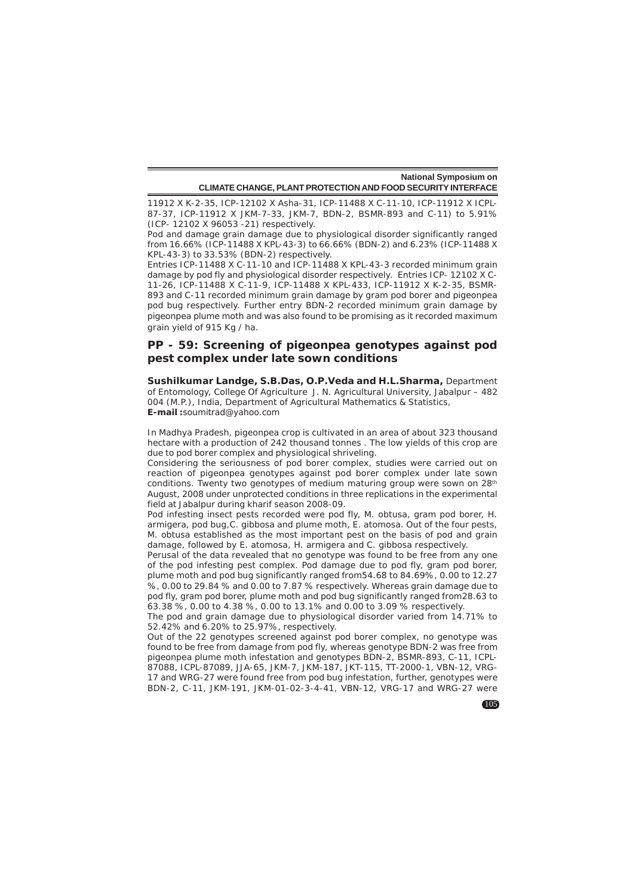11912 X K-2-35, ICP-12102 X Asha-31, ICP-11488 X C-11-10, ICP-11912 X ICPL-87-37, ICP-11912 X JKM-7-33, JKM-7, BDN-2, BSMR-893 and C-11) to 5.91% (ICP- 12102 X 96053 -21) respectively.

Pod and damage grain damage due to physiological disorder significantly ranged from 16.66% (ICP-11488 X KPL-43-3) to 66.66% (BDN-2) and 6.23% (ICP-11488 X KPL-43-3) to 33.53% (BDN-2) respectively.

Entries ICP-11488 X C-11-10 and ICP-11488 X KPL-43-3 recorded minimum grain damage by pod fly and physiological disorder respectively. Entries ICP- 12102 X C-11-26, ICP-11488 X C-11-9, ICP-11488 X KPL-433, ICP-11912 X K-2-35, BSMR-893 and C-11 recorded minimum grain damage by gram pod borer and pigeonpea pod bug respectively. Further entry BDN-2 recorded minimum grain damage by pigeonpea plume moth and was also found to be promising as it recorded maximum grain yield of 915 Kg / ha.

### **PP - 59: Screening of pigeonpea genotypes against pod pest complex under late sown conditions**

**Sushilkumar Landge, S.B.Das, O.P.Veda and H.L.Sharma,** Department of Entomology, College Of Agriculture J. N. Agricultural University, Jabalpur – 482 004 (M.P.), India, Department of Agricultural Mathematics & Statistics, **E-mail :**soumitrad@yahoo.com

In Madhya Pradesh, pigeonpea crop is cultivated in an area of about 323 thousand hectare with a production of 242 thousand tonnes . The low yields of this crop are due to pod borer complex and physiological shriveling.

Considering the seriousness of pod borer complex, studies were carried out on reaction of pigeonpea genotypes against pod borer complex under late sown conditions. Twenty two genotypes of medium maturing group were sown on 28<sup>th</sup> August, 2008 under unprotected conditions in three replications in the experimental field at Jabalpur during *kharif* season 2008-09.

Pod infesting insect pests recorded were pod fly, *M. obtusa,* gram pod borer, *H. armigera*, pod bug,*C. gibbosa* and plume moth, *E. atomosa.* Out of the four pests, M. obtusa established as the most important pest on the basis of pod and grain damage, followed by *E. atomosa, H. armigera* and *C. gibbosa* respectively.

Perusal of the data revealed that no genotype was found to be free from any one of the pod infesting pest complex. Pod damage due to pod fly, gram pod borer, plume moth and pod bug significantly ranged from54.68 to 84.69%, 0.00 to 12.27 %, 0.00 to 29.84 % and 0.00 to 7.87 % respectively. Whereas grain damage due to pod fly, gram pod borer, plume moth and pod bug significantly ranged from28.63 to 63.38 %, 0.00 to 4.38 %, 0.00 to 13.1% and 0.00 to 3.09 % respectively.

The pod and grain damage due to physiological disorder varied from 14.71% to 52.42% and 6.20% to 25.97%, respectively.

Out of the 22 genotypes screened against pod borer complex, no genotype was found to be free from damage from pod fly, whereas genotype BDN-2 was free from pigeonpea plume moth infestation and genotypes BDN-2, BSMR-893, C-11, ICPL-87088, ICPL-87089, JJA-65, JKM-7, JKM-187, JKT-115, TT-2000-1, VBN-12, VRG-17 and WRG-27 were found free from pod bug infestation, further, genotypes were BDN-2, C-11, JKM-191, JKM-01-02-3-4-41, VBN-12, VRG-17 and WRG-27 were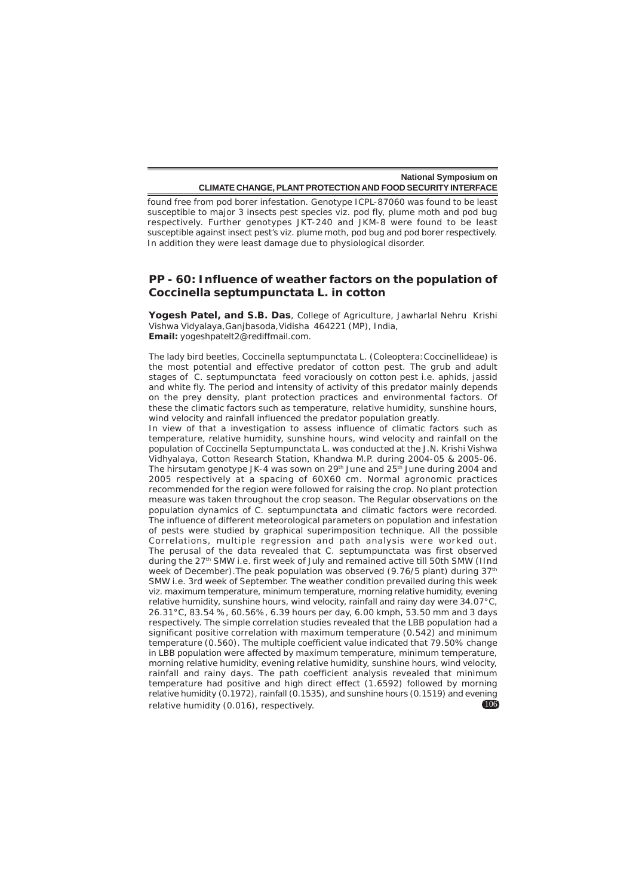found free from pod borer infestation. Genotype ICPL-87060 was found to be least susceptible to major 3 insects pest species viz. pod fly, plume moth and pod bug respectively. Further genotypes JKT-240 and JKM-8 were found to be least susceptible against insect pest's viz. plume moth, pod bug and pod borer respectively. In addition they were least damage due to physiological disorder.

# **PP - 60: Influence of weather factors on the population of** *Coccinella septumpunctata* **L***.* **in cotton**

**Yogesh Patel, and S.B. Das**, College of Agriculture, Jawharlal Nehru Krishi Vishwa Vidyalaya,Ganjbasoda,Vidisha 464221 (MP), India, **Email:** yogeshpatelt2@rediffmail.com.

The lady bird beetles, *Coccinella septumpunctata* L. (Coleoptera:Coccinellideae) is the most potential and effective predator of cotton pest. The grub and adult stages of *C. septumpunctata* feed voraciously on cotton pest i.e. aphids, jassid and white fly. The period and intensity of activity of this predator mainly depends on the prey density, plant protection practices and environmental factors. Of these the climatic factors such as temperature, relative humidity, sunshine hours, wind velocity and rainfall influenced the predator population greatly.

106 In view of that a investigation to assess influence of climatic factors such as temperature, relative humidity, sunshine hours, wind velocity and rainfall on the population of *Coccinella Septumpunctata* L*.* was conducted at the J.N. Krishi Vishwa Vidhyalaya, Cotton Research Station, Khandwa M.P. during 2004-05 & 2005-06. The hirsutam genotype JK-4 was sown on 29<sup>th</sup> June and 25<sup>th</sup> June during 2004 and 2005 respectively at a spacing of 60X60 cm. Normal agronomic practices recommended for the region were followed for raising the crop. No plant protection measure was taken throughout the crop season. The Regular observations on the population dynamics of *C. septumpunctata* and climatic factors were recorded. The influence of different meteorological parameters on population and infestation of pests were studied by graphical superimposition technique. All the possible Correlations, multiple regression and path analysis were worked out. The perusal of the data revealed that *C. septumpunctata* was first observed during the 27<sup>th</sup> SMW i.e. first week of July and remained active till 50th SMW (IInd week of December). The peak population was observed (9.76/5 plant) during 37<sup>th</sup> SMW i.e. 3rd week of September. The weather condition prevailed during this week viz. maximum temperature, minimum temperature, morning relative humidity, evening relative humidity, sunshine hours, wind velocity, rainfall and rainy day were 34.07°C, 26.31°C, 83.54 %, 60.56%, 6.39 hours per day, 6.00 kmph, 53.50 mm and 3 days respectively. The simple correlation studies revealed that the LBB population had a significant positive correlation with maximum temperature (0.542) and minimum temperature (0.560). The multiple coefficient value indicated that 79.50% change in LBB population were affected by maximum temperature, minimum temperature, morning relative humidity, evening relative humidity, sunshine hours, wind velocity, rainfall and rainy days. The path coefficient analysis revealed that minimum temperature had positive and high direct effect (1.6592) followed by morning relative humidity (0.1972), rainfall (0.1535), and sunshine hours (0.1519) and evening relative humidity (0.016), respectively.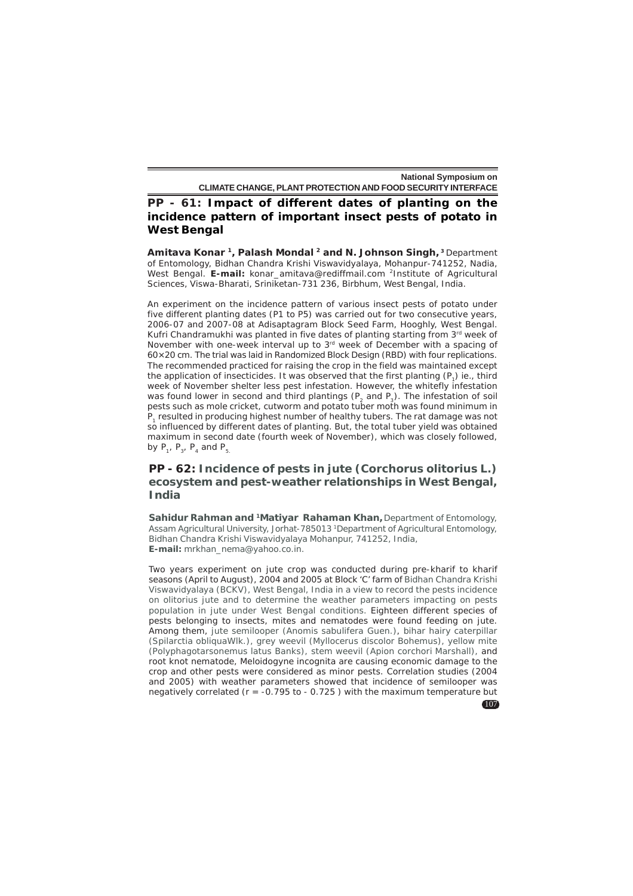# **PP - 61: Impact of different dates of planting on the incidence pattern of important insect pests of potato in West Bengal**

**Amitava Konar 1, Palash Mondal 2 and N. Johnson Singh, <sup>3</sup>**Department of Entomology, Bidhan Chandra Krishi Viswavidyalaya, Mohanpur-741252, Nadia, West Bengal. **E-mail:** konar\_amitava@rediffmail.com 2Institute of Agricultural Sciences, Viswa-Bharati, Sriniketan-731 236, Birbhum, West Bengal, India.

An experiment on the incidence pattern of various insect pests of potato under five different planting dates (P1 to P5) was carried out for two consecutive years, 2006-07 and 2007-08 at Adisaptagram Block Seed Farm, Hooghly, West Bengal. Kufri Chandramukhi was planted in five dates of planting starting from  $3<sup>rd</sup>$  week of November with one-week interval up to 3rd week of December with a spacing of 60×20 cm. The trial was laid in Randomized Block Design (RBD) with four replications. The recommended practiced for raising the crop in the field was maintained except the application of insecticides. It was observed that the first planting  $(P_1)$  ie., third week of November shelter less pest infestation. However, the whitefly infestation was found lower in second and third plantings  $(P_2 \text{ and } P_3)$ . The infestation of soil pests such as mole cricket, cutworm and potato tuber moth was found minimum in  $P_1$  resulted in producing highest number of healthy tubers. The rat damage was not so influenced by different dates of planting. But, the total tuber yield was obtained maximum in second date (fourth week of November), which was closely followed, by  $P_1$ ,  $P_2$ ,  $P_4$  and  $P_5$ .

# **PP - 62: Incidence of pests in jute (***Corchorus olitorius* **L***.***) ecosystem and pest-weather relationships in West Bengal, India**

**Sahidur Rahman and 1Matiyar Rahaman Khan,**Department of Entomology, Assam Agricultural University, Jorhat-785013 1Department of Agricultural Entomology, Bidhan Chandra Krishi Viswavidyalaya Mohanpur, 741252, India, **E-mail:** mrkhan\_nema@yahoo.co.in.

Two years experiment on jute crop was conducted during pre-kharif to kharif seasons (April to August), 2004 and 2005 at Block 'C' farm of Bidhan Chandra Krishi Viswavidyalaya (BCKV), West Bengal, India in a view to record the pests incidence on olitorius jute and to determine the weather parameters impacting on pests population in jute under West Bengal conditions. Eighteen different species of pests belonging to insects, mites and nematodes were found feeding on jute. Among them, jute semilooper (*Anomis sabulifera* Guen.), bihar hairy caterpillar (*Spilarctia obliquaWlk.*), grey weevil (*Myllocerus discolor* Bohemus), yellow mite (*Polyphagotarsonemus* latus Banks), stem weevil (*Apion corchori* Marshall), and root knot nematode, *Meloidogyne incognita* are causing economic damage to the crop and other pests were considered as minor pests. Correlation studies (2004 and 2005) with weather parameters showed that incidence of semilooper was negatively correlated ( $r = -0.795$  to  $-0.725$ ) with the maximum temperature but

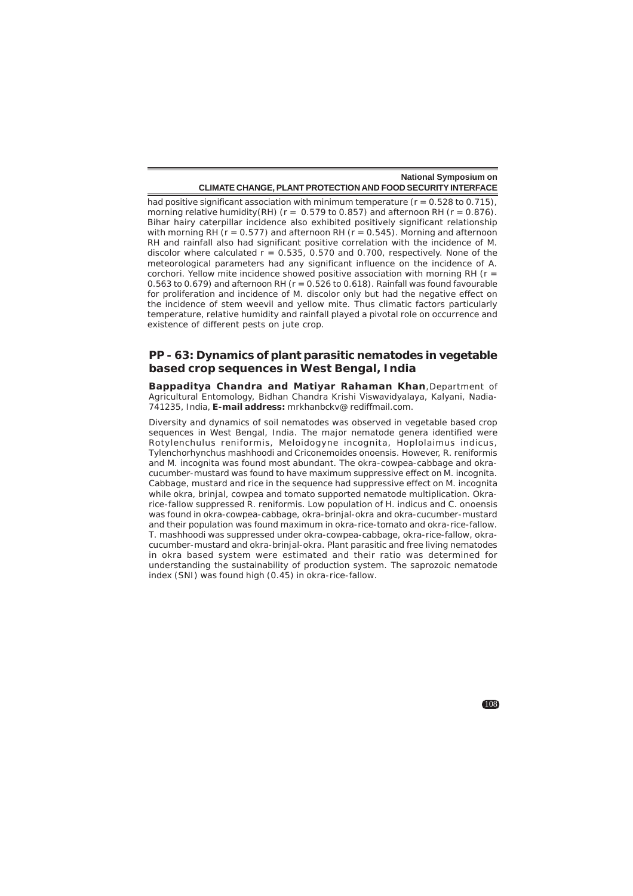had positive significant association with minimum temperature ( $r = 0.528$  to 0.715), morning relative humidity(RH) ( $r = 0.579$  to 0.857) and afternoon RH ( $r = 0.876$ ). Bihar hairy caterpillar incidence also exhibited positively significant relationship with morning RH ( $r = 0.577$ ) and afternoon RH ( $r = 0.545$ ). Morning and afternoon RH and rainfall also had significant positive correlation with the incidence of M. discolor where calculated  $r = 0.535$ , 0.570 and 0.700, respectively. None of the meteorological parameters had any significant influence on the incidence of A. corchori. Yellow mite incidence showed positive association with morning RH ( $r =$ 0.563 to 0.679) and afternoon RH ( $r = 0.526$  to 0.618). Rainfall was found favourable for proliferation and incidence of M. discolor only but had the negative effect on the incidence of stem weevil and yellow mite. Thus climatic factors particularly temperature, relative humidity and rainfall played a pivotal role on occurrence and existence of different pests on jute crop.

### **PP - 63: Dynamics of plant parasitic nematodes in vegetable based crop sequences in West Bengal, India**

**Bappaditya Chandra and Matiyar Rahaman Khan**,Department of Agricultural Entomology, Bidhan Chandra Krishi Viswavidyalaya, Kalyani, Nadia-741235, India, **E-mail address:** mrkhanbckv@ rediffmail.com.

Diversity and dynamics of soil nematodes was observed in vegetable based crop sequences in West Bengal, India. The major nematode genera identified were *Rotylenchulus reniformis, Meloidogyne incognita, Hoplolaimus indicus, Tylenchorhynchus mashhoodi* and *Criconemoides onoensis.* However, *R. reniformis* and *M. incognita* was found most abundant. The okra-cowpea-cabbage and okracucumber-mustard was found to have maximum suppressive effect on *M. incognita.* Cabbage, mustard and rice in the sequence had suppressive effect on *M. incognita* while okra, brinjal, cowpea and tomato supported nematode multiplication. Okrarice-fallow suppressed R. reniformis. Low population of *H. indicus* and *C. onoensis* was found in okra-cowpea-cabbage, okra-brinjal-okra and okra-cucumber-mustard and their population was found maximum in okra-rice-tomato and okra-rice-fallow. *T. mashhoodi* was suppressed under okra-cowpea-cabbage, okra-rice-fallow, okracucumber-mustard and okra-brinjal-okra. Plant parasitic and free living nematodes in okra based system were estimated and their ratio was determined for understanding the sustainability of production system. The saprozoic nematode index (SNI) was found high (0.45) in okra-rice-fallow.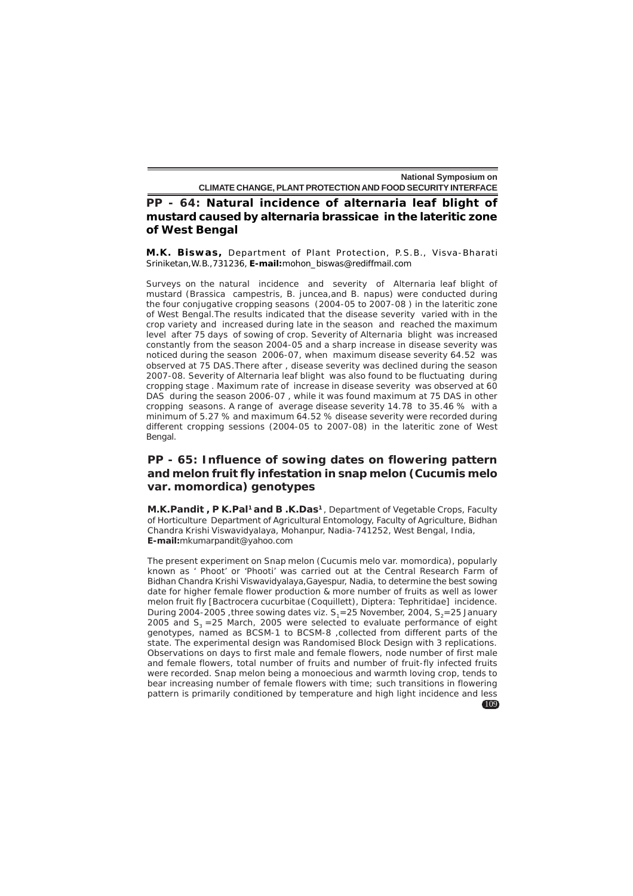**PP - 64: Natural incidence of alternaria leaf blight of mustard caused by alternaria brassicae in the lateritic zone of West Bengal**

**M.K. Biswas,** Department of Plant Protection, P.S.B., Visva-Bharati Sriniketan,W.B.,731236, **E-mail:**mohon\_biswas@rediffmail.com

Surveys on the natural incidence and severity of Alternaria leaf blight of mustard (*Brassica campestris, B. juncea,*and *B. napus*) were conducted during the four conjugative cropping seasons (2004-05 to 2007-08 ) in the lateritic zone of West Bengal.The results indicated that the disease severity varied with in the crop variety and increased during late in the season and reached the maximum level after 75 days of sowing of crop. Severity of Alternaria blight was increased constantly from the season 2004-05 and a sharp increase in disease severity was noticed during the season 2006-07, when maximum disease severity 64.52 was observed at 75 DAS.There after , disease severity was declined during the season 2007-08. Severity of Alternaria leaf blight was also found to be fluctuating during cropping stage . Maximum rate of increase in disease severity was observed at 60 DAS during the season 2006-07 , while it was found maximum at 75 DAS in other cropping seasons. A range of average disease severity 14.78 to 35.46 % with a minimum of 5.27 % and maximum 64.52 % disease severity were recorded during different cropping sessions (2004-05 to 2007-08) in the lateritic zone of West Bengal.

# **PP - 65: Influence of sowing dates on flowering pattern and melon fruit fly infestation in snap melon (***Cucumis melo* **var.** *momordica***) genotypes**

**M.K.Pandit, P K.Pal<sup>1</sup> and B.K.Das<sup>1</sup>, Department of Vegetable Crops, Faculty** of Horticulture Department of Agricultural Entomology, Faculty of Agriculture, Bidhan Chandra Krishi Viswavidyalaya, Mohanpur, Nadia-741252, West Bengal, India, **E-mail:**mkumarpandit@yahoo.com

The present experiment on Snap melon (*Cucumis melo* var. *momordica*), popularly known as ' Phoot' or 'Phooti' was carried out at the Central Research Farm of Bidhan Chandra Krishi Viswavidyalaya,Gayespur, Nadia, to determine the best sowing date for higher female flower production & more number of fruits as well as lower melon fruit fly [*Bactrocera cucurbitae* (Coquillett), Diptera: Tephritidae] incidence. During 2004-2005, three sowing dates viz.  $S<sub>1</sub>=25$  November, 2004,  $S<sub>2</sub>=25$  January 2005 and  $S_3 = 25$  March, 2005 were selected to evaluate performance of eight genotypes, named as BCSM-1 to BCSM-8 ,collected from different parts of the state. The experimental design was Randomised Block Design with 3 replications. Observations on days to first male and female flowers, node number of first male and female flowers, total number of fruits and number of fruit-fly infected fruits were recorded. Snap melon being a monoecious and warmth loving crop, tends to bear increasing number of female flowers with time; such transitions in flowering pattern is primarily conditioned by temperature and high light incidence and less

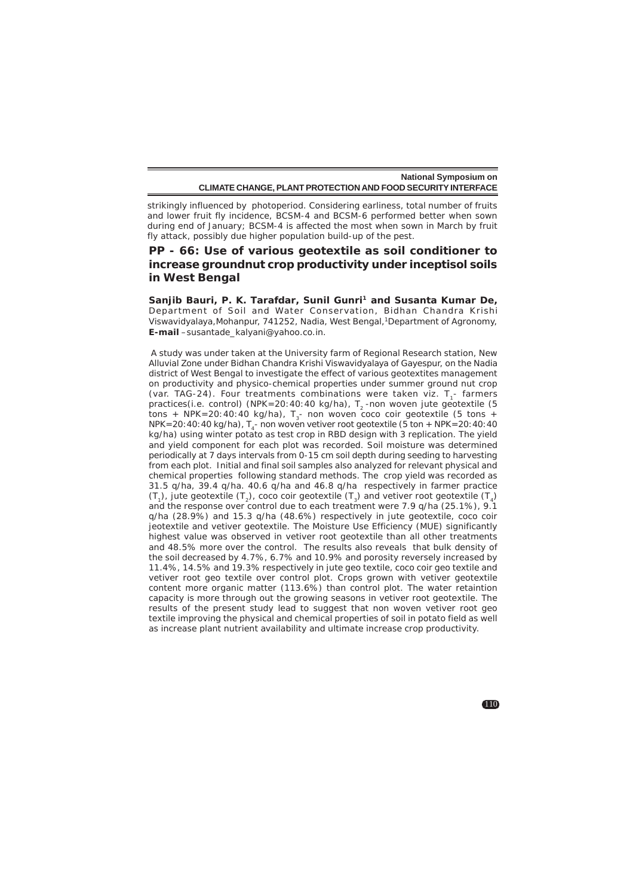strikingly influenced by photoperiod. Considering earliness, total number of fruits and lower fruit fly incidence, BCSM-4 and BCSM-6 performed better when sown during end of January; BCSM-4 is affected the most when sown in March by fruit fly attack, possibly due higher population build-up of the pest.

# **PP - 66: Use of various geotextile as soil conditioner to increase groundnut crop productivity under inceptisol soils in West Bengal**

Sanjib Bauri, P. K. Tarafdar, Sunil Gunri<sup>1</sup> and Susanta Kumar De, Department of Soil and Water Conservation, Bidhan Chandra Krishi Viswavidyalaya,Mohanpur, 741252, Nadia, West Bengal,1Department of Agronomy, **E-mail** –susantade\_kalyani@yahoo.co.in.

 A study was under taken at the University farm of Regional Research station, New Alluvial Zone under Bidhan Chandra Krishi Viswavidyalaya of Gayespur, on the Nadia district of West Bengal to investigate the effect of various geotextites management on productivity and physico-chemical properties under summer ground nut crop (var. TAG-24). Four treatments combinations were taken viz. T<sub>1</sub>- farmers practices(i.e. control) (NPK=20:40:40 kg/ha),  $T<sub>2</sub>$ -non woven jute geotextile (5 tons + NPK=20:40:40 kg/ha),  $T_{2}$ - non woven coco coir geotextile (5 tons + NPK=20:40:40 kg/ha),  $T_a$ - non woven vetiver root geotextile (5 ton + NPK=20:40:40 kg/ha) using winter potato as test crop in RBD design with 3 replication. The yield and yield component for each plot was recorded. Soil moisture was determined periodically at 7 days intervals from 0-15 cm soil depth during seeding to harvesting from each plot. Initial and final soil samples also analyzed for relevant physical and chemical properties following standard methods. The crop yield was recorded as 31.5 q/ha, 39.4 q/ha. 40.6 q/ha and 46.8 q/ha respectively in farmer practice  $(T_1)$ , jute geotextile  $(T_2)$ , coco coir geotextile  $(T_3)$  and vetiver root geotextile  $(T_4)$ and the response over control due to each treatment were 7.9 q/ha (25.1%), 9.1 q/ha (28.9%) and 15.3 q/ha (48.6%) respectively in jute geotextile, coco coir jeotextile and vetiver geotextile. The Moisture Use Efficiency (MUE) significantly highest value was observed in vetiver root geotextile than all other treatments and 48.5% more over the control. The results also reveals that bulk density of the soil decreased by 4.7%, 6.7% and 10.9% and porosity reversely increased by 11.4%, 14.5% and 19.3% respectively in jute geo textile, coco coir geo textile and vetiver root geo textile over control plot. Crops grown with vetiver geotextile content more organic matter (113.6%) than control plot. The water retaintion capacity is more through out the growing seasons in vetiver root geotextile. The results of the present study lead to suggest that non woven vetiver root geo textile improving the physical and chemical properties of soil in potato field as well as increase plant nutrient availability and ultimate increase crop productivity.

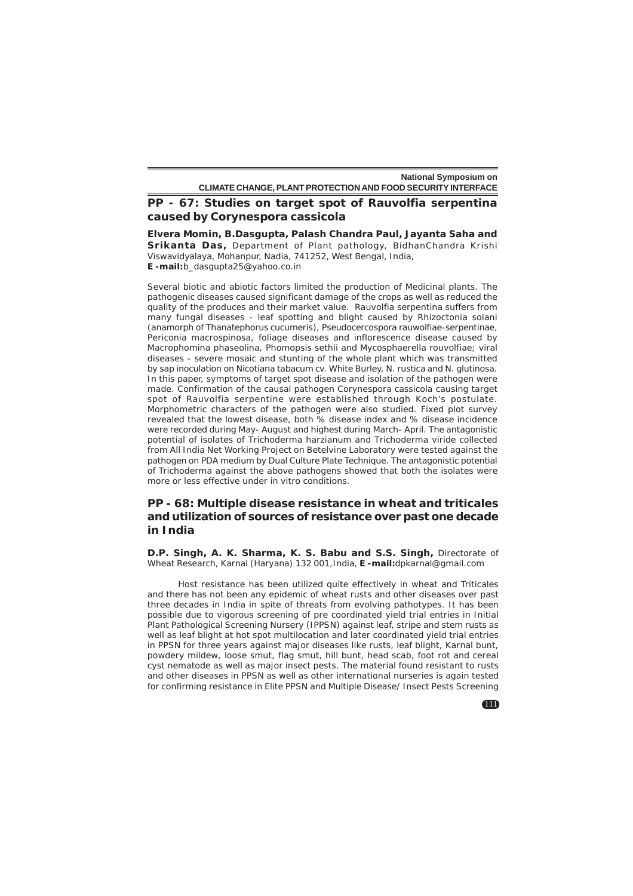# **PP - 67: Studies on target spot of** *Rauvolfia serpentina* **caused by** *Corynespora cassicola*

**Elvera Momin, B.Dasgupta, Palash Chandra Paul, Jayanta Saha and Srikanta Das,** Department of Plant pathology, BidhanChandra Krishi Viswavidyalaya, Mohanpur, Nadia, 741252, West Bengal, India, **E -mail:**b\_dasgupta25@yahoo.co.in

Several biotic and abiotic factors limited the production of Medicinal plants. The pathogenic diseases caused significant damage of the crops as well as reduced the quality of the produces and their market value. Rauvolfia serpentina suffers from many fungal diseases - leaf spotting and blight caused by Rhizoctonia solani (anamorph of *Thanatephorus cucumeris*), *Pseudocercospora rauwolfiae-serpentinae, Periconia macrospinosa*, foliage diseases and inflorescence disease caused by *Macrophomina phaseolina, Phomopsis sethii* and *Mycosphaerella rouvolfiae*; viral diseases - severe mosaic and stunting of the whole plant which was transmitted by sap inoculation on *Nicotiana tabacum* cv. White Burley, *N. rustica* and *N. glutinosa*. In this paper, symptoms of target spot disease and isolation of the pathogen were made. Confirmation of the causal pathogen *Corynespora cassicola* causing target spot of Rauvolfia serpentine were established through Koch's postulate. Morphometric characters of the pathogen were also studied. Fixed plot survey revealed that the lowest disease, both % disease index and % disease incidence were recorded during May- August and highest during March- April. The antagonistic potential of isolates of *Trichoderma harzianum* and *Trichoderma viride* collected from All India Net Working Project on Betelvine Laboratory were tested against the pathogen on PDA medium by Dual Culture Plate Technique. The antagonistic potential of Trichoderma against the above pathogens showed that both the isolates were more or less effective under in vitro conditions.

## **PP - 68: Multiple disease resistance in wheat and triticales and utilization of sources of resistance over past one decade in India**

**D.P. Singh, A. K. Sharma, K. S. Babu and S.S. Singh,** Directorate of Wheat Research, Karnal (Haryana) 132 001,India, **E -mail:**dpkarnal@gmail.com

Host resistance has been utilized quite effectively in wheat and Triticales and there has not been any epidemic of wheat rusts and other diseases over past three decades in India in spite of threats from evolving pathotypes. It has been possible due to vigorous screening of pre coordinated yield trial entries in Initial Plant Pathological Screening Nursery (IPPSN) against leaf, stripe and stem rusts as well as leaf blight at hot spot multilocation and later coordinated yield trial entries in PPSN for three years against major diseases like rusts, leaf blight, Karnal bunt, powdery mildew, loose smut, flag smut, hill bunt, head scab, foot rot and cereal cyst nematode as well as major insect pests. The material found resistant to rusts and other diseases in PPSN as well as other international nurseries is again tested for confirming resistance in Elite PPSN and Multiple Disease/ Insect Pests Screening

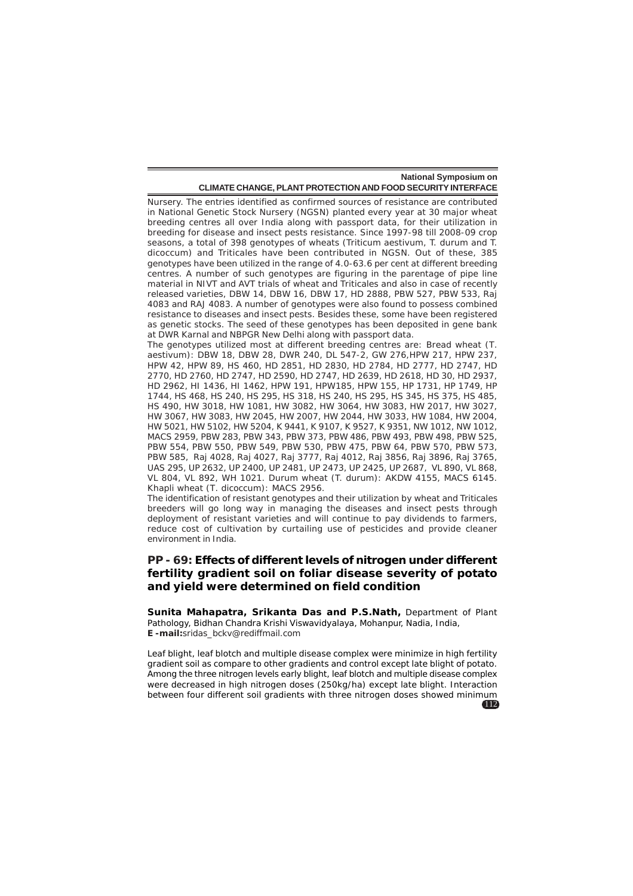Nursery. The entries identified as confirmed sources of resistance are contributed in National Genetic Stock Nursery (NGSN) planted every year at 30 major wheat breeding centres all over India along with passport data, for their utilization in breeding for disease and insect pests resistance. Since 1997-98 till 2008-09 crop seasons, a total of 398 genotypes of wheats (Triticum aestivum, T. durum and T. dicoccum) and Triticales have been contributed in NGSN. Out of these, 385 genotypes have been utilized in the range of 4.0-63.6 per cent at different breeding centres. A number of such genotypes are figuring in the parentage of pipe line material in NIVT and AVT trials of wheat and Triticales and also in case of recently released varieties, DBW 14, DBW 16, DBW 17, HD 2888, PBW 527, PBW 533, Raj 4083 and RAJ 4083. A number of genotypes were also found to possess combined resistance to diseases and insect pests. Besides these, some have been registered as genetic stocks. The seed of these genotypes has been deposited in gene bank at DWR Karnal and NBPGR New Delhi along with passport data.

The genotypes utilized most at different breeding centres are: Bread wheat (*T. aestivum*): DBW 18, DBW 28, DWR 240, DL 547-2, GW 276,HPW 217, HPW 237, HPW 42, HPW 89, HS 460, HD 2851, HD 2830, HD 2784, HD 2777, HD 2747, HD 2770, HD 2760, HD 2747, HD 2590, HD 2747, HD 2639, HD 2618, HD 30, HD 2937, HD 2962, HI 1436, HI 1462, HPW 191, HPW185, HPW 155, HP 1731, HP 1749, HP 1744, HS 468, HS 240, HS 295, HS 318, HS 240, HS 295, HS 345, HS 375, HS 485, HS 490, HW 3018, HW 1081, HW 3082, HW 3064, HW 3083, HW 2017, HW 3027, HW 3067, HW 3083, HW 2045, HW 2007, HW 2044, HW 3033, HW 1084, HW 2004, HW 5021, HW 5102, HW 5204, K 9441, K 9107, K 9527, K 9351, NW 1012, NW 1012, MACS 2959, PBW 283, PBW 343, PBW 373, PBW 486, PBW 493, PBW 498, PBW 525, PBW 554, PBW 550, PBW 549, PBW 530, PBW 475, PBW 64, PBW 570, PBW 573, PBW 585, Raj 4028, Raj 4027, Raj 3777, Raj 4012, Raj 3856, Raj 3896, Raj 3765, UAS 295, UP 2632, UP 2400, UP 2481, UP 2473, UP 2425, UP 2687, VL 890, VL 868, VL 804, VL 892, WH 1021. Durum wheat (T. durum): AKDW 4155, MACS 6145. Khapli wheat (*T. dicoccum*): MACS 2956.

The identification of resistant genotypes and their utilization by wheat and Triticales breeders will go long way in managing the diseases and insect pests through deployment of resistant varieties and will continue to pay dividends to farmers, reduce cost of cultivation by curtailing use of pesticides and provide cleaner environment in India.

# **PP - 69: Effects of different levels of nitrogen under different fertility gradient soil on foliar disease severity of potato and yield were determined on field condition**

**Sunita Mahapatra, Srikanta Das and P.S.Nath,** Department of Plant Pathology, Bidhan Chandra Krishi Viswavidyalaya, Mohanpur, Nadia, India, **E -mail:**sridas\_bckv@rediffmail.com

112 Leaf blight, leaf blotch and multiple disease complex were minimize in high fertility gradient soil as compare to other gradients and control except late blight of potato. Among the three nitrogen levels early blight, leaf blotch and multiple disease complex were decreased in high nitrogen doses (250kg/ha) except late blight. Interaction between four different soil gradients with three nitrogen doses showed minimum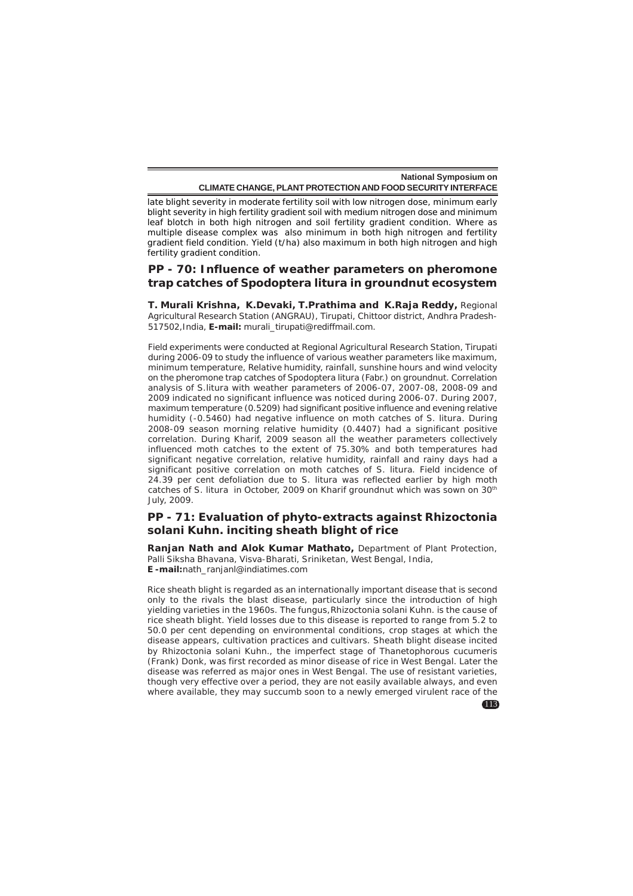late blight severity in moderate fertility soil with low nitrogen dose, minimum early blight severity in high fertility gradient soil with medium nitrogen dose and minimum leaf blotch in both high nitrogen and soil fertility gradient condition. Where as multiple disease complex was also minimum in both high nitrogen and fertility gradient field condition. Yield (t/ha) also maximum in both high nitrogen and high fertility gradient condition.

## **PP - 70: Influence of weather parameters on pheromone trap catches of** *Spodoptera litura* **in groundnut ecosystem**

**T. Murali Krishna, K.Devaki, T.Prathima and K.Raja Reddy,** Regional Agricultural Research Station (ANGRAU), Tirupati, Chittoor district, Andhra Pradesh-517502,India, **E-mail:** murali\_tirupati@rediffmail.com.

Field experiments were conducted at Regional Agricultural Research Station, Tirupati during 2006-09 to study the influence of various weather parameters like maximum, minimum temperature, Relative humidity, rainfall, sunshine hours and wind velocity on the pheromone trap catches of *Spodoptera litura* (Fabr.) on groundnut. Correlation analysis of *S.litura* with weather parameters of 2006-07, 2007-08, 2008-09 and 2009 indicated no significant influence was noticed during 2006-07. During 2007, maximum temperature (0.5209) had significant positive influence and evening relative humidity (-0.5460) had negative influence on moth catches of *S. litura*. During 2008-09 season morning relative humidity (0.4407) had a significant positive correlation. During Kharif, 2009 season all the weather parameters collectively influenced moth catches to the extent of 75.30% and both temperatures had significant negative correlation, relative humidity, rainfall and rainy days had a significant positive correlation on moth catches of *S. litura*. Field incidence of 24.39 per cent defoliation due to *S. litura* was reflected earlier by high moth catches of *S. litura* in October, 2009 on Kharif groundnut which was sown on 30th July, 2009.

# **PP - 71: Evaluation of phyto-extracts against** *Rhizoctonia solani* **Kuhn. inciting sheath blight of rice**

**Ranjan Nath and Alok Kumar Mathato,** Department of Plant Protection, Palli Siksha Bhavana, Visva-Bharati, Sriniketan, West Bengal, India, **E -mail:**nath\_ranjanl@indiatimes.com

Rice sheath blight is regarded as an internationally important disease that is second only to the rivals the blast disease, particularly since the introduction of high yielding varieties in the 1960s. The fungus,*Rhizoctonia solani* Kuhn*.* is the cause of rice sheath blight. Yield losses due to this disease is reported to range from 5.2 to 50.0 per cent depending on environmental conditions, crop stages at which the disease appears, cultivation practices and cultivars. Sheath blight disease incited by *Rhizoctonia solani* Kuhn., the imperfect stage of *Thanetophorous cucumeris* (Frank) Donk, was first recorded as minor disease of rice in West Bengal. Later the disease was referred as major ones in West Bengal. The use of resistant varieties, though very effective over a period, they are not easily available always, and even where available, they may succumb soon to a newly emerged virulent race of the

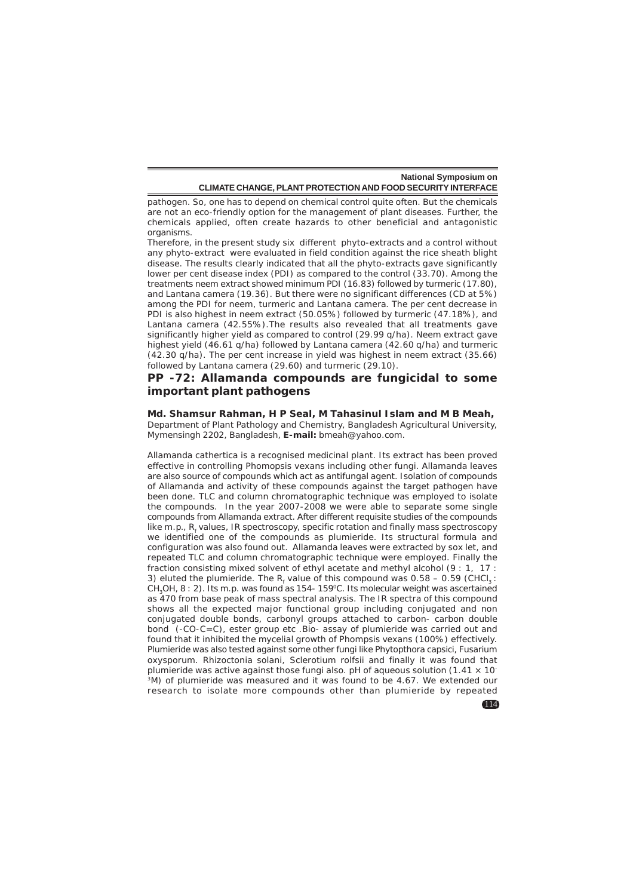pathogen. So, one has to depend on chemical control quite often. But the chemicals are not an eco-friendly option for the management of plant diseases. Further, the chemicals applied, often create hazards to other beneficial and antagonistic organisms.

Therefore, in the present study six different phyto-extracts and a control without any phyto-extract were evaluated in field condition against the rice sheath blight disease. The results clearly indicated that all the phyto-extracts gave significantly lower per cent disease index (PDI) as compared to the control (33.70). Among the treatments neem extract showed minimum PDI (16.83) followed by turmeric (17.80), and *Lantana camera* (19.36). But there were no significant differences (CD at 5%) among the PDI for neem, turmeric and *Lantana camera*. The per cent decrease in PDI is also highest in neem extract (50.05%) followed by turmeric (47.18%), and Lantana camera (42.55%).The results also revealed that all treatments gave significantly higher yield as compared to control (29.99 q/ha). Neem extract gave highest yield (46.61 q/ha) followed by *Lantana camera* (42.60 q/ha) and turmeric (42.30 q/ha). The per cent increase in yield was highest in neem extract (35.66) followed by *Lantana camera* (29.60) and turmeric (29.10).

### **PP -72: Allamanda compounds are fungicidal to some important plant pathogens**

#### **Md. Shamsur Rahman, H P Seal, M Tahasinul Islam and M B Meah,**

Department of Plant Pathology and Chemistry, Bangladesh Agricultural University, Mymensingh 2202, Bangladesh, **E-mail:** bmeah@yahoo.com.

Allamanda cathertica is a recognised medicinal plant. Its extract has been proved effective in controlling Phomopsis vexans including other fungi. Allamanda leaves are also source of compounds which act as antifungal agent. Isolation of compounds of Allamanda and activity of these compounds against the target pathogen have been done. TLC and column chromatographic technique was employed to isolate the compounds. In the year 2007-2008 we were able to separate some single compounds from Allamanda extract. After different requisite studies of the compounds like m.p., R<sub>f</sub> values, IR spectroscopy, specific rotation and finally mass spectroscopy we identified one of the compounds as plumieride. Its structural formula and configuration was also found out. Allamanda leaves were extracted by sox let, and repeated TLC and column chromatographic technique were employed. Finally the fraction consisting mixed solvent of ethyl acetate and methyl alcohol (9 : 1, 17 : 3) eluted the plumieride. The  $R_f$  value of this compound was 0.58 – 0.59 (CHCl<sub>3</sub>: CH<sub>3</sub>OH, 8 : 2). Its m.p. was found as 154- 159°C. Its molecular weight was ascertained as 470 from base peak of mass spectral analysis. The IR spectra of this compound shows all the expected major functional group including conjugated and non conjugated double bonds, carbonyl groups attached to carbon- carbon double bond (-CO-C=C), ester group etc .Bio- assay of plumieride was carried out and found that it inhibited the mycelial growth of Phompsis vexans (100%) effectively. Plumieride was also tested against some other fungi like Phytopthora capsici, Fusarium oxysporum. Rhizoctonia solani, Sclerotium rolfsii and finally it was found that plumieride was active against those fungi also. pH of aqueous solution  $(1.41 \times 10^{-7})$ 3M) of plumieride was measured and it was found to be 4.67. We extended our research to isolate more compounds other than plumieride by repeated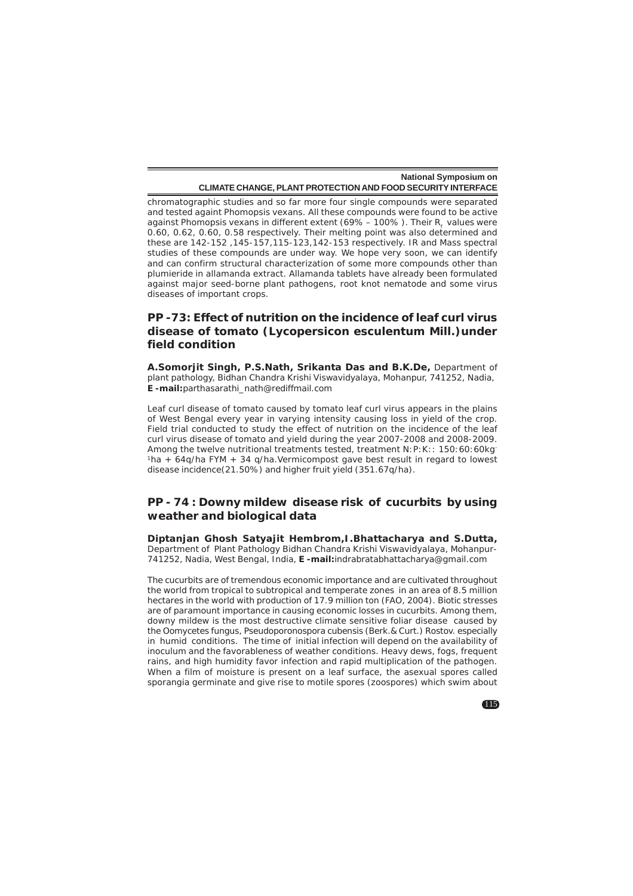chromatographic studies and so far more four single compounds were separated and tested againt *Phomopsis vexans*. All these compounds were found to be active against *Phomopsis vexans* in different extent (69% – 100% ). Their R<sub>f</sub> values were 0.60, 0.62, 0.60, 0.58 respectively. Their melting point was also determined and these are 142-152 ,145-157,115-123,142-153 respectively. IR and Mass spectral studies of these compounds are under way. We hope very soon, we can identify and can confirm structural characterization of some more compounds other than plumieride in allamanda extract. Allamanda tablets have already been formulated against major seed-borne plant pathogens, root knot nematode and some virus diseases of important crops.

# **PP -73: Effect of nutrition on the incidence of leaf curl virus disease of tomato (***Lycopersicon esculentum* **Mill.)under field condition**

**A.Somorjit Singh, P.S.Nath, Srikanta Das and B.K.De,** Department of plant pathology, Bidhan Chandra Krishi Viswavidyalaya, Mohanpur, 741252, Nadia, **E -mail:**parthasarathi\_nath@rediffmail.com

Leaf curl disease of tomato caused by tomato leaf curl virus appears in the plains of West Bengal every year in varying intensity causing loss in yield of the crop. Field trial conducted to study the effect of nutrition on the incidence of the leaf curl virus disease of tomato and yield during the year 2007-2008 and 2008-2009. Among the twelve nutritional treatments tested, treatment N:P:K:: 150:60:60kg-<sup>1</sup>ha + 64q/ha FYM + 34 q/ha. Vermicompost gave best result in regard to lowest disease incidence(21.50%) and higher fruit yield (351.67q/ha).

## **PP - 74 : Downy mildew disease risk of cucurbits by using weather and biological data**

**Diptanjan Ghosh Satyajit Hembrom,I.Bhattacharya and S.Dutta,** Department of Plant Pathology Bidhan Chandra Krishi Viswavidyalaya, Mohanpur-741252, Nadia, West Bengal, India, **E -mail:**indrabratabhattacharya@gmail.com

The cucurbits are of tremendous economic importance and are cultivated throughout the world from tropical to subtropical and temperate zones in an area of 8.5 million hectares in the world with production of 17.9 million ton (FAO, 2004). Biotic stresses are of paramount importance in causing economic losses in cucurbits. Among them, downy mildew is the most destructive climate sensitive foliar disease caused by the Oomycetes fungus, *Pseudoporonospora cubensis* (Berk.& Curt.) Rostov. especially in humid conditions. The time of initial infection will depend on the availability of inoculum and the favorableness of weather conditions. Heavy dews, fogs, frequent rains, and high humidity favor infection and rapid multiplication of the pathogen. When a film of moisture is present on a leaf surface, the asexual spores called sporangia germinate and give rise to motile spores (zoospores) which swim about

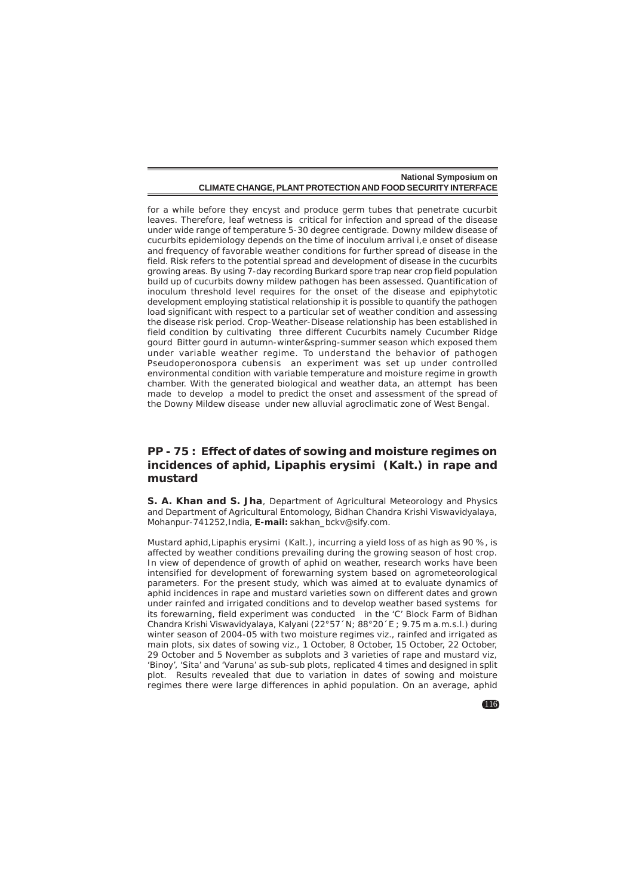for a while before they encyst and produce germ tubes that penetrate cucurbit leaves. Therefore, leaf wetness is critical for infection and spread of the disease under wide range of temperature 5-30 degree centigrade. Downy mildew disease of cucurbits epidemiology depends on the time of inoculum arrival i,e onset of disease and frequency of favorable weather conditions for further spread of disease in the field. Risk refers to the potential spread and development of disease in the cucurbits growing areas. By using 7-day recording Burkard spore trap near crop field population build up of cucurbits downy mildew pathogen has been assessed. Quantification of inoculum threshold level requires for the onset of the disease and epiphytotic development employing statistical relationship it is possible to quantify the pathogen load significant with respect to a particular set of weather condition and assessing the disease risk period. Crop-Weather-Disease relationship has been established in field condition by cultivating three different Cucurbits namely Cucumber Ridge gourd Bitter gourd in autumn-winter&spring-summer season which exposed them under variable weather regime. To understand the behavior of pathogen Pseudoperonospora cubensis an experiment was set up under controlled environmental condition with variable temperature and moisture regime in growth chamber. With the generated biological and weather data, an attempt has been made to develop a model to predict the onset and assessment of the spread of the Downy Mildew disease under new alluvial agroclimatic zone of West Bengal.

# **PP - 75 : Effect of dates of sowing and moisture regimes on incidences of aphid,** *Lipaphis erysimi* **(Kalt.) in rape and mustard**

**S. A. Khan and S. Jha**, Department of Agricultural Meteorology and Physics and Department of Agricultural Entomology, Bidhan Chandra Krishi Viswavidyalaya, Mohanpur-741252,India, **E-mail:** sakhan\_bckv@sify.com.

Mustard aphid,*Lipaphis erysimi* (Kalt.), incurring a yield loss of as high as 90 %, is affected by weather conditions prevailing during the growing season of host crop. In view of dependence of growth of aphid on weather, research works have been intensified for development of forewarning system based on agrometeorological parameters. For the present study, which was aimed at to evaluate dynamics of aphid incidences in rape and mustard varieties sown on different dates and grown under rainfed and irrigated conditions and to develop weather based systems for its forewarning, field experiment was conducted in the 'C' Block Farm of Bidhan Chandra Krishi Viswavidyalaya, Kalyani (22°57´N; 88°20´E ; 9.75 m a.m.s.l.) during winter season of 2004-05 with two moisture regimes viz., rainfed and irrigated as main plots, six dates of sowing viz., 1 October, 8 October, 15 October, 22 October, 29 October and 5 November as subplots and 3 varieties of rape and mustard viz, 'Binoy', 'Sita' and 'Varuna' as sub-sub plots, replicated 4 times and designed in split plot. Results revealed that due to variation in dates of sowing and moisture regimes there were large differences in aphid population. On an average, aphid

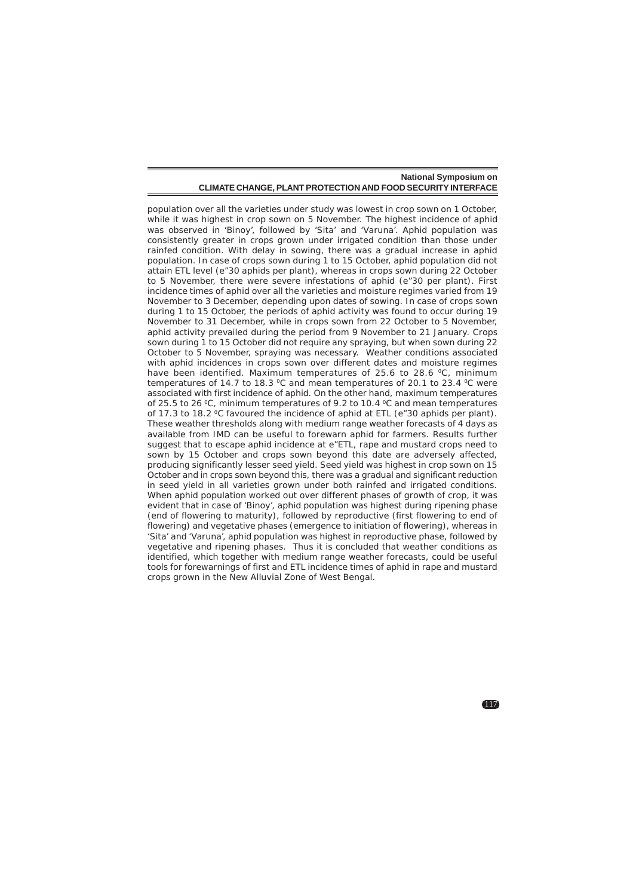population over all the varieties under study was lowest in crop sown on 1 October, while it was highest in crop sown on 5 November. The highest incidence of aphid was observed in 'Binoy', followed by 'Sita' and 'Varuna'. Aphid population was consistently greater in crops grown under irrigated condition than those under rainfed condition. With delay in sowing, there was a gradual increase in aphid population. In case of crops sown during 1 to 15 October, aphid population did not attain ETL level (e"30 aphids per plant), whereas in crops sown during 22 October to 5 November, there were severe infestations of aphid (e"30 per plant). First incidence times of aphid over all the varieties and moisture regimes varied from 19 November to 3 December, depending upon dates of sowing. In case of crops sown during 1 to 15 October, the periods of aphid activity was found to occur during 19 November to 31 December, while in crops sown from 22 October to 5 November, aphid activity prevailed during the period from 9 November to 21 January. Crops sown during 1 to 15 October did not require any spraying, but when sown during 22 October to 5 November, spraying was necessary. Weather conditions associated with aphid incidences in crops sown over different dates and moisture regimes have been identified. Maximum temperatures of 25.6 to 28.6  $\degree$ C, minimum temperatures of 14.7 to 18.3  $\degree$ C and mean temperatures of 20.1 to 23.4  $\degree$ C were associated with first incidence of aphid. On the other hand, maximum temperatures of 25.5 to 26 °C, minimum temperatures of 9.2 to 10.4 °C and mean temperatures of 17.3 to 18.2 °C favoured the incidence of aphid at ETL (e"30 aphids per plant). These weather thresholds along with medium range weather forecasts of 4 days as available from IMD can be useful to forewarn aphid for farmers. Results further suggest that to escape aphid incidence at e"ETL, rape and mustard crops need to sown by 15 October and crops sown beyond this date are adversely affected, producing significantly lesser seed yield. Seed yield was highest in crop sown on 15 October and in crops sown beyond this, there was a gradual and significant reduction in seed yield in all varieties grown under both rainfed and irrigated conditions. When aphid population worked out over different phases of growth of crop, it was evident that in case of 'Binoy', aphid population was highest during ripening phase (end of flowering to maturity), followed by reproductive (first flowering to end of flowering) and vegetative phases (emergence to initiation of flowering), whereas in 'Sita' and 'Varuna', aphid population was highest in reproductive phase, followed by vegetative and ripening phases. Thus it is concluded that weather conditions as identified, which together with medium range weather forecasts, could be useful tools for forewarnings of first and ETL incidence times of aphid in rape and mustard crops grown in the New Alluvial Zone of West Bengal.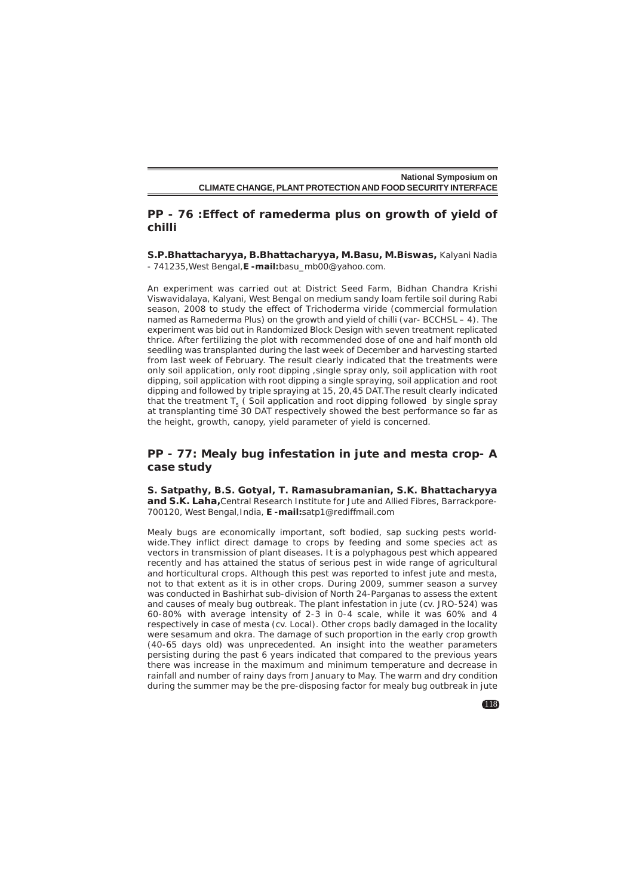## **PP - 76 :Effect of ramederma plus on growth of yield of chilli**

**S.P.Bhattacharyya, B.Bhattacharyya, M.Basu, M.Biswas,** Kalyani Nadia - 741235,West Bengal,**E -mail:**basu\_mb00@yahoo.com.

An experiment was carried out at District Seed Farm, Bidhan Chandra Krishi Viswavidalaya, Kalyani, West Bengal on medium sandy loam fertile soil during Rabi season, 2008 to study the effect of *Trichoderma viride* (commercial formulation named as Ramederma Plus) on the growth and yield of chilli (var- BCCHSL – 4). The experiment was bid out in Randomized Block Design with seven treatment replicated thrice. After fertilizing the plot with recommended dose of one and half month old seedling was transplanted during the last week of December and harvesting started from last week of February. The result clearly indicated that the treatments were only soil application, only root dipping ,single spray only, soil application with root dipping, soil application with root dipping a single spraying, soil application and root dipping and followed by triple spraying at 15, 20,45 DAT.The result clearly indicated that the treatment  $T_5$  (Soil application and root dipping followed by single spray at transplanting time 30 DAT respectively showed the best performance so far as the height, growth, canopy, yield parameter of yield is concerned.

# **PP - 77: Mealy bug infestation in jute and mesta crop- A case study**

**S. Satpathy, B.S. Gotyal, T. Ramasubramanian, S.K. Bhattacharyya and S.K. Laha,**Central Research Institute for Jute and Allied Fibres, Barrackpore-700120, West Bengal,India, **E -mail:**satp1@rediffmail.com

Mealy bugs are economically important, soft bodied, sap sucking pests worldwide.They inflict direct damage to crops by feeding and some species act as vectors in transmission of plant diseases. It is a polyphagous pest which appeared recently and has attained the status of serious pest in wide range of agricultural and horticultural crops. Although this pest was reported to infest jute and mesta, not to that extent as it is in other crops. During 2009, summer season a survey was conducted in Bashirhat sub-division of North 24-Parganas to assess the extent and causes of mealy bug outbreak. The plant infestation in jute (cv. JRO-524) was 60-80% with average intensity of 2-3 in 0-4 scale, while it was 60% and 4 respectively in case of mesta (cv. Local). Other crops badly damaged in the locality were sesamum and okra. The damage of such proportion in the early crop growth (40-65 days old) was unprecedented. An insight into the weather parameters persisting during the past 6 years indicated that compared to the previous years there was increase in the maximum and minimum temperature and decrease in rainfall and number of rainy days from January to May. The warm and dry condition during the summer may be the pre-disposing factor for mealy bug outbreak in jute

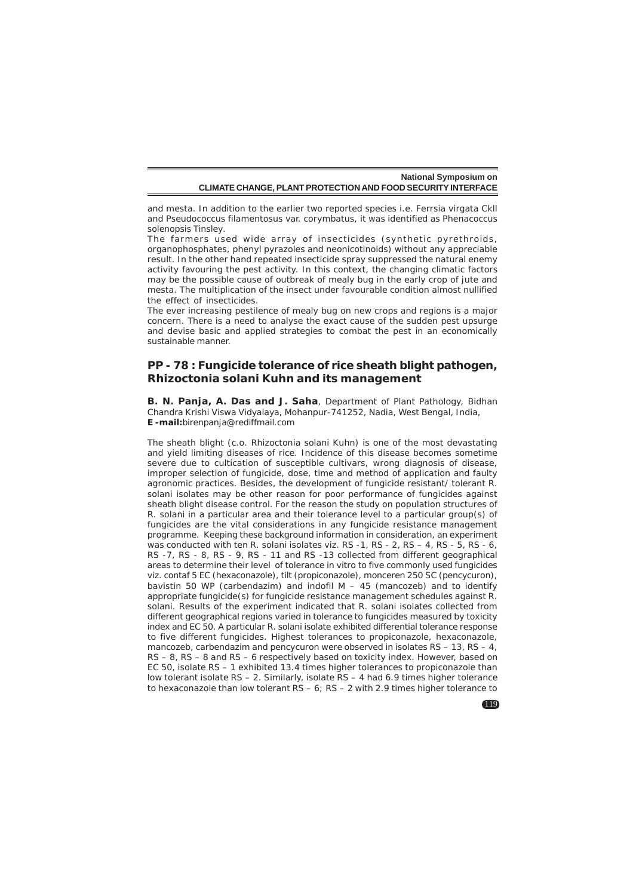and mesta. In addition to the earlier two reported species i.e. Ferrsia virgata Ckll and Pseudococcus filamentosus var. corymbatus, it was identified as *Phenacoccus solenopsis Tinsley*.

The farmers used wide array of insecticides (synthetic pyrethroids, organophosphates, phenyl pyrazoles and neonicotinoids) without any appreciable result. In the other hand repeated insecticide spray suppressed the natural enemy activity favouring the pest activity. In this context, the changing climatic factors may be the possible cause of outbreak of mealy bug in the early crop of jute and mesta. The multiplication of the insect under favourable condition almost nullified the effect of insecticides.

The ever increasing pestilence of mealy bug on new crops and regions is a major concern. There is a need to analyse the exact cause of the sudden pest upsurge and devise basic and applied strategies to combat the pest in an economically sustainable manner.

## **PP - 78 : Fungicide tolerance of rice sheath blight pathogen,** *Rhizoctonia solani* **Kuhn and its management**

**B. N. Panja, A. Das and J. Saha**, Department of Plant Pathology, Bidhan Chandra Krishi Viswa Vidyalaya, Mohanpur-741252, Nadia, West Bengal, India, **E -mail:**birenpanja@rediffmail.com

The sheath blight (c.o. *Rhizoctonia solani* Kuhn) is one of the most devastating and yield limiting diseases of rice. Incidence of this disease becomes sometime severe due to cultication of susceptible cultivars, wrong diagnosis of disease, improper selection of fungicide, dose, time and method of application and faulty agronomic practices. Besides, the development of fungicide resistant/ tolerant R. solani isolates may be other reason for poor performance of fungicides against sheath blight disease control. For the reason the study on population structures of R. solani in a particular area and their tolerance level to a particular group(s) of fungicides are the vital considerations in any fungicide resistance management programme. Keeping these background information in consideration, an experiment was conducted with ten R. solani isolates viz. RS - 1, RS - 2, RS - 4, RS - 5, RS - 6, RS -7, RS - 8, RS - 9, RS - 11 and RS -13 collected from different geographical areas to determine their level of tolerance in vitro to five commonly used fungicides viz. contaf 5 EC (hexaconazole), tilt (propiconazole), monceren 250 SC (pencycuron), bavistin 50 WP (carbendazim) and indofil  $M - 45$  (mancozeb) and to identify appropriate fungicide(s) for fungicide resistance management schedules against R. solani. Results of the experiment indicated that R. solani isolates collected from different geographical regions varied in tolerance to fungicides measured by toxicity index and EC 50. A particular R. solani isolate exhibited differential tolerance response to five different fungicides. Highest tolerances to propiconazole, hexaconazole, mancozeb, carbendazim and pencycuron were observed in isolates RS – 13, RS – 4, RS – 8, RS – 8 and RS – 6 respectively based on toxicity index. However, based on EC 50, isolate RS – 1 exhibited 13.4 times higher tolerances to propiconazole than low tolerant isolate RS – 2. Similarly, isolate RS – 4 had 6.9 times higher tolerance to hexaconazole than low tolerant  $\overline{RS} - 6$ ;  $\overline{RS} - 2$  with 2.9 times higher tolerance to

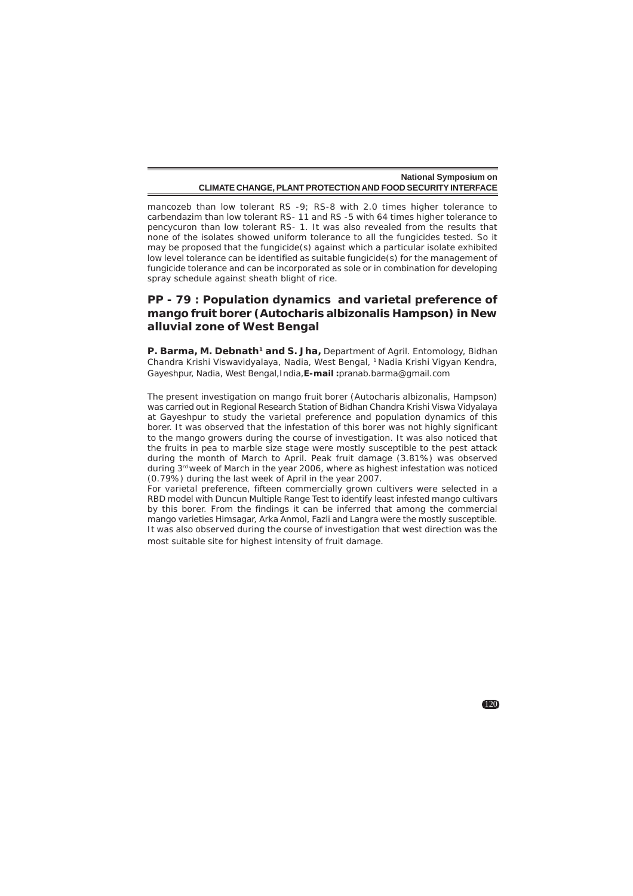mancozeb than low tolerant RS -9; RS-8 with 2.0 times higher tolerance to carbendazim than low tolerant RS- 11 and RS -5 with 64 times higher tolerance to pencycuron than low tolerant RS- 1. It was also revealed from the results that none of the isolates showed uniform tolerance to all the fungicides tested. So it may be proposed that the fungicide(s) against which a particular isolate exhibited low level tolerance can be identified as suitable fungicide(s) for the management of fungicide tolerance and can be incorporated as sole or in combination for developing spray schedule against sheath blight of rice.

# **PP - 79 : Population dynamics and varietal preference of mango fruit borer (***Autocharis albizonalis* **Hampson) in New alluvial zone of West Bengal**

P. Barma, M. Debnath<sup>1</sup> and S. Jha, Department of Agril. Entomology, Bidhan Chandra Krishi Viswavidyalaya, Nadia, West Bengal, 1 Nadia Krishi Vigyan Kendra, Gayeshpur, Nadia, West Bengal,India,**E-mail :**pranab.barma@gmail.com

The present investigation on mango fruit borer (*Autocharis albizonalis*, Hampson) was carried out in Regional Research Station of Bidhan Chandra Krishi Viswa Vidyalaya at Gayeshpur to study the varietal preference and population dynamics of this borer. It was observed that the infestation of this borer was not highly significant to the mango growers during the course of investigation. It was also noticed that the fruits in pea to marble size stage were mostly susceptible to the pest attack during the month of March to April. Peak fruit damage (3.81%) was observed during 3<sup>rd</sup> week of March in the year 2006, where as highest infestation was noticed (0.79%) during the last week of April in the year 2007.

For varietal preference, fifteen commercially grown cultivers were selected in a RBD model with Duncun Multiple Range Test to identify least infested mango cultivars by this borer. From the findings it can be inferred that among the commercial mango varieties Himsagar, Arka Anmol, Fazli and Langra were the mostly susceptible. It was also observed during the course of investigation that west direction was the most suitable site for highest intensity of fruit damage.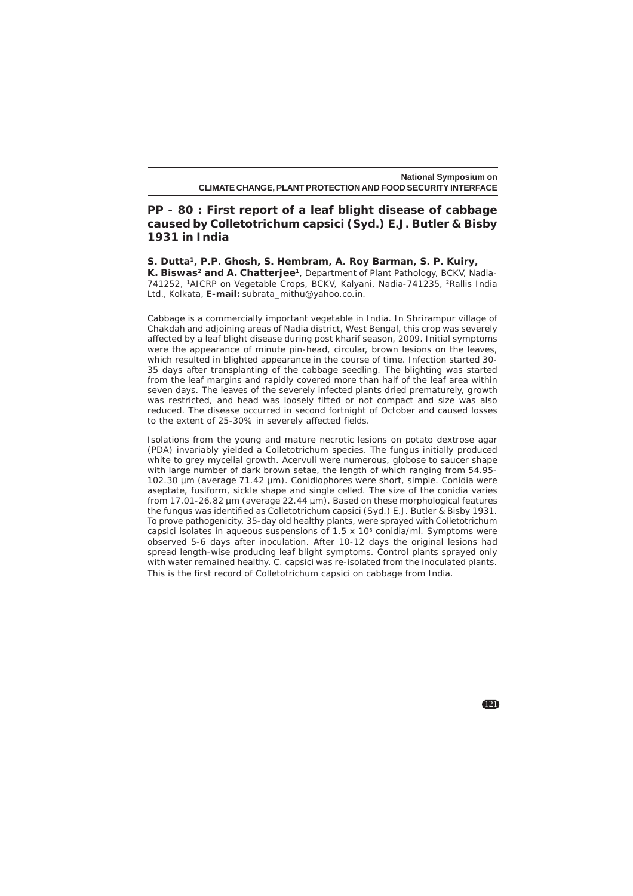# **PP - 80 : First report of a leaf blight disease of cabbage caused by** *Colletotrichum capsici* **(Syd.) E.J. Butler & Bisby 1931 in India**

## **S. Dutta1, P.P. Ghosh, S. Hembram, A. Roy Barman, S. P. Kuiry,**

K. Biswas<sup>2</sup> and A. Chatterjee<sup>1</sup>, Department of Plant Pathology, BCKV, Nadia-741252, 1AICRP on Vegetable Crops, BCKV, Kalyani, Nadia-741235, 2Rallis India Ltd., Kolkata, **E-mail:** subrata\_mithu@yahoo.co.in.

Cabbage is a commercially important vegetable in India. In Shrirampur village of Chakdah and adjoining areas of Nadia district, West Bengal, this crop was severely affected by a leaf blight disease during post kharif season, 2009. Initial symptoms were the appearance of minute pin-head, circular, brown lesions on the leaves, which resulted in blighted appearance in the course of time. Infection started 30- 35 days after transplanting of the cabbage seedling. The blighting was started from the leaf margins and rapidly covered more than half of the leaf area within seven days. The leaves of the severely infected plants dried prematurely, growth was restricted, and head was loosely fitted or not compact and size was also reduced. The disease occurred in second fortnight of October and caused losses to the extent of 25-30% in severely affected fields.

Isolations from the young and mature necrotic lesions on potato dextrose agar (PDA) invariably yielded a *Colletotrichum* species. The fungus initially produced white to grey mycelial growth. Acervuli were numerous, globose to saucer shape with large number of dark brown setae, the length of which ranging from 54.95- 102.30 µm (average 71.42 µm). Conidiophores were short, simple. Conidia were aseptate, fusiform, sickle shape and single celled. The size of the conidia varies from 17.01-26.82 µm (average 22.44 µm). Based on these morphological features the fungus was identified as *Colletotrichum capsici* (Syd.) E.J. Butler & Bisby 1931. To prove pathogenicity, 35-day old healthy plants, were sprayed with *Colletotrichum capsici* isolates in aqueous suspensions of 1.5 x 10<sup>6</sup> conidia/ml. Symptoms were observed 5-6 days after inoculation. After 10-12 days the original lesions had spread length-wise producing leaf blight symptoms. Control plants sprayed only with water remained healthy. *C. capsici* was re-isolated from the inoculated plants. This is the first record of *Colletotrichum capsici* on cabbage from India.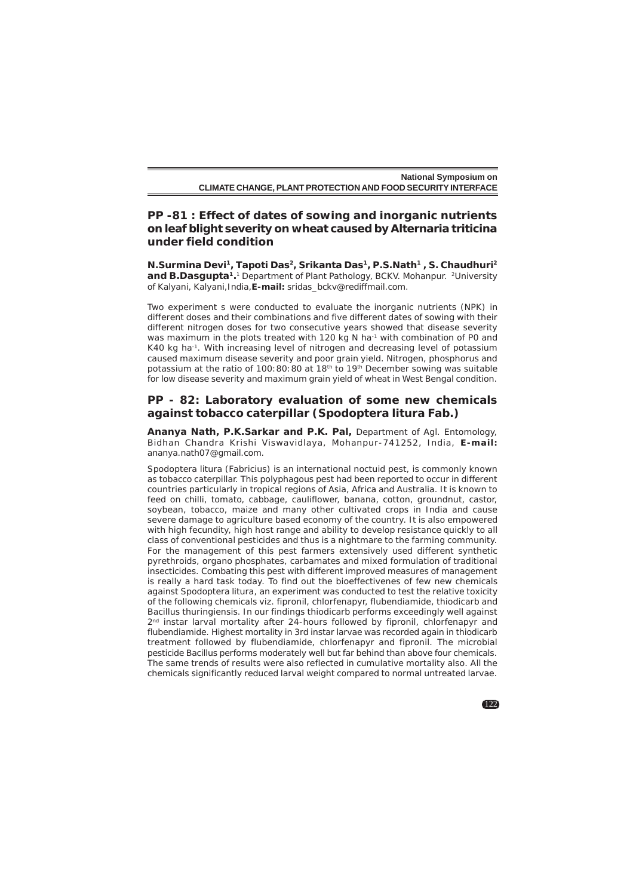# **PP -81 : Effect of dates of sowing and inorganic nutrients on leaf blight severity on wheat caused by** *Alternaria triticina* **under field condition**

**N.Surmina Devi1, Tapoti Das2, Srikanta Das1, P.S.Nath1 , S. Chaudhuri2** and **B.Dasqupta<sup>1</sup>**.<sup>1</sup> Department of Plant Pathology, BCKV. Mohanpur. <sup>2</sup>University of Kalyani, Kalyani,India,**E-mail:** sridas\_bckv@rediffmail.com.

Two experiment s were conducted to evaluate the inorganic nutrients (NPK) in different doses and their combinations and five different dates of sowing with their different nitrogen doses for two consecutive years showed that disease severity was maximum in the plots treated with 120 kg N ha<sup>-1</sup> with combination of P0 and K40 kg ha<sup>-1</sup>. With increasing level of nitrogen and decreasing level of potassium caused maximum disease severity and poor grain yield. Nitrogen, phosphorus and potassium at the ratio of 100:80:80 at 18th to 19th December sowing was suitable for low disease severity and maximum grain yield of wheat in West Bengal condition.

# **PP - 82: Laboratory evaluation of some new chemicals against tobacco caterpillar (***Spodoptera litura* **Fab.)**

**Ananya Nath, P.K.Sarkar and P.K. Pal,** Department of Agl. Entomology, Bidhan Chandra Krishi Viswavidlaya, Mohanpur-741252, India, **E-mail:** ananya.nath07@gmail.com.

*Spodoptera litura* (Fabricius) is an international noctuid pest, is commonly known as tobacco caterpillar. This polyphagous pest had been reported to occur in different countries particularly in tropical regions of Asia, Africa and Australia. It is known to feed on chilli, tomato, cabbage, cauliflower, banana, cotton, groundnut, castor, soybean, tobacco, maize and many other cultivated crops in India and cause severe damage to agriculture based economy of the country. It is also empowered with high fecundity, high host range and ability to develop resistance quickly to all class of conventional pesticides and thus is a nightmare to the farming community. For the management of this pest farmers extensively used different synthetic pyrethroids, organo phosphates, carbamates and mixed formulation of traditional insecticides. Combating this pest with different improved measures of management is really a hard task today. To find out the bioeffectivenes of few new chemicals against *Spodoptera litura*, an experiment was conducted to test the relative toxicity of the following chemicals viz. fipronil, chlorfenapyr, flubendiamide, thiodicarb and Bacillus thuringiensis. In our findings thiodicarb performs exceedingly well against 2<sup>nd</sup> instar larval mortality after 24-hours followed by fipronil, chlorfenapyr and flubendiamide. Highest mortality in 3rd instar larvae was recorded again in thiodicarb treatment followed by flubendiamide, chlorfenapyr and fipronil. The microbial pesticide Bacillus performs moderately well but far behind than above four chemicals. The same trends of results were also reflected in cumulative mortality also. All the chemicals significantly reduced larval weight compared to normal untreated larvae.

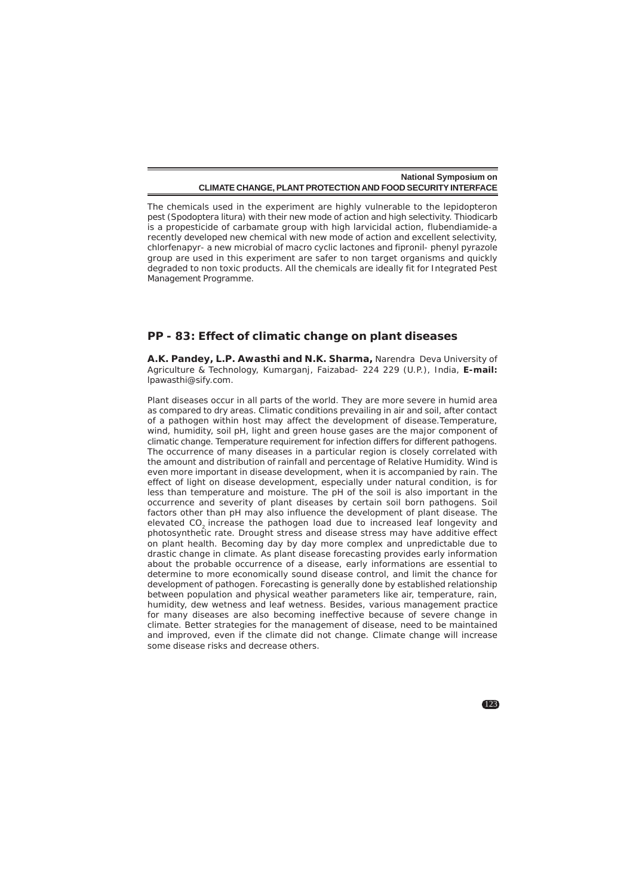The chemicals used in the experiment are highly vulnerable to the lepidopteron pest (*Spodoptera litura*) with their new mode of action and high selectivity. Thiodicarb is a propesticide of carbamate group with high larvicidal action, flubendiamide-a recently developed new chemical with new mode of action and excellent selectivity, chlorfenapyr- a new microbial of macro cyclic lactones and fipronil- phenyl pyrazole group are used in this experiment are safer to non target organisms and quickly degraded to non toxic products. All the chemicals are ideally fit for Integrated Pest Management Programme.

#### **PP - 83: Effect of climatic change on plant diseases**

**A.K. Pandey, L.P. Awasthi and N.K. Sharma,** Narendra Deva University of Agriculture & Technology, Kumarganj, Faizabad- 224 229 (U.P.), India, **E-mail:** lpawasthi@sify.com.

Plant diseases occur in all parts of the world. They are more severe in humid area as compared to dry areas. Climatic conditions prevailing in air and soil, after contact of a pathogen within host may affect the development of disease.Temperature, wind, humidity, soil pH, light and green house gases are the major component of climatic change. Temperature requirement for infection differs for different pathogens. The occurrence of many diseases in a particular region is closely correlated with the amount and distribution of rainfall and percentage of Relative Humidity. Wind is even more important in disease development, when it is accompanied by rain. The effect of light on disease development, especially under natural condition, is for less than temperature and moisture. The pH of the soil is also important in the occurrence and severity of plant diseases by certain soil born pathogens. Soil factors other than pH may also influence the development of plant disease. The elevated CO2 increase the pathogen load due to increased leaf longevity and photosynthetic rate. Drought stress and disease stress may have additive effect on plant health. Becoming day by day more complex and unpredictable due to drastic change in climate. As plant disease forecasting provides early information about the probable occurrence of a disease, early informations are essential to determine to more economically sound disease control, and limit the chance for development of pathogen. Forecasting is generally done by established relationship between population and physical weather parameters like air, temperature, rain, humidity, dew wetness and leaf wetness. Besides, various management practice for many diseases are also becoming ineffective because of severe change in climate. Better strategies for the management of disease, need to be maintained and improved, even if the climate did not change. Climate change will increase some disease risks and decrease others.

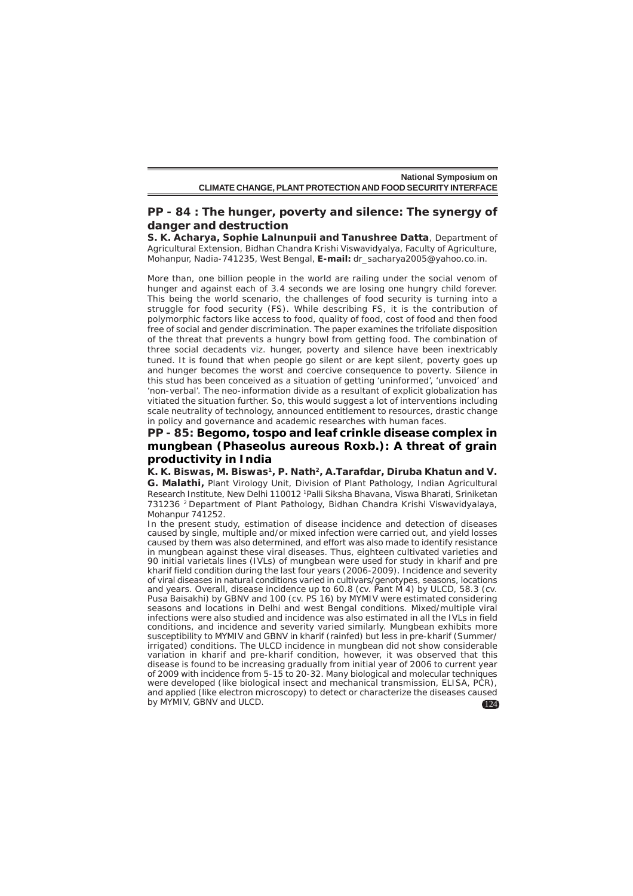# **PP - 84 : The hunger, poverty and silence: The synergy of danger and destruction**

**S. K. Acharya, Sophie Lalnunpuii and Tanushree Datta**, Department of Agricultural Extension, Bidhan Chandra Krishi Viswavidyalya, Faculty of Agriculture, Mohanpur, Nadia-741235, West Bengal, **E-mail:** dr\_sacharya2005@yahoo.co.in.

More than, one billion people in the world are railing under the social venom of hunger and against each of 3.4 seconds we are losing one hungry child forever. This being the world scenario, the challenges of food security is turning into a struggle for food security (FS). While describing FS, it is the contribution of polymorphic factors like access to food, quality of food, cost of food and then food free of social and gender discrimination. The paper examines the trifoliate disposition of the threat that prevents a hungry bowl from getting food. The combination of three social decadents viz. hunger, poverty and silence have been inextricably tuned. It is found that when people go silent or are kept silent, poverty goes up and hunger becomes the worst and coercive consequence to poverty. Silence in this stud has been conceived as a situation of getting 'uninformed', 'unvoiced' and 'non-verbal'. The neo-information divide as a resultant of explicit globalization has vitiated the situation further. So, this would suggest a lot of interventions including scale neutrality of technology, announced entitlement to resources, drastic change in policy and governance and academic researches with human faces.

# **PP - 85: Begomo, tospo and leaf crinkle disease complex in mungbean (***Phaseolus aureous* **Roxb.): A threat of grain productivity in India**

**K. K. Biswas, M. Biswas1, P. Nath2, A.Tarafdar, Diruba Khatun and V.**

**G. Malathi,** Plant Virology Unit, Division of Plant Pathology, Indian Agricultural Research Institute, New Delhi 110012 1Palli Siksha Bhavana, Viswa Bharati, Sriniketan 731236 2 Department of Plant Pathology, Bidhan Chandra Krishi Viswavidyalaya, Mohanpur 741252.

124 In the present study, estimation of disease incidence and detection of diseases caused by single, multiple and/or mixed infection were carried out, and yield losses caused by them was also determined, and effort was also made to identify resistance in mungbean against these viral diseases. Thus, eighteen cultivated varieties and 90 initial varietals lines (IVLs) of mungbean were used for study in kharif and pre kharif field condition during the last four years (2006-2009). Incidence and severity of viral diseases in natural conditions varied in cultivars/genotypes, seasons, locations and years. Overall, disease incidence up to 60.8 (cv. Pant M 4) by ULCD, 58.3 (cv. Pusa Baisakhi) by GBNV and 100 (cv. PS 16) by MYMIV were estimated considering seasons and locations in Delhi and west Bengal conditions. Mixed/multiple viral infections were also studied and incidence was also estimated in all the IVLs in field conditions, and incidence and severity varied similarly. Mungbean exhibits more susceptibility to MYMIV and GBNV in kharif (rainfed) but less in pre-kharif (Summer/ irrigated) conditions. The ULCD incidence in mungbean did not show considerable variation in kharif and pre-kharif condition, however, it was observed that this disease is found to be increasing gradually from initial year of 2006 to current year of 2009 with incidence from 5-15 to 20-32. Many biological and molecular techniques were developed (like biological insect and mechanical transmission, ELISA, PCR), and applied (like electron microscopy) to detect or characterize the diseases caused by MYMIV, GBNV and ULCD.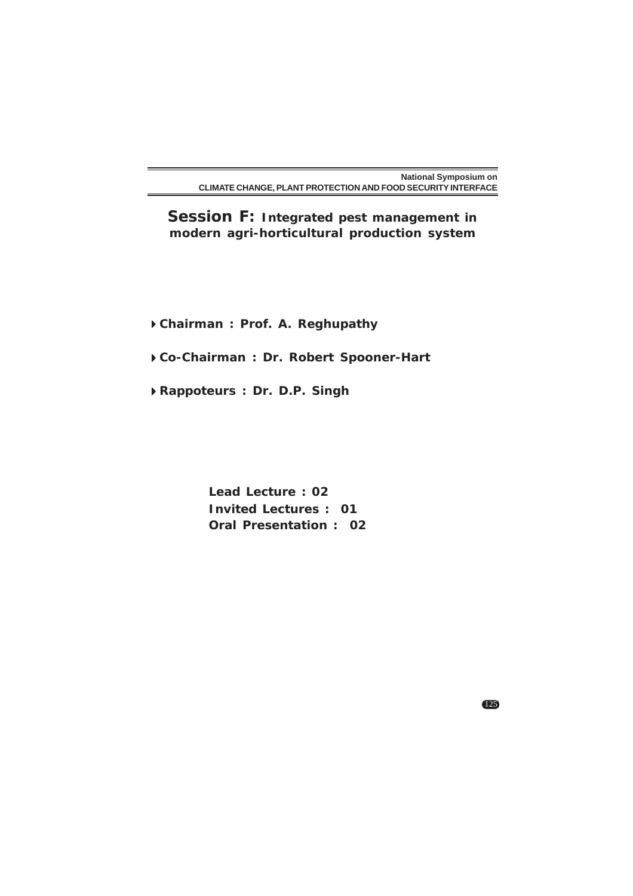**Session F: Integrated pest management in modern agri-horticultural production system**

**Chairman : Prof. A. Reghupathy**

**Co-Chairman : Dr. Robert Spooner-Hart**

**Rappoteurs : Dr. D.P. Singh**

**Lead Lecture : 02 Invited Lectures : 01 Oral Presentation : 02**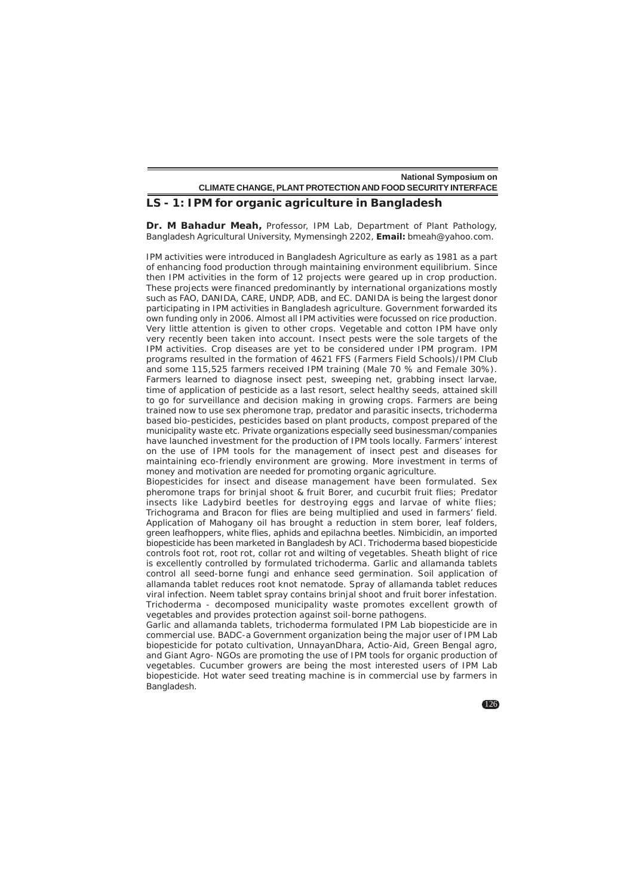#### **LS - 1: IPM for organic agriculture in Bangladesh**

**Dr. M Bahadur Meah,** Professor, IPM Lab, Department of Plant Pathology, Bangladesh Agricultural University, Mymensingh 2202, **Email:** bmeah@yahoo.com.

IPM activities were introduced in Bangladesh Agriculture as early as 1981 as a part of enhancing food production through maintaining environment equilibrium. Since then IPM activities in the form of 12 projects were geared up in crop production. These projects were financed predominantly by international organizations mostly such as FAO, DANIDA, CARE, UNDP, ADB, and EC. DANIDA is being the largest donor participating in IPM activities in Bangladesh agriculture. Government forwarded its own funding only in 2006. Almost all IPM activities were focussed on rice production. Very little attention is given to other crops. Vegetable and cotton IPM have only very recently been taken into account. Insect pests were the sole targets of the IPM activities. Crop diseases are yet to be considered under IPM program. IPM programs resulted in the formation of 4621 FFS (Farmers Field Schools)/IPM Club and some 115,525 farmers received IPM training (Male 70 % and Female 30%). Farmers learned to diagnose insect pest, sweeping net, grabbing insect larvae, time of application of pesticide as a last resort, select healthy seeds, attained skill to go for surveillance and decision making in growing crops. Farmers are being trained now to use sex pheromone trap, predator and parasitic insects, trichoderma based bio-pesticides, pesticides based on plant products, compost prepared of the municipality waste etc. Private organizations especially seed businessman/companies have launched investment for the production of IPM tools locally. Farmers' interest on the use of IPM tools for the management of insect pest and diseases for maintaining eco-friendly environment are growing. More investment in terms of money and motivation are needed for promoting organic agriculture.

Biopesticides for insect and disease management have been formulated. Sex pheromone traps for brinjal shoot & fruit Borer, and cucurbit fruit flies; Predator insects like Ladybird beetles for destroying eggs and larvae of white flies; Trichograma and Bracon for flies are being multiplied and used in farmers' field. Application of Mahogany oil has brought a reduction in stem borer, leaf folders, green leafhoppers, white flies, aphids and epilachna beetles. Nimbicidin, an imported biopesticide has been marketed in Bangladesh by ACI. *Trichoderma* based biopesticide controls foot rot, root rot, collar rot and wilting of vegetables. Sheath blight of rice is excellently controlled by formulated trichoderma. Garlic and allamanda tablets control all seed-borne fungi and enhance seed germination. Soil application of allamanda tablet reduces root knot nematode. Spray of allamanda tablet reduces viral infection. Neem tablet spray contains brinjal shoot and fruit borer infestation. *Trichoderma* - decomposed municipality waste promotes excellent growth of vegetables and provides protection against soil-borne pathogens.

Garlic and allamanda tablets, trichoderma formulated IPM Lab biopesticide are in commercial use. BADC-a Government organization being the major user of IPM Lab biopesticide for potato cultivation, UnnayanDhara, Actio-Aid, Green Bengal agro, and Giant Agro- NGOs are promoting the use of IPM tools for organic production of vegetables. Cucumber growers are being the most interested users of IPM Lab biopesticide. Hot water seed treating machine is in commercial use by farmers in Bangladesh.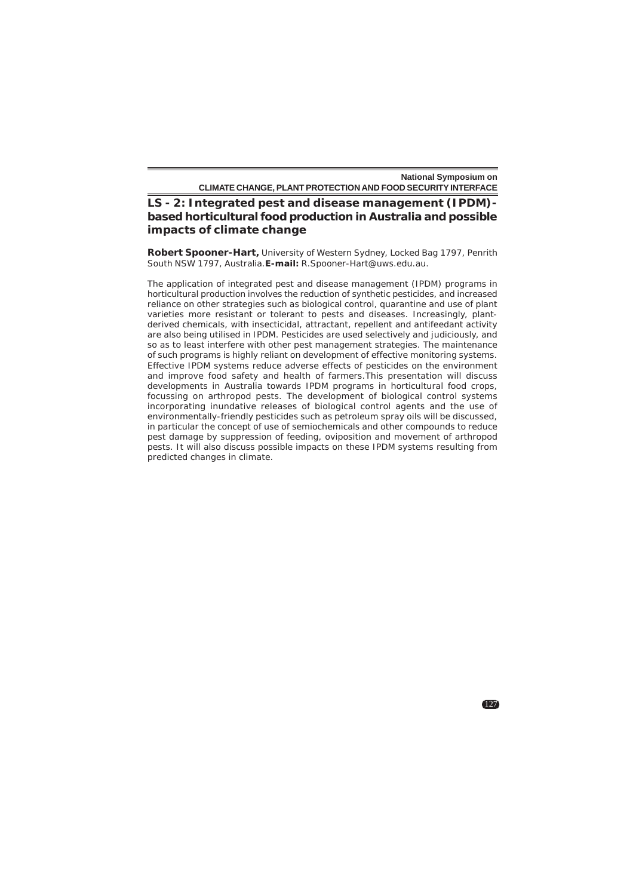**LS - 2: Integrated pest and disease management (IPDM) based horticultural food production in Australia and possible impacts of climate change**

**Robert Spooner-Hart,** University of Western Sydney, Locked Bag 1797, Penrith South NSW 1797, Australia.**E-mail:** R.Spooner-Hart@uws.edu.au.

The application of integrated pest and disease management (IPDM) programs in horticultural production involves the reduction of synthetic pesticides, and increased reliance on other strategies such as biological control, quarantine and use of plant varieties more resistant or tolerant to pests and diseases. Increasingly, plantderived chemicals, with insecticidal, attractant, repellent and antifeedant activity are also being utilised in IPDM. Pesticides are used selectively and judiciously, and so as to least interfere with other pest management strategies. The maintenance of such programs is highly reliant on development of effective monitoring systems. Effective IPDM systems reduce adverse effects of pesticides on the environment and improve food safety and health of farmers.This presentation will discuss developments in Australia towards IPDM programs in horticultural food crops, focussing on arthropod pests. The development of biological control systems incorporating inundative releases of biological control agents and the use of environmentally-friendly pesticides such as petroleum spray oils will be discussed, in particular the concept of use of semiochemicals and other compounds to reduce pest damage by suppression of feeding, oviposition and movement of arthropod pests. It will also discuss possible impacts on these IPDM systems resulting from predicted changes in climate.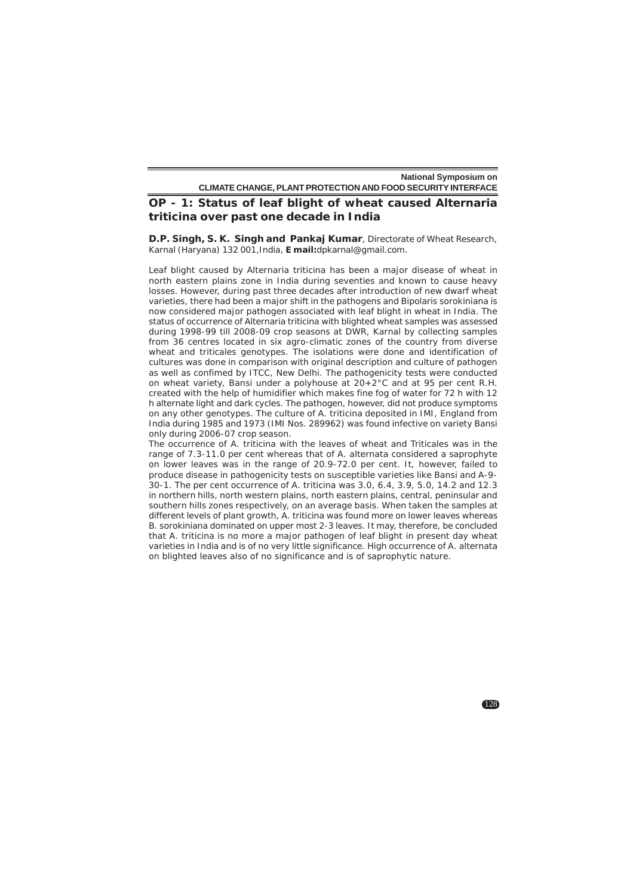# **OP - 1: Status of leaf blight of wheat caused** *Alternaria triticina* **over past one decade in India**

**D.P. Singh, S. K. Singh and Pankaj Kumar**, Directorate of Wheat Research, Karnal (Haryana) 132 001,India, **E mail:**dpkarnal@gmail.com.

Leaf blight caused by *Alternaria triticina* has been a major disease of wheat in north eastern plains zone in India during seventies and known to cause heavy losses. However, during past three decades after introduction of new dwarf wheat varieties, there had been a major shift in the pathogens and Bipolaris sorokiniana is now considered major pathogen associated with leaf blight in wheat in India. The status of occurrence of *Alternaria triticina* with blighted wheat samples was assessed during 1998-99 till 2008-09 crop seasons at DWR, Karnal by collecting samples from 36 centres located in six agro-climatic zones of the country from diverse wheat and triticales genotypes. The isolations were done and identification of cultures was done in comparison with original description and culture of pathogen as well as confimed by ITCC, New Delhi. The pathogenicity tests were conducted on wheat variety, Bansi under a polyhouse at  $20+2^{\circ}$ C and at 95 per cent R.H. created with the help of humidifier which makes fine fog of water for 72 h with 12 h alternate light and dark cycles. The pathogen, however, did not produce symptoms on any other genotypes. The culture of *A. triticina* deposited in IMI, England from India during 1985 and 1973 (IMI Nos. 289962) was found infective on variety Bansi only during 2006-07 crop season.

The occurrence of *A. triticina* with the leaves of wheat and Triticales was in the range of 7.3-11.0 per cent whereas that of A. alternata considered a saprophyte on lower leaves was in the range of 20.9-72.0 per cent. It, however, failed to produce disease in pathogenicity tests on susceptible varieties like Bansi and A-9- 30-1. The per cent occurrence of A. triticina was 3.0, 6.4, 3.9, 5.0, 14.2 and 12.3 in northern hills, north western plains, north eastern plains, central, peninsular and southern hills zones respectively, on an average basis. When taken the samples at different levels of plant growth, *A. triticina* was found more on lower leaves whereas B. sorokiniana dominated on upper most 2-3 leaves. It may, therefore, be concluded that *A. triticina* is no more a major pathogen of leaf blight in present day wheat varieties in India and is of no very little significance. High occurrence of *A. alternata* on blighted leaves also of no significance and is of saprophytic nature.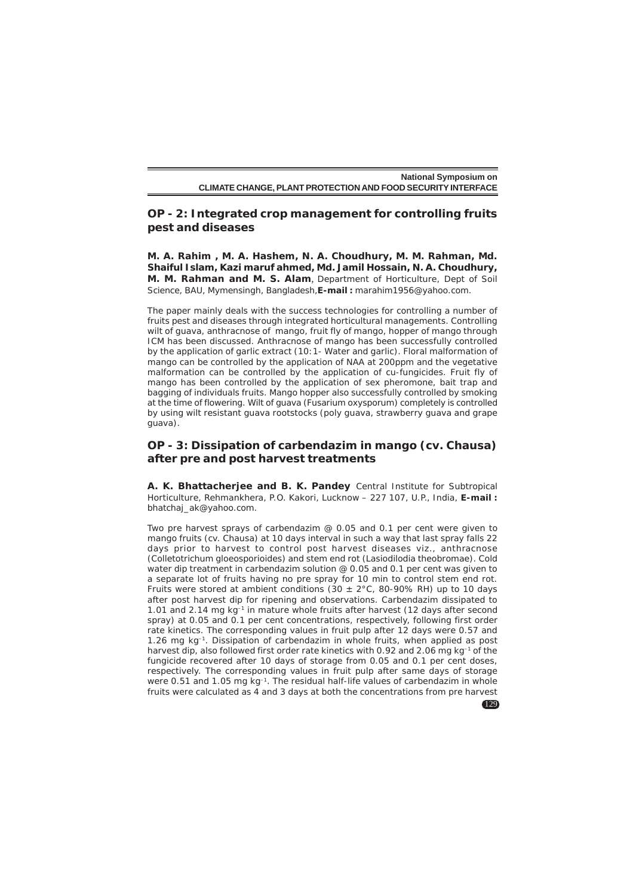# **OP - 2: Integrated crop management for controlling fruits pest and diseases**

**M. A. Rahim , M. A. Hashem, N. A. Choudhury, M. M. Rahman, Md. Shaiful Islam, Kazi maruf ahmed, Md. Jamil Hossain, N. A. Choudhury, M. M. Rahman and M. S. Alam**, Department of Horticulture, Dept of Soil Science, BAU, Mymensingh, Bangladesh,**E-mail :** marahim1956@yahoo.com.

The paper mainly deals with the success technologies for controlling a number of fruits pest and diseases through integrated horticultural managements. Controlling wilt of guava, anthracnose of mango, fruit fly of mango, hopper of mango through ICM has been discussed. Anthracnose of mango has been successfully controlled by the application of garlic extract (10:1- Water and garlic). Floral malformation of mango can be controlled by the application of NAA at 200ppm and the vegetative malformation can be controlled by the application of cu-fungicides. Fruit fly of mango has been controlled by the application of sex pheromone, bait trap and bagging of individuals fruits. Mango hopper also successfully controlled by smoking at the time of flowering. Wilt of guava (*Fusarium oxysporum*) completely is controlled by using wilt resistant guava rootstocks (poly guava, strawberry guava and grape guava).

# **OP - 3: Dissipation of carbendazim in mango (cv. Chausa) after pre and post harvest treatments**

**A. K. Bhattacherjee and B. K. Pandey** Central Institute for Subtropical Horticulture, Rehmankhera, P.O. Kakori, Lucknow – 227 107, U.P., India, **E-mail :** bhatchaj\_ak@yahoo.com.

Two pre harvest sprays of carbendazim @ 0.05 and 0.1 per cent were given to mango fruits (cv. Chausa) at 10 days interval in such a way that last spray falls 22 days prior to harvest to control post harvest diseases viz., anthracnose (*Colletotrichum gloeosporioides*) and stem end rot (*Lasiodilodia theobromae*). Cold water dip treatment in carbendazim solution @ 0.05 and 0.1 per cent was given to a separate lot of fruits having no pre spray for 10 min to control stem end rot. Fruits were stored at ambient conditions (30  $\pm$  2°C, 80-90% RH) up to 10 days after post harvest dip for ripening and observations. Carbendazim dissipated to 1.01 and 2.14 mg kg–1 in mature whole fruits after harvest (12 days after second spray) at 0.05 and 0.1 per cent concentrations, respectively, following first order rate kinetics. The corresponding values in fruit pulp after 12 days were 0.57 and 1.26 mg kg–1. Dissipation of carbendazim in whole fruits, when applied as post harvest dip, also followed first order rate kinetics with 0.92 and 2.06 mg kg-1 of the fungicide recovered after 10 days of storage from 0.05 and 0.1 per cent doses, respectively. The corresponding values in fruit pulp after same days of storage were 0.51 and 1.05 mg kg<sup>-1</sup>. The residual half-life values of carbendazim in whole fruits were calculated as 4 and 3 days at both the concentrations from pre harvest

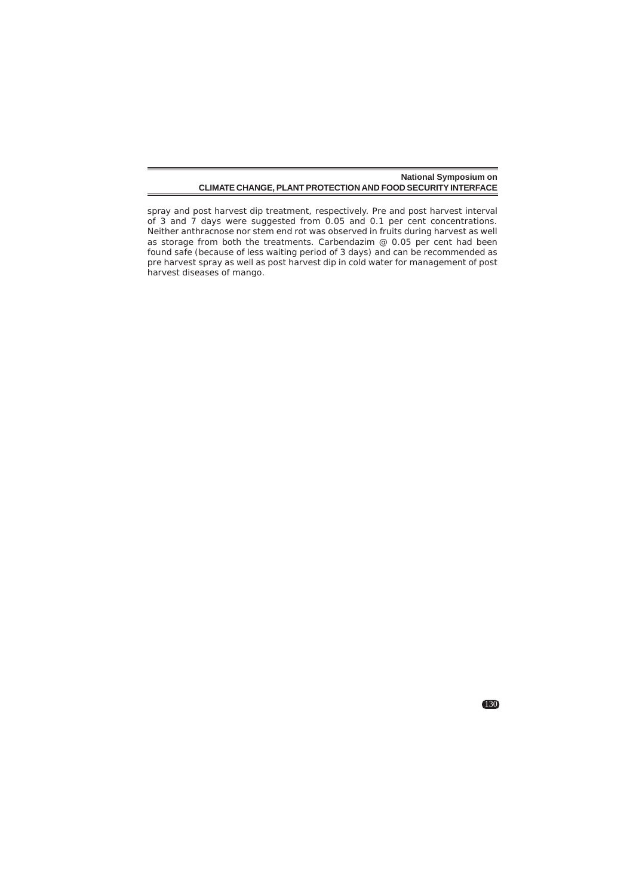spray and post harvest dip treatment, respectively. Pre and post harvest interval of 3 and 7 days were suggested from 0.05 and 0.1 per cent concentrations. Neither anthracnose nor stem end rot was observed in fruits during harvest as well as storage from both the treatments. Carbendazim @ 0.05 per cent had been found safe (because of less waiting period of 3 days) and can be recommended as pre harvest spray as well as post harvest dip in cold water for management of post harvest diseases of mango.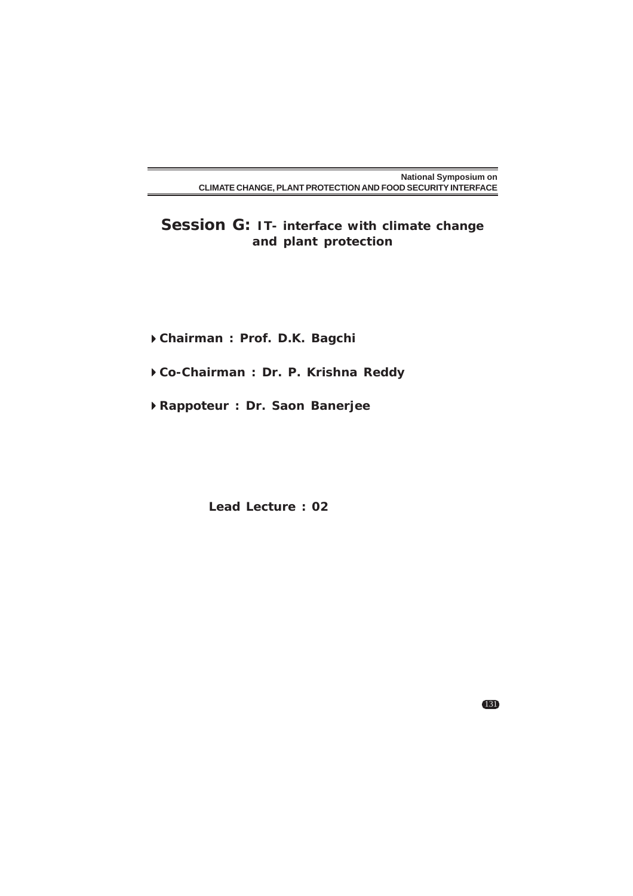**Session G: IT- interface with climate change and plant protection**

**Chairman : Prof. D.K. Bagchi**

- **Co-Chairman : Dr. P. Krishna Reddy**
- **Rappoteur : Dr. Saon Banerjee**

**Lead Lecture : 02**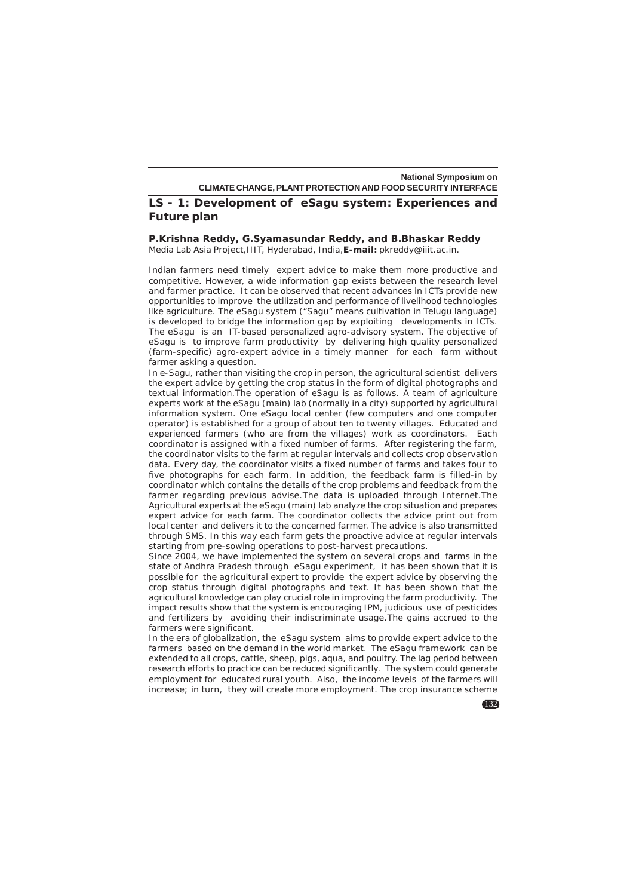## **LS - 1: Development of eSagu system: Experiences and Future plan**

#### **P.Krishna Reddy, G.Syamasundar Reddy, and B.Bhaskar Reddy** Media Lab Asia Project,IIIT, Hyderabad, India,**E-mail:** pkreddy@iiit.ac.in.

Indian farmers need timely expert advice to make them more productive and competitive. However, a wide information gap exists between the research level and farmer practice. It can be observed that recent advances in ICTs provide new opportunities to improve the utilization and performance of livelihood technologies like agriculture. The eSagu system ("Sagu" means cultivation in Telugu language) is developed to bridge the information gap by exploiting developments in ICTs. The eSagu is an IT-based personalized agro-advisory system. The objective of eSagu is to improve farm productivity by delivering high quality personalized

(farm-specific) agro-expert advice in a timely manner for each farm without

farmer asking a question. In e-Sagu, rather than visiting the crop in person, the agricultural scientist delivers the expert advice by getting the crop status in the form of digital photographs and textual information.The operation of eSagu is as follows. A team of agriculture experts work at the eSagu (main) lab (normally in a city) supported by agricultural information system. One eSagu local center (few computers and one computer operator) is established for a group of about ten to twenty villages. Educated and experienced farmers (who are from the villages) work as coordinators. Each coordinator is assigned with a fixed number of farms. After registering the farm, the coordinator visits to the farm at regular intervals and collects crop observation data. Every day, the coordinator visits a fixed number of farms and takes four to five photographs for each farm. In addition, the feedback farm is filled-in by coordinator which contains the details of the crop problems and feedback from the farmer regarding previous advise.The data is uploaded through Internet.The Agricultural experts at the eSagu (main) lab analyze the crop situation and prepares expert advice for each farm. The coordinator collects the advice print out from local center and delivers it to the concerned farmer. The advice is also transmitted through SMS. In this way each farm gets the proactive advice at regular intervals starting from pre-sowing operations to post-harvest precautions.

Since 2004, we have implemented the system on several crops and farms in the state of Andhra Pradesh through eSagu experiment, it has been shown that it is possible for the agricultural expert to provide the expert advice by observing the crop status through digital photographs and text. It has been shown that the agricultural knowledge can play crucial role in improving the farm productivity. The impact results show that the system is encouraging IPM, judicious use of pesticides and fertilizers by avoiding their indiscriminate usage.The gains accrued to the farmers were significant.

In the era of globalization, the eSagu system aims to provide expert advice to the farmers based on the demand in the world market. The eSagu framework can be extended to all crops, cattle, sheep, pigs, aqua, and poultry. The lag period between research efforts to practice can be reduced significantly. The system could generate employment for educated rural youth. Also, the income levels of the farmers will increase; in turn, they will create more employment. The crop insurance scheme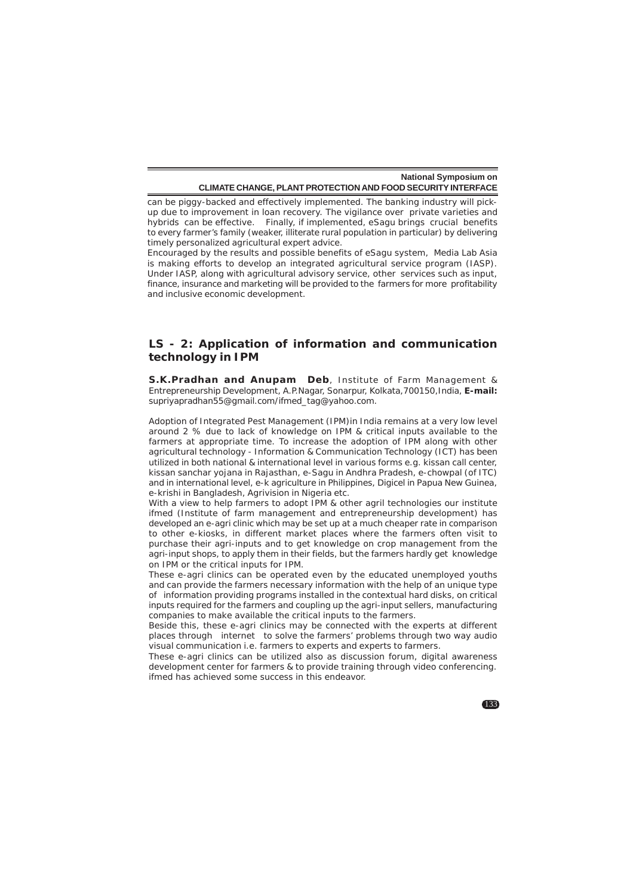can be piggy-backed and effectively implemented. The banking industry will pickup due to improvement in loan recovery. The vigilance over private varieties and hybrids can be effective. Finally, if implemented, eSagu brings crucial benefits to every farmer's family (weaker, illiterate rural population in particular) by delivering timely personalized agricultural expert advice.

Encouraged by the results and possible benefits of eSagu system, Media Lab Asia is making efforts to develop an integrated agricultural service program (IASP). Under IASP, along with agricultural advisory service, other services such as input, finance, insurance and marketing will be provided to the farmers for more profitability and inclusive economic development.

# **LS - 2: Application of information and communication technology in IPM**

**S.K.Pradhan and Anupam Deb**, Institute of Farm Management & Entrepreneurship Development, A.P.Nagar, Sonarpur, Kolkata,700150,India, **E-mail:** supriyapradhan55@gmail.com/ifmed\_tag@yahoo.com.

Adoption of Integrated Pest Management (IPM)in India remains at a very low level around 2 % due to lack of knowledge on IPM & critical inputs available to the farmers at appropriate time. To increase the adoption of IPM along with other agricultural technology - Information & Communication Technology (ICT) has been utilized in both national & international level in various forms e.g. kissan call center, kissan sanchar yojana in Rajasthan, e-Sagu in Andhra Pradesh, e-chowpal (of ITC) and in international level, e-k agriculture in Philippines, Digicel in Papua New Guinea, e-krishi in Bangladesh, Agrivision in Nigeria etc.

With a view to help farmers to adopt IPM & other agril technologies our institute ifmed (Institute of farm management and entrepreneurship development) has developed an e-agri clinic which may be set up at a much cheaper rate in comparison to other e-kiosks, in different market places where the farmers often visit to purchase their agri-inputs and to get knowledge on crop management from the agri-input shops, to apply them in their fields, but the farmers hardly get knowledge on IPM or the critical inputs for IPM.

These e-agri clinics can be operated even by the educated unemployed youths and can provide the farmers necessary information with the help of an unique type of information providing programs installed in the contextual hard disks, on critical inputs required for the farmers and coupling up the agri-input sellers, manufacturing companies to make available the critical inputs to the farmers.

Beside this, these e-agri clinics may be connected with the experts at different places through internet to solve the farmers' problems through two way audio visual communication i.e. farmers to experts and experts to farmers.

These e-agri clinics can be utilized also as discussion forum, digital awareness development center for farmers & to provide training through video conferencing. ifmed has achieved some success in this endeavor.